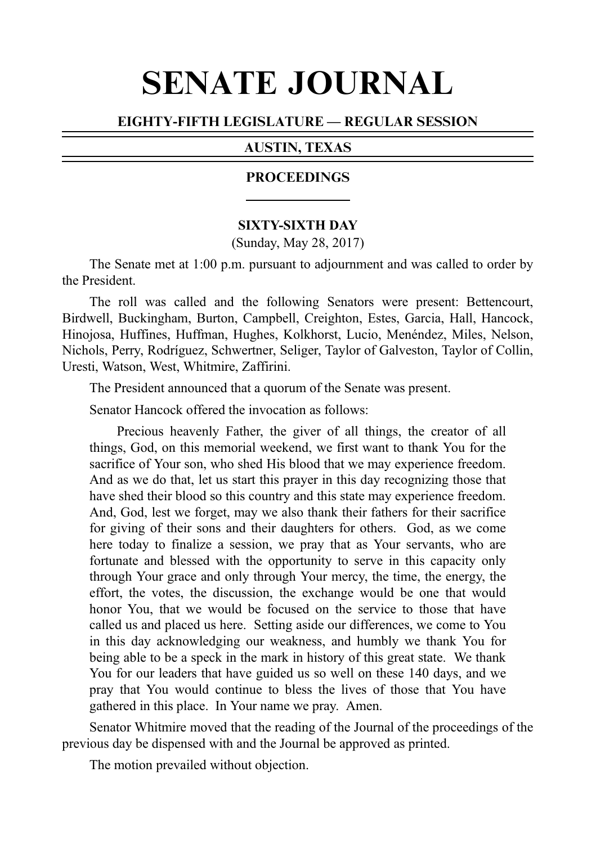# SENATE JOURNAL

#### EIGHTY-FIFTH LEGISLATURE — REGULAR SESSION

#### AUSTIN, TEXAS

#### PROCEEDINGS

#### **SIXTY-SIXTH DAY**

(Sunday, May 28, 2017)

The Senate met at 1:00 p.m. pursuant to adjournment and was called to order by the President.

The roll was called and the following Senators were present: Bettencourt, Birdwell, Buckingham, Burton, Campbell, Creighton, Estes, Garcia, Hall, Hancock, Hinojosa, Huffines, Huffman, Hughes, Kolkhorst, Lucio, Menéndez, Miles, Nelson, Nichols, Perry, Rodrı´guez, Schwertner, Seliger, Taylor of Galveston, Taylor of Collin, Uresti, Watson, West, Whitmire, Zaffirini.

The President announced that a quorum of the Senate was present.

Senator Hancock offered the invocation as follows:

Precious heavenly Father, the giver of all things, the creator of all things, God, on this memorial weekend, we first want to thank You for the sacrifice of Your son, who shed His blood that we may experience freedom. And as we do that, let us start this prayer in this day recognizing those that have shed their blood so this country and this state may experience freedom. And, God, lest we forget, may we also thank their fathers for their sacrifice for giving of their sons and their daughters for others. God, as we come here today to finalize a session, we pray that as Your servants, who are fortunate and blessed with the opportunity to serve in this capacity only through Your grace and only through Your mercy, the time, the energy, the effort, the votes, the discussion, the exchange would be one that would honor You, that we would be focused on the service to those that have called us and placed us here. Setting aside our differences, we come to You in this day acknowledging our weakness, and humbly we thank You for being able to be a speck in the mark in history of this great state. We thank You for our leaders that have guided us so well on these 140 days, and we pray that You would continue to bless the lives of those that You have gathered in this place. In Your name we pray. Amen.

Senator Whitmire moved that the reading of the Journal of the proceedings of the previous day be dispensed with and the Journal be approved as printed.

The motion prevailed without objection.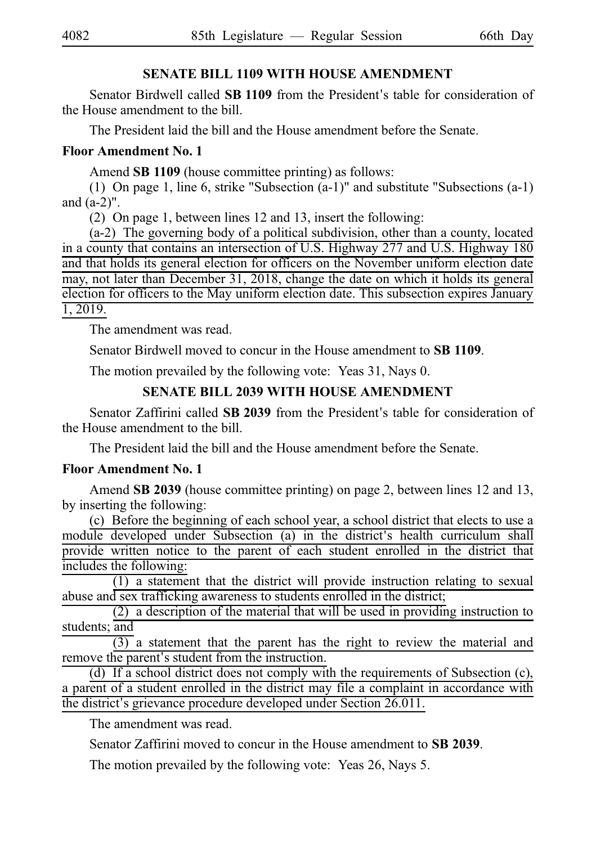### **SENATE BILL 1109 WITH HOUSE AMENDMENT**

Senator Birdwell called **SB 1109** from the President's table for consideration of the House amendment to the bill.

The President laid the bill and the House amendment before the Senate.

# **Floor Amendment No. 1**

Amend **SB 1109** (house committee printing) as follows:

(1) On page 1, line 6, strike "Subsection  $(a-1)$ " and substitute "Subsections  $(a-1)$ " and (a-2)".

(2) On page 1, between lines 12 and 13, insert the following:

 $(a-2)$  The governing body of a political subdivision, other than a county, located in a county that contains an intersection of U.S. Highway 277 and U.S. Highway 180 and that holds its general election for officers on the November uniform election date may, not later than December 31, 2018, change the date on which it holds its general election for officers to the May uniform election date. This subsection expires January 1, 2019.

The amendment was read.

Senator Birdwell moved to concur in the House amendment to SB 1109.

The motion prevailed by the following vote: Yeas 31, Nays 0.

# **SENATE BILL 2039 WITH HOUSE AMENDMENT**

Senator Zaffirini called **SB 2039** from the President's table for consideration of the House amendment to the bill.

The President laid the bill and the House amendment before the Senate.

# **Floor Amendment No. 1**

Amend **SB 2039** (house committee printing) on page 2, between lines 12 and 13, by inserting the following:

(c) Before the beginning of each school year, a school district that elects to use a module developed under Subsection (a) in the district's health curriculum shall provide written notice to the parent of each student enrolled in the district that includes the following:

 $(1)$  a statement that the district will provide instruction relating to sexual abuse and sex trafficking awareness to students enrolled in the district;

 $(2)$  a description of the material that will be used in providing instruction to students; and

 $\overline{(3)}$  a statement that the parent has the right to review the material and remove the parent's student from the instruction.

(d) If a school district does not comply with the requirements of Subsection  $(c)$ , a parent of a student enrolled in the district may file a complaint in accordance with the district's grievance procedure developed under Section 26.011.

The amendment was read.

Senator Zaffirini moved to concur in the House amendment to **SB 2039**.

The motion prevailed by the following vote: Yeas 26, Nays 5.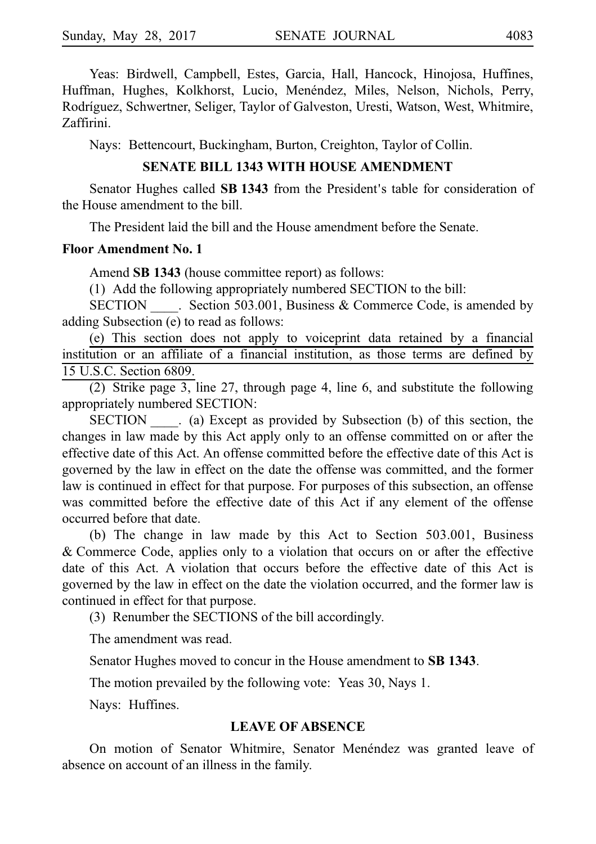Yeas: Birdwell, Campbell, Estes, Garcia, Hall, Hancock, Hinojosa, Huffines, Huffman, Hughes, Kolkhorst, Lucio, Menéndez, Miles, Nelson, Nichols, Perry, Rodrı´guez, Schwertner, Seliger, Taylor of Galveston, Uresti, Watson, West, Whitmire, Zaffirini.

Nays: Bettencourt, Buckingham, Burton, Creighton, Taylor of Collin.

#### **SENATE BILL 1343 WITH HOUSE AMENDMENT**

Senator Hughes called **SB 1343** from the President's table for consideration of the House amendment to the bill.

The President laid the bill and the House amendment before the Senate.

#### **Floor Amendment No. 1**

Amend **SB 1343** (house committee report) as follows:

 $(1)$  Add the following appropriately numbered SECTION to the bill:

SECTION Section 503.001, Business & Commerce Code, is amended by adding Subsection (e) to read as follows:

(e) This section does not apply to voiceprint data retained by a financial institution or an affiliate of a financial institution, as those terms are defined by 15 U.S.C. Section 6809.

(2) Strike page 3, line 27, through page 4, line 6, and substitute the following appropriately numbered SECTION:

SECTION (a) Except as provided by Subsection (b) of this section, the changes in law made by this Act apply only to an offense committed on or after the effective date of this Act. An offense committed before the effective date of this Act is governed by the law in effect on the date the offense was committed, and the former law is continued in effect for that purpose. For purposes of this subsection, an offense was committed before the effective date of this Act if any element of the offense occurred before that date.

(b) The change in law made by this Act to Section  $503.001$ , Business &iCommerce Code, applies only to a violation that occurs on or after the effective date of this Act. A violation that occurs before the effective date of this Act is governed by the law in effect on the date the violation occurred, and the former law is continued in effect for that purpose.

(3) Renumber the SECTIONS of the bill accordingly.

The amendment was read.

Senator Hughes moved to concur in the House amendment to **SB 1343**.

The motion prevailed by the following vote: Yeas 30, Nays 1.

Nays: Huffines.

#### **LEAVE OF ABSENCE**

On motion of Senator Whitmire, Senator Menéndez was granted leave of absence on account of an illness in the family.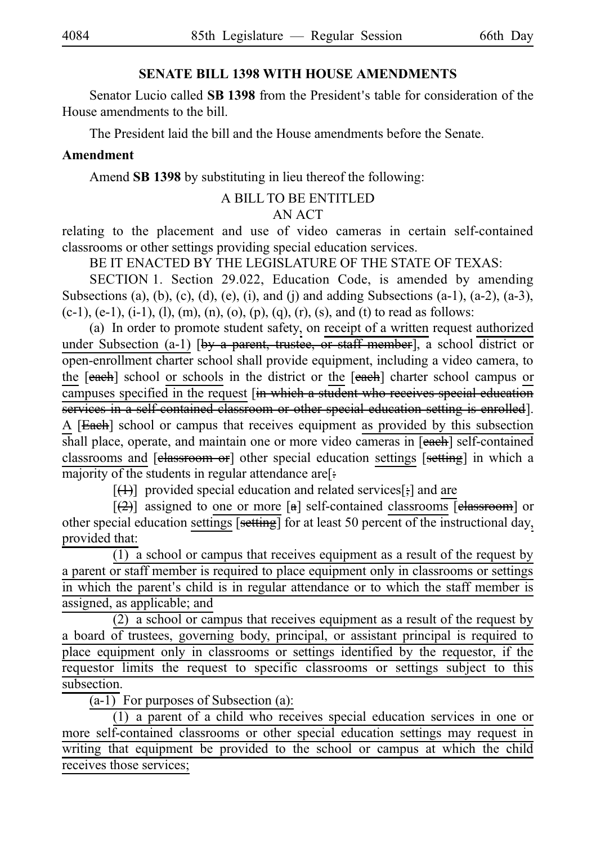#### **SENATE BILL 1398 WITH HOUSE AMENDMENTS**

Senator Lucio called **SB 1398** from the President's table for consideration of the House amendments to the bill.

The President laid the bill and the House amendments before the Senate.

### **Amendment**

Amend **SB 1398** by substituting in lieu thereof the following:

#### A BILL TO BE ENTITLED

# AN ACT

relating to the placement and use of video cameras in certain self-contained classrooms or other settings providing special education services.

BE IT ENACTED BY THE LEGISLATURE OF THE STATE OF TEXAS:

SECTION 1. Section 29.022, Education Code, is amended by amending Subsections (a), (b), (c), (d), (e), (i), and (j) and adding Subsections  $(a-1)$ ,  $(a-2)$ ,  $(a-3)$ ,  $(c-1)$ ,  $(e-1)$ ,  $(i-1)$ ,  $(l)$ ,  $(m)$ ,  $(n)$ ,  $(o)$ ,  $(p)$ ,  $(q)$ ,  $(r)$ ,  $(s)$ , and  $(t)$  to read as follows:

(a) In order to promote student safety, on receipt of a written request authorized under Subsection (a-1) [by a parent, trustee, or staff member], a school district or open-enrollment charter school shall provide equipment, including a video camera, to the [each] school or schools in the district or the [each] charter school campus or campuses specified in the request [in which a student who receives special education services in a self-contained classroom or other special education setting is enrolled]. A [Each] school or campus that receives equipment as provided by this subsection shall place, operate, and maintain one or more video cameras in [each] self-contained classrooms and [classroom or] other special education settings [setting] in which a majority of the students in regular attendance are[:

 $[$ (4)] provided special education and related services[;] and are

 $[\frac{1}{2}]$  assigned to one or more [a] self-contained classrooms [elassroom] or other special education settings [setting] for at least 50 percent of the instructional day, provided that:

 $(1)$  a school or campus that receives equipment as a result of the request by a parent or staff member is required to place equipment only in classrooms or settings in which the parent's child is in regular attendance or to which the staff member is assigned, as applicable; and

 $(2)$  a school or campus that receives equipment as a result of the request by a board of trustees, governing body, principal, or assistant principal is required to place equipment only in classrooms or settings identified by the requestor, if the requestor limits the request to specific classrooms or settings subject to this subsection.

 $(a-1)$  For purposes of Subsection  $(a)$ :

 $(1)$  a parent of a child who receives special education services in one or more self-contained classrooms or other special education settings may request in writing that equipment be provided to the school or campus at which the child receives those services;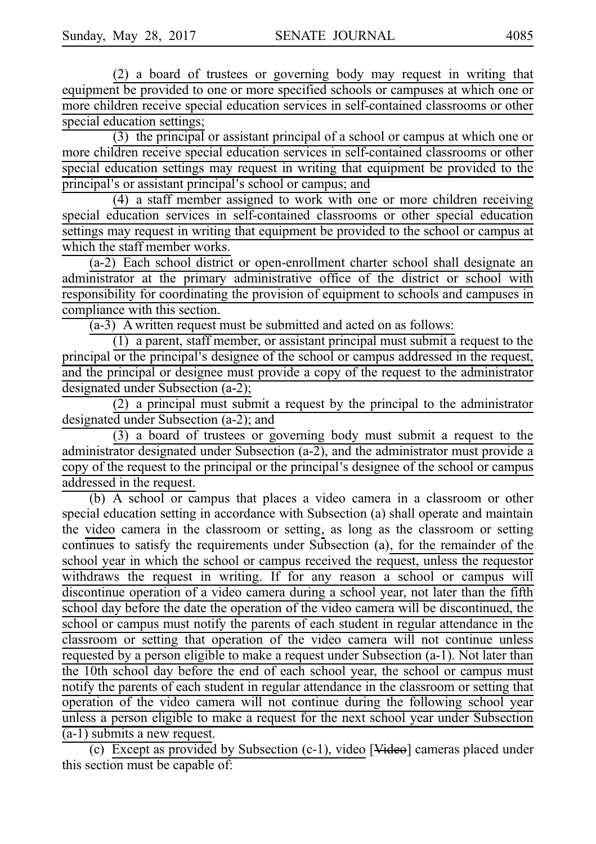$(2)$  a board of trustees or governing body may request in writing that equipment be provided to one or more specified schools or campuses at which one or more children receive special education services in self-contained classrooms or other special education settings;

 $(3)$  the principal or assistant principal of a school or campus at which one or more children receive special education services in self-contained classrooms or other special education settings may request in writing that equipment be provided to the principal's or assistant principal's school or campus; and

 $(4)$  a staff member assigned to work with one or more children receiving special education services in self-contained classrooms or other special education settings may request in writing that equipment be provided to the school or campus at which the staff member works.

(a-2) Each school district or open-enrollment charter school shall designate an administrator at the primary administrative office of the district or school with responsibility for coordinating the provision of equipment to schools and campuses in compliance with this section.

 $(a-3)$  A written request must be submitted and acted on as follows:

 $(1)$  a parent, staff member, or assistant principal must submit a request to the principal or the principal's designee of the school or campus addressed in the request, and the principal or designee must provide a copy of the request to the administrator designated under Subsection (a-2);

 $(2)$  a principal must submit a request by the principal to the administrator designated under Subsection (a-2); and

 $(3)$  a board of trustees or governing body must submit a request to the administrator designated under Subsection (a-2), and the administrator must provide a copy of the request to the principal or the principal's designee of the school or campus addressed in the request.

(b) A school or campus that places a video camera in a classroom or other special education setting in accordance with Subsection (a) shall operate and maintain the video camera in the classroom or setting, as long as the classroom or setting continues to satisfy the requirements under Subsection (a), for the remainder of the school year in which the school or campus received the request, unless the requestor withdraws the request in writing. If for any reason a school or campus will discontinue operation of a video camera during a school year, not later than the fifth school day before the date the operation of the video camera will be discontinued, the school or campus must notify the parents of each student in regular attendance in the classroom or setting that operation of the video camera will not continue unless requested by a person eligible to make a request under Subsection (a-1). Not later than the 10th school day before the end of each school year, the school or campus must notify the parents of each student in regular attendance in the classroom or setting that operation of the video camera will not continue during the following school year unless a person eligible to make a request for the next school year under Subsection (a-1) submits a new request.

(c) Except as provided by Subsection (c-1), video [Video] cameras placed under this section must be capable of: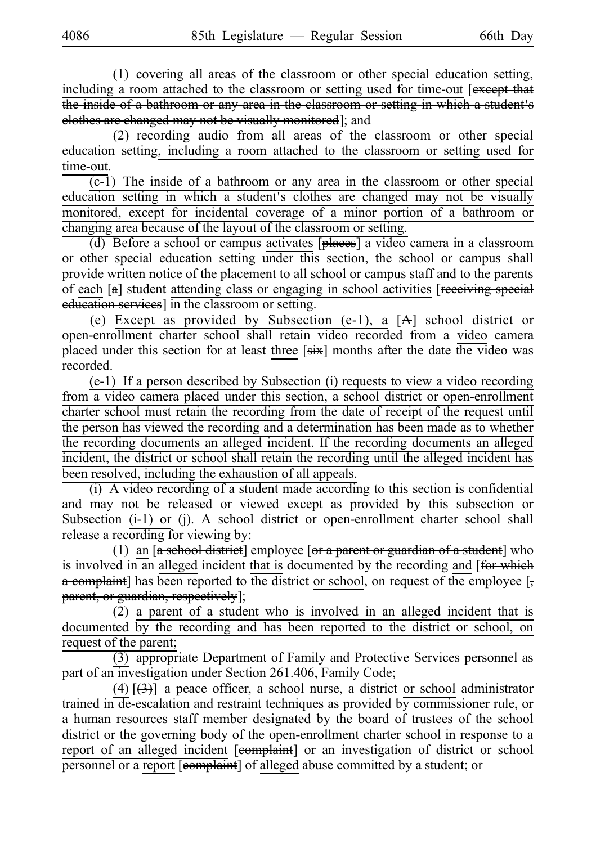$(1)$  covering all areas of the classroom or other special education setting, including a room attached to the classroom or setting used for time-out [except that the inside of a bathroom or any area in the classroom or setting in which a student's clothes are changed may not be visually monitored]; and

(2) recording audio from all areas of the classroom or other special education setting, including a room attached to the classroom or setting used for time-out.

 $\overline{(c-1)}$  The inside of a bathroom or any area in the classroom or other special education setting in which a student's clothes are changed may not be visually monitored, except for incidental coverage of a minor portion of a bathroom or changing area because of the layout of the classroom or setting.

(d) Before a school or campus activates [places] a video camera in a classroom or other special education setting under this section, the school or campus shall provide written notice of the placement to all school or campus staff and to the parents of each [a] student attending class or engaging in school activities [receiving special education services] in the classroom or setting.

(e) Except as provided by Subsection (e-1), a  $[A]$  school district or open-enrollment charter school shall retain video recorded from a video camera placed under this section for at least three [six] months after the date the video was recorded.

 $(e-1)$  If a person described by Subsection (i) requests to view a video recording from a video camera placed under this section, a school district or open-enrollment charter school must retain the recording from the date of receipt of the request until the person has viewed the recording and a determination has been made as to whether the recording documents an alleged incident. If the recording documents an alleged incident, the district or school shall retain the recording until the alleged incident has been resolved, including the exhaustion of all appeals.

 $(i)$  A video recording of a student made according to this section is confidential and may not be released or viewed except as provided by this subsection or Subsection (i-1) or (j). A school district or open-enrollment charter school shall release a recording for viewing by:

(1) an  $\left[ a \right]$  school district] employee  $\left[ a \right]$  a parent or guardian of a student] who is involved in an alleged incident that is documented by the recording and [for which  $\alpha$  complaint] has been reported to the district or school, on request of the employee [, parent, or guardian, respectively];

 $(2)$  a parent of a student who is involved in an alleged incident that is documented by the recording and has been reported to the district or school, on request of the parent;

(3) appropriate Department of Family and Protective Services personnel as part of an investigation under Section 261.406, Family Code;

(4)  $[\frac{1}{(3)}]$  a peace officer, a school nurse, a district or school administrator trained in de-escalation and restraint techniques as provided by commissioner rule, or a human resources staff member designated by the board of trustees of the school district or the governing body of the open-enrollment charter school in response to a report of an alleged incident [e<del>omplaint</del>] or an investigation of district or school personnel or a report [complaint] of alleged abuse committed by a student; or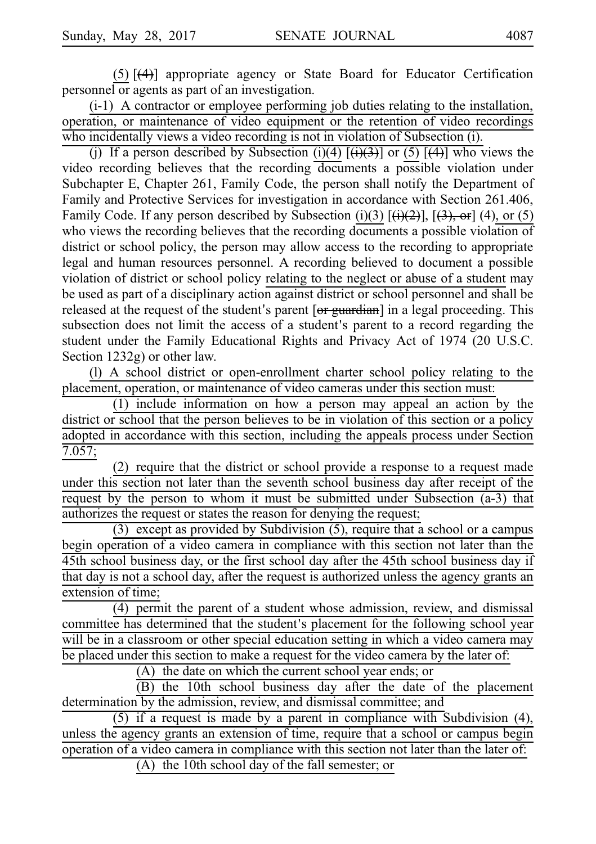$(5)$   $\left[\frac{4}{1}\right]$  appropriate agency or State Board for Educator Certification personnel or agents as part of an investigation.

 $(i-1)$  A contractor or employee performing job duties relating to the installation, operation, or maintenance of video equipment or the retention of video recordings who incidentally views a video recording is not in violation of Subsection (i).

(j) If a person described by Subsection (i)(4)  $[\frac{(+)}{(+)}]$  or (5)  $[\frac{(+)}{(+)}]$  who views the video recording believes that the recording documents a possible violation under Subchapter E, Chapter 261, Family Code, the person shall notify the Department of Family and Protective Services for investigation in accordance with Section 261.406, Family Code. If any person described by Subsection (i)(3)  $[\frac{1}{2}, \frac{1}{2}]$ ,  $[\frac{1}{3}, \frac{1}{2}]$ , (4), or (5) who views the recording believes that the recording documents a possible violation of district or school policy, the person may allow access to the recording to appropriate legal and human resources personnel. A recording believed to document a possible violation of district or school policy relating to the neglect or abuse of a student may be used as part of a disciplinary action against district or school personnel and shall be released at the request of the student's parent [or guardian] in a legal proceeding. This subsection does not limit the access of a student's parent to a record regarding the student under the Family Educational Rights and Privacy Act of 1974 (20 U.S.C. Section 1232g) or other law.

(I) A school district or open-enrollment charter school policy relating to the placement, operation, or maintenance of video cameras under this section must:

 $(1)$  include information on how a person may appeal an action by the district or school that the person believes to be in violation of this section or a policy adopted in accordance with this section, including the appeals process under Section 7.057;

 $(2)$  require that the district or school provide a response to a request made under this section not later than the seventh school business day after receipt of the request by the person to whom it must be submitted under Subsection (a-3) that authorizes the request or states the reason for denying the request;

(3) except as provided by Subdivision  $(5)$ , require that a school or a campus begin operation of a video camera in compliance with this section not later than the 45th school business day, or the first school day after the 45th school business day if that day is not a school day, after the request is authorized unless the agency grants an extension of time;

(4) permit the parent of a student whose admission, review, and dismissal committee has determined that the student's placement for the following school year will be in a classroom or other special education setting in which a video camera may be placed under this section to make a request for the video camera by the later of:

(A) the date on which the current school year ends; or

(B) the 10th school business day after the date of the placement determination by the admission, review, and dismissal committee; and

(5) if a request is made by a parent in compliance with Subdivision  $(4)$ , unless the agency grants an extension of time, require that a school or campus begin operation of a video camera in compliance with this section not later than the later of:

 $(A)$  the 10th school day of the fall semester; or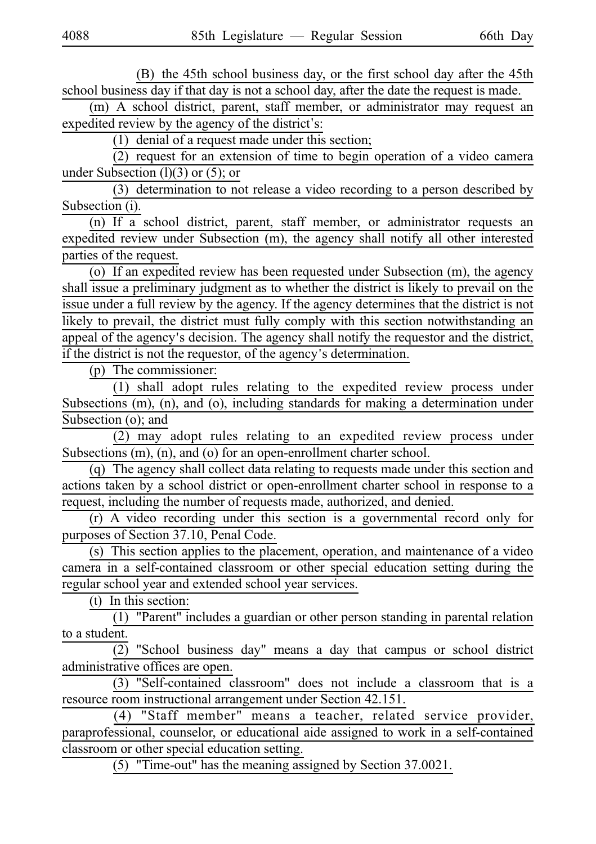(B) the 45th school business day, or the first school day after the 45th school business day if that day is not a school day, after the date the request is made.

(m) A school district, parent, staff member, or administrator may request an expedited review by the agency of the district's:

(1) denial of a request made under this section;

 $(2)$  request for an extension of time to begin operation of a video camera under Subsection  $(l)(3)$  or  $(5)$ ; or

 $(3)$  determination to not release a video recording to a person described by Subsection (i).

(n) If a school district, parent, staff member, or administrator requests an expedited review under Subsection (m), the agency shall notify all other interested parties of the request.

(o) If an expedited review has been requested under Subsection (m), the agency shall issue a preliminary judgment as to whether the district is likely to prevail on the issue under a full review by the agency. If the agency determines that the district is not likely to prevail, the district must fully comply with this section notwithstanding an appeal of the agency's decision. The agency shall notify the requestor and the district, if the district is not the requestor, of the agency's determination.

 $(p)$  The commissioner:

 $(1)$  shall adopt rules relating to the expedited review process under Subsections (m), (n), and (o), including standards for making a determination under Subsection (o); and

(2) may adopt rules relating to an expedited review process under Subsections (m), (n), and (o) for an open-enrollment charter school.

(q) The agency shall collect data relating to requests made under this section and actions taken by a school district or open-enrollment charter school in response to a request, including the number of requests made, authorized, and denied.

 $(r)$  A video recording under this section is a governmental record only for purposes of Section 37.10, Penal Code.

(s) This section applies to the placement, operation, and maintenance of a video camera in a self-contained classroom or other special education setting during the regular school year and extended school year services.

 $(t)$  In this section:

 $(1)$  "Parent" includes a guardian or other person standing in parental relation to a student.

(2) "School business day" means a day that campus or school district administrative offices are open.

 $(3)$  "Self-contained classroom" does not include a classroom that is a resource room instructional arrangement under Section 42.151.

(4) "Staff member" means a teacher, related service provider, paraprofessional, counselor, or educational aide assigned to work in a self-contained classroom or other special education setting.

(5) "Time-out" has the meaning assigned by Section  $37.0021$ .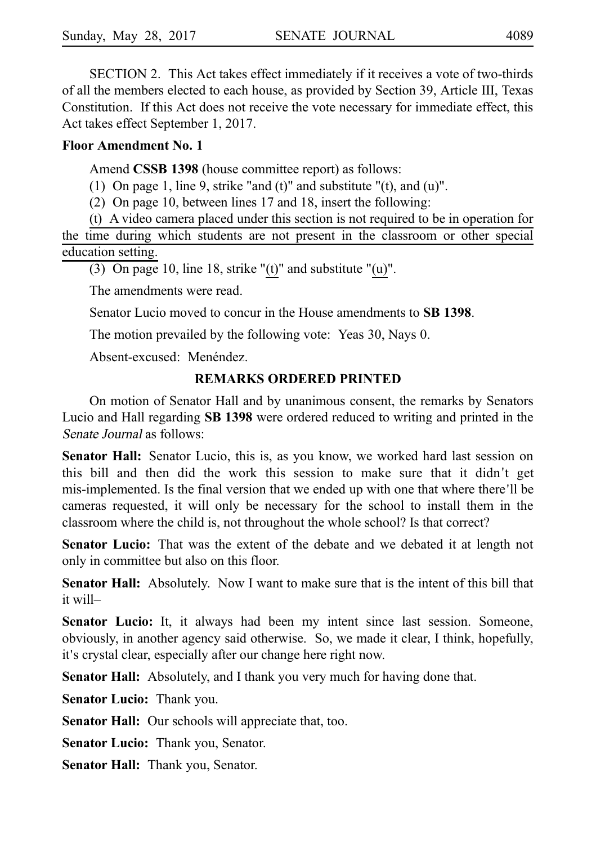SECTION 2. This Act takes effect immediately if it receives a vote of two-thirds of all the members elected to each house, as provided by Section 39, Article III, Texas Constitution. If this Act does not receive the vote necessary for immediate effect, this Act takes effect September 1, 2017.

### **Floor Amendment No. 1**

Amend **CSSB 1398** (house committee report) as follows:

(1) On page 1, line 9, strike "and (t)" and substitute " $(t)$ , and  $(u)$ ".

(2) On page 10, between lines 17 and 18, insert the following:

 $(t)$  A video camera placed under this section is not required to be in operation for the time during which students are not present in the classroom or other special education setting.

(3) On page 10, line 18, strike " $(t)$ " and substitute " $(u)$ ".

The amendments were read.

Senator Lucio moved to concur in the House amendments to **SBi1398**.

The motion prevailed by the following vote: Yeas 30, Nays 0.

Absent-excused: Menéndez.

# **REMARKS ORDERED PRINTED**

On motion of Senator Hall and by unanimous consent, the remarks by Senators Lucio and Hall regarding **SBi1398** were ordered reduced to writing and printed in the Senate Journal as follows:

**Senator Hall:** Senator Lucio, this is, as you know, we worked hard last session on this bill and then did the work this session to make sure that it didn't get mis-implemented. Is the final version that we ended up with one that where there ll be ' cameras requested, it will only be necessary for the school to install them in the classroom where the child is, not throughout the whole school? Is that correct?

**Senator Lucio:** That was the extent of the debate and we debated it at length not only in committee but also on this floor.

**Senator Hall:** Absolutely. Now I want to make sure that is the intent of this bill that it will–

**Senator Lucio:** It, it always had been my intent since last session. Someone, obviously, in another agency said otherwise. So, we made it clear, I think, hopefully, it's crystal clear, especially after our change here right now.

**Senator Hall:** Absolutely, and I thank you very much for having done that.

**Senator Lucio:** Thank you.

**Senator Hall:** Our schools will appreciate that, too.

**Senator Lucio:** Thank you, Senator.

**Senator Hall:** Thank you, Senator.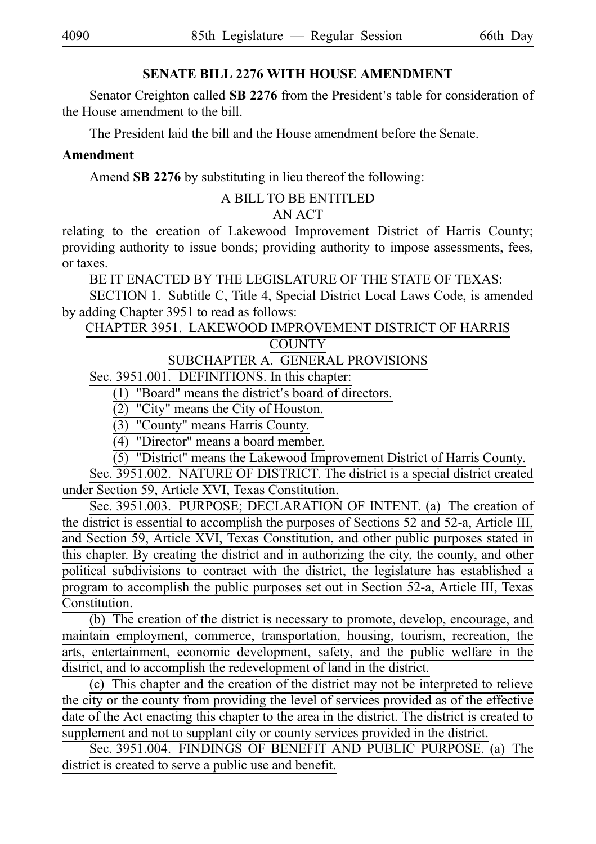# **SENATE BILL 2276 WITH HOUSE AMENDMENT**

Senator Creighton called SB 2276 from the President's table for consideration of the House amendment to the bill.

The President laid the bill and the House amendment before the Senate.

# **Amendment**

Amend SB 2276 by substituting in lieu thereof the following:

#### A BILL TO BE ENTITLED

# AN ACT

relating to the creation of Lakewood Improvement District of Harris County; providing authority to issue bonds; providing authority to impose assessments, fees, or taxes.

BE IT ENACTED BY THE LEGISLATURE OF THE STATE OF TEXAS:

SECTION 1. Subtitle C, Title 4, Special District Local Laws Code, is amended by adding Chapter 3951 to read as follows:

CHAPTER 3951. LAKEWOOD IMPROVEMENT DISTRICT OF HARRIS

**COUNTY** 

# SUBCHAPTER A. GENERAL PROVISIONS

Sec. 3951.001. DEFINITIONS. In this chapter:

 $(1)$  "Board" means the district's board of directors.

(2) "City" means the City of Houston.

(3) "County" means Harris County.

 $\overline{(4)}$  "Director" means a board member.

 $(5)$  "District" means the Lakewood Improvement District of Harris County.

Sec. 3951.002. NATURE OF DISTRICT. The district is a special district created under Section 59, Article XVI, Texas Constitution.

Sec. 3951.003. PURPOSE; DECLARATION OF INTENT. (a) The creation of the district is essential to accomplish the purposes of Sections 52 and 52-a, Article III, and Section 59, Article XVI, Texas Constitution, and other public purposes stated in this chapter. By creating the district and in authorizing the city, the county, and other political subdivisions to contract with the district, the legislature has established a program to accomplish the public purposes set out in Section 52-a, Article III, Texas Constitution.

 $(b)$  The creation of the district is necessary to promote, develop, encourage, and maintain employment, commerce, transportation, housing, tourism, recreation, the arts, entertainment, economic development, safety, and the public welfare in the district, and to accomplish the redevelopment of land in the district.

 $(c)$  This chapter and the creation of the district may not be interpreted to relieve the city or the county from providing the level of services provided as of the effective date of the Act enacting this chapter to the area in the district. The district is created to supplement and not to supplant city or county services provided in the district.

Sec. 3951.004. FINDINGS OF BENEFIT AND PUBLIC PURPOSE. (a) The district is created to serve a public use and benefit.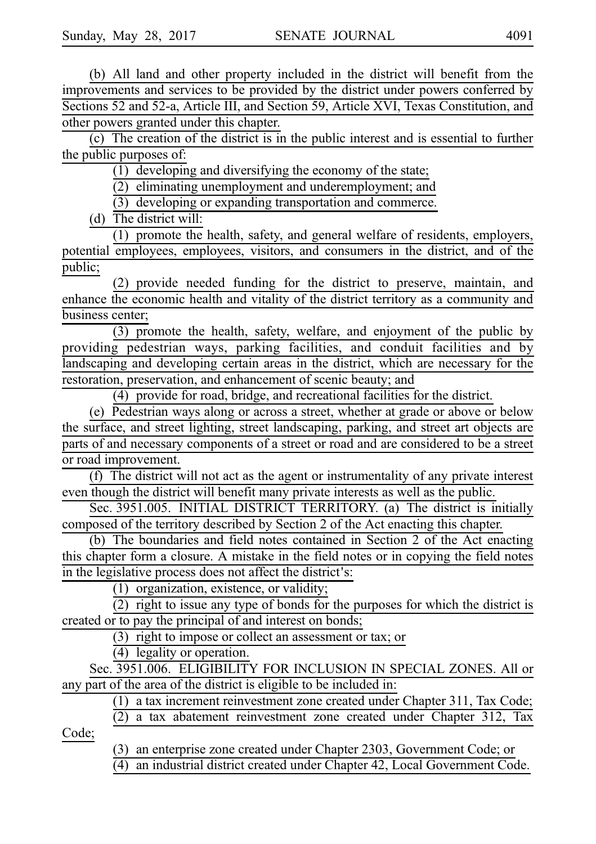(b) All land and other property included in the district will benefit from the improvements and services to be provided by the district under powers conferred by Sections 52 and 52-a, Article III, and Section 59, Article XVI, Texas Constitution, and other powers granted under this chapter.

(c) The creation of the district is in the public interest and is essential to further the public purposes of:

(1) developing and diversifying the economy of the state;

(2) eliminating unemployment and underemployment; and

 $(3)$  developing or expanding transportation and commerce.

(d) The district will:

 $(1)$  promote the health, safety, and general welfare of residents, employers, potential employees, employees, visitors, and consumers in the district, and of the public;

(2) provide needed funding for the district to preserve, maintain, and enhance the economic health and vitality of the district territory as a community and business center;

(3) promote the health, safety, welfare, and enjoyment of the public by providing pedestrian ways, parking facilities, and conduit facilities and by landscaping and developing certain areas in the district, which are necessary for the restoration, preservation, and enhancement of scenic beauty; and

 $(4)$  provide for road, bridge, and recreational facilities for the district.

(e) Pedestrian ways along or across a street, whether at grade or above or below the surface, and street lighting, street landscaping, parking, and street art objects are parts of and necessary components of a street or road and are considered to be a street or road improvement.

 $(f)$  The district will not act as the agent or instrumentality of any private interest even though the district will benefit many private interests as well as the public.

Sec. 3951.005. INITIAL DISTRICT TERRITORY. (a) The district is initially composed of the territory described by Section 2 of the Act enacting this chapter.

(b) The boundaries and field notes contained in Section 2 of the Act enacting this chapter form a closure. A mistake in the field notes or in copying the field notes in the legislative process does not affect the district's:

 $(1)$  organization, existence, or validity;

 $(2)$  right to issue any type of bonds for the purposes for which the district is created or to pay the principal of and interest on bonds;

(3) right to impose or collect an assessment or tax; or

 $(4)$  legality or operation.

Sec. 3951.006. ELIGIBILITY FOR INCLUSION IN SPECIAL ZONES. All or any part of the area of the district is eligible to be included in:

 $(1)$  a tax increment reinvestment zone created under Chapter 311, Tax Code;

 $(2)$  a tax abatement reinvestment zone created under Chapter 312, Tax

Code;

(3) an enterprise zone created under Chapter 2303, Government Code; or

 $(4)$  an industrial district created under Chapter 42, Local Government Code.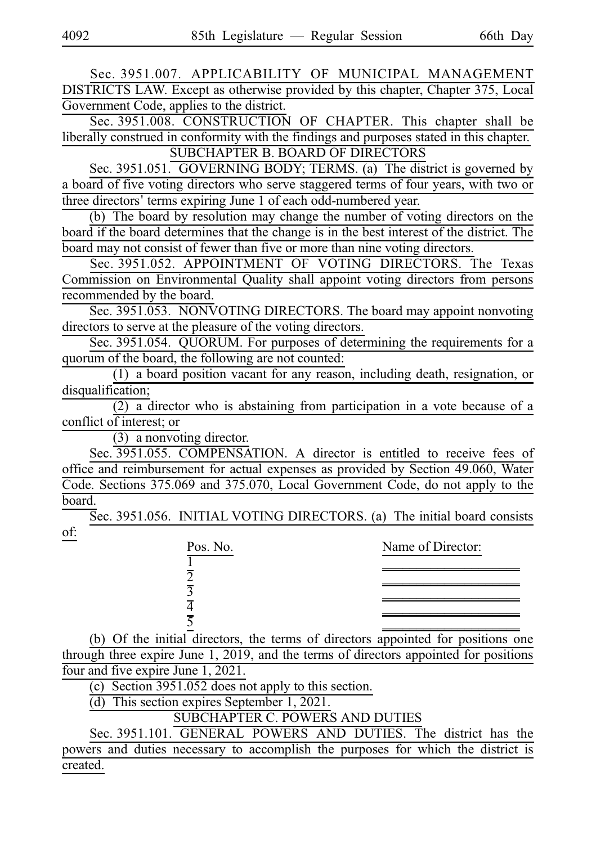Sec. 3951.007. APPLICABILITY OF MUNICIPAL MANAGEMENT DISTRICTS LAW. Except as otherwise provided by this chapter, Chapter 375, Local Government Code, applies to the district.

Sec. 3951.008. CONSTRUCTION OF CHAPTER. This chapter shall be liberally construed in conformity with the findings and purposes stated in this chapter. SUBCHAPTER B. BOARD OF DIRECTORS

Sec. 3951.051. GOVERNING BODY; TERMS. (a) The district is governed by a board of five voting directors who serve staggered terms of four years, with two or three directors' terms expiring June 1 of each odd-numbered year.

(b) The board by resolution may change the number of voting directors on the board if the board determines that the change is in the best interest of the district. The board may not consist of fewer than five or more than nine voting directors.

Sec. 3951.052. APPOINTMENT OF VOTING DIRECTORS. The Texas Commission on Environmental Quality shall appoint voting directors from persons recommended by the board.

Sec. 3951.053. NONVOTING DIRECTORS. The board may appoint nonvoting directors to serve at the pleasure of the voting directors.

Sec. 3951.054. QUORUM. For purposes of determining the requirements for a quorum of the board, the following are not counted:

 $(1)$  a board position vacant for any reason, including death, resignation, or disqualification;

 $(2)$  a director who is abstaining from participation in a vote because of a conflict of interest; or

 $(3)$  a nonvoting director.

Sec. 3951.055. COMPENSATION. A director is entitled to receive fees of office and reimbursement for actual expenses as provided by Section 49.060, Water Code. Sections 375.069 and 375.070, Local Government Code, do not apply to the board.

Sec. 3951.056. INITIAL VOTING DIRECTORS. (a) The initial board consists of:

| Pos. No. | Name of Director: |
|----------|-------------------|
|          |                   |
| 7        |                   |
| 3        |                   |
| 4        |                   |
| ⋜        |                   |

(b) Of the initial directors, the terms of directors appointed for positions one through three expire June 1, 2019, and the terms of directors appointed for positions four and five expire June 1, 2021.

(c) Section  $3951.052$  does not apply to this section.

(d) This section expires September 1, 2021.

SUBCHAPTER C. POWERS AND DUTIES

Sec. 3951.101. GENERAL POWERS AND DUTIES. The district has the powers and duties necessary to accomplish the purposes for which the district is created.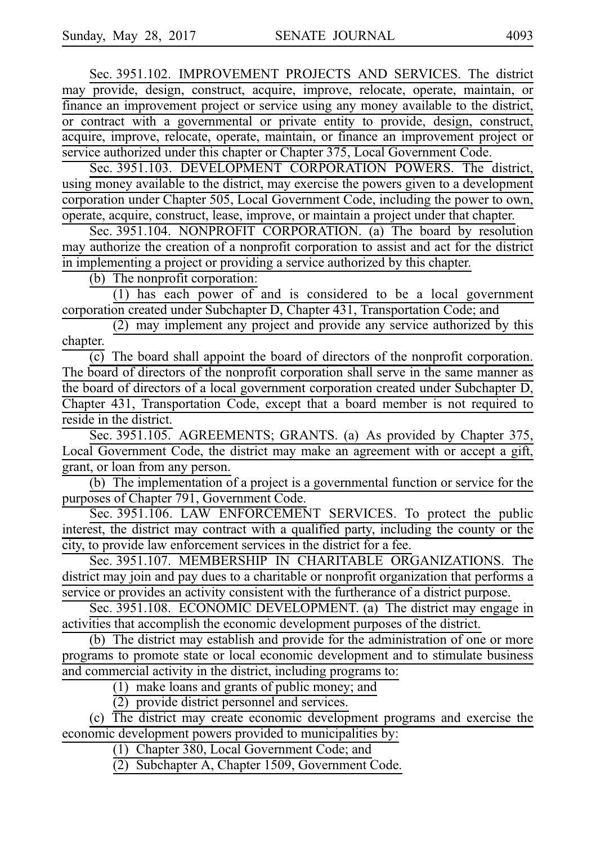Sec. 3951.102. IMPROVEMENT PROJECTS AND SERVICES. The district may provide, design, construct, acquire, improve, relocate, operate, maintain, or finance an improvement project or service using any money available to the district, or contract with a governmental or private entity to provide, design, construct, acquire, improve, relocate, operate, maintain, or finance an improvement project or service authorized under this chapter or Chapter 375, Local Government Code.

Sec. 3951.103. DEVELOPMENT CORPORATION POWERS. The district, using money available to the district, may exercise the powers given to a development corporation under Chapter 505, Local Government Code, including the power to own, operate, acquire, construct, lease, improve, or maintain a project under that chapter.

Sec. 3951.104. NONPROFIT CORPORATION. (a) The board by resolution may authorize the creation of a nonprofit corporation to assist and act for the district in implementing a project or providing a service authorized by this chapter.

 $(b)$  The nonprofit corporation:

 $(1)$  has each power of and is considered to be a local government corporation created under Subchapter D, Chapter 431, Transportation Code; and

(2) may implement any project and provide any service authorized by this chapter.

 $\overline{(c)}$  The board shall appoint the board of directors of the nonprofit corporation. The board of directors of the nonprofit corporation shall serve in the same manner as the board of directors of a local government corporation created under Subchapter D, Chapter 431, Transportation Code, except that a board member is not required to reside in the district.

Sec. 3951.105. AGREEMENTS; GRANTS. (a) As provided by Chapter 375, Local Government Code, the district may make an agreement with or accept a gift, grant, or loan from any person.

(b) The implementation of a project is a governmental function or service for the purposes of Chapter 791, Government Code.

Sec. 3951.106. LAW ENFORCEMENT SERVICES. To protect the public interest, the district may contract with a qualified party, including the county or the city, to provide law enforcement services in the district for a fee.

Sec. 3951.107. MEMBERSHIP IN CHARITABLE ORGANIZATIONS. The district may join and pay dues to a charitable or nonprofit organization that performs a service or provides an activity consistent with the furtherance of a district purpose.

Sec. 3951.108. ECONOMIC DEVELOPMENT. (a) The district may engage in activities that accomplish the economic development purposes of the district.

(b) The district may establish and provide for the administration of one or more programs to promote state or local economic development and to stimulate business and commercial activity in the district, including programs to:

 $(1)$  make loans and grants of public money; and

 $(2)$  provide district personnel and services.

(c) The district may create economic development programs and exercise the economic development powers provided to municipalities by:

(1) Chapter 380, Local Government Code; and

(2) Subchapter A, Chapter 1509, Government Code.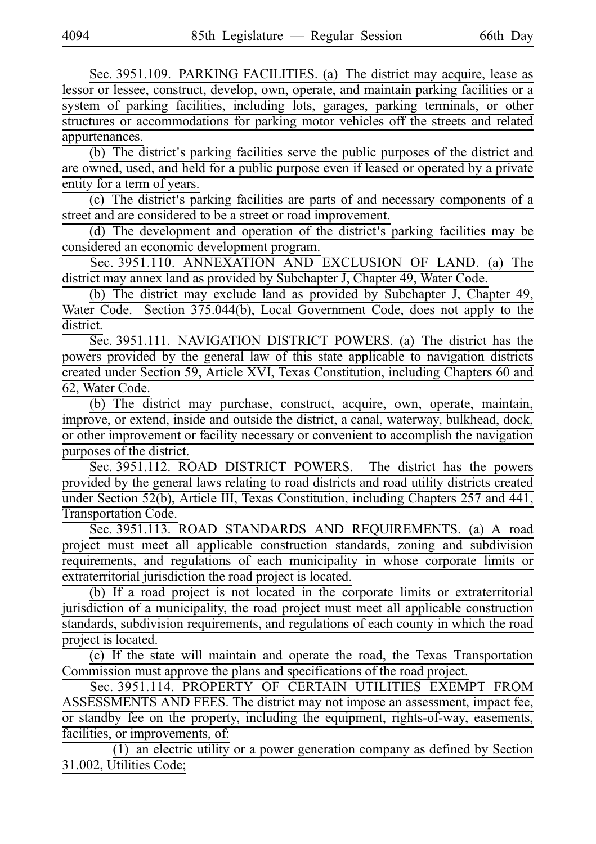Sec. 3951.109. PARKING FACILITIES. (a) The district may acquire, lease as lessor or lessee, construct, develop, own, operate, and maintain parking facilities or a system of parking facilities, including lots, garages, parking terminals, or other structures or accommodations for parking motor vehicles off the streets and related appurtenances.

(b) The district's parking facilities serve the public purposes of the district and are owned, used, and held for a public purpose even if leased or operated by a private entity for a term of years.

 $(c)$  The district's parking facilities are parts of and necessary components of a street and are considered to be a street or road improvement.

(d) The development and operation of the district's parking facilities may be considered an economic development program.

Sec. 3951.110. ANNEXATION AND EXCLUSION OF LAND. (a) The district may annex land as provided by Subchapter J, Chapter 49, Water Code.

(b) The district may exclude land as provided by Subchapter J, Chapter 49, Water Code. Section 375.044(b), Local Government Code, does not apply to the district.

Sec. 3951.111. NAVIGATION DISTRICT POWERS. (a) The district has the powers provided by the general law of this state applicable to navigation districts created under Section 59, Article XVI, Texas Constitution, including Chapters 60 and 62, Water Code.

(b) The district may purchase, construct, acquire, own, operate, maintain, improve, or extend, inside and outside the district, a canal, waterway, bulkhead, dock, or other improvement or facility necessary or convenient to accomplish the navigation purposes of the district.

Sec. 3951.112. ROAD DISTRICT POWERS. The district has the powers provided by the general laws relating to road districts and road utility districts created under Section 52(b), Article III, Texas Constitution, including Chapters 257 and 441, Transportation Code.

Sec. 3951.113. ROAD STANDARDS AND REQUIREMENTS. (a) A road project must meet all applicable construction standards, zoning and subdivision requirements, and regulations of each municipality in whose corporate limits or extraterritorial jurisdiction the road project is located.

 $(b)$  If a road project is not located in the corporate limits or extraterritorial jurisdiction of a municipality, the road project must meet all applicable construction standards, subdivision requirements, and regulations of each county in which the road project is located.

(c) If the state will maintain and operate the road, the Texas Transportation Commission must approve the plans and specifications of the road project.

Sec. 3951.114. PROPERTY OF CERTAIN UTILITIES EXEMPT FROM ASSESSMENTS AND FEES. The district may not impose an assessment, impact fee, or standby fee on the property, including the equipment, rights-of-way, easements, facilities, or improvements, of:

 $(1)$  an electric utility or a power generation company as defined by Section 31.002, Utilities Code;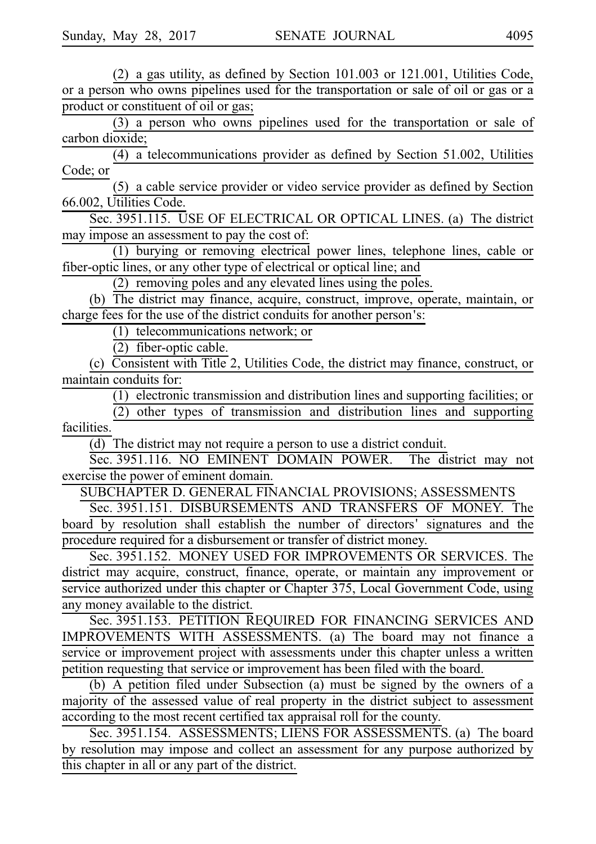(2) a gas utility, as defined by Section  $101.003$  or  $121.001$ , Utilities Code, or a person who owns pipelines used for the transportation or sale of oil or gas or a product or constituent of oil or gas;

 $(3)$  a person who owns pipelines used for the transportation or sale of carbon dioxide;

(4) a telecommunications provider as defined by Section 51.002, Utilities Code; or

(5) a cable service provider or video service provider as defined by Section 66.002, Utilities Code.

Sec. 3951.115. USE OF ELECTRICAL OR OPTICAL LINES. (a) The district may impose an assessment to pay the cost of:

(1) burying or removing electrical power lines, telephone lines, cable or fiber-optic lines, or any other type of electrical or optical line; and

 $(2)$  removing poles and any elevated lines using the poles.

(b) The district may finance, acquire, construct, improve, operate, maintain, or charge fees for the use of the district conduits for another person's:

 $(1)$  telecommunications network; or

 $(2)$  fiber-optic cable.

(c) Consistent with Title 2, Utilities Code, the district may finance, construct, or maintain conduits for:

 $(1)$  electronic transmission and distribution lines and supporting facilities; or

 $(2)$  other types of transmission and distribution lines and supporting facilities.

(d) The district may not require a person to use a district conduit.

Sec. 3951.116. NO EMINENT DOMAIN POWER. The district may not exercise the power of eminent domain.

SUBCHAPTER D. GENERAL FINANCIAL PROVISIONS; ASSESSMENTS

Sec. 3951.151. DISBURSEMENTS AND TRANSFERS OF MONEY. The board by resolution shall establish the number of directors' signatures and the procedure required for a disbursement or transfer of district money.

Sec. 3951.152. MONEY USED FOR IMPROVEMENTS OR SERVICES. The district may acquire, construct, finance, operate, or maintain any improvement or service authorized under this chapter or Chapter 375, Local Government Code, using any money available to the district.

Sec. 3951.153. PETITION REQUIRED FOR FINANCING SERVICES AND IMPROVEMENTS WITH ASSESSMENTS. (a) The board may not finance a service or improvement project with assessments under this chapter unless a written petition requesting that service or improvement has been filed with the board.

(b)  $\overline{A}$  petition filed under Subsection (a) must be signed by the owners of a majority of the assessed value of real property in the district subject to assessment according to the most recent certified tax appraisal roll for the county.

Sec. 3951.154. ASSESSMENTS; LIENS FOR ASSESSMENTS. (a) The board by resolution may impose and collect an assessment for any purpose authorized by this chapter in all or any part of the district.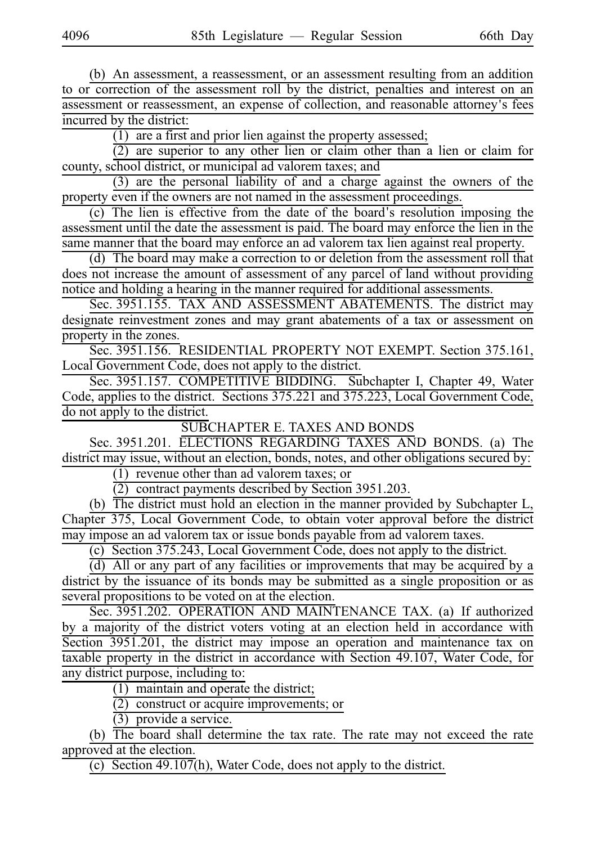(b) An assessment, a reassessment, or an assessment resulting from an addition to or correction of the assessment roll by the district, penalties and interest on an assessment or reassessment, an expense of collection, and reasonable attorney's fees incurred by the district:

 $(1)$  are a first and prior lien against the property assessed;

 $(2)$  are superior to any other lien or claim other than a lien or claim for county, school district, or municipal ad valorem taxes; and

 $(3)$  are the personal liability of and a charge against the owners of the property even if the owners are not named in the assessment proceedings.

(c) The lien is effective from the date of the board's resolution imposing the assessment until the date the assessment is paid. The board may enforce the lien in the same manner that the board may enforce an ad valorem tax lien against real property.

(d) The board may make a correction to or deletion from the assessment roll that does not increase the amount of assessment of any parcel of land without providing notice and holding a hearing in the manner required for additional assessments.

Sec. 3951.155. TAX AND ASSESSMENT ABATEMENTS. The district may designate reinvestment zones and may grant abatements of a tax or assessment on property in the zones.

Sec. 3951.156. RESIDENTIAL PROPERTY NOT EXEMPT. Section 375.161, Local Government Code, does not apply to the district.

Sec. 3951.157. COMPETITIVE BIDDING. Subchapter I, Chapter 49, Water Code, applies to the district. Sections 375.221 and 375.223, Local Government Code, do not apply to the district.

SUBCHAPTER E. TAXES AND BONDS

Sec. 3951.201. ELECTIONS REGARDING TAXES AND BONDS. (a) The district may issue, without an election, bonds, notes, and other obligations secured by:

 $(1)$  revenue other than ad valorem taxes; or

 $(2)$  contract payments described by Section 3951.203.

(b) The district must hold an election in the manner provided by Subchapter L, Chapter 375, Local Government Code, to obtain voter approval before the district may impose an ad valorem tax or issue bonds payable from ad valorem taxes.

(c) Section 375.243, Local Government Code, does not apply to the district.

(d) All or any part of any facilities or improvements that may be acquired by a district by the issuance of its bonds may be submitted as a single proposition or as several propositions to be voted on at the election.

Sec. 3951.202. OPERATION AND MAINTENANCE TAX. (a) If authorized by a majority of the district voters voting at an election held in accordance with Section 3951.201, the district may impose an operation and maintenance tax on taxable property in the district in accordance with Section 49.107, Water Code, for any district purpose, including to:

 $(1)$  maintain and operate the district;

 $\overline{(2)}$  construct or acquire improvements; or

 $(3)$  provide a service.

(b) The board shall determine the tax rate. The rate may not exceed the rate approved at the election.

(c) Section  $49.107(h)$ , Water Code, does not apply to the district.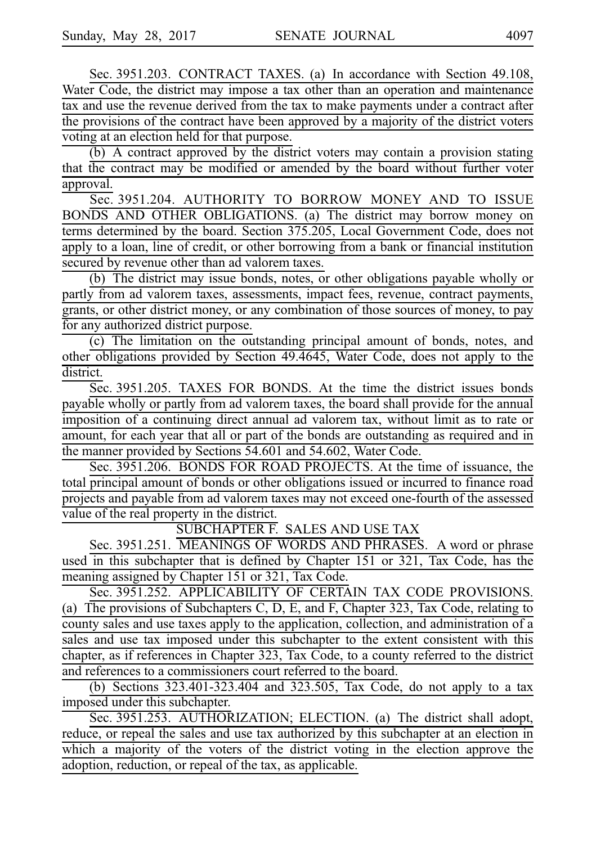Sec. 3951.203. CONTRACT TAXES. (a) In accordance with Section 49.108, Water Code, the district may impose a tax other than an operation and maintenance tax and use the revenue derived from the tax to make payments under a contract after the provisions of the contract have been approved by a majority of the district voters voting at an election held for that purpose.

(b) A contract approved by the district voters may contain a provision stating that the contract may be modified or amended by the board without further voter approval.

Sec. 3951.204. AUTHORITY TO BORROW MONEY AND TO ISSUE BONDS AND OTHER OBLIGATIONS. (a) The district may borrow money on terms determined by the board. Section 375.205, Local Government Code, does not apply to a loan, line of credit, or other borrowing from a bank or financial institution secured by revenue other than ad valorem taxes.

(b) The district may issue bonds, notes, or other obligations payable wholly or partly from ad valorem taxes, assessments, impact fees, revenue, contract payments, grants, or other district money, or any combination of those sources of money, to pay for any authorized district purpose.

(c) The limitation on the outstanding principal amount of bonds, notes, and other obligations provided by Section 49.4645, Water Code, does not apply to the district.

Sec. 3951.205. TAXES FOR BONDS. At the time the district issues bonds payable wholly or partly from ad valorem taxes, the board shall provide for the annual imposition of a continuing direct annual ad valorem tax, without limit as to rate or amount, for each year that all or part of the bonds are outstanding as required and in the manner provided by Sections 54.601 and 54.602, Water Code.

Sec. 3951.206. BONDS FOR ROAD PROJECTS. At the time of issuance, the total principal amount of bonds or other obligations issued or incurred to finance road projects and payable from ad valorem taxes may not exceed one-fourth of the assessed value of the real property in the district.

SUBCHAPTER F. SALES AND USE TAX

Sec. 3951.251. MEANINGS OF WORDS AND PHRASES. A word or phrase used in this subchapter that is defined by Chapter 151 or 321, Tax Code, has the meaning assigned by Chapter 151 or 321, Tax Code.

Sec. 3951.252. APPLICABILITY OF CERTAIN TAX CODE PROVISIONS. (a) The provisions of Subchapters C, D, E, and F, Chapter 323, Tax Code, relating to county sales and use taxes apply to the application, collection, and administration of a sales and use tax imposed under this subchapter to the extent consistent with this chapter, as if references in Chapter 323, Tax Code, to a county referred to the district and references to a commissioners court referred to the board.

(b) Sections  $323.401-323.404$  and  $323.505$ , Tax Code, do not apply to a tax imposed under this subchapter.

Sec. 3951.253. AUTHORIZATION; ELECTION. (a) The district shall adopt, reduce, or repeal the sales and use tax authorized by this subchapter at an election in which a majority of the voters of the district voting in the election approve the adoption, reduction, or repeal of the tax, as applicable.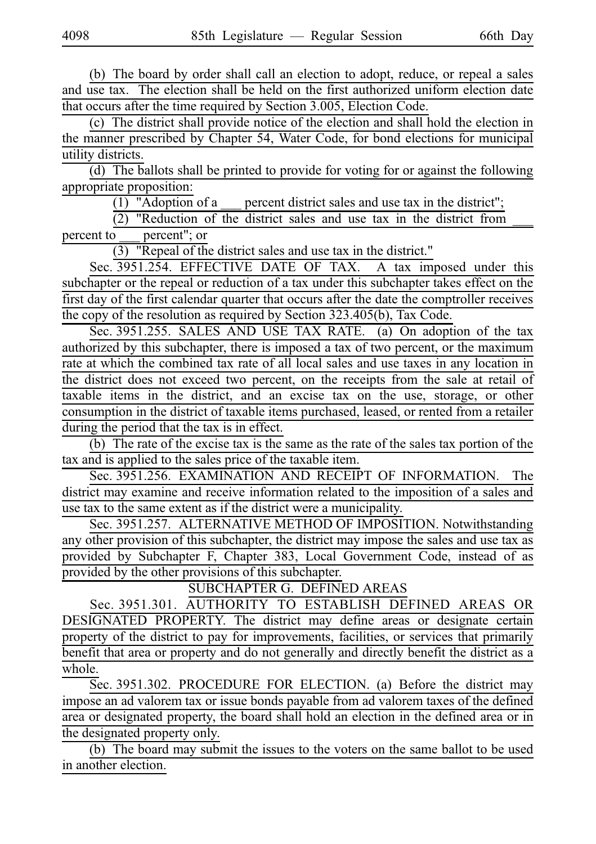(b) The board by order shall call an election to adopt, reduce, or repeal a sales and use tax. The election shall be held on the first authorized uniform election date that occurs after the time required by Section 3.005, Election Code.

(c) The district shall provide notice of the election and shall hold the election in the manner prescribed by Chapter 54, Water Code, for bond elections for municipal utility districts.

 $(d)$  The ballots shall be printed to provide for voting for or against the following appropriate proposition:

(1) "Adoption of a  $\equiv$  percent district sales and use tax in the district";

 $(2)$  "Reduction of the district sales and use tax in the district from

percent to \_\_\_ percent"; or

 $(3)$  "Repeal of the district sales and use tax in the district."

Sec. 3951.254. EFFECTIVE DATE OF TAX. A tax imposed under this subchapter or the repeal or reduction of a tax under this subchapter takes effect on the first day of the first calendar quarter that occurs after the date the comptroller receives the copy of the resolution as required by Section 323.405(b), Tax Code.

Sec. 3951.255. SALES AND USE TAX RATE. (a) On adoption of the tax authorized by this subchapter, there is imposed a tax of two percent, or the maximum rate at which the combined tax rate of all local sales and use taxes in any location in the district does not exceed two percent, on the receipts from the sale at retail of taxable items in the district, and an excise tax on the use, storage, or other consumption in the district of taxable items purchased, leased, or rented from a retailer during the period that the tax is in effect.

(b) The rate of the excise tax is the same as the rate of the sales tax portion of the tax and is applied to the sales price of the taxable item.

Sec. 3951.256. EXAMINATION AND RECEIPT OF INFORMATION. The district may examine and receive information related to the imposition of a sales and use tax to the same extent as if the district were a municipality.

Sec. 3951.257. ALTERNATIVE METHOD OF IMPOSITION. Notwithstanding any other provision of this subchapter, the district may impose the sales and use tax as provided by Subchapter F, Chapter 383, Local Government Code, instead of as provided by the other provisions of this subchapter.

SUBCHAPTER G. DEFINED AREAS

Sec. 3951.301. AUTHORITY TO ESTABLISH DEFINED AREAS OR DESIGNATED PROPERTY. The district may define areas or designate certain property of the district to pay for improvements, facilities, or services that primarily benefit that area or property and do not generally and directly benefit the district as a whole.

Sec. 3951.302. PROCEDURE FOR ELECTION. (a) Before the district may impose an ad valorem tax or issue bonds payable from ad valorem taxes of the defined area or designated property, the board shall hold an election in the defined area or in the designated property only.

 $(b)$  The board may submit the issues to the voters on the same ballot to be used in another election.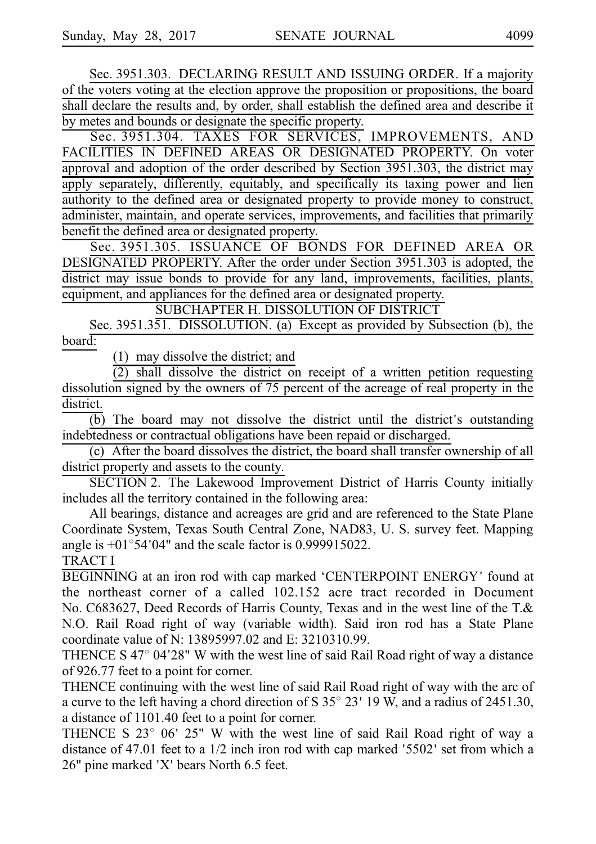Sec. 3951.303. DECLARING RESULT AND ISSUING ORDER. If a majority of the voters voting at the election approve the proposition or propositions, the board shall declare the results and, by order, shall establish the defined area and describe it by metes and bounds or designate the specific property.

Sec. 3951.304. TAXES FOR SERVICES, IMPROVEMENTS, AND FACILITIES IN DEFINED AREAS OR DESIGNATED PROPERTY. On voter approval and adoption of the order described by Section 3951.303, the district may apply separately, differently, equitably, and specifically its taxing power and lien authority to the defined area or designated property to provide money to construct, administer, maintain, and operate services, improvements, and facilities that primarily benefit the defined area or designated property.

Sec. 3951.305. ISSUANCE OF BONDS FOR DEFINED AREA OR DESIGNATED PROPERTY. After the order under Section 3951.303 is adopted, the district may issue bonds to provide for any land, improvements, facilities, plants, equipment, and appliances for the defined area or designated property.

SUBCHAPTER H. DISSOLUTION OF DISTRICT

Sec. 3951.351. DISSOLUTION. (a) Except as provided by Subsection (b), the board:

 $(1)$  may dissolve the district; and

 $\overline{(2)}$  shall dissolve the district on receipt of a written petition requesting dissolution signed by the owners of 75 percent of the acreage of real property in the district.

 $\overline{(b)}$  The board may not dissolve the district until the district's outstanding indebtedness or contractual obligations have been repaid or discharged.

(c) After the board dissolves the district, the board shall transfer ownership of all district property and assets to the county.

SECTION 2. The Lakewood Improvement District of Harris County initially includes all the territory contained in the following area:

All bearings, distance and acreages are grid and are referenced to the State Plane Coordinate System, Texas South Central Zone, NAD83, U. S. survey feet. Mapping angle is  $+01^{\circ}54'04"$  and the scale factor is 0.999915022.

# TRACT I

BEGINNING at an iron rod with cap marked 'CENTERPOINT ENERGY' found at the northeast corner of a called 102.152 acre tract recorded in Document No. C683627, Deed Records of Harris County, Texas and in the west line of the T.& N.O. Rail Road right of way (variable width). Said iron rod has a State Plane coordinate value of N: 13895997.02 and E: 3210310.99.

THENCE S  $47^{\circ}$  04'28" W with the west line of said Rail Road right of way a distance of 926.77 feet to a point for corner.

THENCE continuing with the west line of said Rail Road right of way with the arc of a curve to the left having a chord direction of S  $35^{\circ}$  23' 19 W, and a radius of 2451.30, a distance of 1101.40 feet to a point for corner.

THENCE S  $23^{\circ}$  06' 25" W with the west line of said Rail Road right of way a distance of 47.01 feet to a  $1/2$  inch iron rod with cap marked '5502' set from which a  $26"$  pine marked 'X' bears North 6.5 feet.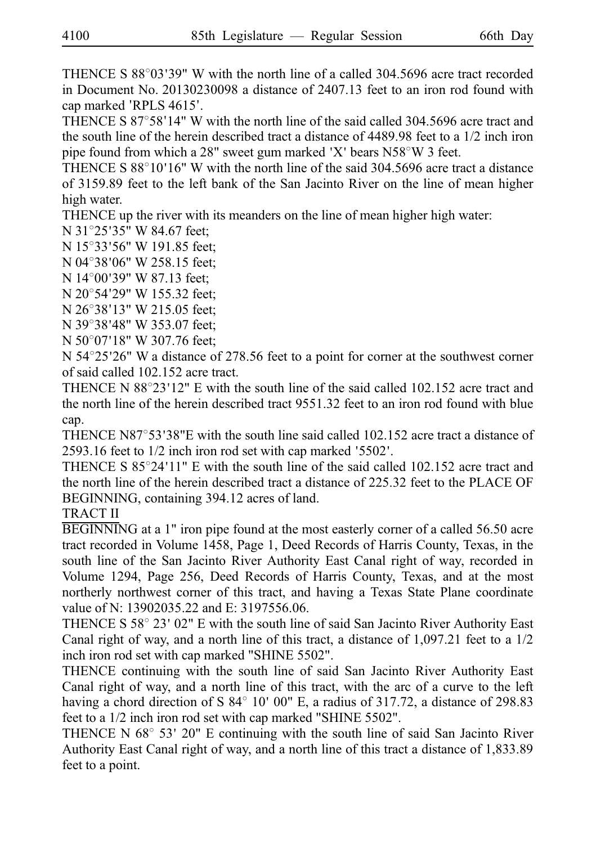THENCE S  $88^{\circ}03'39''$  W with the north line of a called 304.5696 acre tract recorded in Document No.  $20130230098$  a distance of 2407.13 feet to an iron rod found with cap marked 'RPLS 4615'.

THENCE S  $87^{\circ}58'14''$  W with the north line of the said called 304.5696 acre tract and the south line of the herein described tract a distance of 4489.98 feet to a 1/2 inch iron pipe found from which a  $28"$  sweet gum marked 'X' bears  $N58°W$  3 feet.

THENCE S  $88^{\circ}10'16''$  W with the north line of the said 304.5696 acre tract a distance of 3159.89 feet to the left bank of the San Jacinto River on the line of mean higher high water.

THENCE up the river with its meanders on the line of mean higher high water:

N 31°25'35" W 84.67 feet;

N 15°33'56" W 191.85 feet;

N 04°38'06" W 258.15 feet;

N 14°00'39" W 87.13 feet;

N 20°54'29" W 155.32 feet;

N 26°38'13" W 215.05 feet;

N 39°38'48" W 353.07 feet;

 $N 50^{\circ}07'18''$  W 307.76 feet;

 $N$  54 $\degree$ 25'26" W a distance of 278.56 feet to a point for corner at the southwest corner of said called 102.152 acre tract.

THENCE N  $88^{\circ}23'12''$  E with the south line of the said called 102.152 acre tract and the north line of the herein described tract 9551.32 feet to an iron rod found with blue cap.

THENCE N87 $\degree$ 53'38"E with the south line said called 102.152 acre tract a distance of  $2593.16$  feet to  $1/2$  inch iron rod set with cap marked '5502'.

THENCE S  $85^{\circ}24'11''$  E with the south line of the said called 102.152 acre tract and the north line of the herein described tract a distance of 225.32 feet to the PLACE OF BEGINNING, containing 394.12 acres of land.

TRACT II

BEGINNING at a 1" iron pipe found at the most easterly corner of a called 56.50 acre tract recorded in Volume 1458, Page 1, Deed Records of Harris County, Texas, in the south line of the San Jacinto River Authority East Canal right of way, recorded in Volume 1294, Page 256, Deed Records of Harris County, Texas, and at the most northerly northwest corner of this tract, and having a Texas State Plane coordinate value of N: 13902035.22 and E: 3197556.06.

THENCE S  $58^{\circ}$  23' 02" E with the south line of said San Jacinto River Authority East Canal right of way, and a north line of this tract, a distance of 1,097.21 feet to a 1/2 inch iron rod set with cap marked "SHINE 5502".

THENCE continuing with the south line of said San Jacinto River Authority East Canal right of way, and a north line of this tract, with the arc of a curve to the left having a chord direction of S  $84^\circ$  10' 00" E, a radius of 317.72, a distance of 298.83 feet to a 1/2 inch iron rod set with cap marked "SHINE 5502".

THENCE N  $68^{\circ}$  53' 20" E continuing with the south line of said San Jacinto River Authority East Canal right of way, and a north line of this tract a distance of 1,833.89 feet to a point.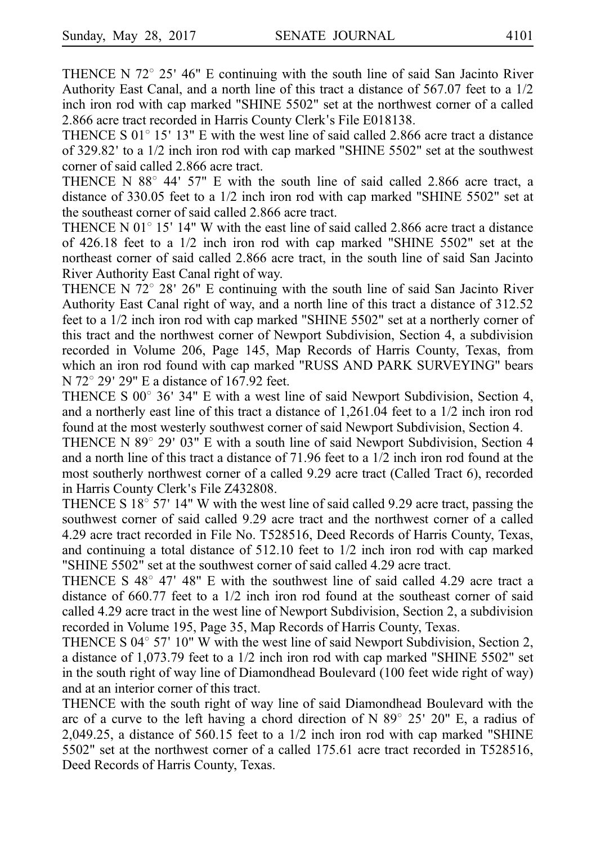THENCE N  $72^{\circ}$  25' 46" E continuing with the south line of said San Jacinto River Authority East Canal, and a north line of this tract a distance of 567.07 feet to a 1/2 inch iron rod with cap marked "SHINE 5502" set at the northwest corner of a called 2.866 acre tract recorded in Harris County Clerk's File E018138.

THENCE S  $01^{\circ}$  15' 13" E with the west line of said called 2.866 acre tract a distance of 329.82 'to a 1/2 inch iron rod with cap marked "SHINE 5502" set at the southwest corner of said called 2.866 acre tract.

THENCE N  $88^\circ$  44' 57" E with the south line of said called 2.866 acre tract, a distance of 330.05 feet to a 1/2 inch iron rod with cap marked "SHINE 5502" set at the southeast corner of said called 2.866 acre tract.

THENCE N  $01^{\circ}$  15' 14" W with the east line of said called 2.866 acre tract a distance of 426.18 feet to a 1/2 inch iron rod with cap marked "SHINE 5502" set at the northeast corner of said called 2.866 acre tract, in the south line of said San Jacinto River Authority East Canal right of way.

THENCE N  $72^{\circ}$  28' 26" E continuing with the south line of said San Jacinto River Authority East Canal right of way, and a north line of this tract a distance of 312.52 feet to a 1/2 inch iron rod with cap marked "SHINE 5502" set at a northerly corner of this tract and the northwest corner of Newport Subdivision, Section 4, a subdivision recorded in Volume 206, Page 145, Map Records of Harris County, Texas, from which an iron rod found with cap marked "RUSS AND PARK SURVEYING" bears N  $72^{\circ}$  29' 29" E a distance of 167.92 feet.

THENCE S  $00^{\circ}$  36' 34" E with a west line of said Newport Subdivision, Section 4, and a northerly east line of this tract a distance of 1,261.04 feet to a 1/2 inch iron rod found at the most westerly southwest corner of said Newport Subdivision, Section 4.

THENCE N 89 $^{\circ}$  29' 03" E with a south line of said Newport Subdivision, Section 4 and a north line of this tract a distance of 71.96 feet to a 1/2 inch iron rod found at the most southerly northwest corner of a called 9.29 acre tract (Called Tract 6), recorded in Harris County Clerk's File Z432808.

THENCE S  $18^{\circ}$  57' 14" W with the west line of said called 9.29 acre tract, passing the southwest corner of said called 9.29 acre tract and the northwest corner of a called 4.29 acre tract recorded in File No. T528516, Deed Records of Harris County, Texas, and continuing a total distance of 512.10 feet to 1/2 inch iron rod with cap marked "SHINE 5502" set at the southwest corner of said called 4.29 acre tract.

THENCE S  $48^{\circ}$  47' 48" E with the southwest line of said called 4.29 acre tract a distance of 660.77 feet to a 1/2 inch iron rod found at the southeast corner of said called 4.29 acre tract in the west line of Newport Subdivision, Section 2, a subdivision recorded in Volume 195, Page 35, Map Records of Harris County, Texas.

THENCE S  $04^{\circ}$  57' 10" W with the west line of said Newport Subdivision, Section 2, a distance of 1,073.79 feet to a 1/2 inch iron rod with cap marked "SHINE 5502" set in the south right of way line of Diamondhead Boulevard (100 feet wide right of way) and at an interior corner of this tract.

THENCE with the south right of way line of said Diamondhead Boulevard with the arc of a curve to the left having a chord direction of N  $89^{\circ}$  25' 20" E, a radius of 2,049.25, a distance of 560.15 feet to a 1/2 inch iron rod with cap marked "SHINE 5502" set at the northwest corner of a called 175.61 acre tract recorded in T528516, Deed Records of Harris County, Texas.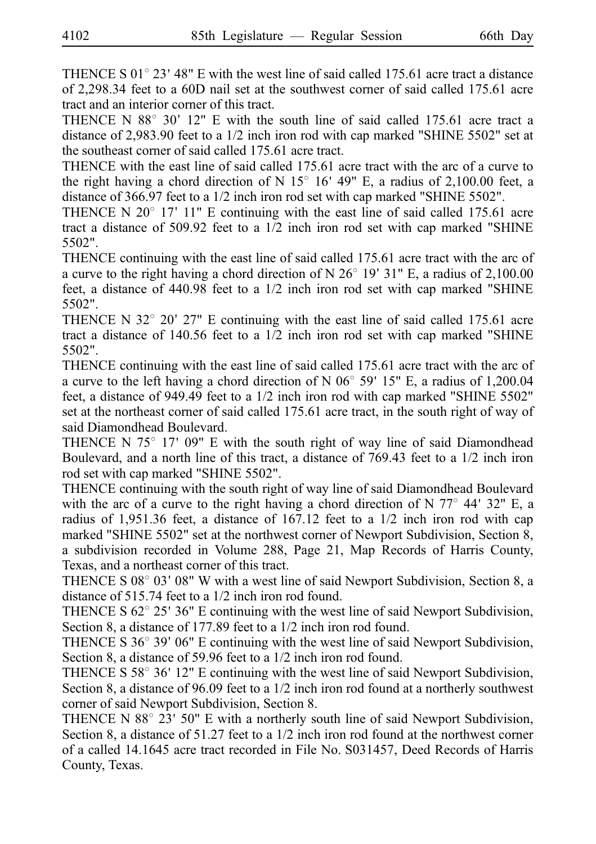THENCE S  $01^{\circ}$  23' 48" E with the west line of said called 175.61 acre tract a distance of 2,298.34 feet to a 60D nail set at the southwest corner of said called 175.61 acre tract and an interior corner of this tract.

THENCE N  $88^\circ$  30' 12" E with the south line of said called 175.61 acre tract a distance of 2,983.90 feet to a 1/2 inch iron rod with cap marked "SHINE 5502" set at the southeast corner of said called 175.61 acre tract.

THENCE with the east line of said called 175.61 acre tract with the arc of a curve to the right having a chord direction of N  $15^{\circ}$  16' 49" E, a radius of 2,100.00 feet, a distance of 366.97 feet to a 1/2 inch iron rod set with cap marked "SHINE 5502".

THENCE N  $20^{\circ}$  17' 11" E continuing with the east line of said called 175.61 acre tract a distance of 509.92 feet to a 1/2 inch iron rod set with cap marked "SHINE 5502".

THENCE continuing with the east line of said called 175.61 acre tract with the arc of a curve to the right having a chord direction of N  $26^{\circ}$  19' 31" E, a radius of 2,100.00 feet, a distance of 440.98 feet to a 1/2 inch iron rod set with cap marked "SHINE 5502".

THENCE N  $32^{\circ}$  20'  $27"$  E continuing with the east line of said called 175.61 acre tract a distance of 140.56 feet to a 1/2 inch iron rod set with cap marked "SHINE 5502".

THENCE continuing with the east line of said called 175.61 acre tract with the arc of a curve to the left having a chord direction of N  $06^{\circ}$  59' 15" E, a radius of 1,200.04 feet, a distance of 949.49 feet to a 1/2 inch iron rod with cap marked "SHINE 5502" set at the northeast corner of said called 175.61 acre tract, in the south right of way of said Diamondhead Boulevard.

THENCE N  $75^{\circ}$  17' 09" E with the south right of way line of said Diamondhead Boulevard, and a north line of this tract, a distance of 769.43 feet to a 1/2 inch iron rod set with cap marked "SHINE 5502".

THENCE continuing with the south right of way line of said Diamondhead Boulevard with the arc of a curve to the right having a chord direction of N  $77^{\circ}$  44' 32" E, a radius of 1,951.36 feet, a distance of 167.12 feet to a 1/2 inch iron rod with cap marked "SHINE 5502" set at the northwest corner of Newport Subdivision, Section 8, a subdivision recorded in Volume 288, Page 21, Map Records of Harris County, Texas, and a northeast corner of this tract.

THENCE S 08 $^{\circ}$  03' 08" W with a west line of said Newport Subdivision, Section 8, a distance of 515.74 feet to a 1/2 inch iron rod found.

THENCE S  $62^{\circ}$  25' 36" E continuing with the west line of said Newport Subdivision, Section 8, a distance of 177.89 feet to a 1/2 inch iron rod found.

THENCE S  $36^{\circ}$  39' 06" E continuing with the west line of said Newport Subdivision, Section 8, a distance of 59.96 feet to a 1/2 inch iron rod found.

THENCE S  $58^{\circ}$  36' 12" E continuing with the west line of said Newport Subdivision, Section 8, a distance of 96.09 feet to a 1/2 inch iron rod found at a northerly southwest corner of said Newport Subdivision, Section 8.

THENCE N  $88^{\circ}$  23' 50" E with a northerly south line of said Newport Subdivision, Section 8, a distance of 51.27 feet to a 1/2 inch iron rod found at the northwest corner of a called 14.1645 acre tract recorded in File No.  $S031457$ , Deed Records of Harris County, Texas.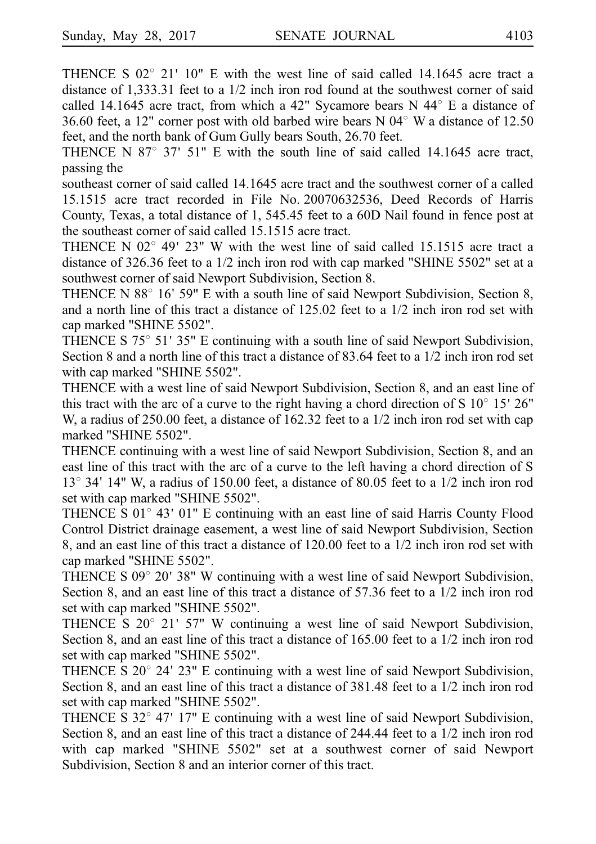THENCE S  $02^{\circ}$  21' 10" E with the west line of said called 14.1645 acre tract a distance of 1,333.31 feet to a 1/2 inch iron rod found at the southwest corner of said called 14.1645 acre tract, from which a 42" Sycamore bears N 44 $\textdegree$  E a distance of 36.60 feet, a 12" corner post with old barbed wire bears N  $04^{\circ}$  W a distance of 12.50 feet, and the north bank of Gum Gully bears South, 26.70 feet.

THENCE N  $87^{\circ}$  37' 51" E with the south line of said called 14.1645 acre tract, passing the

southeast corner of said called 14.1645 acre tract and the southwest corner of a called 15.1515 acre tract recorded in File No. 20070632536, Deed Records of Harris County, Texas, a total distance of 1, 545.45 feet to a 60D Nail found in fence post at the southeast corner of said called 15.1515 acre tract.

THENCE N  $02^{\circ}$  49' 23" W with the west line of said called 15.1515 acre tract a distance of 326.36 feet to a 1/2 inch iron rod with cap marked "SHINE 5502" set at a southwest corner of said Newport Subdivision, Section 8.

THENCE N  $88^{\circ}$  16' 59" E with a south line of said Newport Subdivision, Section 8, and a north line of this tract a distance of 125.02 feet to a 1/2 inch iron rod set with cap marked "SHINE 5502".

THENCE S  $75^{\circ}$  51' 35" E continuing with a south line of said Newport Subdivision, Section 8 and a north line of this tract a distance of 83.64 feet to a 1/2 inch iron rod set with cap marked "SHINE 5502".

THENCE with a west line of said Newport Subdivision, Section 8, and an east line of this tract with the arc of a curve to the right having a chord direction of S  $10^{\circ}$  15'  $26"$ W, a radius of 250.00 feet, a distance of 162.32 feet to a 1/2 inch iron rod set with cap marked "SHINE 5502".

THENCE continuing with a west line of said Newport Subdivision, Section 8, and an east line of this tract with the arc of a curve to the left having a chord direction of S  $13^{\circ}$  34' 14" W, a radius of 150.00 feet, a distance of 80.05 feet to a 1/2 inch iron rod set with cap marked "SHINE 5502".

THENCE S  $01^{\circ}$  43'  $01^{\circ}$  E continuing with an east line of said Harris County Flood Control District drainage easement, a west line of said Newport Subdivision, Section 8, and an east line of this tract a distance of 120.00 feet to a 1/2 inch iron rod set with cap marked "SHINE 5502".

THENCE S  $09^{\circ}$  20' 38" W continuing with a west line of said Newport Subdivision, Section 8, and an east line of this tract a distance of 57.36 feet to a 1/2 inch iron rod set with cap marked "SHINE 5502".

THENCE S  $20^{\circ}$  21' 57" W continuing a west line of said Newport Subdivision, Section 8, and an east line of this tract a distance of 165.00 feet to a 1/2 inch iron rod set with cap marked "SHINE 5502".

THENCE S  $20^{\circ}$  24' 23" E continuing with a west line of said Newport Subdivision, Section 8, and an east line of this tract a distance of 381.48 feet to a 1/2 inch iron rod set with cap marked "SHINE 5502".

THENCE S  $32^{\circ}$  47' 17" E continuing with a west line of said Newport Subdivision, Section 8, and an east line of this tract a distance of 244.44 feet to a 1/2 inch iron rod with cap marked "SHINE 5502" set at a southwest corner of said Newport Subdivision, Section 8 and an interior corner of this tract.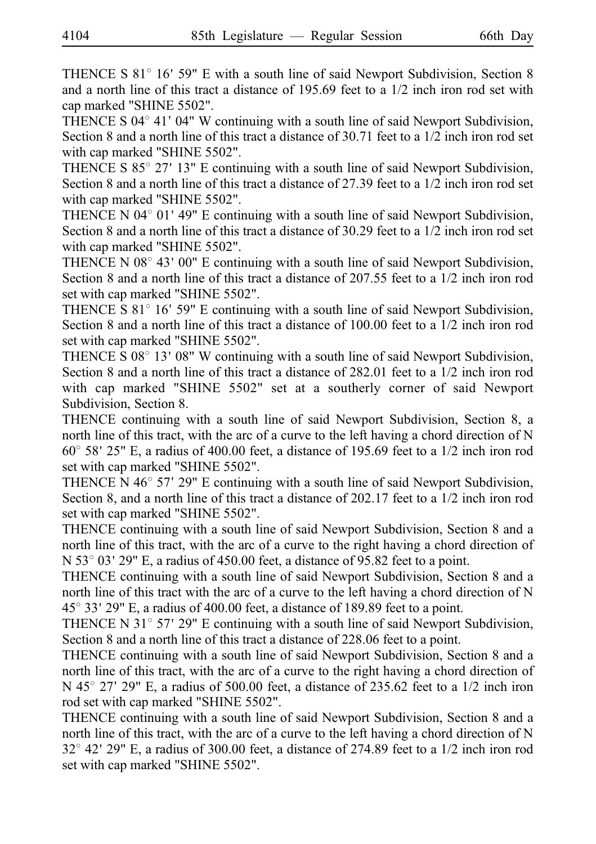THENCE S  $81^\circ$  16' 59" E with a south line of said Newport Subdivision, Section 8 and a north line of this tract a distance of 195.69 feet to a 1/2 inch iron rod set with cap marked "SHINE 5502".

THENCE S  $04^{\circ}$  41'  $04^{\circ}$  W continuing with a south line of said Newport Subdivision, Section 8 and a north line of this tract a distance of 30.71 feet to a 1/2 inch iron rod set with cap marked "SHINE 5502".

THENCE S  $85^{\circ}$  27' 13" E continuing with a south line of said Newport Subdivision, Section 8 and a north line of this tract a distance of 27.39 feet to a 1/2 inch iron rod set with cap marked "SHINE 5502".

THENCE N 04 $^{\circ}$  01' 49" E continuing with a south line of said Newport Subdivision, Section 8 and a north line of this tract a distance of 30.29 feet to a 1/2 inch iron rod set with cap marked "SHINE 5502".

THENCE N  $08^{\circ}$  43' 00" E continuing with a south line of said Newport Subdivision, Section 8 and a north line of this tract a distance of 207.55 feet to a 1/2 inch iron rod set with cap marked "SHINE 5502".

THENCE S 81° 16' 59" E continuing with a south line of said Newport Subdivision, Section 8 and a north line of this tract a distance of 100.00 feet to a 1/2 inch iron rod set with cap marked "SHINE 5502".

THENCE S  $08^{\circ}$  13'  $08"$  W continuing with a south line of said Newport Subdivision, Section 8 and a north line of this tract a distance of 282.01 feet to a 1/2 inch iron rod with cap marked "SHINE 5502" set at a southerly corner of said Newport Subdivision, Section 8.

THENCE continuing with a south line of said Newport Subdivision, Section 8, a north line of this tract, with the arc of a curve to the left having a chord direction of N  $60^{\circ}$  58' 25" E, a radius of 400.00 feet, a distance of 195.69 feet to a 1/2 inch iron rod set with cap marked "SHINE 5502".

THENCE N  $46^{\circ}$  57' 29" E continuing with a south line of said Newport Subdivision, Section 8, and a north line of this tract a distance of 202.17 feet to a 1/2 inch iron rod set with cap marked "SHINE 5502".

THENCE continuing with a south line of said Newport Subdivision, Section 8 and a north line of this tract, with the arc of a curve to the right having a chord direction of N 53 $^{\circ}$  03' 29" E, a radius of 450.00 feet, a distance of 95.82 feet to a point.

THENCE continuing with a south line of said Newport Subdivision, Section 8 and a north line of this tract with the arc of a curve to the left having a chord direction of N  $45^{\circ}$  33' 29" E, a radius of 400.00 feet, a distance of 189.89 feet to a point.

THENCE N 31 $\degree$  57' 29" E continuing with a south line of said Newport Subdivision, Section 8 and a north line of this tract a distance of 228.06 feet to a point.

THENCE continuing with a south line of said Newport Subdivision, Section 8 and a north line of this tract, with the arc of a curve to the right having a chord direction of N 45 $^{\circ}$  27' 29" E, a radius of 500.00 feet, a distance of 235.62 feet to a 1/2 inch iron rod set with cap marked "SHINE 5502".

THENCE continuing with a south line of said Newport Subdivision, Section 8 and a north line of this tract, with the arc of a curve to the left having a chord direction of N  $32^{\circ}$  42' 29" E, a radius of 300.00 feet, a distance of 274.89 feet to a 1/2 inch iron rod set with cap marked "SHINE 5502".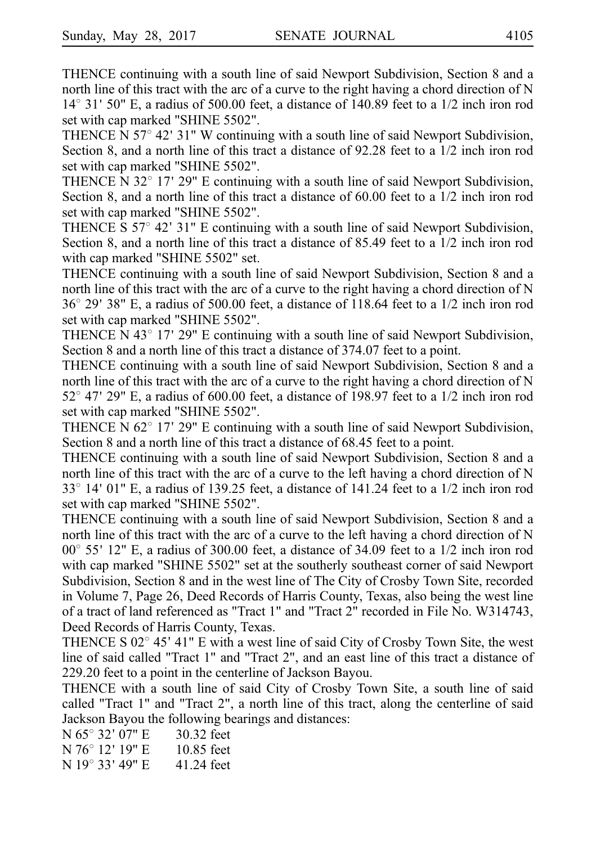THENCE continuing with a south line of said Newport Subdivision, Section 8 and a north line of this tract with the arc of a curve to the right having a chord direction of N  $14^{\circ}$  31' 50" E, a radius of 500.00 feet, a distance of 140.89 feet to a 1/2 inch iron rod set with cap marked "SHINE 5502".

THENCE N  $57^{\circ}$  42' 31" W continuing with a south line of said Newport Subdivision, Section 8, and a north line of this tract a distance of 92.28 feet to a 1/2 inch iron rod set with cap marked "SHINE 5502".

THENCE N 32 $^{\circ}$  17' 29" E continuing with a south line of said Newport Subdivision, Section 8, and a north line of this tract a distance of 60.00 feet to a 1/2 inch iron rod set with cap marked "SHINE 5502".

THENCE S  $57^{\circ}$  42' 31" E continuing with a south line of said Newport Subdivision, Section 8, and a north line of this tract a distance of 85.49 feet to a 1/2 inch iron rod with cap marked "SHINE 5502" set.

THENCE continuing with a south line of said Newport Subdivision, Section 8 and a north line of this tract with the arc of a curve to the right having a chord direction of N  $36^{\circ}$  29' 38" E, a radius of 500.00 feet, a distance of 118.64 feet to a 1/2 inch iron rod set with cap marked "SHINE 5502".

THENCE N 43 $^{\circ}$  17' 29" E continuing with a south line of said Newport Subdivision, Section 8 and a north line of this tract a distance of 374.07 feet to a point.

THENCE continuing with a south line of said Newport Subdivision, Section 8 and a north line of this tract with the arc of a curve to the right having a chord direction of N 52 $\degree$  47' 29" E, a radius of 600.00 feet, a distance of 198.97 feet to a 1/2 inch iron rod set with cap marked "SHINE 5502".

THENCE N  $62^{\circ}$  17' 29" E continuing with a south line of said Newport Subdivision, Section 8 and a north line of this tract a distance of 68.45 feet to a point.

THENCE continuing with a south line of said Newport Subdivision, Section 8 and a north line of this tract with the arc of a curve to the left having a chord direction of N  $33^{\circ}$  14' 01" E, a radius of 139.25 feet, a distance of 141.24 feet to a 1/2 inch iron rod set with cap marked "SHINE 5502".

THENCE continuing with a south line of said Newport Subdivision, Section 8 and a north line of this tract with the arc of a curve to the left having a chord direction of N  $00^{\circ}$  55' 12" E, a radius of 300.00 feet, a distance of 34.09 feet to a 1/2 inch iron rod with cap marked "SHINE 5502" set at the southerly southeast corner of said Newport Subdivision, Section 8 and in the west line of The City of Crosby Town Site, recorded in Volume 7, Page 26, Deed Records of Harris County, Texas, also being the west line of a tract of land referenced as "Tract 1" and "Tract 2" recorded in File No. W314743, Deed Records of Harris County, Texas.

THENCE S  $02^{\circ}$  45' 41" E with a west line of said City of Crosby Town Site, the west line of said called "Tract 1" and "Tract 2", and an east line of this tract a distance of 229.20 feet to a point in the centerline of Jackson Bayou.

THENCE with a south line of said City of Crosby Town Site, a south line of said called "Tract 1" and "Tract 2", a north line of this tract, along the centerline of said Jackson Bayou the following bearings and distances:

| N 65° 32' 07" E | 30.32 feet   |
|-----------------|--------------|
| N 76° 12' 19" E | $10.85$ feet |
| N 19° 33' 49" E | 41.24 feet   |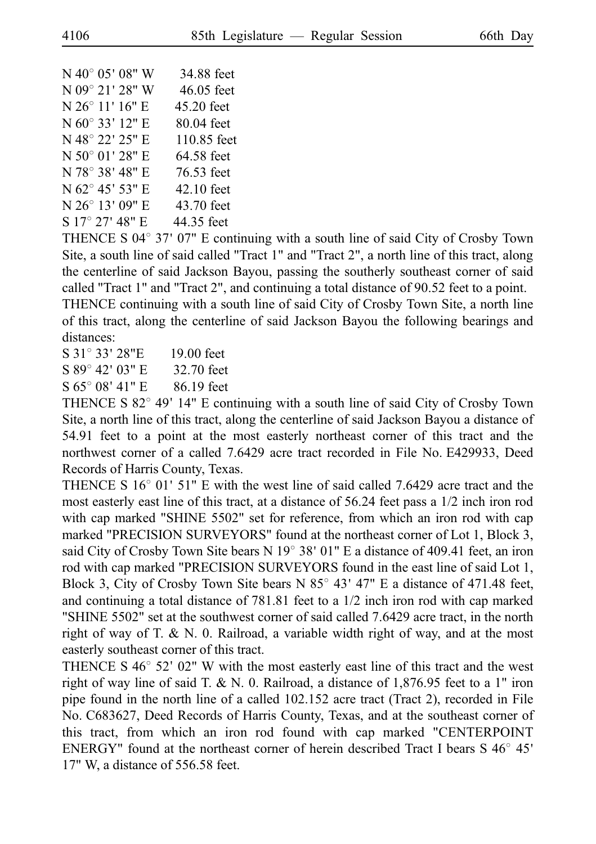| $N$ 40 $^{\circ}$ 05' 08" W | 34.88 feet   |
|-----------------------------|--------------|
| N 09° 21' 28" W             | $46.05$ feet |
| N 26° 11' 16" E             | 45.20 feet   |
| N 60° 33' 12" E             | 80.04 feet   |
| N 48° 22' 25" E             | 110.85 feet  |
| N 50° 01' 28" E             | 64.58 feet   |
| N 78° 38' 48" E             | 76.53 feet   |
| N 62° 45' 53" E             | 42.10 feet   |
| N 26° 13' 09" E             | 43.70 feet   |
| S 17° 27' 48" E             | 44.35 feet   |
|                             |              |

THENCE S 04 $\degree$  37' 07" E continuing with a south line of said City of Crosby Town Site, a south line of said called "Tract 1" and "Tract 2", a north line of this tract, along the centerline of said Jackson Bayou, passing the southerly southeast corner of said called "Tract 1" and "Tract 2", and continuing a total distance of 90.52 feet to a point. THENCE continuing with a south line of said City of Crosby Town Site, a north line of this tract, along the centerline of said Jackson Bayou the following bearings and distances:

S 31° 33′ 28"E 19.00 feet

 $S 89° 42' 03'' E = 32.70$  feet

 $S 65^{\circ} 08' 41'' E = 86.19$  feet

THENCE S  $82^{\circ}$  49' 14" E continuing with a south line of said City of Crosby Town Site, a north line of this tract, along the centerline of said Jackson Bayou a distance of 54.91 feet to a point at the most easterly northeast corner of this tract and the northwest corner of a called 7.6429 acre tract recorded in File No. E429933, Deed Records of Harris County, Texas.

THENCE S  $16^{\circ}$  01' 51" E with the west line of said called 7.6429 acre tract and the most easterly east line of this tract, at a distance of 56.24 feet pass a 1/2 inch iron rod with cap marked "SHINE 5502" set for reference, from which an iron rod with cap marked "PRECISION SURVEYORS" found at the northeast corner of Lot 1, Block 3, said City of Crosby Town Site bears N  $19^{\circ}$  38' 01" E a distance of 409.41 feet, an iron rod with cap marked "PRECISION SURVEYORS found in the east line of said Lot 1, Block 3, City of Crosby Town Site bears N  $85^{\circ}$  43' 47" E a distance of 471.48 feet, and continuing a total distance of 781.81 feet to a 1/2 inch iron rod with cap marked "SHINE 5502" set at the southwest corner of said called 7.6429 acre tract, in the north right of way of T.  $\&$  N. 0. Railroad, a variable width right of way, and at the most easterly southeast corner of this tract.

THENCE S  $46^{\circ}$  52' 02" W with the most easterly east line of this tract and the west right of way line of said T. & N. 0. Railroad, a distance of  $1,876.95$  feet to a 1" iron pipe found in the north line of a called 102.152 acre tract (Tract 2), recorded in File No. C683627, Deed Records of Harris County, Texas, and at the southeast corner of this tract, from which an iron rod found with cap marked "CENTERPOINT ENERGY" found at the northeast corner of herein described Tract I bears  $S\,46^{\circ}\,45'$ 17" W, a distance of 556.58 feet.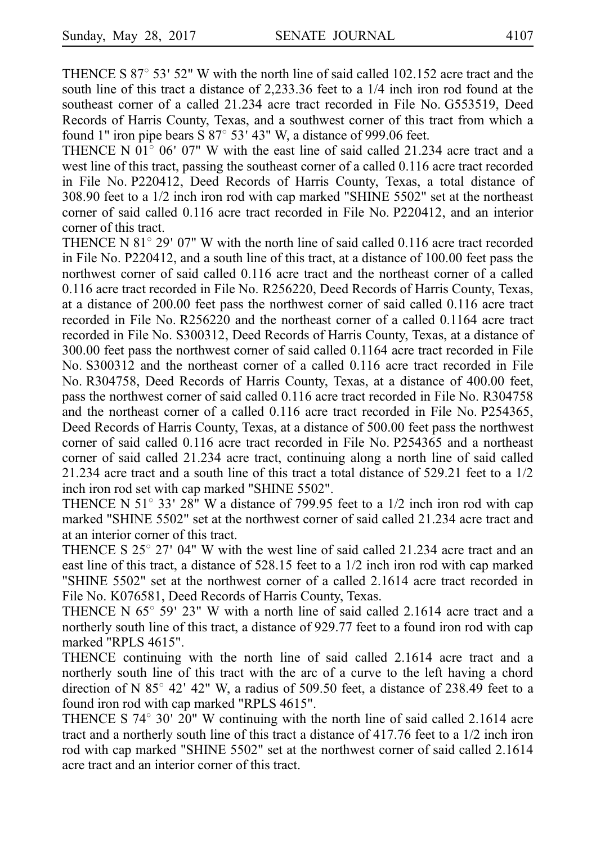THENCE S  $87^{\circ}$  53' 52" W with the north line of said called 102.152 acre tract and the south line of this tract a distance of 2,233.36 feet to a 1/4 inch iron rod found at the southeast corner of a called 21.234 acre tract recorded in File No. G553519, Deed Records of Harris County, Texas, and a southwest corner of this tract from which a found 1" iron pipe bears  $S 87^{\circ} 53' 43'' W$ , a distance of 999.06 feet.

THENCE N 01 $^{\circ}$  06' 07" W with the east line of said called 21.234 acre tract and a west line of this tract, passing the southeast corner of a called 0.116 acre tract recorded in File No. P220412, Deed Records of Harris County, Texas, a total distance of 308.90 feet to a 1/2 inch iron rod with cap marked "SHINE 5502" set at the northeast corner of said called 0.116 acre tract recorded in File No. P220412, and an interior corner of this tract.

THENCE N 81 $^{\circ}$  29' 07" W with the north line of said called 0.116 acre tract recorded in File No.  $P220412$ , and a south line of this tract, at a distance of  $100.00$  feet pass the northwest corner of said called 0.116 acre tract and the northeast corner of a called 0.116 acre tract recorded in File No. R256220, Deed Records of Harris County, Texas, at a distance of 200.00 feet pass the northwest corner of said called 0.116 acre tract recorded in File No.  $R256220$  and the northeast corner of a called 0.1164 acre tract recorded in File No. S300312, Deed Records of Harris County, Texas, at a distance of 300.00 feet pass the northwest corner of said called 0.1164 acre tract recorded in File No. S300312 and the northeast corner of a called 0.116 acre tract recorded in File No. R304758, Deed Records of Harris County, Texas, at a distance of 400.00 feet, pass the northwest corner of said called 0.116 acre tract recorded in File No. R304758 and the northeast corner of a called  $0.116$  acre tract recorded in File No. P254365, Deed Records of Harris County, Texas, at a distance of 500.00 feet pass the northwest corner of said called  $0.116$  acre tract recorded in File No. P254365 and a northeast corner of said called 21.234 acre tract, continuing along a north line of said called 21.234 acre tract and a south line of this tract a total distance of 529.21 feet to a 1/2 inch iron rod set with cap marked "SHINE 5502".

THENCE N 51 $\degree$  33' 28" W a distance of 799.95 feet to a 1/2 inch iron rod with cap marked "SHINE 5502" set at the northwest corner of said called 21.234 acre tract and at an interior corner of this tract.

THENCE S  $25^{\circ}$  27' 04" W with the west line of said called 21.234 acre tract and an east line of this tract, a distance of 528.15 feet to a 1/2 inch iron rod with cap marked "SHINE 5502" set at the northwest corner of a called 2.1614 acre tract recorded in File No. K076581, Deed Records of Harris County, Texas.

THENCE N  $65^{\circ}$  59' 23" W with a north line of said called 2.1614 acre tract and a northerly south line of this tract, a distance of 929.77 feet to a found iron rod with cap marked "RPLS 4615".

THENCE continuing with the north line of said called 2.1614 acre tract and a northerly south line of this tract with the arc of a curve to the left having a chord direction of N 85 $^{\circ}$  42' 42" W, a radius of 509.50 feet, a distance of 238.49 feet to a found iron rod with cap marked "RPLS 4615".

THENCE S  $74^{\circ}$  30' 20" W continuing with the north line of said called 2.1614 acre tract and a northerly south line of this tract a distance of 417.76 feet to a 1/2 inch iron rod with cap marked "SHINE 5502" set at the northwest corner of said called 2.1614 acre tract and an interior corner of this tract.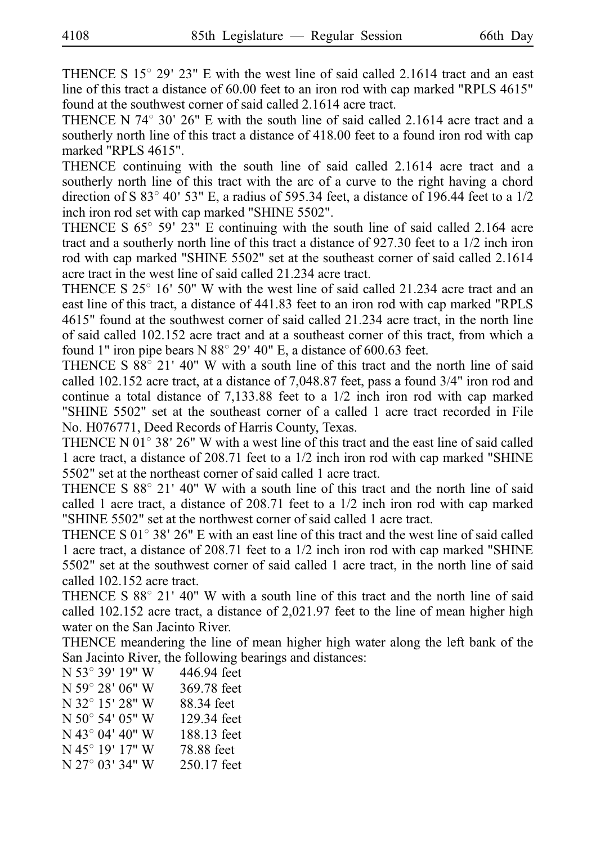THENCE S  $15^{\circ}$  29' 23" E with the west line of said called 2.1614 tract and an east line of this tract a distance of 60.00 feet to an iron rod with cap marked "RPLS 4615" found at the southwest corner of said called 2.1614 acre tract.

THENCE N  $74^{\circ}$  30' 26" E with the south line of said called 2.1614 acre tract and a southerly north line of this tract a distance of 418.00 feet to a found iron rod with cap marked "RPLS 4615".

THENCE continuing with the south line of said called 2.1614 acre tract and a southerly north line of this tract with the arc of a curve to the right having a chord direction of S 83 $\degree$  40' 53" E, a radius of 595.34 feet, a distance of 196.44 feet to a 1/2 inch iron rod set with cap marked "SHINE 5502".

THENCE S  $65^{\circ}$  59' 23" E continuing with the south line of said called 2.164 acre tract and a southerly north line of this tract a distance of 927.30 feet to a 1/2 inch iron rod with cap marked "SHINE 5502" set at the southeast corner of said called 2.1614 acre tract in the west line of said called 21.234 acre tract.

THENCE S  $25^{\circ}$  16' 50" W with the west line of said called 21.234 acre tract and an east line of this tract, a distance of 441.83 feet to an iron rod with cap marked "RPLS 4615" found at the southwest corner of said called 21.234 acre tract, in the north line of said called 102.152 acre tract and at a southeast corner of this tract, from which a found 1" iron pipe bears N  $88^\circ$  29' 40" E, a distance of 600.63 feet.

THENCE S  $88^{\circ}$  21' 40" W with a south line of this tract and the north line of said called 102.152 acre tract, at a distance of 7,048.87 feet, pass a found 3/4" iron rod and continue a total distance of 7,133.88 feet to a 1/2 inch iron rod with cap marked "SHINE 5502" set at the southeast corner of a called 1 acre tract recorded in File No. H076771, Deed Records of Harris County, Texas.

THENCE N  $01^{\circ}$  38' 26" W with a west line of this tract and the east line of said called 1 acre tract, a distance of 208.71 feet to a 1/2 inch iron rod with cap marked "SHINE 5502" set at the northeast corner of said called 1 acre tract.

THENCE S  $88^{\circ}$  21' 40" W with a south line of this tract and the north line of said called 1 acre tract, a distance of 208.71 feet to a 1/2 inch iron rod with cap marked "SHINE 5502" set at the northwest corner of said called 1 acre tract.

THENCE S  $01^{\circ}$  38' 26" E with an east line of this tract and the west line of said called 1 acre tract, a distance of 208.71 feet to a 1/2 inch iron rod with cap marked "SHINE 5502" set at the southwest corner of said called 1 acre tract, in the north line of said called 102.152 acre tract.

THENCE S  $88^{\circ}$  21' 40" W with a south line of this tract and the north line of said called 102.152 acre tract, a distance of 2,021.97 feet to the line of mean higher high water on the San Jacinto River.

THENCE meandering the line of mean higher high water along the left bank of the San Jacinto River, the following bearings and distances:

| N 53° 39' 19" W           | 446.94 feet |
|---------------------------|-------------|
| N 59° 28′ 06″ W           | 369.78 feet |
| N 32° 15′ 28″ W           | 88.34 feet  |
| $N 50^{\circ} 54' 05'' W$ | 129.34 feet |
| N 43° 04' 40" W           | 188.13 feet |
| N 45° 19' 17" W           | 78.88 feet  |
| N 27° 03′ 34″ W           | 250.17 feet |
|                           |             |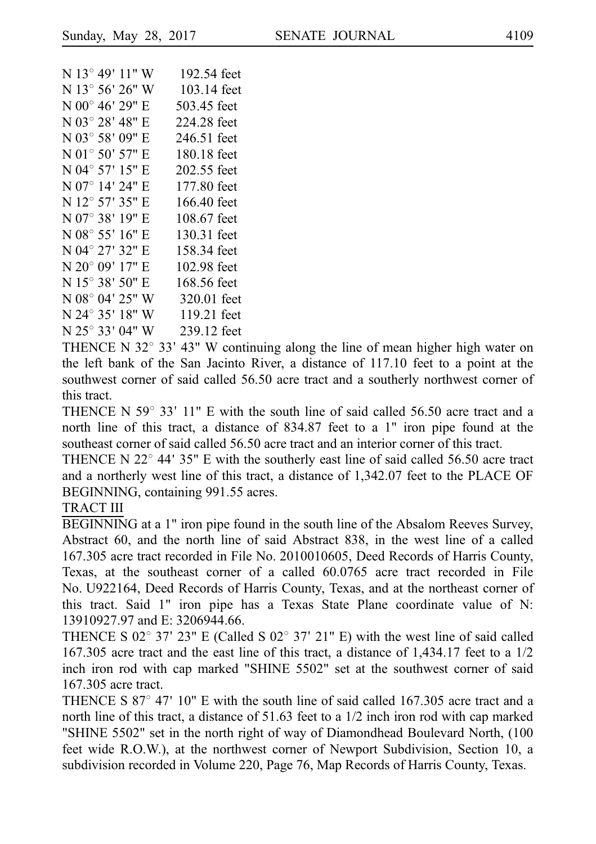```
N 13° 49' 11" W 192.54 feet
N 13^{\circ} 56' 26'' W 103.14 feet
N 00^{\circ} 46' 29'' E = 503.45 feet
N 03° 28' 48" E 224.28 feet
N 03\degree 58' 09" E 246.51 feet
N 01\degree 50' 57" E 180.18 feet
N 04° 57' 15" E 202.55 feet
N 07° 14' 24" E 177.80 feet
N 12° 57' 35" E 166.40 feet
N 07° 38' 19" E 108.67 feet
N 08\degree 55' 16" E 130.31 feet
N 04° 27′ 32″ E 158.34 feet
N 20^{\circ} 09' 17'' E 102.98 feet
N 15^{\circ} 38' 50'' E 168.56 feet
N 08^{\circ} 04' 25" W 320.01 feet
N 24° 35' 18" W 119.21 feet
N 25° 33' 04" W 239.12 feet
```
THENCE N 32 $\degree$  33' 43" W continuing along the line of mean higher high water on the left bank of the San Jacinto River, a distance of 117.10 feet to a point at the southwest corner of said called 56.50 acre tract and a southerly northwest corner of this tract.

THENCE N  $59^{\circ}$  33' 11" E with the south line of said called 56.50 acre tract and a north line of this tract, a distance of 834.87 feet to a 1" iron pipe found at the southeast corner of said called 56.50 acre tract and an interior corner of this tract.

THENCE N  $22^{\circ}$  44' 35" E with the southerly east line of said called 56.50 acre tract and a northerly west line of this tract, a distance of 1,342.07 feet to the PLACE OF BEGINNING, containing 991.55 acres.

#### TRACT III

BEGINNING at a 1" iron pipe found in the south line of the Absalom Reeves Survey, Abstract 60, and the north line of said Abstract 838, in the west line of a called 167.305 acre tract recorded in File No. 2010010605, Deed Records of Harris County, Texas, at the southeast corner of a called 60.0765 acre tract recorded in File No. U922164, Deed Records of Harris County, Texas, and at the northeast corner of this tract. Said 1" iron pipe has a Texas State Plane coordinate value of N: 13910927.97 and E: 3206944.66.

THENCE S 02° 37′ 23" E (Called S 02° 37′ 21" E) with the west line of said called 167.305 acre tract and the east line of this tract, a distance of 1,434.17 feet to a 1/2 inch iron rod with cap marked "SHINE 5502" set at the southwest corner of said 167.305 acre tract.

THENCE S  $87^{\circ}$  47' 10" E with the south line of said called 167.305 acre tract and a north line of this tract, a distance of 51.63 feet to a 1/2 inch iron rod with cap marked "SHINE 5502" set in the north right of way of Diamondhead Boulevard North, (100 feet wide R.O.W.), at the northwest corner of Newport Subdivision, Section 10, a subdivision recorded in Volume 220, Page 76, Map Records of Harris County, Texas.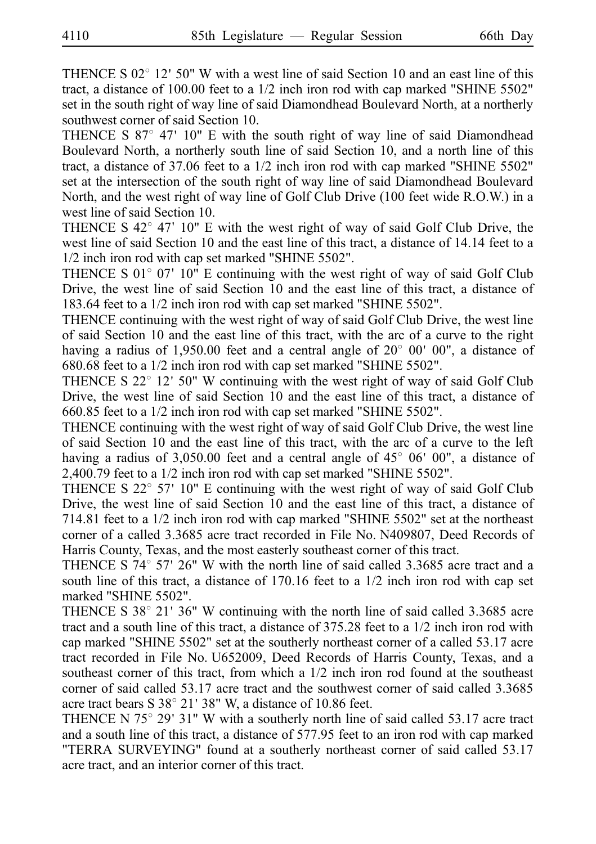THENCE S  $02^{\circ}$  12' 50" W with a west line of said Section 10 and an east line of this tract, a distance of 100.00 feet to a 1/2 inch iron rod with cap marked "SHINE 5502" set in the south right of way line of said Diamondhead Boulevard North, at a northerly southwest corner of said Section 10.

THENCE S  $87^{\circ}$  47' 10" E with the south right of way line of said Diamondhead Boulevard North, a northerly south line of said Section 10, and a north line of this tract, a distance of 37.06 feet to a 1/2 inch iron rod with cap marked "SHINE 5502" set at the intersection of the south right of way line of said Diamondhead Boulevard North, and the west right of way line of Golf Club Drive (100 feet wide R.O.W.) in a west line of said Section 10.

THENCE S  $42^{\circ}$  47' 10" E with the west right of way of said Golf Club Drive, the west line of said Section 10 and the east line of this tract, a distance of 14.14 feet to a 1/2 inch iron rod with cap set marked "SHINE 5502".

THENCE S  $01^{\circ}$  07' 10" E continuing with the west right of way of said Golf Club Drive, the west line of said Section 10 and the east line of this tract, a distance of 183.64 feet to a 1/2 inch iron rod with cap set marked "SHINE 5502".

THENCE continuing with the west right of way of said Golf Club Drive, the west line of said Section 10 and the east line of this tract, with the arc of a curve to the right having a radius of 1,950.00 feet and a central angle of  $20^{\circ}$  00' 00", a distance of 680.68 feet to a 1/2 inch iron rod with cap set marked "SHINE 5502".

THENCE S  $22^{\circ}$  12' 50" W continuing with the west right of way of said Golf Club Drive, the west line of said Section 10 and the east line of this tract, a distance of 660.85 feet to a 1/2 inch iron rod with cap set marked "SHINE 5502".

THENCE continuing with the west right of way of said Golf Club Drive, the west line of said Section 10 and the east line of this tract, with the arc of a curve to the left having a radius of 3,050.00 feet and a central angle of  $45^{\circ}$  06' 00", a distance of 2,400.79 feet to a 1/2 inch iron rod with cap set marked "SHINE 5502".

THENCE S  $22^{\circ}$  57' 10" E continuing with the west right of way of said Golf Club Drive, the west line of said Section 10 and the east line of this tract, a distance of 714.81 feet to a 1/2 inch iron rod with cap marked "SHINE 5502" set at the northeast corner of a called 3.3685 acre tract recorded in File No. N409807, Deed Records of Harris County, Texas, and the most easterly southeast corner of this tract.

THENCE S  $74^{\circ}$  57' 26" W with the north line of said called 3.3685 acre tract and a south line of this tract, a distance of 170.16 feet to a 1/2 inch iron rod with cap set marked "SHINE 5502".

THENCE S  $38^{\circ}$  21' 36" W continuing with the north line of said called 3.3685 acre tract and a south line of this tract, a distance of 375.28 feet to a 1/2 inch iron rod with cap marked "SHINE 5502" set at the southerly northeast corner of a called 53.17 acre tract recorded in File No. U652009, Deed Records of Harris County, Texas, and a southeast corner of this tract, from which a 1/2 inch iron rod found at the southeast corner of said called 53.17 acre tract and the southwest corner of said called 3.3685 acre tract bears S  $38^{\circ}$  21' 38" W, a distance of 10.86 feet.

THENCE N  $75^{\circ}$  29' 31" W with a southerly north line of said called 53.17 acre tract and a south line of this tract, a distance of 577.95 feet to an iron rod with cap marked "TERRA SURVEYING" found at a southerly northeast corner of said called 53.17 acre tract, and an interior corner of this tract.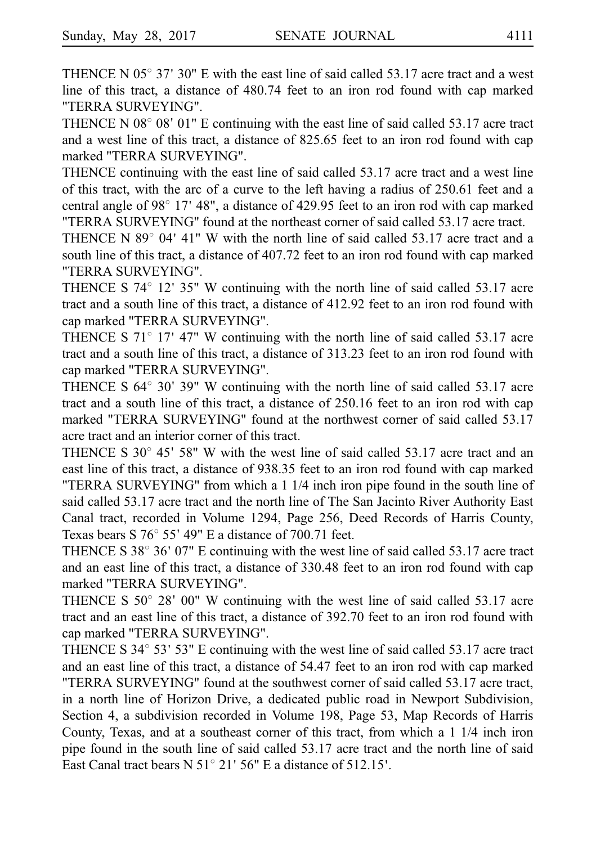THENCE N  $05^{\circ}$  37' 30" E with the east line of said called 53.17 acre tract and a west line of this tract, a distance of 480.74 feet to an iron rod found with cap marked "TERRA SURVEYING".

THENCE N  $08^{\circ}$  08' 01" E continuing with the east line of said called 53.17 acre tract and a west line of this tract, a distance of 825.65 feet to an iron rod found with cap marked "TERRA SURVEYING".

THENCE continuing with the east line of said called 53.17 acre tract and a west line of this tract, with the arc of a curve to the left having a radius of 250.61 feet and a central angle of 98 $^{\circ}$  17' 48", a distance of 429.95 feet to an iron rod with cap marked "TERRA SURVEYING" found at the northeast corner of said called 53.17 acre tract.

THENCE N  $89^{\circ}$  04' 41" W with the north line of said called 53.17 acre tract and a south line of this tract, a distance of 407.72 feet to an iron rod found with cap marked "TERRA SURVEYING".

THENCE S  $74^{\circ}$  12' 35" W continuing with the north line of said called 53.17 acre tract and a south line of this tract, a distance of 412.92 feet to an iron rod found with cap marked "TERRA SURVEYING".

THENCE S  $71^{\circ}$  17' 47" W continuing with the north line of said called 53.17 acre tract and a south line of this tract, a distance of 313.23 feet to an iron rod found with cap marked "TERRA SURVEYING".

THENCE S  $64^{\circ}$  30' 39" W continuing with the north line of said called 53.17 acre tract and a south line of this tract, a distance of 250.16 feet to an iron rod with cap marked "TERRA SURVEYING" found at the northwest corner of said called 53.17 acre tract and an interior corner of this tract.

THENCE S  $30^{\circ}$  45' 58" W with the west line of said called 53.17 acre tract and an east line of this tract, a distance of 938.35 feet to an iron rod found with cap marked "TERRA SURVEYING" from which a 1 1/4 inch iron pipe found in the south line of said called 53.17 acre tract and the north line of The San Jacinto River Authority East Canal tract, recorded in Volume 1294, Page 256, Deed Records of Harris County, Texas bears S  $76^{\circ}$  55' 49" E a distance of 700.71 feet.

THENCE S  $38^{\circ}$  36' 07" E continuing with the west line of said called 53.17 acre tract and an east line of this tract, a distance of 330.48 feet to an iron rod found with cap marked "TERRA SURVEYING".

THENCE S  $50^{\circ}$  28' 00" W continuing with the west line of said called 53.17 acre tract and an east line of this tract, a distance of 392.70 feet to an iron rod found with cap marked "TERRA SURVEYING".

THENCE S  $34^{\circ}$  53' 53" E continuing with the west line of said called 53.17 acre tract and an east line of this tract, a distance of 54.47 feet to an iron rod with cap marked "TERRA SURVEYING" found at the southwest corner of said called 53.17 acre tract, in a north line of Horizon Drive, a dedicated public road in Newport Subdivision, Section 4, a subdivision recorded in Volume 198, Page 53, Map Records of Harris County, Texas, and at a southeast corner of this tract, from which a 1 1/4 inch iron pipe found in the south line of said called 53.17 acre tract and the north line of said East Canal tract bears  $N$  51 $^{\circ}$  21' 56" E a distance of 512.15'.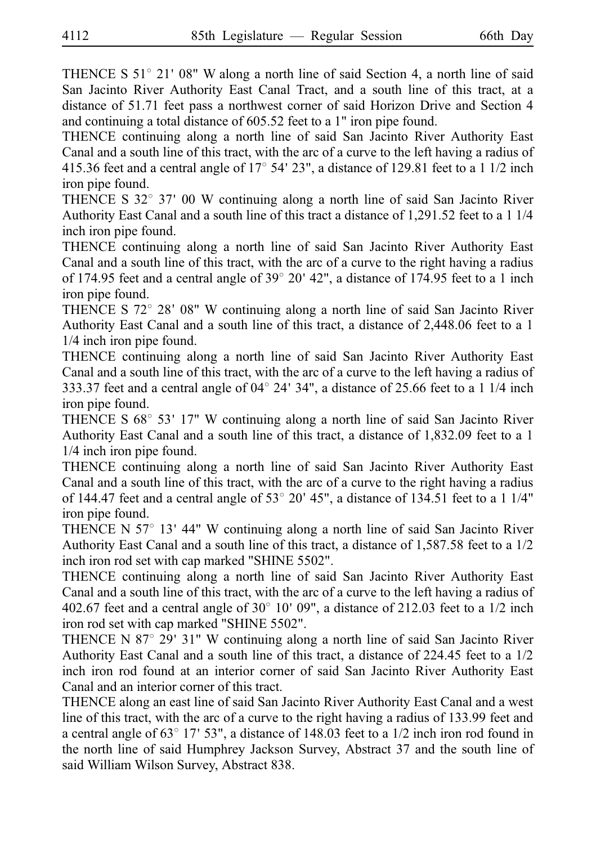THENCE S  $51^{\circ}$  21' 08" W along a north line of said Section 4, a north line of said San Jacinto River Authority East Canal Tract, and a south line of this tract, at a distance of 51.71 feet pass a northwest corner of said Horizon Drive and Section 4 and continuing a total distance of 605.52 feet to a 1" iron pipe found.

THENCE continuing along a north line of said San Jacinto River Authority East Canal and a south line of this tract, with the arc of a curve to the left having a radius of 415.36 feet and a central angle of  $17^{\circ}$  54' 23", a distance of 129.81 feet to a 1 1/2 inch iron pipe found.

THENCE S  $32^{\circ}$  37' 00 W continuing along a north line of said San Jacinto River Authority East Canal and a south line of this tract a distance of 1,291.52 feet to a 1 1/4 inch iron pipe found.

THENCE continuing along a north line of said San Jacinto River Authority East Canal and a south line of this tract, with the arc of a curve to the right having a radius of 174.95 feet and a central angle of  $39^{\circ}$  20' 42", a distance of 174.95 feet to a 1 inch iron pipe found.

THENCE S  $72^{\circ}$  28' 08" W continuing along a north line of said San Jacinto River Authority East Canal and a south line of this tract, a distance of 2,448.06 feet to a 1 1/4 inch iron pipe found.

THENCE continuing along a north line of said San Jacinto River Authority East Canal and a south line of this tract, with the arc of a curve to the left having a radius of 333.37 feet and a central angle of  $04^{\circ}$  24' 34", a distance of 25.66 feet to a 1 1/4 inch iron pipe found.

THENCE S  $68^{\circ}$  53' 17" W continuing along a north line of said San Jacinto River Authority East Canal and a south line of this tract, a distance of 1,832.09 feet to a 1 1/4 inch iron pipe found.

THENCE continuing along a north line of said San Jacinto River Authority East Canal and a south line of this tract, with the arc of a curve to the right having a radius of 144.47 feet and a central angle of  $53^{\circ}$  20' 45", a distance of 134.51 feet to a 1 1/4" iron pipe found.

THENCE N  $57^{\circ}$  13' 44" W continuing along a north line of said San Jacinto River Authority East Canal and a south line of this tract, a distance of 1,587.58 feet to a 1/2 inch iron rod set with cap marked "SHINE 5502".

THENCE continuing along a north line of said San Jacinto River Authority East Canal and a south line of this tract, with the arc of a curve to the left having a radius of 402.67 feet and a central angle of  $30^{\circ}$  10' 09", a distance of 212.03 feet to a 1/2 inch iron rod set with cap marked "SHINE 5502".

THENCE N 87 $\degree$  29' 31" W continuing along a north line of said San Jacinto River Authority East Canal and a south line of this tract, a distance of 224.45 feet to a 1/2 inch iron rod found at an interior corner of said San Jacinto River Authority East Canal and an interior corner of this tract.

THENCE along an east line of said San Jacinto River Authority East Canal and a west line of this tract, with the arc of a curve to the right having a radius of 133.99 feet and a central angle of  $63^{\circ}$  17' 53", a distance of 148.03 feet to a 1/2 inch iron rod found in the north line of said Humphrey Jackson Survey, Abstract 37 and the south line of said William Wilson Survey, Abstract 838.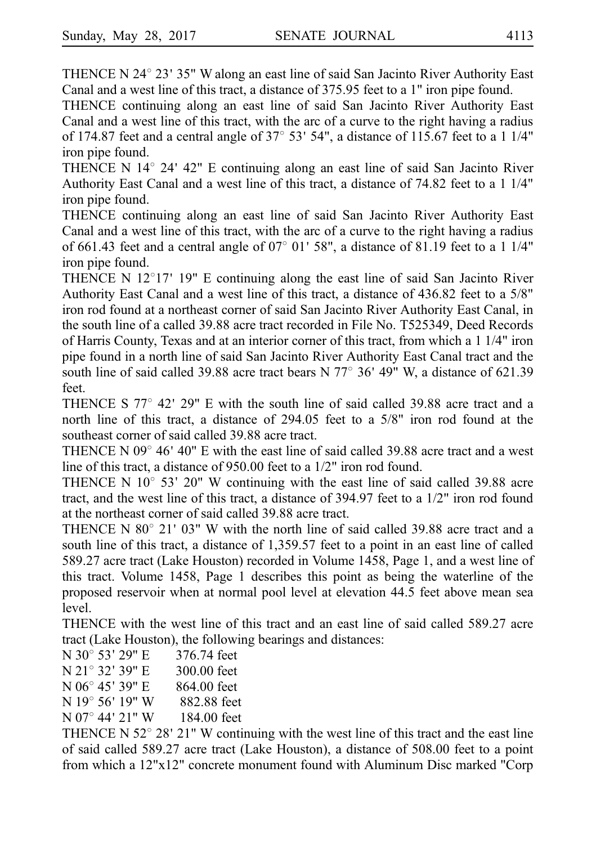THENCE N  $24^{\circ}$  23' 35" W along an east line of said San Jacinto River Authority East Canal and a west line of this tract, a distance of 375.95 feet to a 1" iron pipe found.

THENCE continuing along an east line of said San Jacinto River Authority East Canal and a west line of this tract, with the arc of a curve to the right having a radius of 174.87 feet and a central angle of  $37^{\circ}$  53' 54", a distance of 115.67 feet to a 1 1/4" iron pipe found.

THENCE N 14° 24' 42" E continuing along an east line of said San Jacinto River Authority East Canal and a west line of this tract, a distance of 74.82 feet to a 1 1/4" iron pipe found.

THENCE continuing along an east line of said San Jacinto River Authority East Canal and a west line of this tract, with the arc of a curve to the right having a radius of 661.43 feet and a central angle of  $07^{\circ}$  01' 58", a distance of 81.19 feet to a 1 1/4" iron pipe found.

THENCE N  $12^{\circ}17'$  19" E continuing along the east line of said San Jacinto River Authority East Canal and a west line of this tract, a distance of 436.82 feet to a 5/8" iron rod found at a northeast corner of said San Jacinto River Authority East Canal, in the south line of a called 39.88 acre tract recorded in File No. T525349, Deed Records of Harris County, Texas and at an interior corner of this tract, from which a 1 1/4" iron pipe found in a north line of said San Jacinto River Authority East Canal tract and the south line of said called 39.88 acre tract bears N  $77^{\circ}$  36' 49" W, a distance of 621.39 feet.

THENCE S  $77^{\circ}$  42' 29" E with the south line of said called 39.88 acre tract and a north line of this tract, a distance of 294.05 feet to a 5/8" iron rod found at the southeast corner of said called 39.88 acre tract.

THENCE N  $09^{\circ}$  46' 40" E with the east line of said called 39.88 acre tract and a west line of this tract, a distance of 950.00 feet to a 1/2" iron rod found.

THENCE N  $10^{\circ}$  53' 20" W continuing with the east line of said called 39.88 acre tract, and the west line of this tract, a distance of 394.97 feet to a 1/2" iron rod found at the northeast corner of said called 39.88 acre tract.

THENCE N  $80^{\circ}$  21' 03" W with the north line of said called 39.88 acre tract and a south line of this tract, a distance of 1,359.57 feet to a point in an east line of called 589.27 acre tract (Lake Houston) recorded in Volume 1458, Page 1, and a west line of this tract. Volume 1458, Page 1 describes this point as being the waterline of the proposed reservoir when at normal pool level at elevation 44.5 feet above mean sea level.

THENCE with the west line of this tract and an east line of said called 589.27 acre tract (Lake Houston), the following bearings and distances:

- $N$  30 $\degree$  53' 29" E 376.74 feet
- N 21° 32′ 39″ E 300.00 feet
- N 06° 45' 39" E 864.00 feet
- N 19° 56' 19" W 882.88 feet
- N 07° 44' 21" W 184.00 feet

THENCE N  $52^{\circ}$  28' 21" W continuing with the west line of this tract and the east line of said called 589.27 acre tract (Lake Houston), a distance of 508.00 feet to a point from which a 12"x12" concrete monument found with Aluminum Disc marked "Corp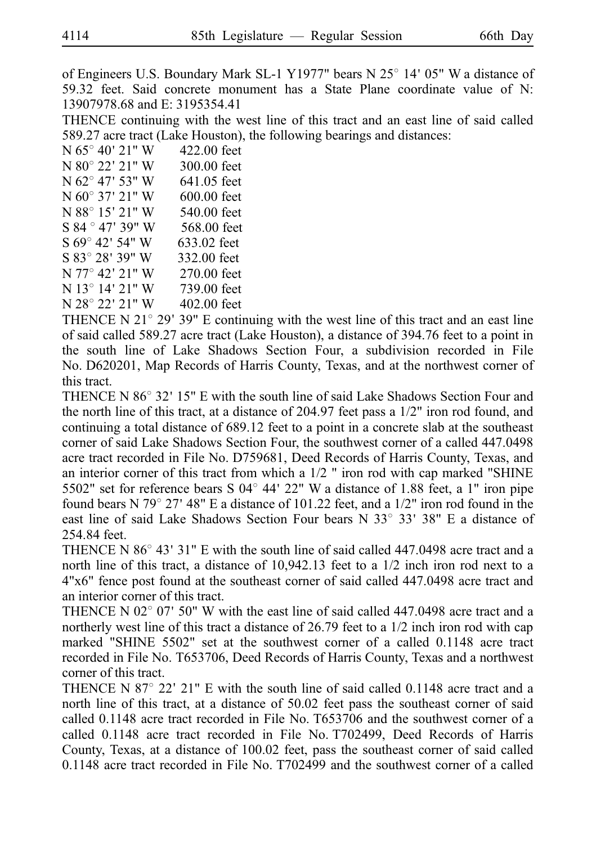of Engineers U.S. Boundary Mark SL-1 Y1977" bears N 25° 14' 05" W a distance of 59.32 feet. Said concrete monument has a State Plane coordinate value of N: 13907978.68 and E: 3195354.41

THENCE continuing with the west line of this tract and an east line of said called 589.27 acre tract (Lake Houston), the following bearings and distances:

 $N 65^{\circ} 40' 21'' W$  422.00 feet N 80° 22′ 21″ W 300.00 feet  $N$  62 $\degree$  47' 53" W 641.05 feet N 60° 37' 21" W 600.00 feet N 88° 15′ 21″ W 540.00 feet S 84 ° 47' 39" W 568.00 feet S 69° 42′ 54″ W 633.02 feet S 83° 28′ 39″ W 332.00 feet N 77° 42′ 21″ W 270.00 feet N 13° 14′ 21″ W 739.00 feet N 28° 22′ 21″ W 402.00 feet

THENCE N  $21^{\circ}$  29' 39" E continuing with the west line of this tract and an east line of said called 589.27 acre tract (Lake Houston), a distance of 394.76 feet to a point in the south line of Lake Shadows Section Four, a subdivision recorded in File No. D620201, Map Records of Harris County, Texas, and at the northwest corner of this tract.

THENCE N  $86^{\circ}$  32' 15" E with the south line of said Lake Shadows Section Four and the north line of this tract, at a distance of 204.97 feet pass a 1/2" iron rod found, and continuing a total distance of 689.12 feet to a point in a concrete slab at the southeast corner of said Lake Shadows Section Four, the southwest corner of a called 447.0498 acre tract recorded in File No. D759681, Deed Records of Harris County, Texas, and an interior corner of this tract from which a  $1/2$  " iron rod with cap marked "SHINE 5502" set for reference bears S 04 $^{\circ}$  44' 22" W a distance of 1.88 feet, a 1" iron pipe found bears N 79 $^{\circ}$  27' 48" E a distance of 101.22 feet, and a 1/2" iron rod found in the east line of said Lake Shadows Section Four bears N  $33^{\circ}$  33' 38" E a distance of 254.84 feet.

THENCE N  $86^{\circ}$  43' 31" E with the south line of said called 447.0498 acre tract and a north line of this tract, a distance of 10,942.13 feet to a 1/2 inch iron rod next to a 4"x6" fence post found at the southeast corner of said called 447.0498 acre tract and an interior corner of this tract.

THENCE N 02 $^{\circ}$  07' 50" W with the east line of said called 447.0498 acre tract and a northerly west line of this tract a distance of 26.79 feet to a 1/2 inch iron rod with cap marked "SHINE 5502" set at the southwest corner of a called 0.1148 acre tract recorded in File No. T653706, Deed Records of Harris County, Texas and a northwest corner of this tract.

THENCE N 87 $^{\circ}$  22' 21" E with the south line of said called 0.1148 acre tract and a north line of this tract, at a distance of 50.02 feet pass the southeast corner of said called  $0.1148$  acre tract recorded in File No. T653706 and the southwest corner of a called 0.1148 acre tract recorded in File No. T702499, Deed Records of Harris County, Texas, at a distance of 100.02 feet, pass the southeast corner of said called  $0.1148$  acre tract recorded in File No. T702499 and the southwest corner of a called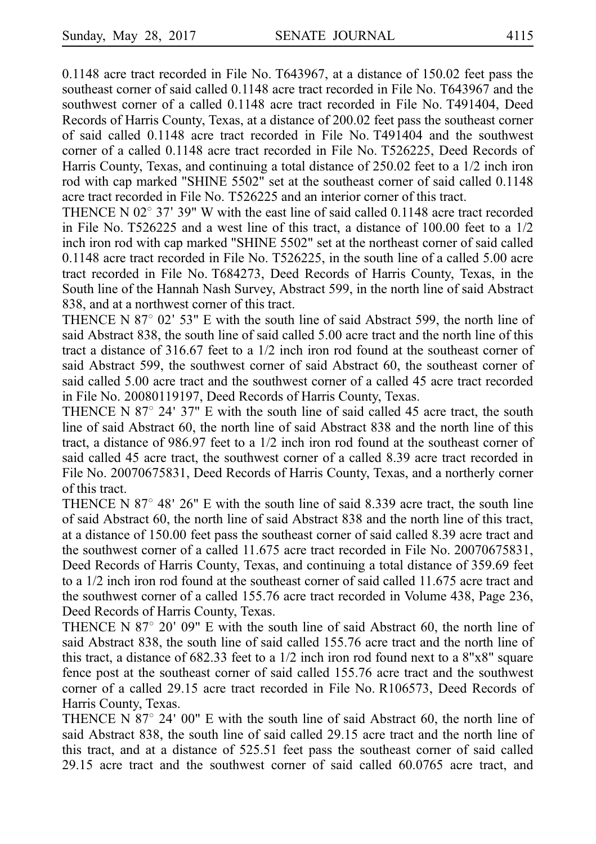$0.1148$  acre tract recorded in File No. T643967, at a distance of 150.02 feet pass the southeast corner of said called 0.1148 acre tract recorded in File No. T643967 and the southwest corner of a called 0.1148 acre tract recorded in File No. T491404, Deed Records of Harris County, Texas, at a distance of 200.02 feet pass the southeast corner of said called 0.1148 acre tract recorded in File No. T491404 and the southwest corner of a called 0.1148 acre tract recorded in File No. T526225, Deed Records of Harris County, Texas, and continuing a total distance of 250.02 feet to a 1/2 inch iron rod with cap marked "SHINE 5502" set at the southeast corner of said called 0.1148 acre tract recorded in File No. T526225 and an interior corner of this tract.

THENCE N  $02^{\circ}$  37' 39" W with the east line of said called 0.1148 acre tract recorded in File No. T526225 and a west line of this tract, a distance of  $100.00$  feet to a  $1/2$ inch iron rod with cap marked "SHINE 5502" set at the northeast corner of said called  $0.1148$  acre tract recorded in File No. T526225, in the south line of a called 5.00 acre tract recorded in File No. T684273, Deed Records of Harris County, Texas, in the South line of the Hannah Nash Survey, Abstract 599, in the north line of said Abstract 838, and at a northwest corner of this tract.

THENCE N 87 $\degree$  02' 53" E with the south line of said Abstract 599, the north line of said Abstract 838, the south line of said called 5.00 acre tract and the north line of this tract a distance of 316.67 feet to a 1/2 inch iron rod found at the southeast corner of said Abstract 599, the southwest corner of said Abstract 60, the southeast corner of said called 5.00 acre tract and the southwest corner of a called 45 acre tract recorded in File No. 20080119197, Deed Records of Harris County, Texas.

THENCE N  $87^{\circ}$  24' 37" E with the south line of said called 45 acre tract, the south line of said Abstract 60, the north line of said Abstract 838 and the north line of this tract, a distance of 986.97 feet to a 1/2 inch iron rod found at the southeast corner of said called 45 acre tract, the southwest corner of a called 8.39 acre tract recorded in File No. 20070675831, Deed Records of Harris County, Texas, and a northerly corner of this tract.

THENCE N 87 $\degree$  48' 26" E with the south line of said 8.339 acre tract, the south line of said Abstract 60, the north line of said Abstract 838 and the north line of this tract, at a distance of 150.00 feet pass the southeast corner of said called 8.39 acre tract and the southwest corner of a called 11.675 acre tract recorded in File No. 20070675831, Deed Records of Harris County, Texas, and continuing a total distance of 359.69 feet to a 1/2 inch iron rod found at the southeast corner of said called 11.675 acre tract and the southwest corner of a called 155.76 acre tract recorded in Volume 438, Page 236, Deed Records of Harris County, Texas.

THENCE N  $87^{\circ}$  20' 09" E with the south line of said Abstract 60, the north line of said Abstract 838, the south line of said called 155.76 acre tract and the north line of this tract, a distance of  $682.33$  feet to a  $1/2$  inch iron rod found next to a  $8"x8"$  square fence post at the southeast corner of said called 155.76 acre tract and the southwest corner of a called 29.15 acre tract recorded in File No. R106573, Deed Records of Harris County, Texas.

THENCE N  $87^{\circ}$  24' 00" E with the south line of said Abstract 60, the north line of said Abstract 838, the south line of said called 29.15 acre tract and the north line of this tract, and at a distance of 525.51 feet pass the southeast corner of said called 29.15 acre tract and the southwest corner of said called 60.0765 acre tract, and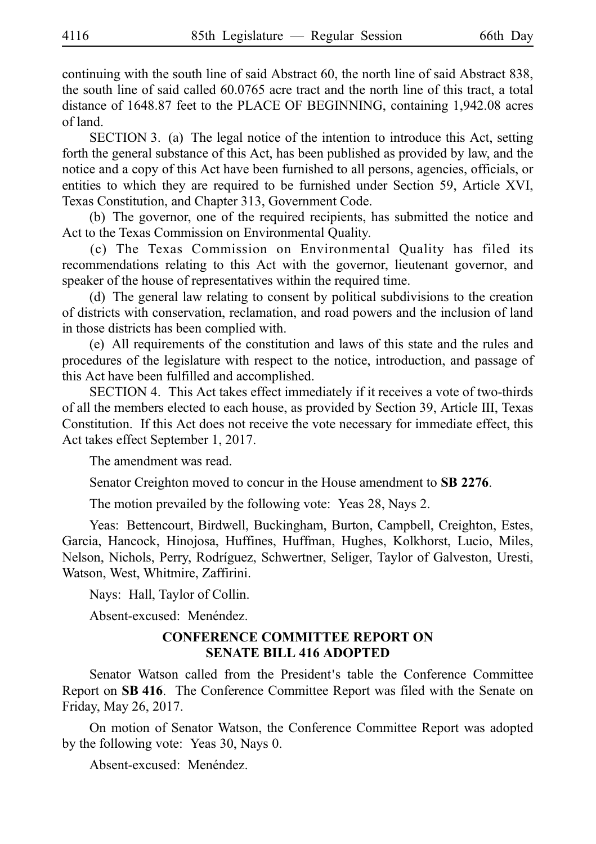continuing with the south line of said Abstract 60, the north line of said Abstract 838, the south line of said called 60.0765 acre tract and the north line of this tract, a total distance of 1648.87 feet to the PLACE OF BEGINNING, containing 1,942.08 acres of land.

SECTION 3. (a) The legal notice of the intention to introduce this Act, setting forth the general substance of this Act, has been published as provided by law, and the notice and a copy of this Act have been furnished to all persons, agencies, officials, or entities to which they are required to be furnished under Section 59, Article XVI, Texas Constitution, and Chapter 313, Government Code.

(b) The governor, one of the required recipients, has submitted the notice and Act to the Texas Commission on Environmental Quality.

(c) The Texas Commission on Environmental Quality has filed its recommendations relating to this Act with the governor, lieutenant governor, and speaker of the house of representatives within the required time.

(d) The general law relating to consent by political subdivisions to the creation of districts with conservation, reclamation, and road powers and the inclusion of land in those districts has been complied with.

(e) All requirements of the constitution and laws of this state and the rules and procedures of the legislature with respect to the notice, introduction, and passage of this Act have been fulfilled and accomplished.

SECTION 4. This Act takes effect immediately if it receives a vote of two-thirds of all the members elected to each house, as provided by Section 39, Article III, Texas Constitution. If this Act does not receive the vote necessary for immediate effect, this Act takes effect September 1, 2017.

The amendment was read.

Senator Creighton moved to concur in the House amendment to SB 2276.

The motion prevailed by the following vote: Yeas 28, Nays 2.

Yeas: Bettencourt, Birdwell, Buckingham, Burton, Campbell, Creighton, Estes, Garcia, Hancock, Hinojosa, Huffines, Huffman, Hughes, Kolkhorst, Lucio, Miles, Nelson, Nichols, Perry, Rodríguez, Schwertner, Seliger, Taylor of Galveston, Uresti, Watson, West, Whitmire, Zaffirini.

Nays: Hall, Taylor of Collin.

Absent-excused: Menéndez.

#### **CONFERENCE COMMITTEE REPORT ON SENATE BILL 416 ADOPTED**

Senator Watson called from the President's table the Conference Committee Report on **SB 416**. The Conference Committee Report was filed with the Senate on Friday, May 26, 2017.

On motion of Senator Watson, the Conference Committee Report was adopted by the following vote: Yeas 30, Nays 0.

Absent-excused: Menéndez.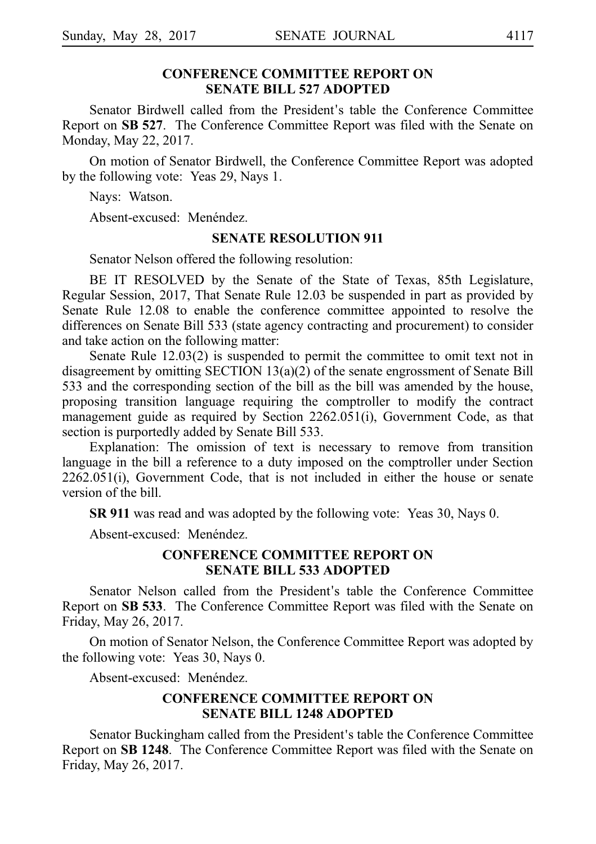#### **CONFERENCE COMMITTEE REPORT ON SENATE BILL 527 ADOPTED**

Senator Birdwell called from the President's table the Conference Committee Report on **SB 527**. The Conference Committee Report was filed with the Senate on Monday, May 22, 2017.

On motion of Senator Birdwell, the Conference Committee Report was adopted by the following vote: Yeas 29, Nays 1.

Nays: Watson.

Absent-excused: Menéndez.

#### **SENATE RESOLUTION 911**

Senator Nelson offered the following resolution:

BE IT RESOLVED by the Senate of the State of Texas, 85th Legislature, Regular Session, 2017, That Senate Rule 12.03 be suspended in part as provided by Senate Rule 12.08 to enable the conference committee appointed to resolve the differences on Senate Bill 533 (state agency contracting and procurement) to consider and take action on the following matter:

Senate Rule 12.03(2) is suspended to permit the committee to omit text not in disagreement by omitting SECTION 13(a)(2) of the senate engrossment of Senate Bill 533 and the corresponding section of the bill as the bill was amended by the house, proposing transition language requiring the comptroller to modify the contract management guide as required by Section 2262.051(i), Government Code, as that section is purportedly added by Senate Bill 533.

Explanation: The omission of text is necessary to remove from transition language in the bill a reference to a duty imposed on the comptroller under Section 2262.051(i), Government Code, that is not included in either the house or senate version of the bill.

**SR 911** was read and was adopted by the following vote: Yeas 30, Nays 0.

Absent-excused: Menéndez.

#### **CONFERENCE COMMITTEE REPORT ON SENATE BILL 533 ADOPTED**

Senator Nelson called from the President's table the Conference Committee Report on SB 533. The Conference Committee Report was filed with the Senate on Friday, May 26, 2017.

On motion of Senator Nelson, the Conference Committee Report was adopted by the following vote: Yeas 30, Nays 0.

Absent-excused: Menéndez.

## **CONFERENCE COMMITTEE REPORT ON SENATE BILL 1248 ADOPTED**

Senator Buckingham called from the President's table the Conference Committee Report on **SBi1248**. The Conference Committee Report was filed with the Senate on Friday, May 26, 2017.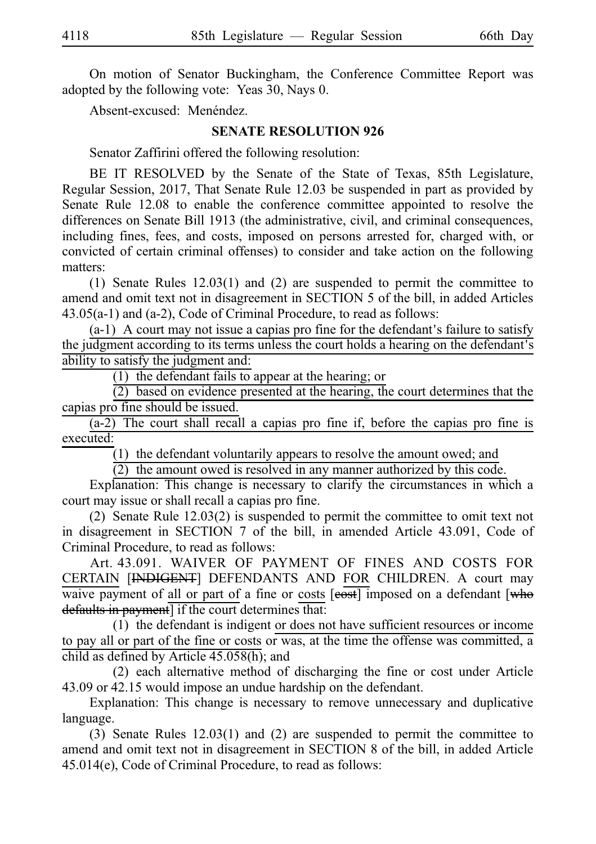On motion of Senator Buckingham, the Conference Committee Report was adopted by the following vote: Yeas 30, Nays 0.

Absent-excused: Menéndez.

#### **SENATE RESOLUTION 926**

Senator Zaffirini offered the following resolution:

BE IT RESOLVED by the Senate of the State of Texas, 85th Legislature, Regular Session, 2017, That Senate Rule 12.03 be suspended in part as provided by Senate Rule 12.08 to enable the conference committee appointed to resolve the differences on Senate Bill 1913 (the administrative, civil, and criminal consequences, including fines, fees, and costs, imposed on persons arrested for, charged with, or convicted of certain criminal offenses) to consider and take action on the following matters:

(1) Senate Rules  $12.03(1)$  and (2) are suspended to permit the committee to amend and omit text not in disagreement in SECTION 5 of the bill, in added Articles 43.05(a-1) and (a-2), Code of Criminal Procedure, to read as follows:

 $(a-1)$  A court may not issue a capias pro fine for the defendant's failure to satisfy the judgment according to its terms unless the court holds a hearing on the defendant's ability to satisfy the judgment and:

 $(1)$  the defendant fails to appear at the hearing; or

 $\overline{(2)}$  based on evidence presented at the hearing, the court determines that the capias pro fine should be issued.

 $(a-2)$  The court shall recall a capias pro fine if, before the capias pro fine is executed:

 $(1)$  the defendant voluntarily appears to resolve the amount owed; and

 $(2)$  the amount owed is resolved in any manner authorized by this code.

Explanation: This change is necessary to clarify the circumstances in which a court may issue or shall recall a capias pro fine.

(2) Senate Rule  $12.03(2)$  is suspended to permit the committee to omit text not in disagreement in SECTION 7 of the bill, in amended Article 43.091, Code of Criminal Procedure, to read as follows:

Art. 43.091. WAIVER OF PAYMENT OF FINES AND COSTS FOR CERTAIN [INDIGENT] DEFENDANTS AND FOR CHILDREN. A court may waive payment of all or part of a fine or costs [eost] imposed on a defendant [who defaults in payment] if the court determines that:

 $(1)$  the defendant is indigent or does not have sufficient resources or income to pay all or part of the fine or costs or was, at the time the offense was committed, a child as defined by Article 45.058(h); and

(2) each alternative method of discharging the fine or cost under Article 43.09 or 42.15 would impose an undue hardship on the defendant.

Explanation: This change is necessary to remove unnecessary and duplicative language.

(3) Senate Rules  $12.03(1)$  and (2) are suspended to permit the committee to amend and omit text not in disagreement in SECTION 8 of the bill, in added Article 45.014(e), Code of Criminal Procedure, to read as follows: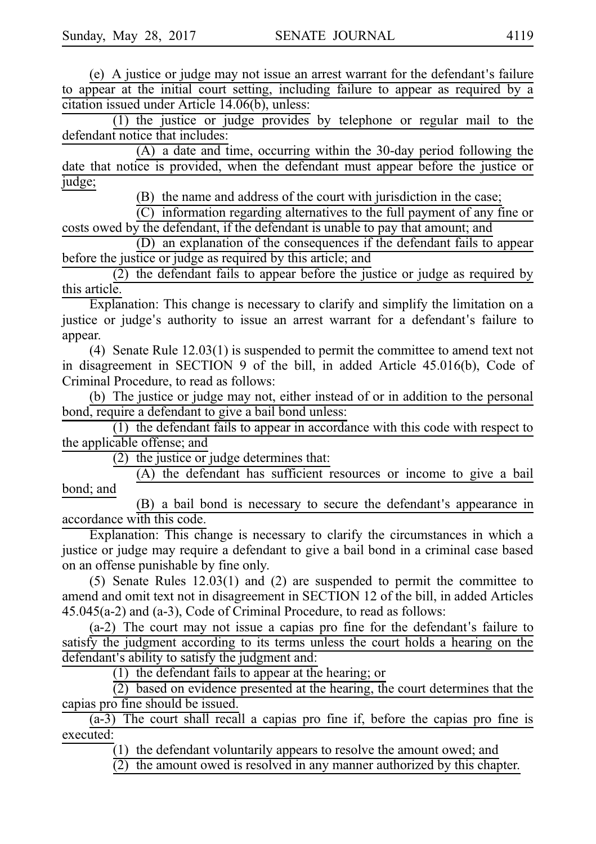$(e)$  A justice or judge may not issue an arrest warrant for the defendant's failure to appear at the initial court setting, including failure to appear as required by a citation issued under Article 14.06(b), unless:

 $(1)$  the justice or judge provides by telephone or regular mail to the defendant notice that includes:

 $(A)$  a date and time, occurring within the 30-day period following the date that notice is provided, when the defendant must appear before the justice or judge;

(B) the name and address of the court with jurisdiction in the case;

 $(C)$  information regarding alternatives to the full payment of any fine or costs owed by the defendant, if the defendant is unable to pay that amount; and

(D) an explanation of the consequences if the defendant fails to appear before the justice or judge as required by this article; and

 $(2)$  the defendant fails to appear before the justice or judge as required by this article.

Explanation: This change is necessary to clarify and simplify the limitation on a justice or judge's authority to issue an arrest warrant for a defendant's failure to appear.

(4) Senate Rule  $12.03(1)$  is suspended to permit the committee to amend text not in disagreement in SECTION 9 of the bill, in added Article 45.016(b), Code of Criminal Procedure, to read as follows:

(b) The justice or judge may not, either instead of or in addition to the personal bond, require a defendant to give a bail bond unless:

 $(1)$  the defendant fails to appear in accordance with this code with respect to the applicable offense; and

(2) the justice or judge determines that:

 $(A)$  the defendant has sufficient resources or income to give a bail bond; and

(B) a bail bond is necessary to secure the defendant's appearance in accordance with this code.

Explanation: This change is necessary to clarify the circumstances in which a justice or judge may require a defendant to give a bail bond in a criminal case based on an offense punishable by fine only.

(5) Senate Rules  $12.03(1)$  and (2) are suspended to permit the committee to amend and omit text not in disagreement in SECTION 12 of the bill, in added Articles 45.045(a-2) and (a-3), Code of Criminal Procedure, to read as follows:

 $(a-2)$  The court may not issue a capias pro fine for the defendant's failure to satisfy the judgment according to its terms unless the court holds a hearing on the defendant's ability to satisfy the judgment and:

 $(1)$  the defendant fails to appear at the hearing; or

 $(2)$  based on evidence presented at the hearing, the court determines that the capias pro fine should be issued.

 $(a-3)$  The court shall recall a capias pro fine if, before the capias pro fine is executed:

 $(1)$  the defendant voluntarily appears to resolve the amount owed; and

 $(2)$  the amount owed is resolved in any manner authorized by this chapter.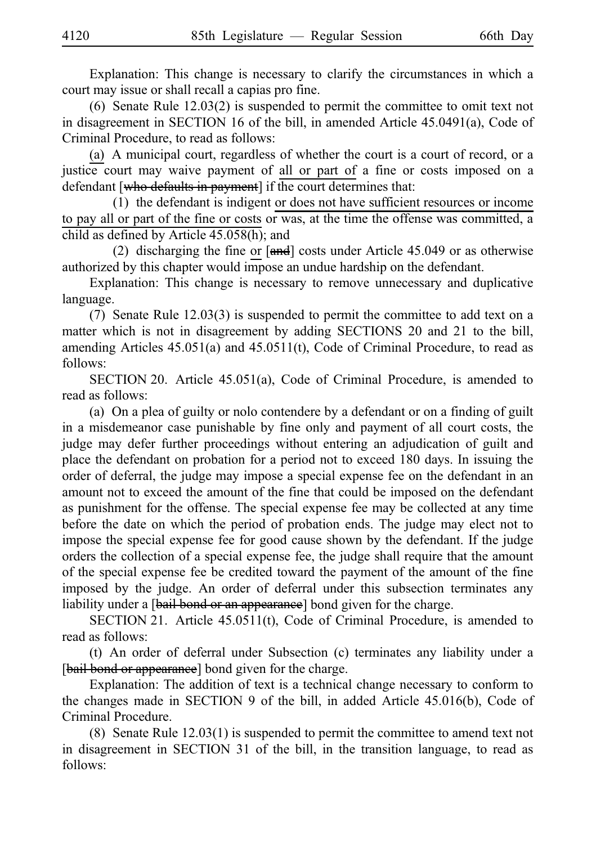Explanation: This change is necessary to clarify the circumstances in which a court may issue or shall recall a capias pro fine.

(6) Senate Rule  $12.03(2)$  is suspended to permit the committee to omit text not in disagreement in SECTION 16 of the bill, in amended Article 45.0491(a), Code of Criminal Procedure, to read as follows:

(a) A municipal court, regardless of whether the court is a court of record, or a justice court may waive payment of all or part of a fine or costs imposed on a defendant [who defaults in payment] if the court determines that:

(1) the defendant is indigent or does not have sufficient resources or income to pay all or part of the fine or costs or was, at the time the offense was committed, a child as defined by Article 45.058(h); and

(2) discharging the fine or  $[and]$  costs under Article 45.049 or as otherwise authorized by this chapter would impose an undue hardship on the defendant.

Explanation: This change is necessary to remove unnecessary and duplicative language.

(7) Senate Rule  $12.03(3)$  is suspended to permit the committee to add text on a matter which is not in disagreement by adding SECTIONS 20 and 21 to the bill, amending Articles 45.051(a) and 45.0511(t), Code of Criminal Procedure, to read as follows:

SECTION 20. Article  $45.051(a)$ , Code of Criminal Procedure, is amended to read as follows:

(a) On a plea of guilty or nolo contendere by a defendant or on a finding of guilt in a misdemeanor case punishable by fine only and payment of all court costs, the judge may defer further proceedings without entering an adjudication of guilt and place the defendant on probation for a period not to exceed 180 days. In issuing the order of deferral, the judge may impose a special expense fee on the defendant in an amount not to exceed the amount of the fine that could be imposed on the defendant as punishment for the offense. The special expense fee may be collected at any time before the date on which the period of probation ends. The judge may elect not to impose the special expense fee for good cause shown by the defendant. If the judge orders the collection of a special expense fee, the judge shall require that the amount of the special expense fee be credited toward the payment of the amount of the fine imposed by the judge. An order of deferral under this subsection terminates any liability under a [bail bond or an appearance] bond given for the charge.

SECTION 21. Article 45.0511(t), Code of Criminal Procedure, is amended to read as follows:

(t) An order of deferral under Subsection (c) terminates any liability under a [bail bond or appearance] bond given for the charge.

Explanation: The addition of text is a technical change necessary to conform to the changes made in SECTION 9 of the bill, in added Article 45.016(b), Code of Criminal Procedure.

(8) Senate Rule  $12.03(1)$  is suspended to permit the committee to amend text not in disagreement in SECTION 31 of the bill, in the transition language, to read as follows: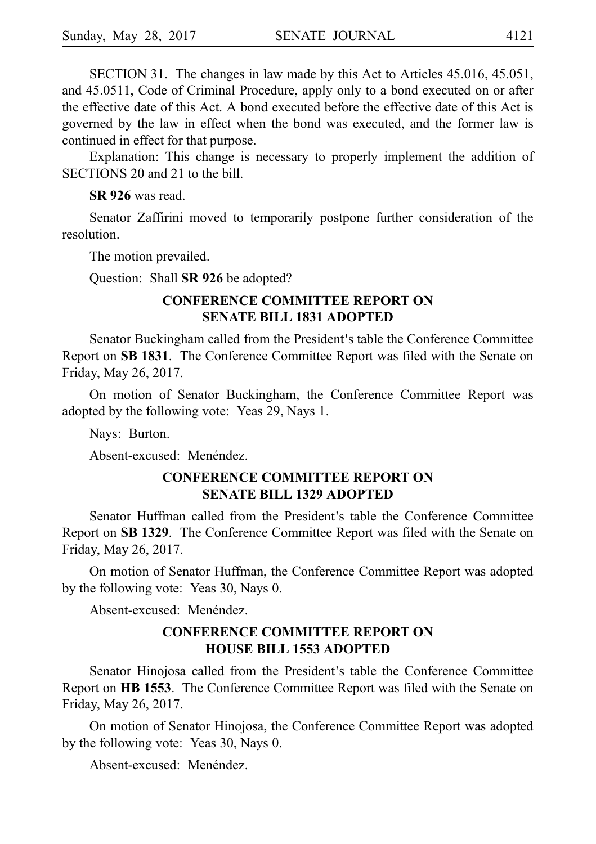SECTION 31. The changes in law made by this Act to Articles 45.016, 45.051, and 45.0511, Code of Criminal Procedure, apply only to a bond executed on or after the effective date of this Act. A bond executed before the effective date of this Act is governed by the law in effect when the bond was executed, and the former law is continued in effect for that purpose.

Explanation: This change is necessary to properly implement the addition of SECTIONS 20 and 21 to the bill.

**SR 926** was read.

Senator Zaffirini moved to temporarily postpone further consideration of the resolution.

The motion prevailed.

Question: Shall **SR 926** be adopted?

### **CONFERENCE COMMITTEE REPORT ON SENATE BILL 1831 ADOPTED**

Senator Buckingham called from the President's table the Conference Committee Report on **SBi1831**. The Conference Committee Report was filed with the Senate on Friday, May 26, 2017.

On motion of Senator Buckingham, the Conference Committee Report was adopted by the following vote: Yeas 29, Nays 1.

Nays: Burton.

Absent-excused: Menéndez.

#### **CONFERENCE COMMITTEE REPORT ON SENATE BILL 1329 ADOPTED**

Senator Huffman called from the President's table the Conference Committee Report on **SBi1329**. The Conference Committee Report was filed with the Senate on Friday, May 26, 2017.

On motion of Senator Huffman, the Conference Committee Report was adopted by the following vote: Yeas 30, Nays 0.

Absent-excused: Menéndez.

#### **CONFERENCE COMMITTEE REPORT ON HOUSE BILL 1553 ADOPTED**

Senator Hinojosa called from the President's table the Conference Committee Report on HB 1553. The Conference Committee Report was filed with the Senate on Friday, May 26, 2017.

On motion of Senator Hinojosa, the Conference Committee Report was adopted by the following vote: Yeas 30, Nays 0.

Absent-excused: Menéndez.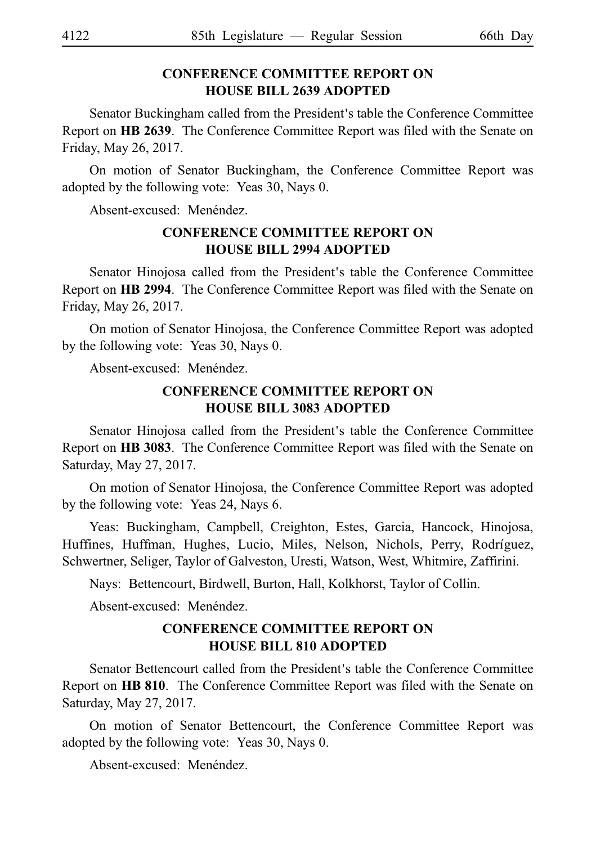## **CONFERENCE COMMITTEE REPORT ON HOUSE BILL 2639 ADOPTED**

Senator Buckingham called from the President's table the Conference Committee Report on HB 2639. The Conference Committee Report was filed with the Senate on Friday, May 26, 2017.

On motion of Senator Buckingham, the Conference Committee Report was adopted by the following vote: Yeas 30, Nays 0.

Absent-excused: Menéndez.

## **CONFERENCE COMMITTEE REPORT ON HOUSE BILL 2994 ADOPTED**

Senator Hinojosa called from the President's table the Conference Committee Report on HB 2994. The Conference Committee Report was filed with the Senate on Friday, May 26, 2017.

On motion of Senator Hinojosa, the Conference Committee Report was adopted by the following vote: Yeas 30, Nays 0.

Absent-excused: Menéndez.

## **CONFERENCE COMMITTEE REPORT ON HOUSE BILL 3083 ADOPTED**

Senator Hinojosa called from the President's table the Conference Committee Report on HB 3083. The Conference Committee Report was filed with the Senate on Saturday, May 27, 2017.

On motion of Senator Hinojosa, the Conference Committee Report was adopted by the following vote: Yeas 24, Nays 6.

Yeas: Buckingham, Campbell, Creighton, Estes, Garcia, Hancock, Hinojosa, Huffines, Huffman, Hughes, Lucio, Miles, Nelson, Nichols, Perry, Rodríguez, Schwertner, Seliger, Taylor of Galveston, Uresti, Watson, West, Whitmire, Zaffirini.

Nays: Bettencourt, Birdwell, Burton, Hall, Kolkhorst, Taylor of Collin.

Absent-excused: Menéndez.

## **CONFERENCE COMMITTEE REPORT ON HOUSE BILL 810 ADOPTED**

Senator Bettencourt called from the President's table the Conference Committee Report on HB 810. The Conference Committee Report was filed with the Senate on Saturday, May 27, 2017.

On motion of Senator Bettencourt, the Conference Committee Report was adopted by the following vote: Yeas 30, Nays 0.

Absent-excused: Menéndez.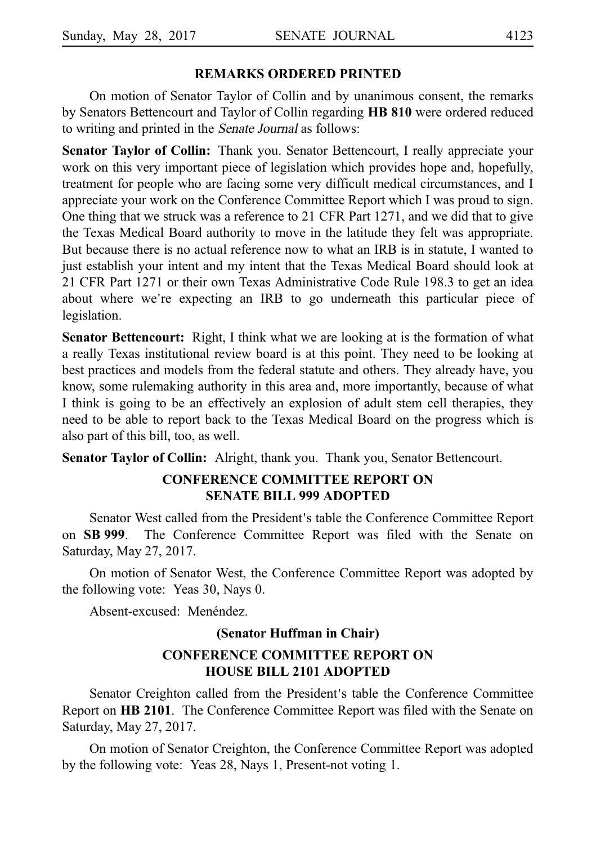#### **REMARKS ORDERED PRINTED**

On motion of Senator Taylor of Collin and by unanimous consent, the remarks by Senators Bettencourt and Taylor of Collin regarding **HB 810** were ordered reduced to writing and printed in the Senate Journal as follows:

**Senator Taylor of Collin:** Thank you. Senator Bettencourt, I really appreciate your work on this very important piece of legislation which provides hope and, hopefully, treatment for people who are facing some very difficult medical circumstances, and I appreciate your work on the Conference Committee Report which I was proud to sign. One thing that we struck was a reference to 21 CFR Part 1271, and we did that to give the Texas Medical Board authority to move in the latitude they felt was appropriate. But because there is no actual reference now to what an IRB is in statute, I wanted to just establish your intent and my intent that the Texas Medical Board should look at 21 CFR Part 1271 or their own Texas Administrative Code Rule 198.3 to get an idea about where we're expecting an IRB to go underneath this particular piece of legislation.

**Senator Bettencourt:** Right, I think what we are looking at is the formation of what a really Texas institutional review board is at this point. They need to be looking at best practices and models from the federal statute and others. They already have, you know, some rulemaking authority in this area and, more importantly, because of what I think is going to be an effectively an explosion of adult stem cell therapies, they need to be able to report back to the Texas Medical Board on the progress which is also part of this bill, too, as well.

**Senator Taylor of Collin:** Alright, thank you. Thank you, Senator Bettencourt.

## **CONFERENCE COMMITTEE REPORT ON SENATE BILL 999 ADOPTED**

Senator West called from the President's table the Conference Committee Report on **SBi999**. The Conference Committee Report was filed with the Senate on Saturday, May 27, 2017.

On motion of Senator West, the Conference Committee Report was adopted by the following vote: Yeas 30, Nays 0.

Absent-excused: Menéndez.

#### **(Senator Huffman in Chair)**

#### **CONFERENCE COMMITTEE REPORT ON HOUSE BILL 2101 ADOPTED**

Senator Creighton called from the President's table the Conference Committee Report on **HB 2101**. The Conference Committee Report was filed with the Senate on Saturday, May 27, 2017.

On motion of Senator Creighton, the Conference Committee Report was adopted by the following vote: Yeas 28, Nays 1, Present-not voting 1.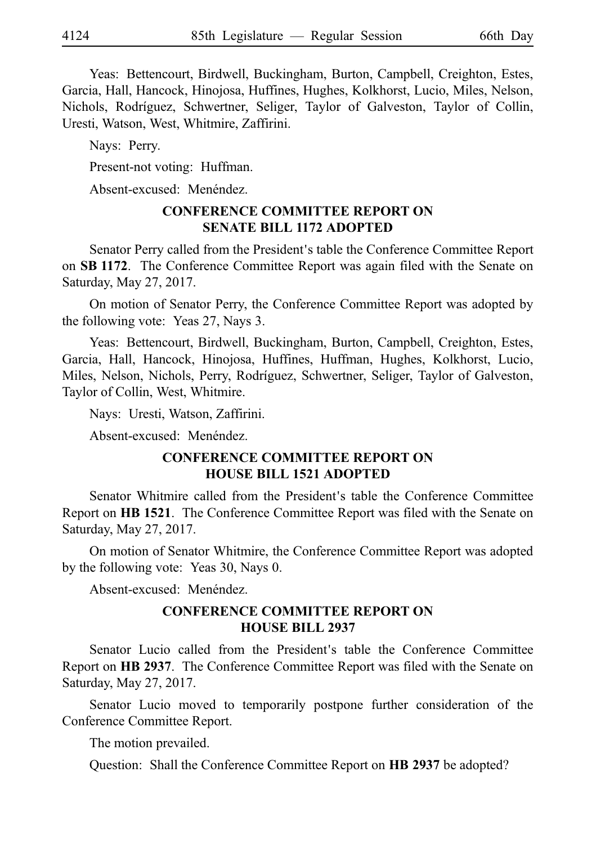Yeas: Bettencourt, Birdwell, Buckingham, Burton, Campbell, Creighton, Estes, Garcia, Hall, Hancock, Hinojosa, Huffines, Hughes, Kolkhorst, Lucio, Miles, Nelson, Nichols, Rodríguez, Schwertner, Seliger, Taylor of Galveston, Taylor of Collin, Uresti, Watson, West, Whitmire, Zaffirini.

Nays: Perry.

Present-not voting: Huffman.

Absent-excused: Menéndez.

## **CONFERENCE COMMITTEE REPORT ON SENATE BILL 1172 ADOPTED**

Senator Perry called from the President's table the Conference Committee Report on **SBi1172**. The Conference Committee Report was again filed with the Senate on Saturday, May 27, 2017.

On motion of Senator Perry, the Conference Committee Report was adopted by the following vote: Yeas 27, Nays 3.

Yeas: Bettencourt, Birdwell, Buckingham, Burton, Campbell, Creighton, Estes, Garcia, Hall, Hancock, Hinojosa, Huffines, Huffman, Hughes, Kolkhorst, Lucio, Miles, Nelson, Nichols, Perry, Rodríguez, Schwertner, Seliger, Taylor of Galveston, Taylor of Collin, West, Whitmire.

Nays: Uresti, Watson, Zaffirini.

Absent-excused: Menéndez.

#### **CONFERENCE COMMITTEE REPORT ON HOUSE BILL 1521 ADOPTED**

Senator Whitmire called from the President's table the Conference Committee Report on **HBi1521**. The Conference Committee Report was filed with the Senate on Saturday, May 27, 2017.

On motion of Senator Whitmire, the Conference Committee Report was adopted by the following vote: Yeas 30, Nays 0.

Absent-excused: Menéndez.

#### **CONFERENCE COMMITTEE REPORT ON HOUSE BILL 2937**

Senator Lucio called from the President's table the Conference Committee Report on **HB 2937**. The Conference Committee Report was filed with the Senate on Saturday, May 27, 2017.

Senator Lucio moved to temporarily postpone further consideration of the Conference Committee Report.

The motion prevailed.

Question: Shall the Conference Committee Report on **HB 2937** be adopted?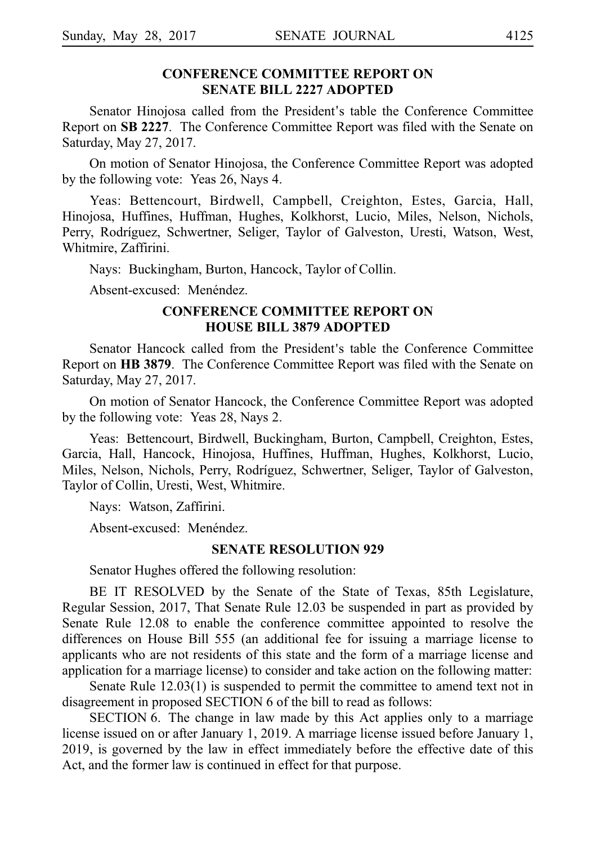#### **CONFERENCE COMMITTEE REPORT ON SENATE BILL 2227 ADOPTED**

Senator Hinojosa called from the President's table the Conference Committee Report on **SBi2227**. The Conference Committee Report was filed with the Senate on Saturday, May 27, 2017.

On motion of Senator Hinojosa, the Conference Committee Report was adopted by the following vote: Yeas 26, Nays 4.

Yeas: Bettencourt, Birdwell, Campbell, Creighton, Estes, Garcia, Hall, Hinojosa, Huffines, Huffman, Hughes, Kolkhorst, Lucio, Miles, Nelson, Nichols, Perry, Rodríguez, Schwertner, Seliger, Taylor of Galveston, Uresti, Watson, West, Whitmire, Zaffirini.

Nays: Buckingham, Burton, Hancock, Taylor of Collin.

Absent-excused: Menéndez.

#### **CONFERENCE COMMITTEE REPORT ON HOUSE BILL 3879 ADOPTED**

Senator Hancock called from the President's table the Conference Committee Report on **HB 3879**. The Conference Committee Report was filed with the Senate on Saturday, May 27, 2017.

On motion of Senator Hancock, the Conference Committee Report was adopted by the following vote: Yeas 28, Nays 2.

Yeas: Bettencourt, Birdwell, Buckingham, Burton, Campbell, Creighton, Estes, Garcia, Hall, Hancock, Hinojosa, Huffines, Huffman, Hughes, Kolkhorst, Lucio, Miles, Nelson, Nichols, Perry, Rodríguez, Schwertner, Seliger, Taylor of Galveston, Taylor of Collin, Uresti, West, Whitmire.

Nays: Watson, Zaffirini.

Absent-excused: Menéndez.

#### **SENATE RESOLUTION 929**

Senator Hughes offered the following resolution:

BE IT RESOLVED by the Senate of the State of Texas, 85th Legislature, Regular Session, 2017, That Senate Rule 12.03 be suspended in part as provided by Senate Rule 12.08 to enable the conference committee appointed to resolve the differences on House Bill 555 (an additional fee for issuing a marriage license to applicants who are not residents of this state and the form of a marriage license and application for a marriage license) to consider and take action on the following matter:

Senate Rule 12.03(1) is suspended to permit the committee to amend text not in disagreement in proposed SECTION 6 of the bill to read as follows:

SECTION 6. The change in law made by this Act applies only to a marriage license issued on or after January 1, 2019. A marriage license issued before January 1, 2019, is governed by the law in effect immediately before the effective date of this Act, and the former law is continued in effect for that purpose.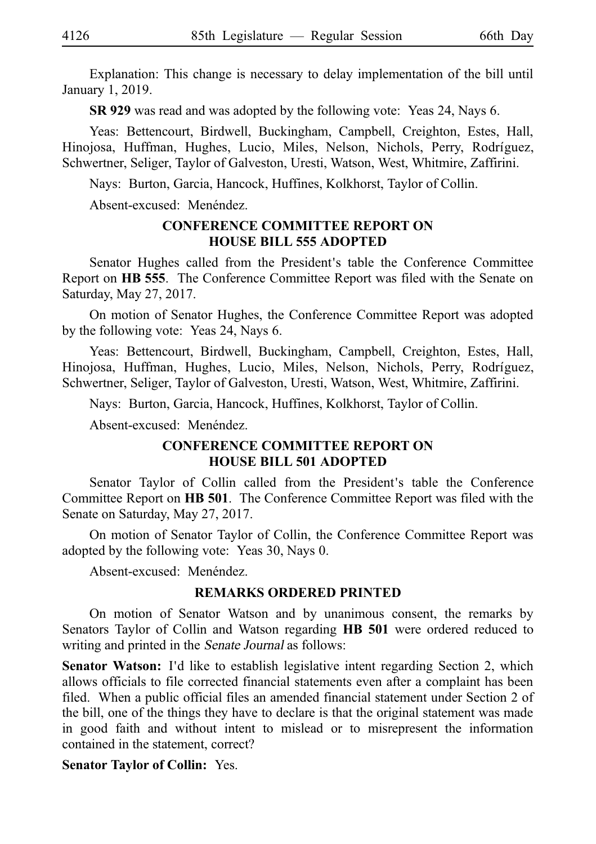Explanation: This change is necessary to delay implementation of the bill until January 1, 2019.

**SR 929** was read and was adopted by the following vote: Yeas 24, Nays 6.

Yeas: Bettencourt, Birdwell, Buckingham, Campbell, Creighton, Estes, Hall, Hinojosa, Huffman, Hughes, Lucio, Miles, Nelson, Nichols, Perry, Rodríguez, Schwertner, Seliger, Taylor of Galveston, Uresti, Watson, West, Whitmire, Zaffirini.

Nays: Burton, Garcia, Hancock, Huffines, Kolkhorst, Taylor of Collin.

Absent-excused: Menéndez.

#### **CONFERENCE COMMITTEE REPORT ON HOUSE BILL 555 ADOPTED**

Senator Hughes called from the President's table the Conference Committee Report on HB 555. The Conference Committee Report was filed with the Senate on Saturday, May 27, 2017.

On motion of Senator Hughes, the Conference Committee Report was adopted by the following vote: Yeas 24, Nays 6.

Yeas: Bettencourt, Birdwell, Buckingham, Campbell, Creighton, Estes, Hall, Hinojosa, Huffman, Hughes, Lucio, Miles, Nelson, Nichols, Perry, Rodríguez, Schwertner, Seliger, Taylor of Galveston, Uresti, Watson, West, Whitmire, Zaffirini.

Nays: Burton, Garcia, Hancock, Huffines, Kolkhorst, Taylor of Collin.

Absent-excused: Menéndez.

#### **CONFERENCE COMMITTEE REPORT ON HOUSE BILL 501 ADOPTED**

Senator Taylor of Collin called from the President's table the Conference Committee Report on HB 501. The Conference Committee Report was filed with the Senate on Saturday, May 27, 2017.

On motion of Senator Taylor of Collin, the Conference Committee Report was adopted by the following vote: Yeas 30, Nays 0.

Absent-excused: Menéndez.

#### **REMARKS ORDERED PRINTED**

On motion of Senator Watson and by unanimous consent, the remarks by Senators Taylor of Collin and Watson regarding **HB 501** were ordered reduced to writing and printed in the Senate Journal as follows:

Senator Watson: I'd like to establish legislative intent regarding Section 2, which allows officials to file corrected financial statements even after a complaint has been filed. When a public official files an amended financial statement under Section 2 of the bill, one of the things they have to declare is that the original statement was made in good faith and without intent to mislead or to misrepresent the information contained in the statement, correct?

#### **Senator Taylor of Collin: Yes.**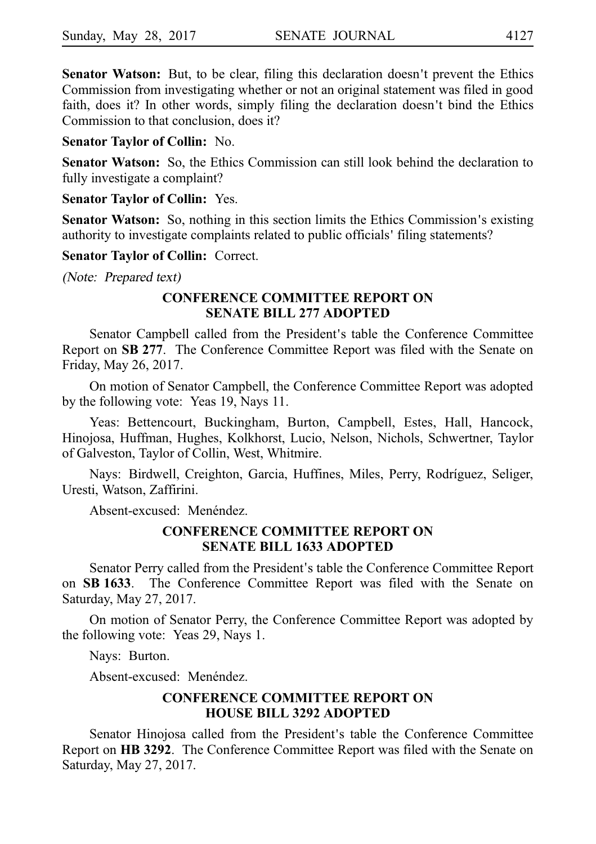**Senator Watson:** But, to be clear, filing this declaration doesn't prevent the Ethics Commission from investigating whether or not an original statement was filed in good faith, does it? In other words, simply filing the declaration doesn't bind the Ethics Commission to that conclusion, does it?

#### **Senator Taylor of Collin:** No.

**Senator Watson:** So, the Ethics Commission can still look behind the declaration to fully investigate a complaint?

#### **Senator Taylor of Collin: Yes.**

**Senator Watson:** So, nothing in this section limits the Ethics Commission's existing authority to investigate complaints related to public officials' filing statements?

**Senator Taylor of Collin: Correct.** 

(Note: Prepared text)

#### **CONFERENCE COMMITTEE REPORT ON SENATE BILL 277 ADOPTED**

Senator Campbell called from the President's table the Conference Committee Report on SB 277. The Conference Committee Report was filed with the Senate on Friday, May 26, 2017.

On motion of Senator Campbell, the Conference Committee Report was adopted by the following vote: Yeas 19, Nays 11.

Yeas: Bettencourt, Buckingham, Burton, Campbell, Estes, Hall, Hancock, Hinojosa, Huffman, Hughes, Kolkhorst, Lucio, Nelson, Nichols, Schwertner, Taylor of Galveston, Taylor of Collin, West, Whitmire.

Nays: Birdwell, Creighton, Garcia, Huffines, Miles, Perry, Rodríguez, Seliger, Uresti, Watson, Zaffirini.

Absent-excused: Menéndez.

#### **CONFERENCE COMMITTEE REPORT ON SENATE BILL 1633 ADOPTED**

Senator Perry called from the President's table the Conference Committee Report on **SBi1633**. The Conference Committee Report was filed with the Senate on Saturday, May 27, 2017.

On motion of Senator Perry, the Conference Committee Report was adopted by the following vote: Yeas 29, Nays 1.

Nays: Burton.

Absent-excused: Menéndez.

## **CONFERENCE COMMITTEE REPORT ON HOUSE BILL 3292 ADOPTED**

Senator Hinojosa called from the President's table the Conference Committee Report on HB 3292. The Conference Committee Report was filed with the Senate on Saturday, May 27, 2017.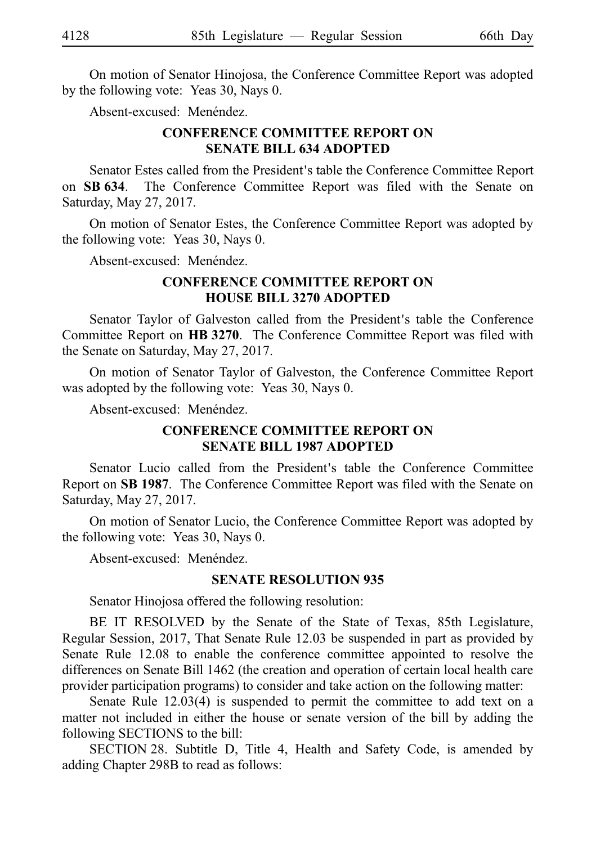On motion of Senator Hinojosa, the Conference Committee Report was adopted by the following vote: Yeas 30, Nays 0.

Absent-excused: Menéndez.

#### **CONFERENCE COMMITTEE REPORT ON SENATE BILL 634 ADOPTED**

Senator Estes called from the President's table the Conference Committee Report on **SBi634**. The Conference Committee Report was filed with the Senate on Saturday, May 27, 2017.

On motion of Senator Estes, the Conference Committee Report was adopted by the following vote: Yeas 30, Nays 0.

Absent-excused: Menéndez.

#### **CONFERENCE COMMITTEE REPORT ON HOUSE BILL 3270 ADOPTED**

Senator Taylor of Galveston called from the President's table the Conference Committee Report on HB 3270. The Conference Committee Report was filed with the Senate on Saturday, May 27, 2017.

On motion of Senator Taylor of Galveston, the Conference Committee Report was adopted by the following vote: Yeas 30, Nays 0.

Absent-excused: Menéndez.

#### **CONFERENCE COMMITTEE REPORT ON SENATE BILL 1987 ADOPTED**

Senator Lucio called from the President's table the Conference Committee Report on **SBi1987**. The Conference Committee Report was filed with the Senate on Saturday, May 27, 2017.

On motion of Senator Lucio, the Conference Committee Report was adopted by the following vote: Yeas 30, Nays 0.

Absent-excused: Menéndez.

#### **SENATE RESOLUTION 935**

Senator Hinojosa offered the following resolution:

BE IT RESOLVED by the Senate of the State of Texas, 85th Legislature, Regular Session, 2017, That Senate Rule 12.03 be suspended in part as provided by Senate Rule 12.08 to enable the conference committee appointed to resolve the differences on Senate Bill 1462 (the creation and operation of certain local health care provider participation programs) to consider and take action on the following matter:

Senate Rule 12.03(4) is suspended to permit the committee to add text on a matter not included in either the house or senate version of the bill by adding the following SECTIONS to the bill:

SECTION 28. Subtitle D, Title 4, Health and Safety Code, is amended by adding Chapter 298B to read as follows: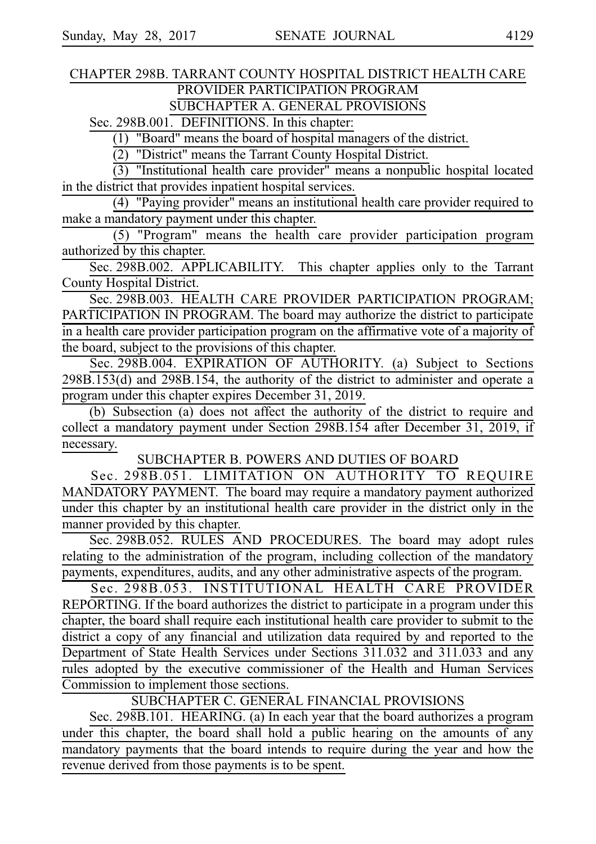## CHAPTER 298B. TARRANT COUNTY HOSPITAL DISTRICT HEALTH CARE PROVIDER PARTICIPATION PROGRAM

SUBCHAPTER A. GENERAL PROVISIONS

Sec. 298B.001. DEFINITIONS. In this chapter:

 $(1)$  "Board" means the board of hospital managers of the district.

 $\overline{(2)}$  "District" means the Tarrant County Hospital District.

 $(3)$  "Institutional health care provider" means a nonpublic hospital located in the district that provides inpatient hospital services.

(4) "Paying provider" means an institutional health care provider required to make a mandatory payment under this chapter.

(5) "Program" means the health care provider participation program authorized by this chapter.

Sec. 298B.002. APPLICABILITY. This chapter applies only to the Tarrant County Hospital District.

Sec. 298B.003. HEALTH CARE PROVIDER PARTICIPATION PROGRAM; PARTICIPATION IN PROGRAM. The board may authorize the district to participate in a health care provider participation program on the affirmative vote of a majority of the board, subject to the provisions of this chapter.

Sec. 298B.004. EXPIRATION OF AUTHORITY. (a) Subject to Sections 298B.153(d) and 298B.154, the authority of the district to administer and operate a program under this chapter expires December 31, 2019.

(b) Subsection (a) does not affect the authority of the district to require and collect a mandatory payment under Section 298B.154 after December 31, 2019, if necessary.

SUBCHAPTER B. POWERS AND DUTIES OF BOARD

Sec. 298B.051. LIMITATION ON AUTHORITY TO REQUIRE MANDATORY PAYMENT. The board may require a mandatory payment authorized under this chapter by an institutional health care provider in the district only in the manner provided by this chapter.

Sec. 298B.052. RULES AND PROCEDURES. The board may adopt rules relating to the administration of the program, including collection of the mandatory payments, expenditures, audits, and any other administrative aspects of the program.

Sec. 298B.053. INSTITUTIONAL HEALTH CARE PROVIDER REPORTING. If the board authorizes the district to participate in a program under this chapter, the board shall require each institutional health care provider to submit to the district a copy of any financial and utilization data required by and reported to the Department of State Health Services under Sections 311.032 and 311.033 and any rules adopted by the executive commissioner of the Health and Human Services Commission to implement those sections.

SUBCHAPTER C. GENERAL FINANCIAL PROVISIONS

Sec. 298B.101. HEARING. (a) In each year that the board authorizes a program under this chapter, the board shall hold a public hearing on the amounts of any mandatory payments that the board intends to require during the year and how the revenue derived from those payments is to be spent.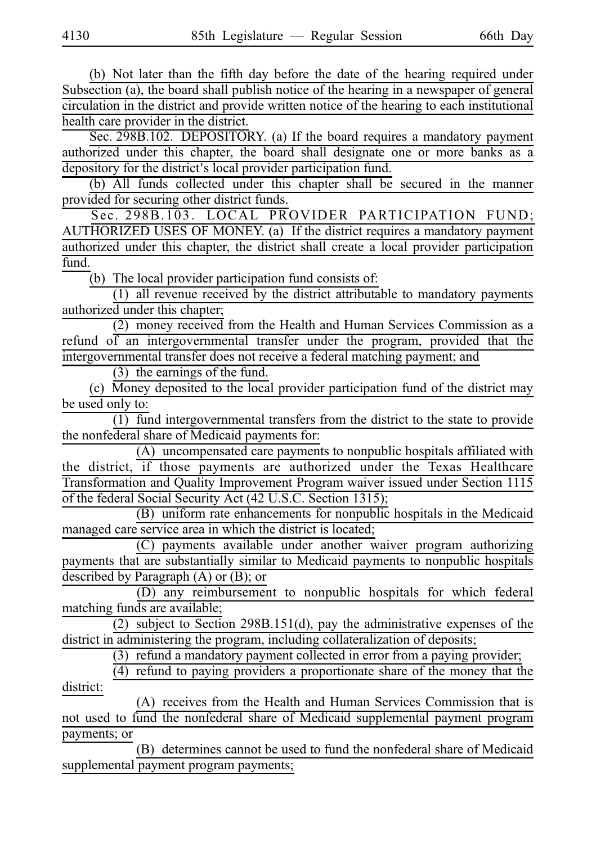(b) Not later than the fifth day before the date of the hearing required under Subsection (a), the board shall publish notice of the hearing in a newspaper of general circulation in the district and provide written notice of the hearing to each institutional health care provider in the district.

Sec. 298B.102. DEPOSITORY. (a) If the board requires a mandatory payment authorized under this chapter, the board shall designate one or more banks as a depository for the district's local provider participation fund.

(b) All funds collected under this chapter shall be secured in the manner provided for securing other district funds.

Sec. 298B.103. LOCAL PROVIDER PARTICIPATION FUND; AUTHORIZED USES OF MONEY. (a) If the district requires a mandatory payment authorized under this chapter, the district shall create a local provider participation fund.

 $(b)$  The local provider participation fund consists of:

 $(1)$  all revenue received by the district attributable to mandatory payments authorized under this chapter;

(2) money received from the Health and Human Services Commission as a refund of an intergovernmental transfer under the program, provided that the intergovernmental transfer does not receive a federal matching payment; and

 $(3)$  the earnings of the fund.

(c) Money deposited to the local provider participation fund of the district may be used only to:

(1) fund intergovernmental transfers from the district to the state to provide the nonfederal share of Medicaid payments for:

(A) uncompensated care payments to nonpublic hospitals affiliated with the district, if those payments are authorized under the Texas Healthcare Transformation and Quality Improvement Program waiver issued under Section 1115 of the federal Social Security Act (42 U.S.C. Section 1315);

 $(B)$  uniform rate enhancements for nonpublic hospitals in the Medicaid managed care service area in which the district is located;

 $(C)$  payments available under another waiver program authorizing payments that are substantially similar to Medicaid payments to nonpublic hospitals described by Paragraph (A) or (B); or

 $(D)$  any reimbursement to nonpublic hospitals for which federal matching funds are available;

(2) subject to Section 298B.151(d), pay the administrative expenses of the district in administering the program, including collateralization of deposits;

 $(3)$  refund a mandatory payment collected in error from a paying provider;

 $\frac{1}{(4)}$  refund to paying providers a proportionate share of the money that the district:

(A) receives from the Health and Human Services Commission that is not used to fund the nonfederal share of Medicaid supplemental payment program payments; or

(B) determines cannot be used to fund the nonfederal share of Medicaid supplemental payment program payments;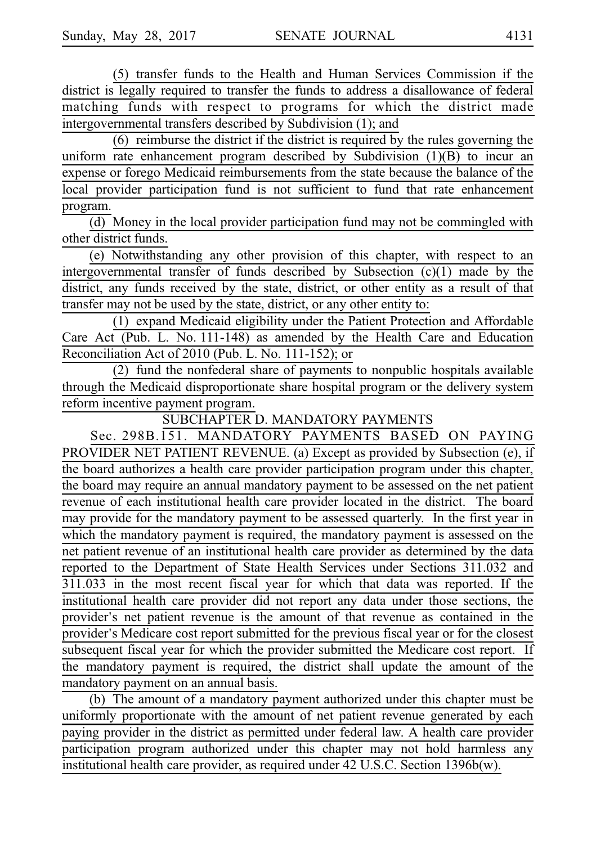(5) transfer funds to the Health and Human Services Commission if the district is legally required to transfer the funds to address a disallowance of federal matching funds with respect to programs for which the district made intergovernmental transfers described by Subdivision (1); and

 $(6)$  reimburse the district if the district is required by the rules governing the uniform rate enhancement program described by Subdivision (1)(B) to incur an expense or forego Medicaid reimbursements from the state because the balance of the local provider participation fund is not sufficient to fund that rate enhancement program.

 $\overline{(d)}$  Money in the local provider participation fund may not be commingled with other district funds.

(e) Notwithstanding any other provision of this chapter, with respect to an intergovernmental transfer of funds described by Subsection (c)(1) made by the district, any funds received by the state, district, or other entity as a result of that transfer may not be used by the state, district, or any other entity to:

 $(1)$  expand Medicaid eligibility under the Patient Protection and Affordable Care Act (Pub. L. No. 111-148) as amended by the Health Care and Education Reconciliation Act of 2010 (Pub. L. No. 111-152); or

 $(2)$  fund the nonfederal share of payments to nonpublic hospitals available through the Medicaid disproportionate share hospital program or the delivery system reform incentive payment program.

SUBCHAPTER D. MANDATORY PAYMENTS

Sec. 298B.151. MANDATORY PAYMENTS BASED ON PAYING PROVIDER NET PATIENT REVENUE. (a) Except as provided by Subsection (e), if the board authorizes a health care provider participation program under this chapter, the board may require an annual mandatory payment to be assessed on the net patient revenue of each institutional health care provider located in the district. The board may provide for the mandatory payment to be assessed quarterly. In the first year in which the mandatory payment is required, the mandatory payment is assessed on the net patient revenue of an institutional health care provider as determined by the data reported to the Department of State Health Services under Sections 311.032 and 311.033 in the most recent fiscal year for which that data was reported. If the institutional health care provider did not report any data under those sections, the provider's net patient revenue is the amount of that revenue as contained in the provider's Medicare cost report submitted for the previous fiscal year or for the closest subsequent fiscal year for which the provider submitted the Medicare cost report. If the mandatory payment is required, the district shall update the amount of the mandatory payment on an annual basis.

(b) The amount of a mandatory payment authorized under this chapter must be uniformly proportionate with the amount of net patient revenue generated by each paying provider in the district as permitted under federal law. A health care provider participation program authorized under this chapter may not hold harmless any institutional health care provider, as required under 42 U.S.C. Section 1396b(w).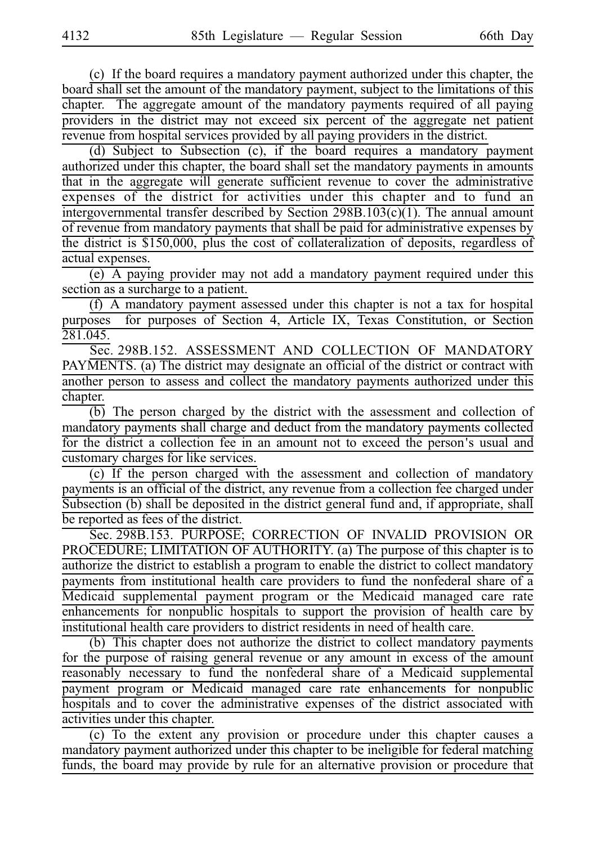(c) If the board requires a mandatory payment authorized under this chapter, the board shall set the amount of the mandatory payment, subject to the limitations of this chapter. The aggregate amount of the mandatory payments required of all paying providers in the district may not exceed six percent of the aggregate net patient revenue from hospital services provided by all paying providers in the district.

(d) Subject to Subsection (c), if the board requires a mandatory payment authorized under this chapter, the board shall set the mandatory payments in amounts that in the aggregate will generate sufficient revenue to cover the administrative expenses of the district for activities under this chapter and to fund an intergovernmental transfer described by Section 298B.103(c)(1). The annual amount of revenue from mandatory payments that shall be paid for administrative expenses by the district is \$150,000, plus the cost of collateralization of deposits, regardless of actual expenses.

 $(e)$  A paying provider may not add a mandatory payment required under this section as a surcharge to a patient.

 $(f)$  A mandatory payment assessed under this chapter is not a tax for hospital purposes for purposes of Section 4, Article IX, Texas Constitution, or Section 281.045.

Sec. 298B.152. ASSESSMENT AND COLLECTION OF MANDATORY PAYMENTS. (a) The district may designate an official of the district or contract with another person to assess and collect the mandatory payments authorized under this chapter.

 $\overline{(b)}$  The person charged by the district with the assessment and collection of mandatory payments shall charge and deduct from the mandatory payments collected for the district a collection fee in an amount not to exceed the person's usual and customary charges for like services.

 $(c)$  If the person charged with the assessment and collection of mandatory payments is an official of the district, any revenue from a collection fee charged under Subsection (b) shall be deposited in the district general fund and, if appropriate, shall be reported as fees of the district.

Sec. 298B.153. PURPOSE; CORRECTION OF INVALID PROVISION OR PROCEDURE; LIMITATION OF AUTHORITY. (a) The purpose of this chapter is to authorize the district to establish a program to enable the district to collect mandatory payments from institutional health care providers to fund the nonfederal share of a Medicaid supplemental payment program or the Medicaid managed care rate enhancements for nonpublic hospitals to support the provision of health care by institutional health care providers to district residents in need of health care.

(b) This chapter does not authorize the district to collect mandatory payments for the purpose of raising general revenue or any amount in excess of the amount reasonably necessary to fund the nonfederal share of a Medicaid supplemental payment program or Medicaid managed care rate enhancements for nonpublic hospitals and to cover the administrative expenses of the district associated with activities under this chapter.

(c) To the extent any provision or procedure under this chapter causes a mandatory payment authorized under this chapter to be ineligible for federal matching funds, the board may provide by rule for an alternative provision or procedure that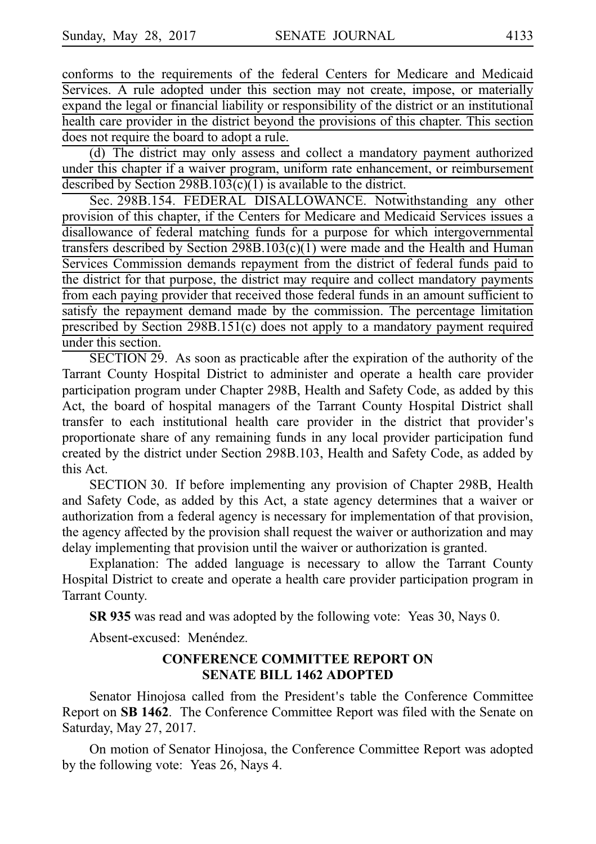conforms to the requirements of the federal Centers for Medicare and Medicaid Services. A rule adopted under this section may not create, impose, or materially expand the legal or financial liability or responsibility of the district or an institutional health care provider in the district beyond the provisions of this chapter. This section does not require the board to adopt a rule.

(d) The district may only assess and collect a mandatory payment authorized under this chapter if a waiver program, uniform rate enhancement, or reimbursement described by Section 298B.103(c)(1) is available to the district.

Sec. 298B.154. FEDERAL DISALLOWANCE. Notwithstanding any other provision of this chapter, if the Centers for Medicare and Medicaid Services issues a disallowance of federal matching funds for a purpose for which intergovernmental transfers described by Section  $298B.103(c)(1)$  were made and the Health and Human Services Commission demands repayment from the district of federal funds paid to the district for that purpose, the district may require and collect mandatory payments from each paying provider that received those federal funds in an amount sufficient to satisfy the repayment demand made by the commission. The percentage limitation prescribed by Section 298B.151(c) does not apply to a mandatory payment required under this section.

 $SECTION 29.$  As soon as practicable after the expiration of the authority of the Tarrant County Hospital District to administer and operate a health care provider participation program under Chapter 298B, Health and Safety Code, as added by this Act, the board of hospital managers of the Tarrant County Hospital District shall transfer to each institutional health care provider in the district that provider's proportionate share of any remaining funds in any local provider participation fund created by the district under Section 298B.103, Health and Safety Code, as added by this Act.

SECTION 30. If before implementing any provision of Chapter 298B, Health and Safety Code, as added by this Act, a state agency determines that a waiver or authorization from a federal agency is necessary for implementation of that provision, the agency affected by the provision shall request the waiver or authorization and may delay implementing that provision until the waiver or authorization is granted.

Explanation: The added language is necessary to allow the Tarrant County Hospital District to create and operate a health care provider participation program in Tarrant County.

**SR 935** was read and was adopted by the following vote: Yeas 30, Nays 0.

Absent-excused: Menéndez.

#### **CONFERENCE COMMITTEE REPORT ON SENATE BILL 1462 ADOPTED**

Senator Hinojosa called from the President's table the Conference Committee Report on **SBi1462**. The Conference Committee Report was filed with the Senate on Saturday, May 27, 2017.

On motion of Senator Hinojosa, the Conference Committee Report was adopted by the following vote: Yeas 26, Nays 4.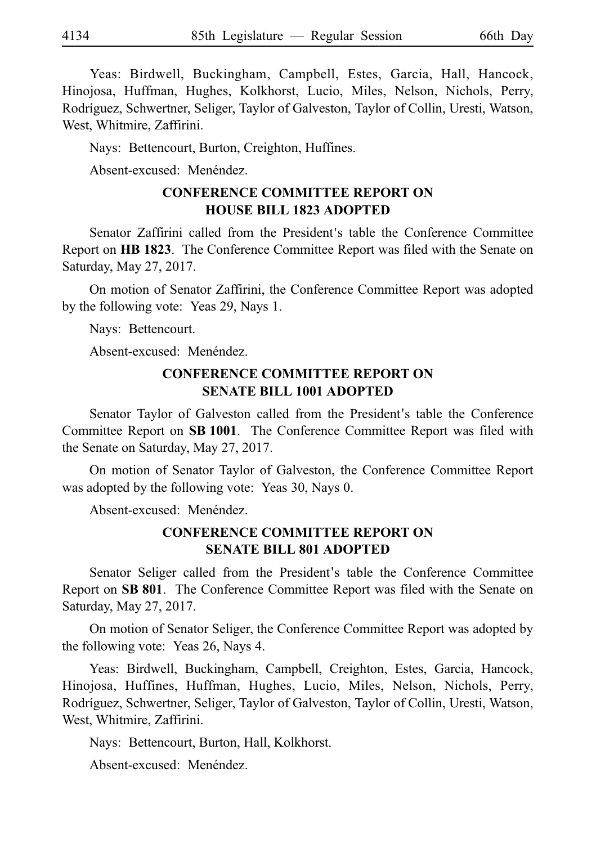Yeas: Birdwell, Buckingham, Campbell, Estes, Garcia, Hall, Hancock, Hinojosa, Huffman, Hughes, Kolkhorst, Lucio, Miles, Nelson, Nichols, Perry, Rodríguez, Schwertner, Seliger, Taylor of Galveston, Taylor of Collin, Uresti, Watson, West, Whitmire, Zaffirini.

Nays: Bettencourt, Burton, Creighton, Huffines.

Absent-excused: Menéndez.

## **CONFERENCE COMMITTEE REPORT ON HOUSE BILL 1823 ADOPTED**

Senator Zaffirini called from the President's table the Conference Committee Report on HB 1823. The Conference Committee Report was filed with the Senate on Saturday, May 27, 2017.

On motion of Senator Zaffirini, the Conference Committee Report was adopted by the following vote: Yeas 29, Nays 1.

Nays: Bettencourt.

Absent-excused: Menéndez.

#### **CONFERENCE COMMITTEE REPORT ON SENATE BILL 1001 ADOPTED**

Senator Taylor of Galveston called from the President's table the Conference Committee Report on **SBi1001**. The Conference Committee Report was filed with the Senate on Saturday, May 27, 2017.

On motion of Senator Taylor of Galveston, the Conference Committee Report was adopted by the following vote: Yeas 30, Nays 0.

Absent-excused: Menéndez.

#### **CONFERENCE COMMITTEE REPORT ON SENATE BILL 801 ADOPTED**

Senator Seliger called from the President's table the Conference Committee Report on **SB 801**. The Conference Committee Report was filed with the Senate on Saturday, May 27, 2017.

On motion of Senator Seliger, the Conference Committee Report was adopted by the following vote: Yeas 26, Nays 4.

Yeas: Birdwell, Buckingham, Campbell, Creighton, Estes, Garcia, Hancock, Hinojosa, Huffines, Huffman, Hughes, Lucio, Miles, Nelson, Nichols, Perry, Rodríguez, Schwertner, Seliger, Taylor of Galveston, Taylor of Collin, Uresti, Watson, West, Whitmire, Zaffirini.

Nays: Bettencourt, Burton, Hall, Kolkhorst.

Absent-excused: Menéndez.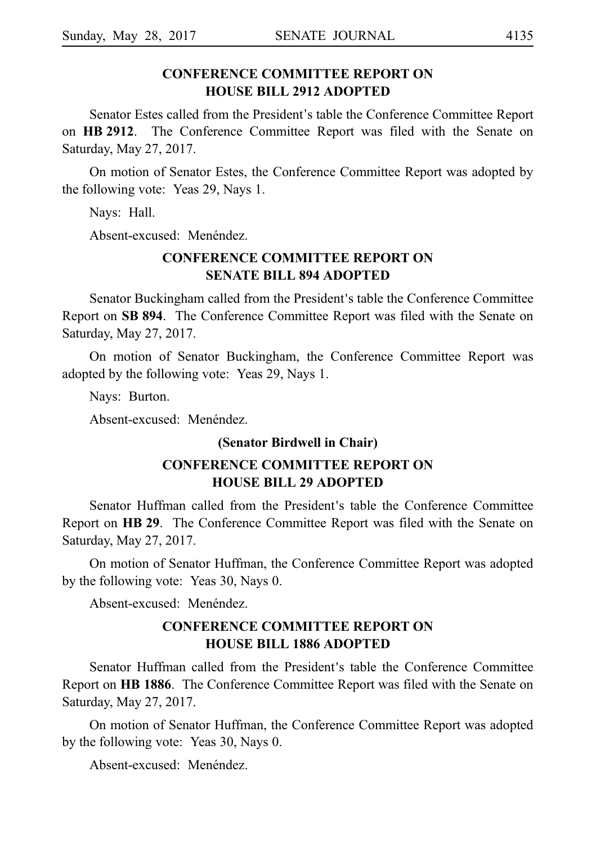## **CONFERENCE COMMITTEE REPORT ON HOUSE BILL 2912 ADOPTED**

Senator Estes called from the President's table the Conference Committee Report on **HB 2912**. The Conference Committee Report was filed with the Senate on Saturday, May 27, 2017.

On motion of Senator Estes, the Conference Committee Report was adopted by the following vote: Yeas 29, Nays 1.

Nays: Hall.

Absent-excused: Menéndez.

## **CONFERENCE COMMITTEE REPORT ON SENATE BILL 894 ADOPTED**

Senator Buckingham called from the President's table the Conference Committee Report on SB 894. The Conference Committee Report was filed with the Senate on Saturday, May 27, 2017.

On motion of Senator Buckingham, the Conference Committee Report was adopted by the following vote: Yeas 29, Nays 1.

Nays: Burton.

Absent-excused: Menéndez.

#### **(Senator Birdwell in Chair)**

## **CONFERENCE COMMITTEE REPORT ON HOUSE BILL 29 ADOPTED**

Senator Huffman called from the President's table the Conference Committee Report on HB 29. The Conference Committee Report was filed with the Senate on Saturday, May 27, 2017.

On motion of Senator Huffman, the Conference Committee Report was adopted by the following vote: Yeas 30, Nays 0.

Absent-excused: Menéndez.

## **CONFERENCE COMMITTEE REPORT ON HOUSE BILL 1886 ADOPTED**

Senator Huffman called from the President's table the Conference Committee Report on HB 1886. The Conference Committee Report was filed with the Senate on Saturday, May 27, 2017.

On motion of Senator Huffman, the Conference Committee Report was adopted by the following vote: Yeas 30, Nays 0.

Absent-excused: Menéndez.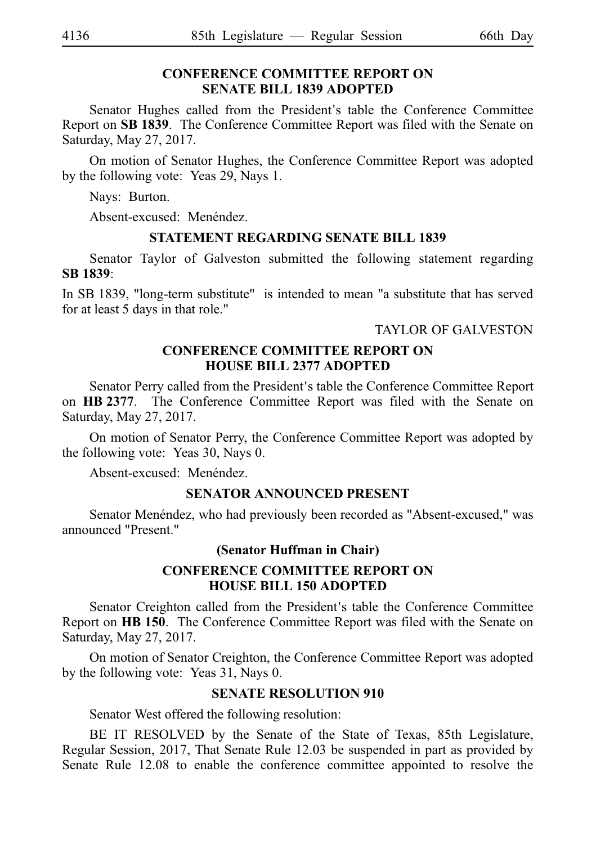#### **CONFERENCE COMMITTEE REPORT ON SENATE BILL 1839 ADOPTED**

Senator Hughes called from the President's table the Conference Committee Report on SB 1839. The Conference Committee Report was filed with the Senate on Saturday, May 27, 2017.

On motion of Senator Hughes, the Conference Committee Report was adopted by the following vote: Yeas 29, Nays 1.

Nays: Burton.

Absent-excused: Menéndez.

#### **STATEMENT REGARDING SENATE BILL 1839**

Senator Taylor of Galveston submitted the following statement regarding **SBi1839**:

In SBi1839, "long-term substitute" is intended to mean "a substitute that has served for at least 5 days in that role."

#### TAYLOR OF GALVESTON

## **CONFERENCE COMMITTEE REPORT ON HOUSE BILL 2377 ADOPTED**

Senator Perry called from the President's table the Conference Committee Report on HB 2377. The Conference Committee Report was filed with the Senate on Saturday, May 27, 2017.

On motion of Senator Perry, the Conference Committee Report was adopted by the following vote: Yeas 30, Nays 0.

Absent-excused: Menéndez.

#### **SENATOR ANNOUNCED PRESENT**

Senator Menéndez, who had previously been recorded as "Absent-excused," was announced "Present."

#### **(Senator Huffman in Chair)**

## **CONFERENCE COMMITTEE REPORT ON HOUSE BILL 150 ADOPTED**

Senator Creighton called from the President's table the Conference Committee Report on **HBi150**. The Conference Committee Report was filed with the Senate on Saturday, May 27, 2017.

On motion of Senator Creighton, the Conference Committee Report was adopted by the following vote: Yeas 31, Nays 0.

#### **SENATE RESOLUTION 910**

Senator West offered the following resolution:

BE IT RESOLVED by the Senate of the State of Texas, 85th Legislature, Regular Session, 2017, That Senate Rule 12.03 be suspended in part as provided by Senate Rule 12.08 to enable the conference committee appointed to resolve the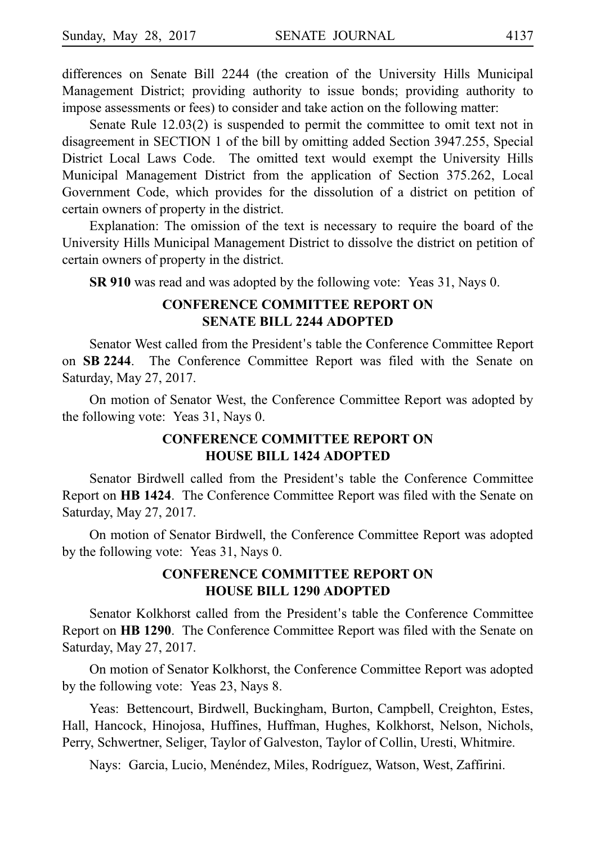differences on Senate Bill 2244 (the creation of the University Hills Municipal Management District; providing authority to issue bonds; providing authority to impose assessments or fees) to consider and take action on the following matter:

Senate Rule 12.03(2) is suspended to permit the committee to omit text not in disagreement in SECTION 1 of the bill by omitting added Section 3947.255, Special District Local Laws Code. The omitted text would exempt the University Hills Municipal Management District from the application of Section 375.262, Local Government Code, which provides for the dissolution of a district on petition of certain owners of property in the district.

Explanation: The omission of the text is necessary to require the board of the University Hills Municipal Management District to dissolve the district on petition of certain owners of property in the district.

**SR 910** was read and was adopted by the following vote: Yeas 31, Nays 0.

## **CONFERENCE COMMITTEE REPORT ON SENATE BILL 2244 ADOPTED**

Senator West called from the President's table the Conference Committee Report on **SBi2244**. The Conference Committee Report was filed with the Senate on Saturday, May 27, 2017.

On motion of Senator West, the Conference Committee Report was adopted by the following vote: Yeas 31, Nays 0.

## **CONFERENCE COMMITTEE REPORT ON HOUSE BILL 1424 ADOPTED**

Senator Birdwell called from the President's table the Conference Committee Report on HB 1424. The Conference Committee Report was filed with the Senate on Saturday, May 27, 2017.

On motion of Senator Birdwell, the Conference Committee Report was adopted by the following vote: Yeas  $31$ , Nays 0.

## **CONFERENCE COMMITTEE REPORT ON HOUSE BILL 1290 ADOPTED**

Senator Kolkhorst called from the President's table the Conference Committee Report on HB 1290. The Conference Committee Report was filed with the Senate on Saturday, May 27, 2017.

On motion of Senator Kolkhorst, the Conference Committee Report was adopted by the following vote: Yeas 23, Nays 8.

Yeas: Bettencourt, Birdwell, Buckingham, Burton, Campbell, Creighton, Estes, Hall, Hancock, Hinojosa, Huffines, Huffman, Hughes, Kolkhorst, Nelson, Nichols, Perry, Schwertner, Seliger, Taylor of Galveston, Taylor of Collin, Uresti, Whitmire.

Nays: Garcia, Lucio, Menéndez, Miles, Rodríguez, Watson, West, Zaffirini.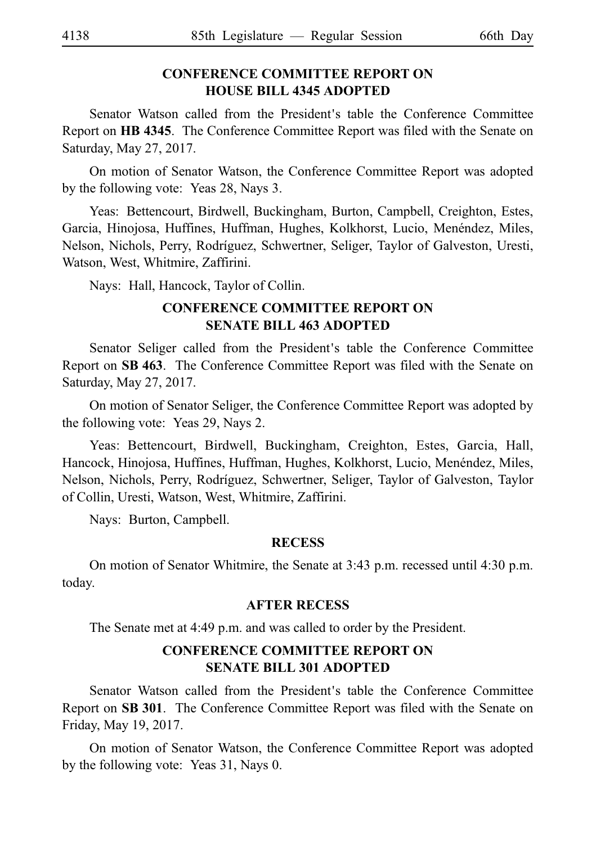## **CONFERENCE COMMITTEE REPORT ON HOUSE BILL 4345 ADOPTED**

Senator Watson called from the President's table the Conference Committee Report on HB 4345. The Conference Committee Report was filed with the Senate on Saturday, May 27, 2017.

On motion of Senator Watson, the Conference Committee Report was adopted by the following vote: Yeas 28, Nays 3.

Yeas: Bettencourt, Birdwell, Buckingham, Burton, Campbell, Creighton, Estes, Garcia, Hinojosa, Huffines, Huffman, Hughes, Kolkhorst, Lucio, Menéndez, Miles, Nelson, Nichols, Perry, Rodrı´guez, Schwertner, Seliger, Taylor of Galveston, Uresti, Watson, West, Whitmire, Zaffirini.

Nays: Hall, Hancock, Taylor of Collin.

## **CONFERENCE COMMITTEE REPORT ON SENATE BILL 463 ADOPTED**

Senator Seliger called from the President's table the Conference Committee Report on SB 463. The Conference Committee Report was filed with the Senate on Saturday, May 27, 2017.

On motion of Senator Seliger, the Conference Committee Report was adopted by the following vote: Yeas 29, Nays 2.

Yeas: Bettencourt, Birdwell, Buckingham, Creighton, Estes, Garcia, Hall, Hancock, Hinojosa, Huffines, Huffman, Hughes, Kolkhorst, Lucio, Menéndez, Miles, Nelson, Nichols, Perry, Rodríguez, Schwertner, Seliger, Taylor of Galveston, Taylor of Collin, Uresti, Watson, West, Whitmire, Zaffirini.

Nays: Burton, Campbell.

#### **RECESS**

On motion of Senator Whitmire, the Senate at 3:43 p.m. recessed until 4:30 p.m. today.

#### **AFTER RECESS**

The Senate met at 4:49 p.m. and was called to order by the President.

## **CONFERENCE COMMITTEE REPORT ON SENATE BILL 301 ADOPTED**

Senator Watson called from the President's table the Conference Committee Report on **SBi301**. The Conference Committee Report was filed with the Senate on Friday, May 19, 2017.

On motion of Senator Watson, the Conference Committee Report was adopted by the following vote: Yeas  $31$ , Nays 0.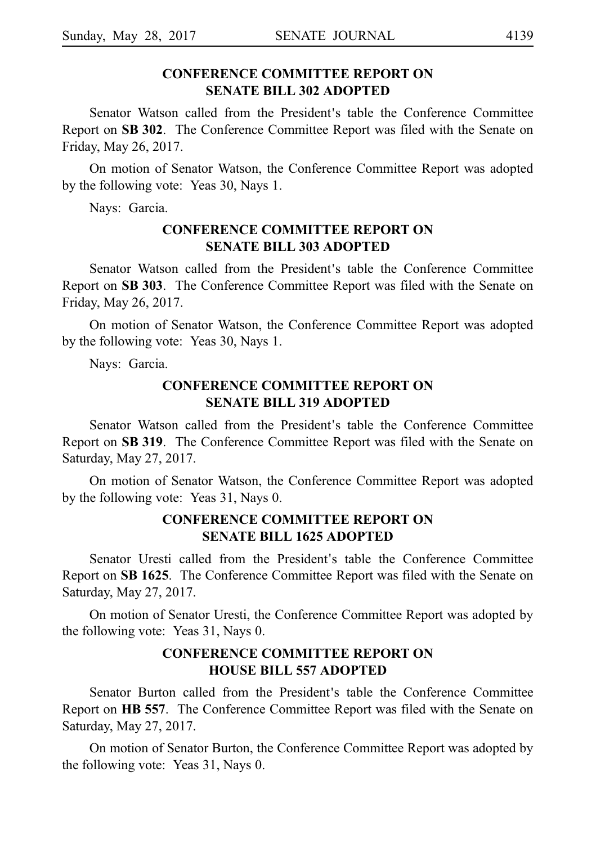## **CONFERENCE COMMITTEE REPORT ON SENATE BILL 302 ADOPTED**

Senator Watson called from the President's table the Conference Committee Report on **SBi302**. The Conference Committee Report was filed with the Senate on Friday, May 26, 2017.

On motion of Senator Watson, the Conference Committee Report was adopted by the following vote: Yeas 30, Nays 1.

Nays: Garcia.

## **CONFERENCE COMMITTEE REPORT ON SENATE BILL 303 ADOPTED**

Senator Watson called from the President's table the Conference Committee Report on **SBi303**. The Conference Committee Report was filed with the Senate on Friday, May 26, 2017.

On motion of Senator Watson, the Conference Committee Report was adopted by the following vote: Yeas 30, Nays 1.

Nays: Garcia.

## **CONFERENCE COMMITTEE REPORT ON SENATE BILL 319 ADOPTED**

Senator Watson called from the President's table the Conference Committee Report on SB 319. The Conference Committee Report was filed with the Senate on Saturday, May 27, 2017.

On motion of Senator Watson, the Conference Committee Report was adopted by the following vote: Yeas 31, Nays 0.

#### **CONFERENCE COMMITTEE REPORT ON SENATE BILL 1625 ADOPTED**

Senator Uresti called from the President's table the Conference Committee Report on SB 1625. The Conference Committee Report was filed with the Senate on Saturday, May 27, 2017.

On motion of Senator Uresti, the Conference Committee Report was adopted by the following vote: Yeas 31, Nays 0.

## **CONFERENCE COMMITTEE REPORT ON HOUSE BILL 557 ADOPTED**

Senator Burton called from the President's table the Conference Committee Report on HB 557. The Conference Committee Report was filed with the Senate on Saturday, May 27, 2017.

On motion of Senator Burton, the Conference Committee Report was adopted by the following vote: Yeas  $31$ , Nays 0.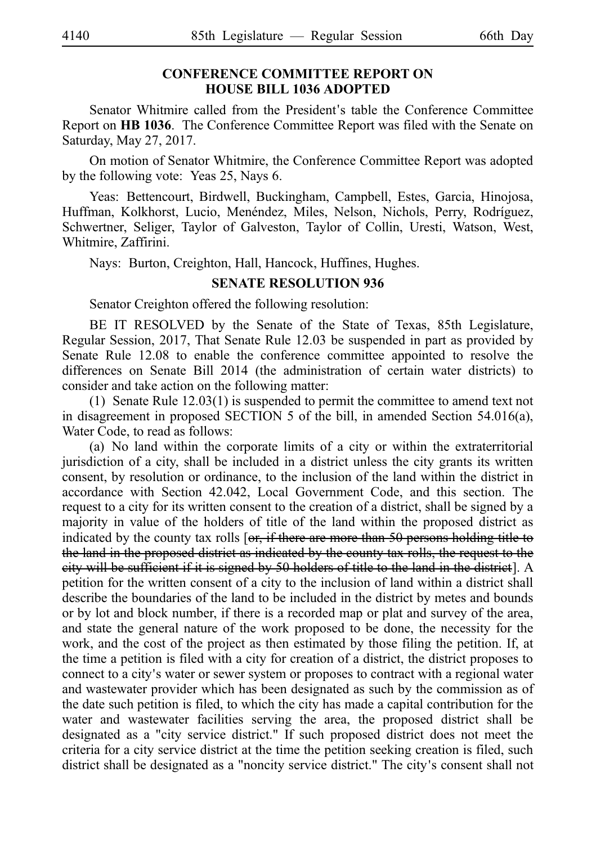#### **CONFERENCE COMMITTEE REPORT ON HOUSE BILL 1036 ADOPTED**

Senator Whitmire called from the President's table the Conference Committee Report on **HBi1036**. The Conference Committee Report was filed with the Senate on Saturday, May 27, 2017.

On motion of Senator Whitmire, the Conference Committee Report was adopted by the following vote: Yeas 25, Nays 6.

Yeas: Bettencourt, Birdwell, Buckingham, Campbell, Estes, Garcia, Hinojosa, Huffman, Kolkhorst, Lucio, Menéndez, Miles, Nelson, Nichols, Perry, Rodríguez, Schwertner, Seliger, Taylor of Galveston, Taylor of Collin, Uresti, Watson, West, Whitmire, Zaffirini.

Nays: Burton, Creighton, Hall, Hancock, Huffines, Hughes.

#### **SENATE RESOLUTION 936**

Senator Creighton offered the following resolution:

BE IT RESOLVED by the Senate of the State of Texas, 85th Legislature, Regular Session, 2017, That Senate Rule 12.03 be suspended in part as provided by Senate Rule 12.08 to enable the conference committee appointed to resolve the differences on Senate Bill 2014 (the administration of certain water districts) to consider and take action on the following matter:

(1) Senate Rule  $12.03(1)$  is suspended to permit the committee to amend text not in disagreement in proposed SECTION 5 of the bill, in amended Section 54.016(a), Water Code, to read as follows:

(a) No land within the corporate limits of a city or within the extraterritorial jurisdiction of a city, shall be included in a district unless the city grants its written consent, by resolution or ordinance, to the inclusion of the land within the district in accordance with Section 42.042, Local Government Code, and this section. The request to a city for its written consent to the creation of a district, shall be signed by a majority in value of the holders of title of the land within the proposed district as indicated by the county tax rolls  $\left[$  or, if there are more than 50 persons holding title to the land in the proposed district as indicated by the county tax rolls, the request to the city will be sufficient if it is signed by 50 holders of title to the land in the district]. A petition for the written consent of a city to the inclusion of land within a district shall describe the boundaries of the land to be included in the district by metes and bounds or by lot and block number, if there is a recorded map or plat and survey of the area, and state the general nature of the work proposed to be done, the necessity for the work, and the cost of the project as then estimated by those filing the petition. If, at the time a petition is filed with a city for creation of a district, the district proposes to connect to a city's water or sewer system or proposes to contract with a regional water and wastewater provider which has been designated as such by the commission as of the date such petition is filed, to which the city has made a capital contribution for the water and wastewater facilities serving the area, the proposed district shall be designated as a "city service district." If such proposed district does not meet the criteria for a city service district at the time the petition seeking creation is filed, such district shall be designated as a "noncity service district." The city's consent shall not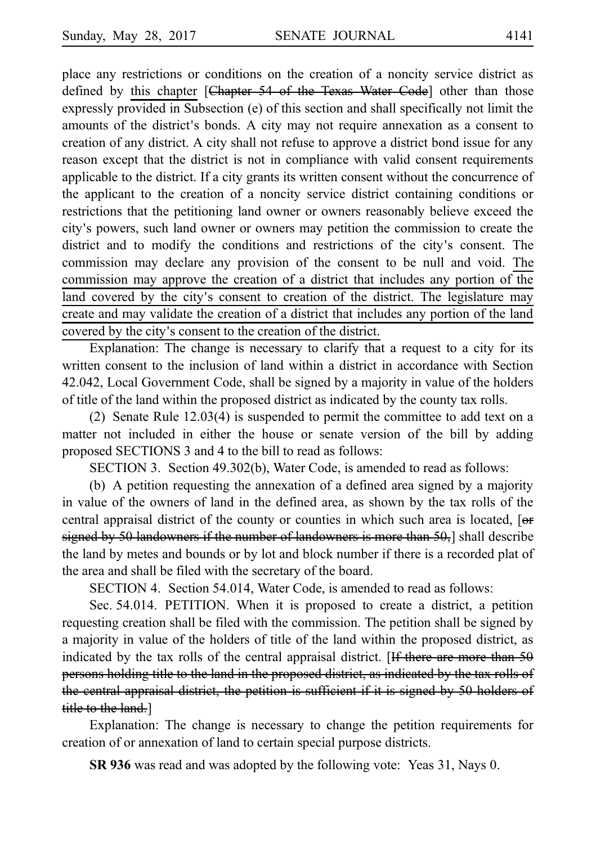place any restrictions or conditions on the creation of a noncity service district as defined by this chapter [Chapter 54 of the Texas Water Code] other than those expressly provided in Subsection (e) of this section and shall specifically not limit the amounts of the district's bonds. A city may not require annexation as a consent to creation of any district. A city shall not refuse to approve a district bond issue for any reason except that the district is not in compliance with valid consent requirements applicable to the district. If a city grants its written consent without the concurrence of the applicant to the creation of a noncity service district containing conditions or restrictions that the petitioning land owner or owners reasonably believe exceed the city's powers, such land owner or owners may petition the commission to create the district and to modify the conditions and restrictions of the city's consent. The commission may declare any provision of the consent to be null and void. The commission may approve the creation of a district that includes any portion of the land covered by the city's consent to creation of the district. The legislature may create and may validate the creation of a district that includes any portion of the land covered by the city's consent to the creation of the district.

Explanation: The change is necessary to clarify that a request to a city for its written consent to the inclusion of land within a district in accordance with Section 42.042, Local Government Code, shall be signed by a majority in value of the holders of title of the land within the proposed district as indicated by the county tax rolls.

(2) Senate Rule  $12.03(4)$  is suspended to permit the committee to add text on a matter not included in either the house or senate version of the bill by adding proposed SECTIONS 3 and 4 to the bill to read as follows:

SECTION 3. Section 49.302(b), Water Code, is amended to read as follows:

(b) A petition requesting the annexation of a defined area signed by a majority in value of the owners of land in the defined area, as shown by the tax rolls of the central appraisal district of the county or counties in which such area is located, [ $\Theta$ f signed by 50 landowners if the number of landowners is more than 50, a shall describe the land by metes and bounds or by lot and block number if there is a recorded plat of the area and shall be filed with the secretary of the board.

SECTION 4. Section 54.014, Water Code, is amended to read as follows:

Sec. 54.014. PETITION. When it is proposed to create a district, a petition requesting creation shall be filed with the commission. The petition shall be signed by a majority in value of the holders of title of the land within the proposed district, as indicated by the tax rolls of the central appraisal district. [If there are more than  $50$ persons holding title to the land in the proposed district, as indicated by the tax rolls of the central appraisal district, the petition is sufficient if it is signed by 50 holders of title to the land.]

Explanation: The change is necessary to change the petition requirements for creation of or annexation of land to certain special purpose districts.

**SR 936** was read and was adopted by the following vote: Yeas 31, Nays 0.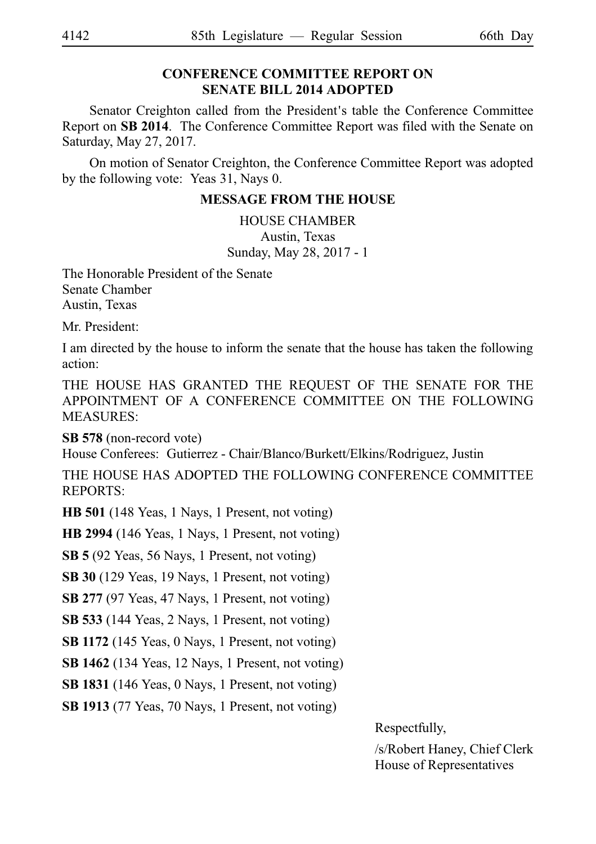## **CONFERENCE COMMITTEE REPORT ON SENATE BILL 2014 ADOPTED**

Senator Creighton called from the President's table the Conference Committee Report on SB 2014. The Conference Committee Report was filed with the Senate on Saturday, May 27, 2017.

On motion of Senator Creighton, the Conference Committee Report was adopted by the following vote: Yeas 31, Nays 0.

#### **MESSAGE FROM THE HOUSE**

HOUSE CHAMBER Austin, Texas Sunday, May 28, 2017 - 1

The Honorable President of the Senate Senate Chamber Austin, Texas

Mr. President:

I am directed by the house to inform the senate that the house has taken the following action:

THE HOUSE HAS GRANTED THE REQUEST OF THE SENATE FOR THE APPOINTMENT OF A CONFERENCE COMMITTEE ON THE FOLLOWING MEASURES:

**SB 578** (non-record vote) House Conferees: Gutierrez - Chair/Blanco/Burkett/Elkins/Rodriguez, Justin

THE HOUSE HAS ADOPTED THE FOLLOWING CONFERENCE COMMITTEE REPORTS:

**HB 501** (148 Yeas, 1 Nays, 1 Present, not voting)

**HB 2994** (146 Yeas, 1 Nays, 1 Present, not voting)

**SB 5** (92 Yeas, 56 Nays, 1 Present, not voting)

**SB 30** (129 Yeas, 19 Nays, 1 Present, not voting)

**SB 277** (97 Yeas, 47 Nays, 1 Present, not voting)

**SB 533** (144 Yeas, 2 Nays, 1 Present, not voting)

**SB 1172** (145 Yeas, 0 Nays, 1 Present, not voting)

**SB 1462** (134 Yeas, 12 Nays, 1 Present, not voting)

**SB 1831** (146 Yeas, 0 Nays, 1 Present, not voting)

**SB 1913** (77 Yeas, 70 Nays, 1 Present, not voting)

Respectfully,

/s/Robert Haney, Chief Clerk House of Representatives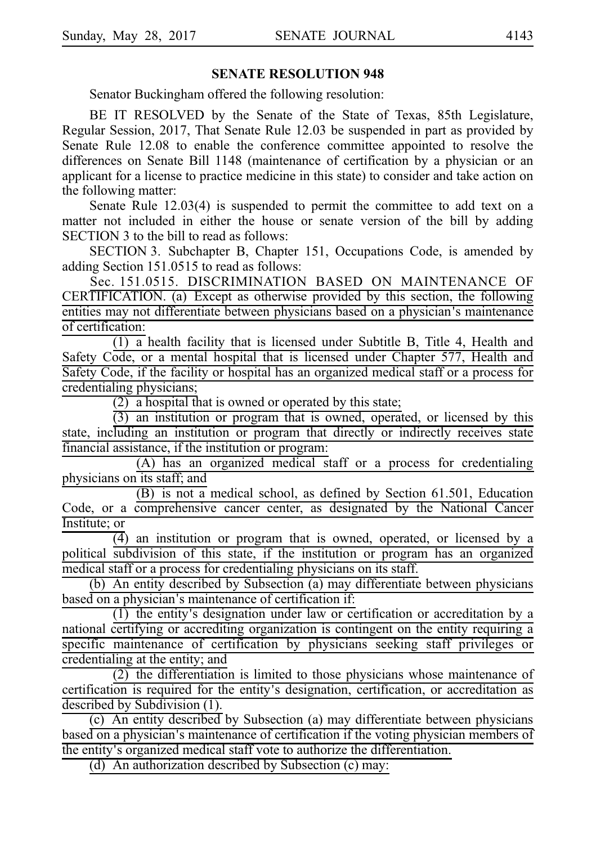#### **SENATE RESOLUTION 948**

Senator Buckingham offered the following resolution:

BE IT RESOLVED by the Senate of the State of Texas, 85th Legislature, Regular Session, 2017, That Senate Rule 12.03 be suspended in part as provided by Senate Rule 12.08 to enable the conference committee appointed to resolve the differences on Senate Bill 1148 (maintenance of certification by a physician or an applicant for a license to practice medicine in this state) to consider and take action on the following matter:

Senate Rule 12.03(4) is suspended to permit the committee to add text on a matter not included in either the house or senate version of the bill by adding SECTION 3 to the bill to read as follows:

SECTION 3. Subchapter B, Chapter 151, Occupations Code, is amended by adding Section 151.0515 to read as follows:

Sec. 151.0515. DISCRIMINATION BASED ON MAINTENANCE OF CERTIFICATION. (a) Except as otherwise provided by this section, the following entities may not differentiate between physicians based on a physician's maintenance of certification:

 $(1)$  a health facility that is licensed under Subtitle B, Title 4, Health and Safety Code, or a mental hospital that is licensed under Chapter 577, Health and Safety Code, if the facility or hospital has an organized medical staff or a process for credentialing physicians;

 $(2)$  a hospital that is owned or operated by this state;

 $(3)$  an institution or program that is owned, operated, or licensed by this state, including an institution or program that directly or indirectly receives state financial assistance, if the institution or program:

(A) has an organized medical staff or a process for credentialing physicians on its staff; and

(B) is not a medical school, as defined by Section 61.501, Education Code, or a comprehensive cancer center, as designated by the National Cancer Institute; or

 $\overline{(4)}$  an institution or program that is owned, operated, or licensed by a political subdivision of this state, if the institution or program has an organized medical staff or a process for credentialing physicians on its staff.

(b) An entity described by Subsection (a) may differentiate between physicians based on a physician's maintenance of certification if:

 $(1)$  the entity's designation under law or certification or accreditation by a national certifying or accrediting organization is contingent on the entity requiring a specific maintenance of certification by physicians seeking staff privileges or credentialing at the entity; and

 $(2)$  the differentiation is limited to those physicians whose maintenance of certification is required for the entity's designation, certification, or accreditation as described by Subdivision (1).

(c) An entity described by Subsection (a) may differentiate between physicians based on a physician's maintenance of certification if the voting physician members of the entity's organized medical staff vote to authorize the differentiation.

(d) An authorization described by Subsection (c) may: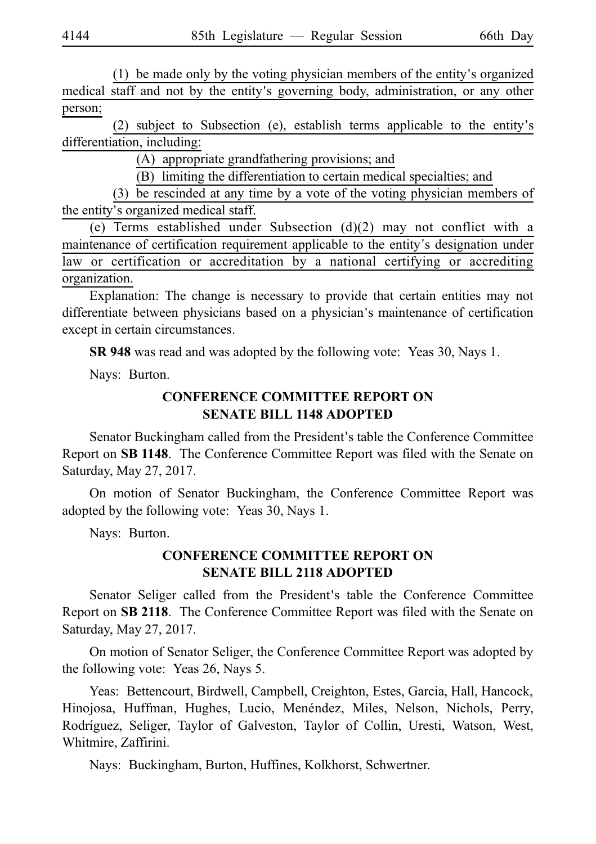$(1)$  be made only by the voting physician members of the entity's organized medical staff and not by the entity's governing body, administration, or any other person;

(2) subject to Subsection (e), establish terms applicable to the entity's differentiation, including:

(A) appropriate grandfathering provisions; and

(B) limiting the differentiation to certain medical specialties; and

(3) be rescinded at any time by a vote of the voting physician members of the entity's organized medical staff.

(e) Terms established under Subsection  $(d)(2)$  may not conflict with a maintenance of certification requirement applicable to the entity's designation under law or certification or accreditation by a national certifying or accrediting organization.

Explanation: The change is necessary to provide that certain entities may not differentiate between physicians based on a physician's maintenance of certification except in certain circumstances.

**SR 948** was read and was adopted by the following vote: Yeas 30, Nays 1.

Nays: Burton.

## **CONFERENCE COMMITTEE REPORT ON SENATE BILL 1148 ADOPTED**

Senator Buckingham called from the President's table the Conference Committee Report on SB 1148. The Conference Committee Report was filed with the Senate on Saturday, May 27, 2017.

On motion of Senator Buckingham, the Conference Committee Report was adopted by the following vote: Yeas 30, Nays 1.

Nays: Burton.

## **CONFERENCE COMMITTEE REPORT ON SENATE BILL 2118 ADOPTED**

Senator Seliger called from the President's table the Conference Committee Report on SB 2118. The Conference Committee Report was filed with the Senate on Saturday, May 27, 2017.

On motion of Senator Seliger, the Conference Committee Report was adopted by the following vote: Yeas 26, Nays 5.

Yeas: Bettencourt, Birdwell, Campbell, Creighton, Estes, Garcia, Hall, Hancock, Hinojosa, Huffman, Hughes, Lucio, Menéndez, Miles, Nelson, Nichols, Perry, Rodríguez, Seliger, Taylor of Galveston, Taylor of Collin, Uresti, Watson, West, Whitmire, Zaffirini.

Nays: Buckingham, Burton, Huffines, Kolkhorst, Schwertner.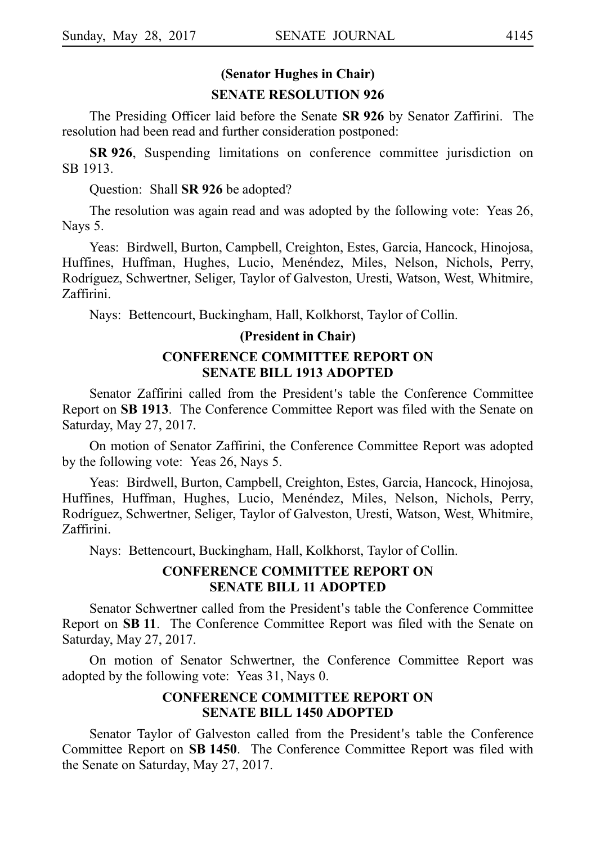## **(Senator Hughes in Chair) SENATE RESOLUTION 926**

The Presiding Officer laid before the Senate SR 926 by Senator Zaffirini. The resolution had been read and further consideration postponed:

**SR 926**, Suspending limitations on conference committee jurisdiction on SB 1913.

Question: Shall **SR 926** be adopted?

The resolution was again read and was adopted by the following vote: Yeas 26, Nays 5.

Yeas: Birdwell, Burton, Campbell, Creighton, Estes, Garcia, Hancock, Hinojosa, Huffines, Huffman, Hughes, Lucio, Menéndez, Miles, Nelson, Nichols, Perry, Rodríguez, Schwertner, Seliger, Taylor of Galveston, Uresti, Watson, West, Whitmire, Zaffirini.

Nays: Bettencourt, Buckingham, Hall, Kolkhorst, Taylor of Collin.

#### **(President in Chair)**

#### **CONFERENCE COMMITTEE REPORT ON SENATE BILL 1913 ADOPTED**

Senator Zaffirini called from the President's table the Conference Committee Report on **SBi1913**. The Conference Committee Report was filed with the Senate on Saturday, May 27, 2017.

On motion of Senator Zaffirini, the Conference Committee Report was adopted by the following vote: Yeas 26, Nays 5.

Yeas: Birdwell, Burton, Campbell, Creighton, Estes, Garcia, Hancock, Hinojosa, Huffines, Huffman, Hughes, Lucio, Menéndez, Miles, Nelson, Nichols, Perry, Rodríguez, Schwertner, Seliger, Taylor of Galveston, Uresti, Watson, West, Whitmire, Zaffirini.

Nays: Bettencourt, Buckingham, Hall, Kolkhorst, Taylor of Collin.

#### **CONFERENCE COMMITTEE REPORT ON SENATE BILL 11 ADOPTED**

Senator Schwertner called from the President's table the Conference Committee Report on **SBi11**. The Conference Committee Report was filed with the Senate on Saturday, May 27, 2017.

On motion of Senator Schwertner, the Conference Committee Report was adopted by the following vote: Yeas 31, Nays 0.

#### **CONFERENCE COMMITTEE REPORT ON SENATE BILL 1450 ADOPTED**

Senator Taylor of Galveston called from the President's table the Conference Committee Report on SB 1450. The Conference Committee Report was filed with the Senate on Saturday, May 27, 2017.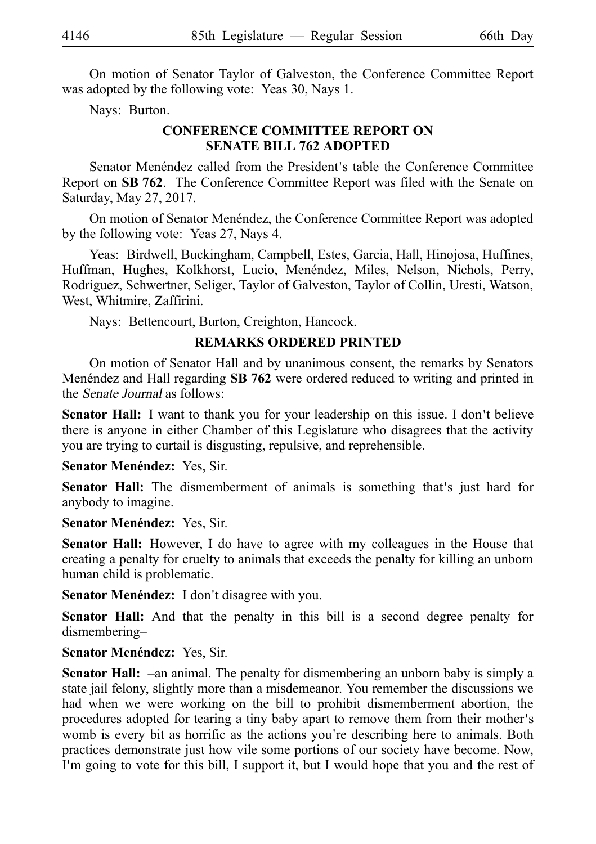On motion of Senator Taylor of Galveston, the Conference Committee Report was adopted by the following vote: Yeas 30, Nays 1.

Nays: Burton.

## **CONFERENCE COMMITTEE REPORT ON SENATE BILL 762 ADOPTED**

Senator Menéndez called from the President's table the Conference Committee Report on **SB 762**. The Conference Committee Report was filed with the Senate on Saturday, May 27, 2017.

On motion of Senator Menéndez, the Conference Committee Report was adopted by the following vote: Yeas 27, Nays 4.

Yeas: Birdwell, Buckingham, Campbell, Estes, Garcia, Hall, Hinojosa, Huffines, Huffman, Hughes, Kolkhorst, Lucio, Menéndez, Miles, Nelson, Nichols, Perry, Rodríguez, Schwertner, Seliger, Taylor of Galveston, Taylor of Collin, Uresti, Watson, West, Whitmire, Zaffirini.

Nays: Bettencourt, Burton, Creighton, Hancock.

#### **REMARKS ORDERED PRINTED**

On motion of Senator Hall and by unanimous consent, the remarks by Senators Mene<sup>ndez</sup> and Hall regarding **SB 762** were ordered reduced to writing and printed in the Senate Journal as follows:

**Senator Hall:** I want to thank you for your leadership on this issue. I don't believe there is anyone in either Chamber of this Legislature who disagrees that the activity you are trying to curtail is disgusting, repulsive, and reprehensible.

**Senator Menéndez: Yes, Sir.** 

Senator Hall: The dismemberment of animals is something that's just hard for anybody to imagine.

**Senator Menéndez: Yes, Sir.** 

**Senator Hall:** However, I do have to agree with my colleagues in the House that creating a penalty for cruelty to animals that exceeds the penalty for killing an unborn human child is problematic.

**Senator Menéndez:** I don't disagree with you.

**Senator Hall:** And that the penalty in this bill is a second degree penalty for dismembering–

**Senator Menéndez: Yes, Sir.** 

**Senator Hall:** –an animal. The penalty for dismembering an unborn baby is simply a state jail felony, slightly more than a misdemeanor. You remember the discussions we had when we were working on the bill to prohibit dismemberment abortion, the procedures adopted for tearing a tiny baby apart to remove them from their mother's womb is every bit as horrific as the actions you're describing here to animals. Both practices demonstrate just how vile some portions of our society have become. Now, I'm going to vote for this bill, I support it, but I would hope that you and the rest of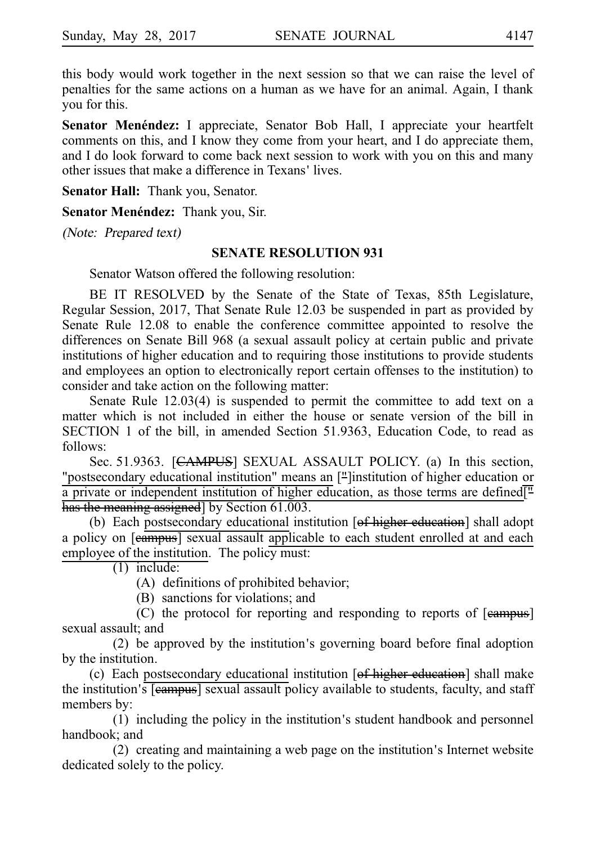this body would work together in the next session so that we can raise the level of penalties for the same actions on a human as we have for an animal. Again, I thank you for this.

**Senator Menéndez:** I appreciate, Senator Bob Hall, I appreciate your heartfelt comments on this, and I know they come from your heart, and I do appreciate them, and I do look forward to come back next session to work with you on this and many other issues that make a difference in Texans' lives.

**Senator Hall:** Thank you, Senator.

**Senator Menéndez: Thank you, Sir.** 

(Note: Prepared text)

#### **SENATE RESOLUTION 931**

Senator Watson offered the following resolution:

BE IT RESOLVED by the Senate of the State of Texas, 85th Legislature, Regular Session, 2017, That Senate Rule 12.03 be suspended in part as provided by Senate Rule 12.08 to enable the conference committee appointed to resolve the differences on Senate Bill 968 (a sexual assault policy at certain public and private institutions of higher education and to requiring those institutions to provide students and employees an option to electronically report certain offenses to the institution) to consider and take action on the following matter:

Senate Rule 12.03(4) is suspended to permit the committee to add text on a matter which is not included in either the house or senate version of the bill in SECTION 1 of the bill, in amended Section 51.9363, Education Code, to read as follows:

Sec. 51.9363. [CAMPUS] SEXUAL ASSAULT POLICY. (a) In this section, "postsecondary educational institution" means an ["]institution of higher education or a private or independent institution of higher education, as those terms are defined $\overline{I}$ . has the meaning assigned] by Section 61.003.

(b) Each postsecondary educational institution [of higher education] shall adopt a policy on [campus] sexual assault applicable to each student enrolled at and each employee of the institution. The policy must:

 $(1)$  include:

 $(A)$  definitions of prohibited behavior;

(B) sanctions for violations; and

(C) the protocol for reporting and responding to reports of  $[$ eampus $]$ sexual assault; and

 $(2)$  be approved by the institution's governing board before final adoption by the institution.

(c) Each postsecondary educational institution  $[of$  higher education] shall make the institution's **[eampus]** sexual assault policy available to students, faculty, and staff members by:

 $(1)$  including the policy in the institution s student handbook and personnel handbook; and

 $(2)$  creating and maintaining a web page on the institution s Internet website dedicated solely to the policy.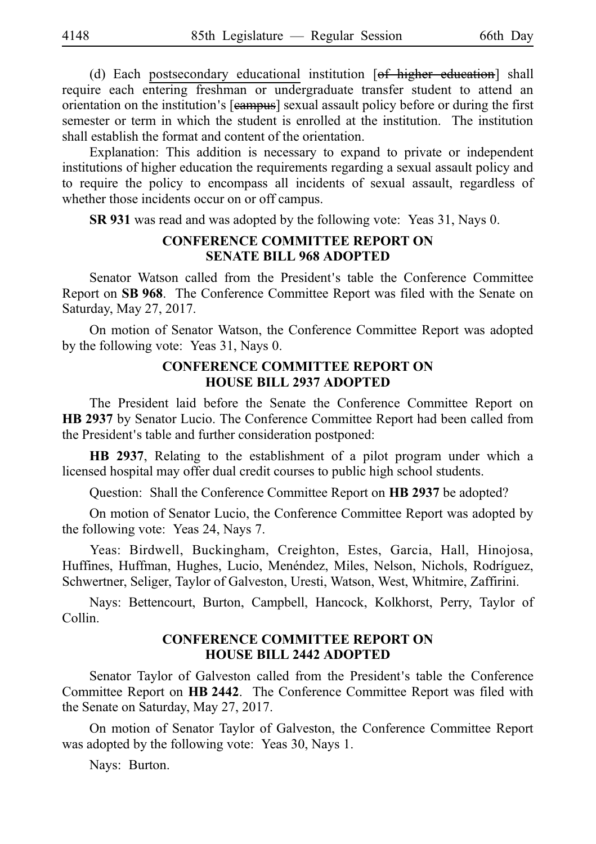(d) Each postsecondary educational institution  $[ $\theta$  +  $\theta$  +  $\theta$  +  $\theta$  +  $\theta$  +  $\theta$  +  $\theta$  +  $\theta$  +  $\theta$  +  $\theta$  +  $\theta$  +  $\theta$  +  $\theta$  +  $\theta$  +  $\theta$  +  $\theta$  +  $\theta$  +  $\theta$  +  $\theta$  +  $\theta$  +  $\theta$  +  $\theta$$ require each entering freshman or undergraduate transfer student to attend an orientation on the institution's [eampus] sexual assault policy before or during the first semester or term in which the student is enrolled at the institution. The institution shall establish the format and content of the orientation.

Explanation: This addition is necessary to expand to private or independent institutions of higher education the requirements regarding a sexual assault policy and to require the policy to encompass all incidents of sexual assault, regardless of whether those incidents occur on or off campus.

**SR 931** was read and was adopted by the following vote: Yeas 31, Nays 0.

#### **CONFERENCE COMMITTEE REPORT ON SENATE BILL 968 ADOPTED**

Senator Watson called from the President's table the Conference Committee Report on SB 968. The Conference Committee Report was filed with the Senate on Saturday, May 27, 2017.

On motion of Senator Watson, the Conference Committee Report was adopted by the following vote: Yeas 31, Nays 0.

#### **CONFERENCE COMMITTEE REPORT ON HOUSE BILL 2937 ADOPTED**

The President laid before the Senate the Conference Committee Report on HB 2937 by Senator Lucio. The Conference Committee Report had been called from the President's table and further consideration postponed:

**HB 2937**, Relating to the establishment of a pilot program under which a licensed hospital may offer dual credit courses to public high school students.

Question: Shall the Conference Committee Report on **HB 2937** be adopted?

On motion of Senator Lucio, the Conference Committee Report was adopted by the following vote: Yeas 24, Nays 7.

Yeas: Birdwell, Buckingham, Creighton, Estes, Garcia, Hall, Hinojosa, Huffines, Huffman, Hughes, Lucio, Menéndez, Miles, Nelson, Nichols, Rodríguez, Schwertner, Seliger, Taylor of Galveston, Uresti, Watson, West, Whitmire, Zaffirini.

Nays: Bettencourt, Burton, Campbell, Hancock, Kolkhorst, Perry, Taylor of Collin.

## **CONFERENCE COMMITTEE REPORT ON HOUSE BILL 2442 ADOPTED**

Senator Taylor of Galveston called from the President's table the Conference Committee Report on HB 2442. The Conference Committee Report was filed with the Senate on Saturday, May 27, 2017.

On motion of Senator Taylor of Galveston, the Conference Committee Report was adopted by the following vote: Yeas 30, Nays 1.

Nays: Burton.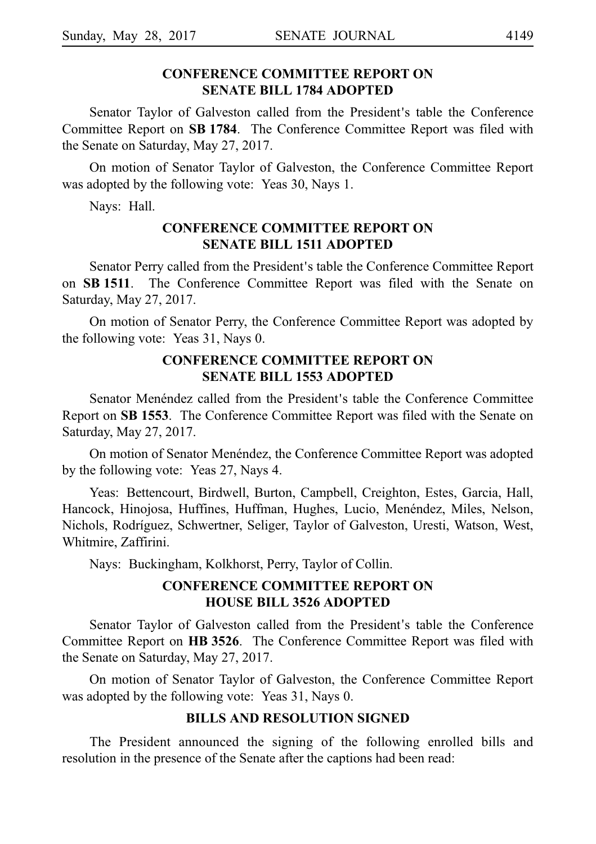# **CONFERENCE COMMITTEE REPORT ON**

## **SENATE BILL 1784 ADOPTED**

Senator Taylor of Galveston called from the President's table the Conference Committee Report on **SBi1784**. The Conference Committee Report was filed with the Senate on Saturday, May 27, 2017.

On motion of Senator Taylor of Galveston, the Conference Committee Report was adopted by the following vote: Yeas 30, Nays 1.

Nays: Hall.

## **CONFERENCE COMMITTEE REPORT ON SENATE BILL 1511 ADOPTED**

Senator Perry called from the President's table the Conference Committee Report on **SBi1511**. The Conference Committee Report was filed with the Senate on Saturday, May 27, 2017.

On motion of Senator Perry, the Conference Committee Report was adopted by the following vote: Yeas 31, Nays 0.

## **CONFERENCE COMMITTEE REPORT ON SENATE BILL 1553 ADOPTED**

Senator Menéndez called from the President's table the Conference Committee Report on **SBi1553**. The Conference Committee Report was filed with the Senate on Saturday, May 27, 2017.

On motion of Senator Menéndez, the Conference Committee Report was adopted by the following vote: Yeas 27, Nays 4.

Yeas: Bettencourt, Birdwell, Burton, Campbell, Creighton, Estes, Garcia, Hall, Hancock, Hinojosa, Huffines, Huffman, Hughes, Lucio, Menéndez, Miles, Nelson, Nichols, Rodrı´guez, Schwertner, Seliger, Taylor of Galveston, Uresti, Watson, West, Whitmire, Zaffirini.

Nays: Buckingham, Kolkhorst, Perry, Taylor of Collin.

## **CONFERENCE COMMITTEE REPORT ON HOUSE BILL 3526 ADOPTED**

Senator Taylor of Galveston called from the President's table the Conference Committee Report on HB 3526. The Conference Committee Report was filed with the Senate on Saturday, May 27, 2017.

On motion of Senator Taylor of Galveston, the Conference Committee Report was adopted by the following vote: Yeas 31, Nays 0.

#### **BILLS AND RESOLUTION SIGNED**

The President announced the signing of the following enrolled bills and resolution in the presence of the Senate after the captions had been read: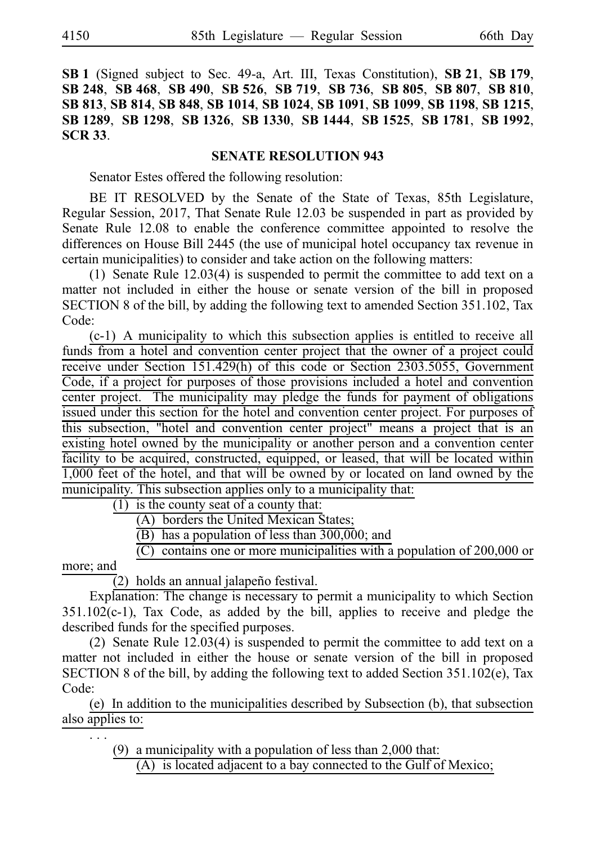**SB**i**1** (Signed subject to Sec. 49-a, Art. III, Texas Constitution), **SB**i**21**, **SB**i**179**, **SB**i**248**, **SB**i**468**, **SB**i**490**, **SB**i**526**, **SB**i**719**, **SB**i**736**, **SB**i**805**, **SB**i**807**, **SB**i**810**, **SB**i**813**, **SB**i**814**, **SB**i**848**, **SB**i**1014**, **SB**i**1024**, **SB**i**1091**, **SB**i**1099**, **SB**i**1198**, **SB**i**1215**, **SB**i**1289**, **SB**i**1298**, **SB**i**1326**, **SB**i**1330**, **SB**i**1444**, **SB**i**1525**, **SB**i**1781**, **SB**i**1992**, **SCR**i**33**.

## **SENATE RESOLUTION 943**

Senator Estes offered the following resolution:

BE IT RESOLVED by the Senate of the State of Texas, 85th Legislature, Regular Session, 2017, That Senate Rule 12.03 be suspended in part as provided by Senate Rule 12.08 to enable the conference committee appointed to resolve the differences on House Bill 2445 (the use of municipal hotel occupancy tax revenue in certain municipalities) to consider and take action on the following matters:

(1) Senate Rule  $12.03(4)$  is suspended to permit the committee to add text on a matter not included in either the house or senate version of the bill in proposed SECTION 8 of the bill, by adding the following text to amended Section 351.102, Tax Code:

 $(c-1)$  A municipality to which this subsection applies is entitled to receive all funds from a hotel and convention center project that the owner of a project could receive under Section 151.429(h) of this code or Section 2303.5055, Government Code, if a project for purposes of those provisions included a hotel and convention center project. The municipality may pledge the funds for payment of obligations issued under this section for the hotel and convention center project. For purposes of this subsection, "hotel and convention center project" means a project that is an existing hotel owned by the municipality or another person and a convention center facility to be acquired, constructed, equipped, or leased, that will be located within 1,000 feet of the hotel, and that will be owned by or located on land owned by the municipality. This subsection applies only to a municipality that:

 $(1)$  is the county seat of a county that:

- (A) borders the United Mexican States;
- $\overline{B}$ ) has a population of less than 300,000; and
- $\overline{C}$  contains one or more municipalities with a population of 200,000 or

more; and

.i.i.

 $\overline{2}$ ) holds an annual jalapeño festival.

Explanation: The change is necessary to permit a municipality to which Section 351.102(c-1), Tax Code, as added by the bill, applies to receive and pledge the described funds for the specified purposes.

(2) Senate Rule  $12.03(4)$  is suspended to permit the committee to add text on a matter not included in either the house or senate version of the bill in proposed SECTION 8 of the bill, by adding the following text to added Section 351.102(e), Tax Code:

(e) In addition to the municipalities described by Subsection (b), that subsection also applies to:

(9) a municipality with a population of less than  $2,000$  that:

 $(A)$  is located adjacent to a bay connected to the Gulf of Mexico;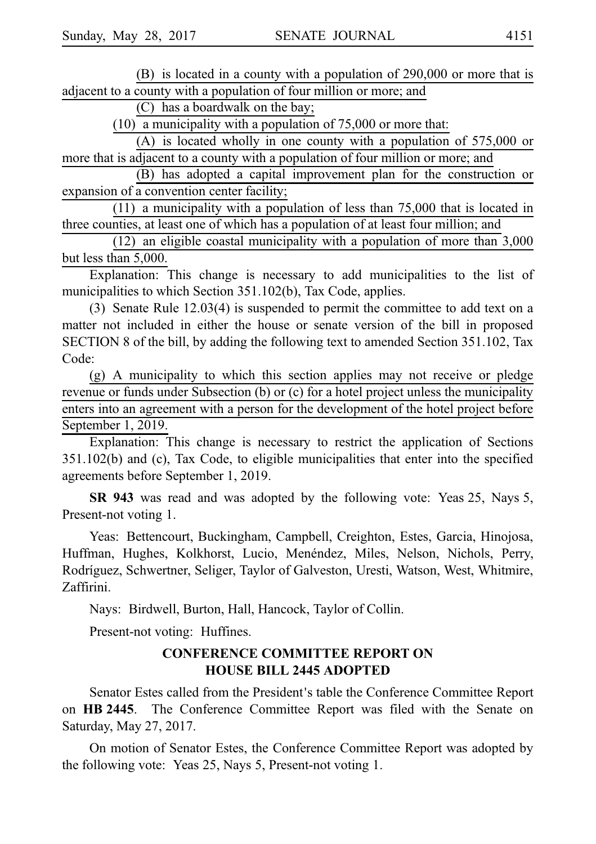$(B)$  is located in a county with a population of 290,000 or more that is adjacent to a county with a population of four million or more; and

 $(C)$  has a boardwalk on the bay;

 $(10)$  a municipality with a population of 75,000 or more that:

(A) is located wholly in one county with a population of  $575,000$  or more that is adjacent to a county with a population of four million or more; and

(B) has adopted a capital improvement plan for the construction or expansion of a convention center facility;

 $(11)$  a municipality with a population of less than 75,000 that is located in three counties, at least one of which has a population of at least four million; and

 $(12)$  an eligible coastal municipality with a population of more than 3,000 but less than 5,000.

Explanation: This change is necessary to add municipalities to the list of municipalities to which Section 351.102(b), Tax Code, applies.

(3) Senate Rule  $12.03(4)$  is suspended to permit the committee to add text on a matter not included in either the house or senate version of the bill in proposed SECTION 8 of the bill, by adding the following text to amended Section 351.102, Tax Code:

(g) A municipality to which this section applies may not receive or pledge revenue or funds under Subsection (b) or (c) for a hotel project unless the municipality enters into an agreement with a person for the development of the hotel project before September 1, 2019.

Explanation: This change is necessary to restrict the application of Sections 351.102(b) and (c), Tax Code, to eligible municipalities that enter into the specified agreements before September 1, 2019.

**SR 943** was read and was adopted by the following vote: Yeas 25, Nays 5, Present-not voting 1.

Yeas: Bettencourt, Buckingham, Campbell, Creighton, Estes, Garcia, Hinojosa, Huffman, Hughes, Kolkhorst, Lucio, Menéndez, Miles, Nelson, Nichols, Perry, Rodrı´guez, Schwertner, Seliger, Taylor of Galveston, Uresti, Watson, West, Whitmire, Zaffirini.

Nays: Birdwell, Burton, Hall, Hancock, Taylor of Collin.

Present-not voting: Huffines.

## **CONFERENCE COMMITTEE REPORT ON HOUSE BILL 2445 ADOPTED**

Senator Estes called from the President's table the Conference Committee Report on HB 2445. The Conference Committee Report was filed with the Senate on Saturday, May 27, 2017.

On motion of Senator Estes, the Conference Committee Report was adopted by the following vote: Yeas 25, Nays 5, Present-not voting 1.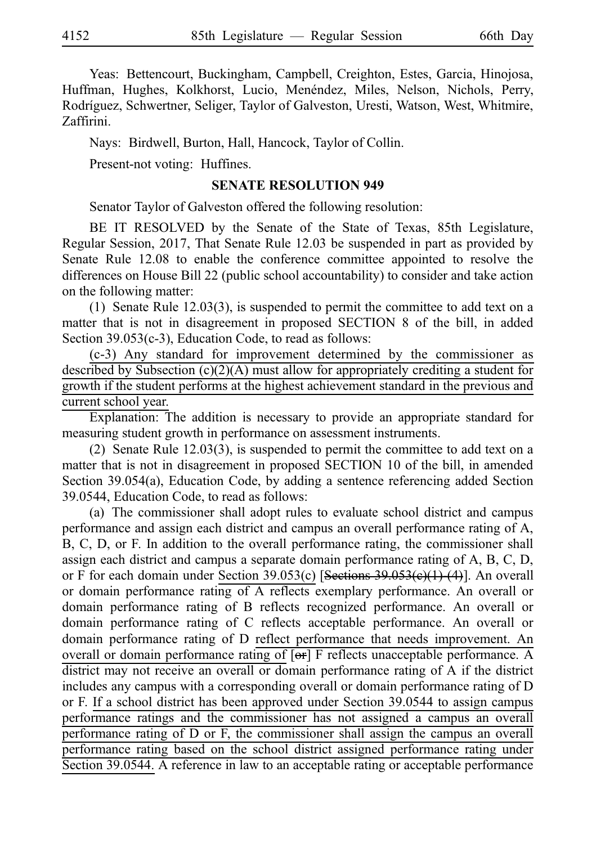Yeas: Bettencourt, Buckingham, Campbell, Creighton, Estes, Garcia, Hinojosa, Huffman, Hughes, Kolkhorst, Lucio, Menéndez, Miles, Nelson, Nichols, Perry, Rodríguez, Schwertner, Seliger, Taylor of Galveston, Uresti, Watson, West, Whitmire, Zaffirini.

Nays: Birdwell, Burton, Hall, Hancock, Taylor of Collin.

Present-not voting: Huffines.

#### **SENATE RESOLUTION 949**

Senator Taylor of Galveston offered the following resolution:

BE IT RESOLVED by the Senate of the State of Texas, 85th Legislature, Regular Session, 2017, That Senate Rule 12.03 be suspended in part as provided by Senate Rule 12.08 to enable the conference committee appointed to resolve the differences on House Bill 22 (public school accountability) to consider and take action on the following matter:

(1) Senate Rule  $12.03(3)$ , is suspended to permit the committee to add text on a matter that is not in disagreement in proposed SECTION 8 of the bill, in added Section 39.053(c-3), Education Code, to read as follows:

 $(c-3)$  Any standard for improvement determined by the commissioner as described by Subsection (c)(2)(A) must allow for appropriately crediting a student for growth if the student performs at the highest achievement standard in the previous and current school year.

Explanation: The addition is necessary to provide an appropriate standard for measuring student growth in performance on assessment instruments.

(2) Senate Rule  $12.03(3)$ , is suspended to permit the committee to add text on a matter that is not in disagreement in proposed SECTION 10 of the bill, in amended Section 39.054(a), Education Code, by adding a sentence referencing added Section 39.0544, Education Code, to read as follows:

(a) The commissioner shall adopt rules to evaluate school district and campus performance and assign each district and campus an overall performance rating of A, B, C, D, or F. In addition to the overall performance rating, the commissioner shall assign each district and campus a separate domain performance rating of A, B, C, D, or F for each domain under Section 39.053(c) [Sections 39.053(e)(1)-(4)]. An overall or domain performance rating of A reflects exemplary performance. An overall or domain performance rating of B reflects recognized performance. An overall or domain performance rating of C reflects acceptable performance. An overall or domain performance rating of D reflect performance that needs improvement. An overall or domain performance rating of [or] F reflects unacceptable performance. A district may not receive an overall or domain performance rating of A if the district includes any campus with a corresponding overall or domain performance rating of D or F. If a school district has been approved under Section 39.0544 to assign campus performance ratings and the commissioner has not assigned a campus an overall performance rating of D or F, the commissioner shall assign the campus an overall performance rating based on the school district assigned performance rating under Section 39.0544. A reference in law to an acceptable rating or acceptable performance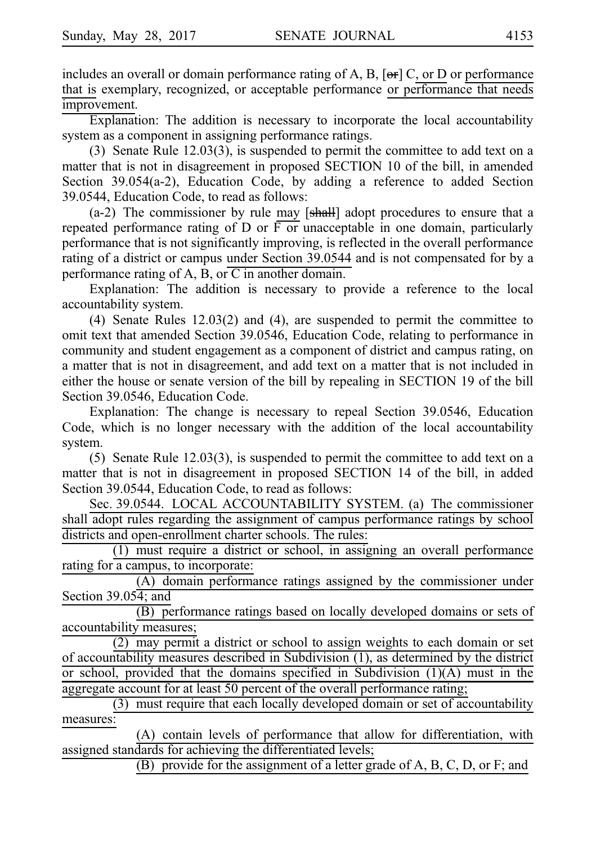includes an overall or domain performance rating of A, B,  $[\Theta \cdot \cdot]$  C, or D or performance that is exemplary, recognized, or acceptable performance or performance that needs improvement.

Explanation: The addition is necessary to incorporate the local accountability system as a component in assigning performance ratings.

(3) Senate Rule  $12.03(3)$ , is suspended to permit the committee to add text on a matter that is not in disagreement in proposed SECTION 10 of the bill, in amended Section 39.054(a-2), Education Code, by adding a reference to added Section 39.0544, Education Code, to read as follows:

 $(a-2)$  The commissioner by rule may  $[shall]$  adopt procedures to ensure that a repeated performance rating of  $D$  or  $\overline{F}$  or unacceptable in one domain, particularly performance that is not significantly improving, is reflected in the overall performance rating of a district or campus under Section 39.0544 and is not compensated for by a performance rating of A, B, or  $\overline{C}$  in another domain.

Explanation: The addition is necessary to provide a reference to the local accountability system.

(4) Senate Rules  $12.03(2)$  and (4), are suspended to permit the committee to omit text that amended Section 39.0546, Education Code, relating to performance in community and student engagement as a component of district and campus rating, on a matter that is not in disagreement, and add text on a matter that is not included in either the house or senate version of the bill by repealing in SECTION 19 of the bill Section 39.0546, Education Code.

Explanation: The change is necessary to repeal Section 39.0546, Education Code, which is no longer necessary with the addition of the local accountability system.

 $(5)$  Senate Rule 12.03(3), is suspended to permit the committee to add text on a matter that is not in disagreement in proposed SECTION 14 of the bill, in added Section 39.0544, Education Code, to read as follows:

Sec. 39.0544. LOCAL ACCOUNTABILITY SYSTEM. (a) The commissioner shall adopt rules regarding the assignment of campus performance ratings by school districts and open-enrollment charter schools. The rules:

 $(1)$  must require a district or school, in assigning an overall performance rating for a campus, to incorporate:

 $(A)$  domain performance ratings assigned by the commissioner under Section 39.054; and

 $\overline{(B)}$  performance ratings based on locally developed domains or sets of accountability measures;

 $(2)$  may permit a district or school to assign weights to each domain or set of accountability measures described in Subdivision (1), as determined by the district or school, provided that the domains specified in Subdivision (1)(A) must in the aggregate account for at least 50 percent of the overall performance rating;

(3) must require that each locally developed domain or set of accountability measures:

(A) contain levels of performance that allow for differentiation, with assigned standards for achieving the differentiated levels;

(B) provide for the assignment of a letter grade of  $A$ ,  $B$ ,  $C$ ,  $D$ , or  $F$ ; and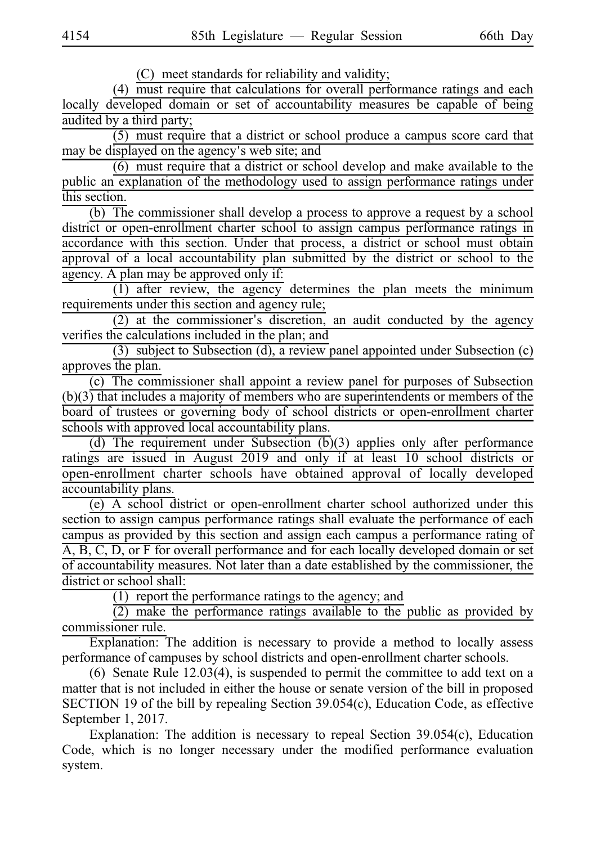(C) meet standards for reliability and validity;

 $(4)$  must require that calculations for overall performance ratings and each locally developed domain or set of accountability measures be capable of being audited by a third party;

 $(5)$  must require that a district or school produce a campus score card that may be displayed on the agency's web site; and

 $(6)$  must require that a district or school develop and make available to the public an explanation of the methodology used to assign performance ratings under this section.

 $(b)$  The commissioner shall develop a process to approve a request by a school district or open-enrollment charter school to assign campus performance ratings in accordance with this section. Under that process, a district or school must obtain approval of a local accountability plan submitted by the district or school to the agency. A plan may be approved only if:

 $(1)$  after review, the agency determines the plan meets the minimum requirements under this section and agency rule;

 $(2)$  at the commissioner's discretion, an audit conducted by the agency verifies the calculations included in the plan; and

(3) subject to Subsection (d), a review panel appointed under Subsection (c) approves the plan.

 $(c)$  The commissioner shall appoint a review panel for purposes of Subsection  $(b)(3)$  that includes a majority of members who are superintendents or members of the board of trustees or governing body of school districts or open-enrollment charter schools with approved local accountability plans.

(d) The requirement under Subsection  $(b)(3)$  applies only after performance ratings are issued in August 2019 and only if at least 10 school districts or open-enrollment charter schools have obtained approval of locally developed accountability plans.

(e) A school district or open-enrollment charter school authorized under this section to assign campus performance ratings shall evaluate the performance of each campus as provided by this section and assign each campus a performance rating of A, B, C, D, or F for overall performance and for each locally developed domain or set of accountability measures. Not later than a date established by the commissioner, the district or school shall:

 $(1)$  report the performance ratings to the agency; and

 $\overline{2}$ ) make the performance ratings available to the public as provided by commissioner rule.

Explanation: The addition is necessary to provide a method to locally assess performance of campuses by school districts and open-enrollment charter schools.

(6) Senate Rule 12.03(4), is suspended to permit the committee to add text on a matter that is not included in either the house or senate version of the bill in proposed SECTION 19 of the bill by repealing Section 39.054(c), Education Code, as effective September 1, 2017.

Explanation: The addition is necessary to repeal Section 39.054(c), Education Code, which is no longer necessary under the modified performance evaluation system.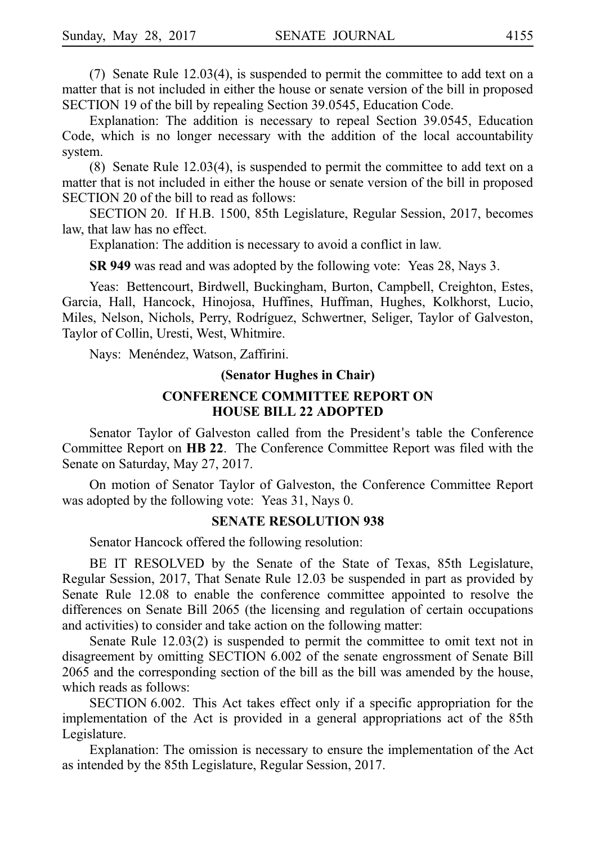(7) Senate Rule  $12.03(4)$ , is suspended to permit the committee to add text on a matter that is not included in either the house or senate version of the bill in proposed SECTION 19 of the bill by repealing Section 39.0545, Education Code.

Explanation: The addition is necessary to repeal Section 39.0545, Education Code, which is no longer necessary with the addition of the local accountability system.

(8) Senate Rule 12.03(4), is suspended to permit the committee to add text on a matter that is not included in either the house or senate version of the bill in proposed SECTION 20 of the bill to read as follows:

SECTION 20. If H.B. 1500, 85th Legislature, Regular Session, 2017, becomes law, that law has no effect.

Explanation: The addition is necessary to avoid a conflict in law.

**SR 949** was read and was adopted by the following vote: Yeas 28, Nays 3.

Yeas: Bettencourt, Birdwell, Buckingham, Burton, Campbell, Creighton, Estes, Garcia, Hall, Hancock, Hinojosa, Huffines, Huffman, Hughes, Kolkhorst, Lucio, Miles, Nelson, Nichols, Perry, Rodríguez, Schwertner, Seliger, Taylor of Galveston, Taylor of Collin, Uresti, West, Whitmire.

Nays: Menéndez, Watson, Zaffirini.

#### **(Senator Hughes in Chair)**

### **CONFERENCE COMMITTEE REPORT ON HOUSE BILL 22 ADOPTED**

Senator Taylor of Galveston called from the President's table the Conference Committee Report on **HBi22**. The Conference Committee Report was filed with the Senate on Saturday, May 27, 2017.

On motion of Senator Taylor of Galveston, the Conference Committee Report was adopted by the following vote: Yeas 31, Nays 0.

#### **SENATE RESOLUTION 938**

Senator Hancock offered the following resolution:

BE IT RESOLVED by the Senate of the State of Texas, 85th Legislature, Regular Session, 2017, That Senate Rule 12.03 be suspended in part as provided by Senate Rule 12.08 to enable the conference committee appointed to resolve the differences on Senate Bill 2065 (the licensing and regulation of certain occupations and activities) to consider and take action on the following matter:

Senate Rule 12.03(2) is suspended to permit the committee to omit text not in disagreement by omitting SECTION 6.002 of the senate engrossment of Senate Bill 2065 and the corresponding section of the bill as the bill was amended by the house, which reads as follows:

SECTION 6.002. This Act takes effect only if a specific appropriation for the implementation of the Act is provided in a general appropriations act of the 85th Legislature.

Explanation: The omission is necessary to ensure the implementation of the Act as intended by the 85th Legislature, Regular Session, 2017.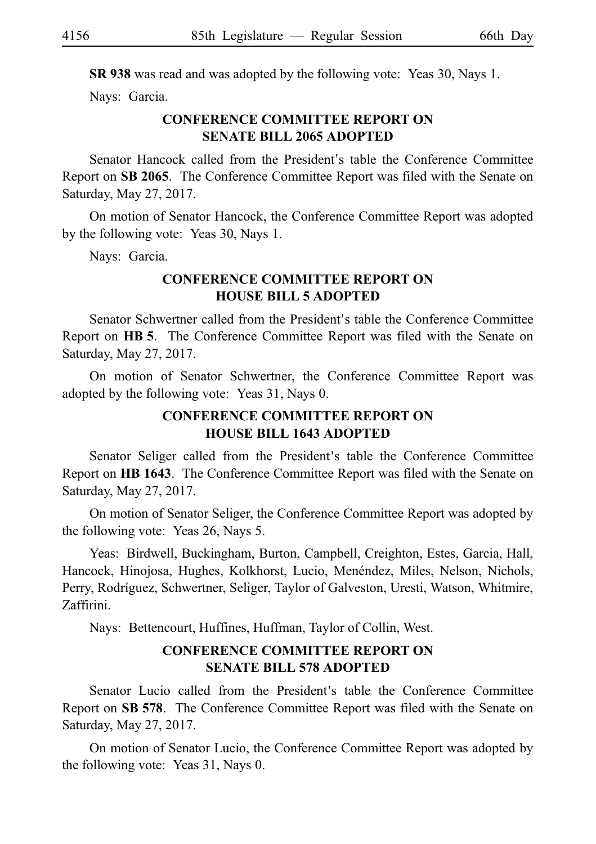**SR 938** was read and was adopted by the following vote: Yeas 30, Nays 1.

Nays: Garcia.

# **CONFERENCE COMMITTEE REPORT ON SENATE BILL 2065 ADOPTED**

Senator Hancock called from the President's table the Conference Committee Report on **SB 2065**. The Conference Committee Report was filed with the Senate on Saturday, May 27, 2017.

On motion of Senator Hancock, the Conference Committee Report was adopted by the following vote: Yeas 30, Nays 1.

Nays: Garcia.

# **CONFERENCE COMMITTEE REPORT ON HOUSE BILL 5 ADOPTED**

Senator Schwertner called from the President's table the Conference Committee Report on HB 5. The Conference Committee Report was filed with the Senate on Saturday, May 27, 2017.

On motion of Senator Schwertner, the Conference Committee Report was adopted by the following vote: Yeas 31, Nays 0.

# **CONFERENCE COMMITTEE REPORT ON HOUSE BILL 1643 ADOPTED**

Senator Seliger called from the President's table the Conference Committee Report on **HB 1643**. The Conference Committee Report was filed with the Senate on Saturday, May 27, 2017.

On motion of Senator Seliger, the Conference Committee Report was adopted by the following vote: Yeas 26, Nays 5.

Yeas: Birdwell, Buckingham, Burton, Campbell, Creighton, Estes, Garcia, Hall, Hancock, Hinojosa, Hughes, Kolkhorst, Lucio, Menéndez, Miles, Nelson, Nichols, Perry, Rodríguez, Schwertner, Seliger, Taylor of Galveston, Uresti, Watson, Whitmire, Zaffirini.

Nays: Bettencourt, Huffines, Huffman, Taylor of Collin, West.

# **CONFERENCE COMMITTEE REPORT ON SENATE BILL 578 ADOPTED**

Senator Lucio called from the President's table the Conference Committee Report on SB 578. The Conference Committee Report was filed with the Senate on Saturday, May 27, 2017.

On motion of Senator Lucio, the Conference Committee Report was adopted by the following vote: Yeas  $31$ , Nays 0.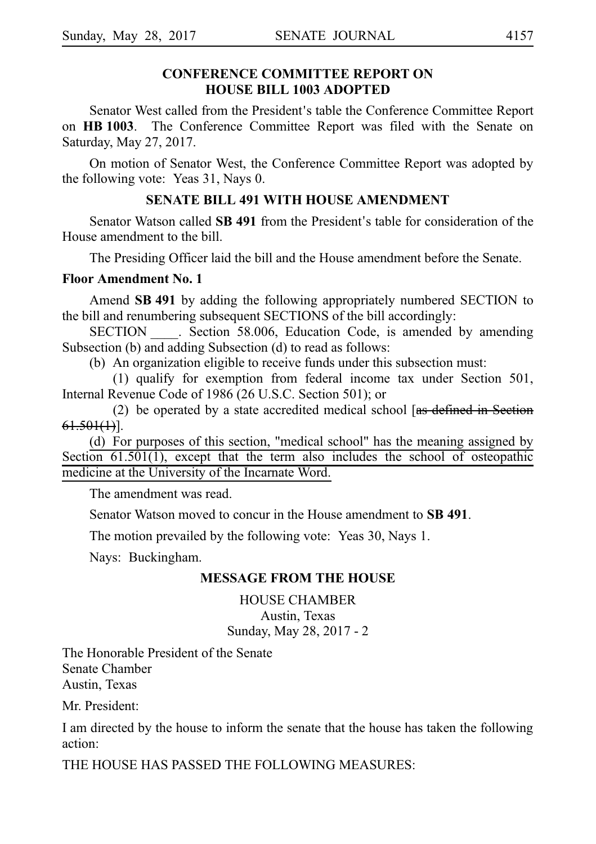# **CONFERENCE COMMITTEE REPORT ON HOUSE BILL 1003 ADOPTED**

Senator West called from the President's table the Conference Committee Report on **HBi1003**. The Conference Committee Report was filed with the Senate on Saturday, May 27, 2017.

On motion of Senator West, the Conference Committee Report was adopted by the following vote: Yeas 31, Nays 0.

# **SENATE BILL 491 WITH HOUSE AMENDMENT**

Senator Watson called **SB 491** from the President's table for consideration of the House amendment to the bill.

The Presiding Officer laid the bill and the House amendment before the Senate.

## **Floor Amendment No. 1**

Amend **SBi491** by adding the following appropriately numbered SECTION to the bill and renumbering subsequent SECTIONS of the bill accordingly:

SECTION Section 58.006, Education Code, is amended by amending Subsection (b) and adding Subsection (d) to read as follows:

(b) An organization eligible to receive funds under this subsection must:

(1) qualify for exemption from federal income tax under Section 501, Internal Revenue Code of 1986 (26 U.S.C. Section 501); or

(2) be operated by a state accredited medical school  $[$ as defined in Section  $61.501(1)$ ].

(d) For purposes of this section, "medical school" has the meaning assigned by Section  $61.501(1)$ , except that the term also includes the school of osteopathic medicine at the University of the Incarnate Word.

The amendment was read.

Senator Watson moved to concur in the House amendment to **SB 491**.

The motion prevailed by the following vote: Yeas 30, Nays 1.

Nays: Buckingham.

# **MESSAGE FROM THE HOUSE**

HOUSE CHAMBER Austin, Texas Sunday, May 28, 2017 - 2

The Honorable President of the Senate Senate Chamber Austin, Texas

Mr. President:

I am directed by the house to inform the senate that the house has taken the following action:

THE HOUSE HAS PASSED THE FOLLOWING MEASURES: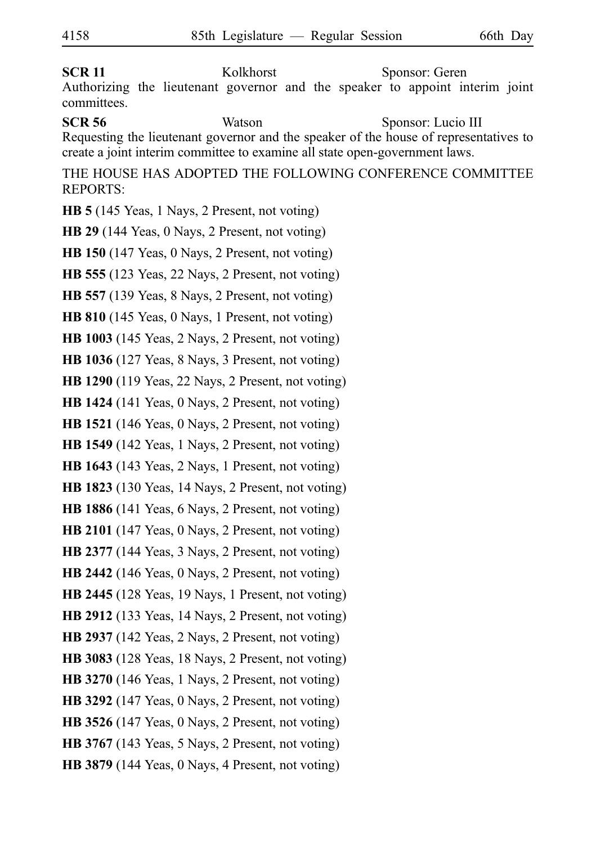**SCR 11** Kolkhorst Sponsor: Geren Authorizing the lieutenant governor and the speaker to appoint interim joint committees. **SCR 56** Watson Sponsor: Lucio III Requesting the lieutenant governor and the speaker of the house of representatives to create a joint interim committee to examine all state open-government laws. THE HOUSE HAS ADOPTED THE FOLLOWING CONFERENCE COMMITTEE REPORTS: **HB 5** (145 Yeas, 1 Nays, 2 Present, not voting) **HB 29** (144 Yeas, 0 Nays, 2 Present, not voting) **HB 150** (147 Yeas, 0 Nays, 2 Present, not voting) **HB 555** (123 Yeas, 22 Nays, 2 Present, not voting) **HB 557** (139 Yeas, 8 Nays, 2 Present, not voting) **HB 810** (145 Yeas, 0 Nays, 1 Present, not voting) **HB 1003** (145 Yeas, 2 Nays, 2 Present, not voting) **HB 1036** (127 Yeas, 8 Nays, 3 Present, not voting) **HB 1290** (119 Yeas, 22 Nays, 2 Present, not voting)

**HB 1424** (141 Yeas, 0 Nays, 2 Present, not voting)

**HB 1521** (146 Yeas, 0 Nays, 2 Present, not voting)

**HB 1549** (142 Yeas, 1 Nays, 2 Present, not voting)

**HB 1643** (143 Yeas, 2 Nays, 1 Present, not voting)

**HB 1823** (130 Yeas, 14 Nays, 2 Present, not voting)

**HB 1886** (141 Yeas, 6 Nays, 2 Present, not voting)

**HB 2101** (147 Yeas, 0 Nays, 2 Present, not voting)

**HB 2377** (144 Yeas, 3 Nays, 2 Present, not voting)

**HB 2442** (146 Yeas, 0 Nays, 2 Present, not voting)

**HB 2445** (128 Yeas, 19 Nays, 1 Present, not voting)

**HB 2912** (133 Yeas, 14 Nays, 2 Present, not voting)

**HB 2937** (142 Yeas, 2 Nays, 2 Present, not voting)

**HB 3083** (128 Yeas, 18 Nays, 2 Present, not voting)

**HB 3270** (146 Yeas, 1 Nays, 2 Present, not voting)

**HB 3292** (147 Yeas, 0 Nays, 2 Present, not voting)

**HB 3526** (147 Yeas, 0 Nays, 2 Present, not voting)

**HB 3767** (143 Yeas, 5 Nays, 2 Present, not voting)

**HB 3879** (144 Yeas, 0 Nays, 4 Present, not voting)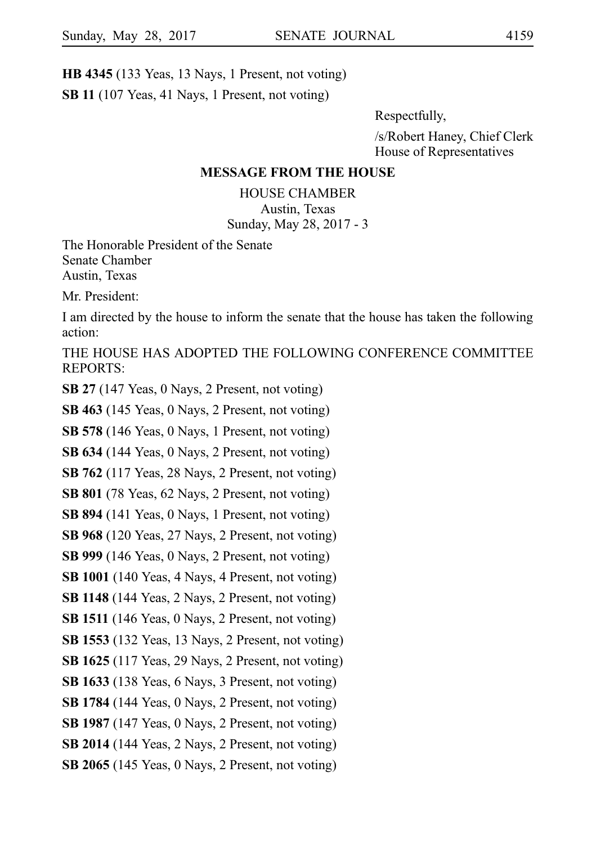**HB 4345** (133 Yeas, 13 Nays, 1 Present, not voting) **SB 11** (107 Yeas, 41 Nays, 1 Present, not voting)

Respectfully,

/s/Robert Haney, Chief Clerk House of Representatives

### **MESSAGE FROM THE HOUSE**

HOUSE CHAMBER Austin, Texas Sunday, May 28, 2017 - 3

The Honorable President of the Senate Senate Chamber Austin, Texas

Mr. President:

I am directed by the house to inform the senate that the house has taken the following action:

THE HOUSE HAS ADOPTED THE FOLLOWING CONFERENCE COMMITTEE REPORTS:

**SB 27** (147 Yeas, 0 Nays, 2 Present, not voting)

**SB 463** (145 Yeas, 0 Nays, 2 Present, not voting)

**SB 578** (146 Yeas, 0 Nays, 1 Present, not voting)

**SB 634** (144 Yeas, 0 Nays, 2 Present, not voting)

**SB 762** (117 Yeas, 28 Nays, 2 Present, not voting)

**SB 801** (78 Yeas, 62 Nays, 2 Present, not voting)

**SB 894** (141 Yeas, 0 Nays, 1 Present, not voting)

**SB 968** (120 Yeas, 27 Nays, 2 Present, not voting)

**SB 999** (146 Yeas, 0 Nays, 2 Present, not voting)

**SB 1001** (140 Yeas, 4 Nays, 4 Present, not voting)

**SB 1148** (144 Yeas, 2 Nays, 2 Present, not voting)

**SB 1511** (146 Yeas, 0 Nays, 2 Present, not voting)

**SB 1553** (132 Yeas, 13 Nays, 2 Present, not voting)

**SB 1625** (117 Yeas, 29 Nays, 2 Present, not voting)

**SB 1633** (138 Yeas, 6 Nays, 3 Present, not voting)

**SB 1784** (144 Yeas, 0 Nays, 2 Present, not voting)

**SB 1987** (147 Yeas, 0 Nays, 2 Present, not voting)

**SB 2014** (144 Yeas, 2 Nays, 2 Present, not voting)

**SB 2065** (145 Yeas, 0 Nays, 2 Present, not voting)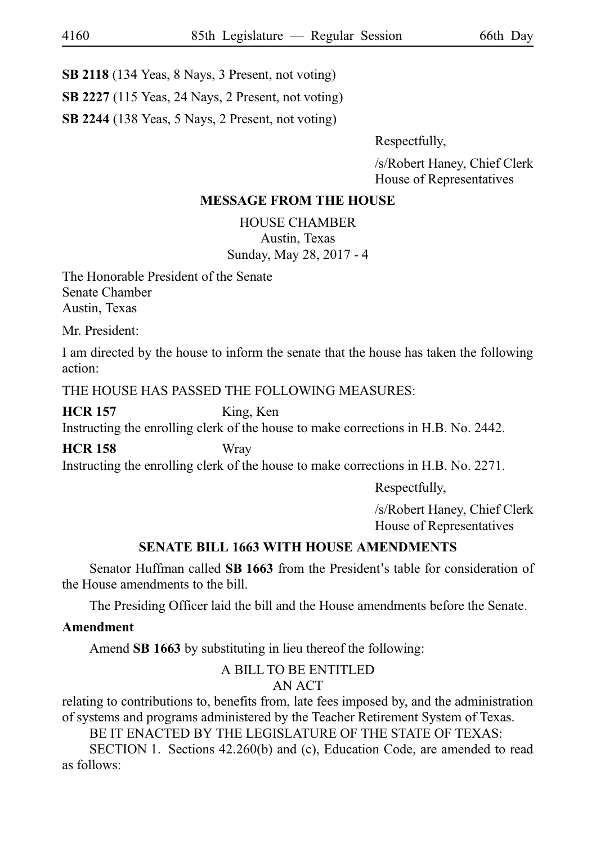**SB 2118** (134 Yeas, 8 Nays, 3 Present, not voting)

**SB 2227** (115 Yeas, 24 Nays, 2 Present, not voting)

**SB 2244** (138 Yeas, 5 Nays, 2 Present, not voting)

Respectfully,

/s/Robert Haney, Chief Clerk House of Representatives

# **MESSAGE FROM THE HOUSE**

HOUSE CHAMBER Austin, Texas Sunday, May 28, 2017 - 4

The Honorable President of the Senate Senate Chamber Austin, Texas

Mr. President:

I am directed by the house to inform the senate that the house has taken the following action:

THE HOUSE HAS PASSED THE FOLLOWING MEASURES:

**HCR 157** King, Ken

Instructing the enrolling clerk of the house to make corrections in H.B. No. 2442.

**HCR 158** Wray

Instructing the enrolling clerk of the house to make corrections in H.B. No. 2271.

Respectfully,

/s/Robert Haney, Chief Clerk House of Representatives

# **SENATE BILL 1663 WITH HOUSE AMENDMENTS**

Senator Huffman called **SB 1663** from the President's table for consideration of the House amendments to the bill.

The Presiding Officer laid the bill and the House amendments before the Senate.

# **Amendment**

Amend **SB 1663** by substituting in lieu thereof the following:

## A BILL TO BE ENTITLED AN ACT

relating to contributions to, benefits from, late fees imposed by, and the administration of systems and programs administered by the Teacher Retirement System of Texas.

BE IT ENACTED BY THE LEGISLATURE OF THE STATE OF TEXAS:

SECTION 1. Sections  $42.260(b)$  and (c), Education Code, are amended to read as follows: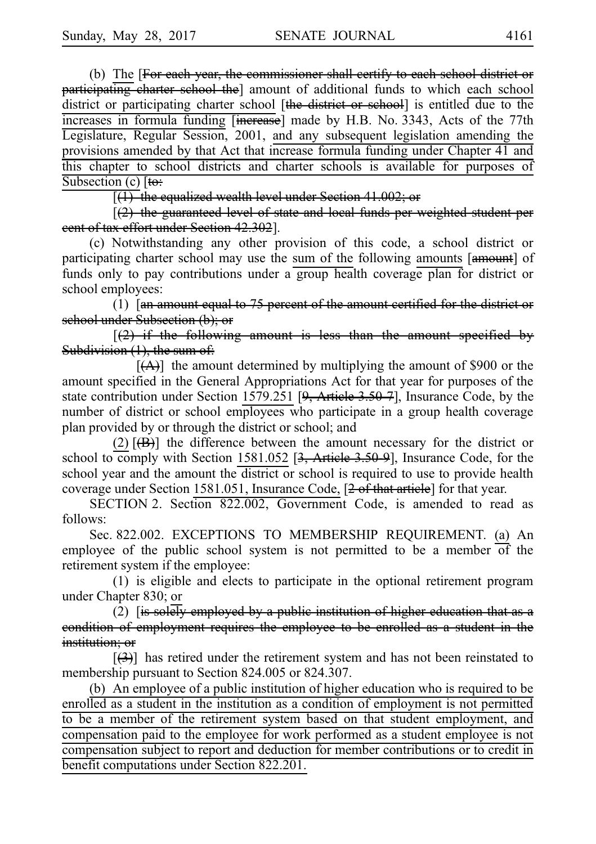(b) The [For each year, the commissioner shall certify to each school district or participating charter school the] amount of additional funds to which each school district or participating charter school [the district or school] is entitled due to the increases in formula funding [increase] made by H.B. No. 3343, Acts of the 77th Legislature, Regular Session, 2001, and any subsequent legislation amending the provisions amended by that Act that increase formula funding under Chapter 41 and this chapter to school districts and charter schools is available for purposes of Subsection (c)  $[t\ddot{\theta}]$ 

 $\sqrt{(1)}$  the equalized wealth level under Section 41.002; or

 $[2]$  the guaranteed level of state and local funds per weighted student per cent of tax effort under Section 42.302].

(c) Notwithstanding any other provision of this code, a school district or participating charter school may use the sum of the following amounts [amount] of funds only to pay contributions under a group health coverage plan for district or school employees:

(1)  $\left[\right]$  amount equal to 75 percent of the amount certified for the district or school under Subsection (b); or

 $(2)$  if the following amount is less than the amount specified by Subdivision  $(1)$ , the sum of:

 $[(A)]$  the amount determined by multiplying the amount of \$900 or the amount specified in the General Appropriations Act for that year for purposes of the state contribution under Section 1579.251 [9, Article 3.50-7], Insurance Code, by the number of district or school employees who participate in a group health coverage plan provided by or through the district or school; and

(2)i[(B)]iithe difference between the amount necessary for the district or school to comply with Section 1581.052  $[3, \text{Article } 3.50-9]$ , Insurance Code, for the school year and the amount the district or school is required to use to provide health coverage under Section 1581.051, Insurance Code, [2 of that article] for that year.

SECTION 2. Section 822.002, Government Code, is amended to read as follows:

Sec. 822.002. EXCEPTIONS TO MEMBERSHIP REQUIREMENT. (a) An employee of the public school system is not permitted to be a member of the retirement system if the employee:

 $(1)$  is eligible and elects to participate in the optional retirement program under Chapter 830; or

(2) [is solely employed by a public institution of higher education that as a condition of employment requires the employee to be enrolled as a student in the institution; or

 $[36]$  has retired under the retirement system and has not been reinstated to membership pursuant to Section 824.005 or 824.307.

(b) An employee of a public institution of higher education who is required to be enrolled as a student in the institution as a condition of employment is not permitted to be a member of the retirement system based on that student employment, and compensation paid to the employee for work performed as a student employee is not compensation subject to report and deduction for member contributions or to credit in benefit computations under Section 822.201.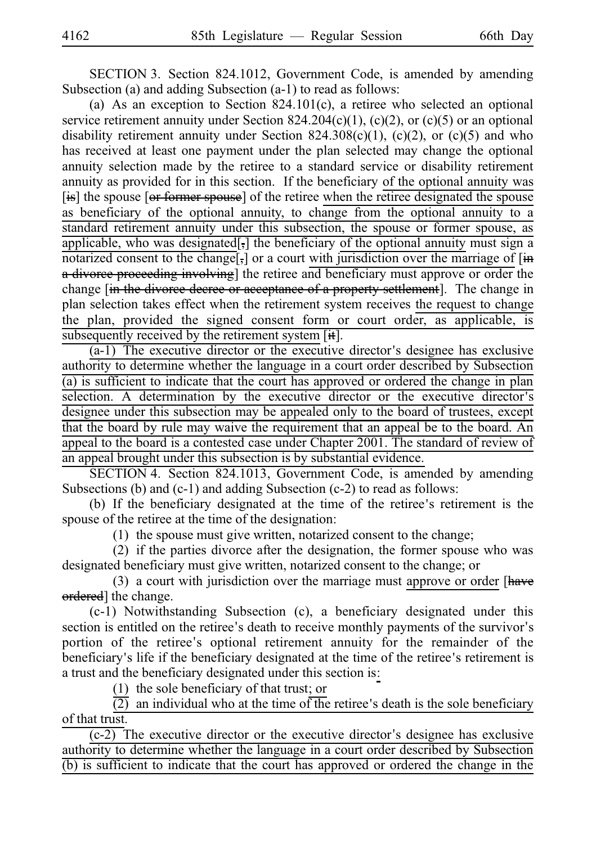SECTION 3. Section 824.1012, Government Code, is amended by amending Subsection (a) and adding Subsection (a-1) to read as follows:

(a) As an exception to Section  $824.101(c)$ , a retiree who selected an optional service retirement annuity under Section 824.204(c)(1), (c)(2), or (c)(5) or an optional disability retirement annuity under Section  $824.308(c)(1)$ ,  $(c)(2)$ , or  $(c)(5)$  and who has received at least one payment under the plan selected may change the optional annuity selection made by the retiree to a standard service or disability retirement annuity as provided for in this section. If the beneficiary of the optional annuity was [is] the spouse [or former spouse] of the retiree when the retiree designated the spouse as beneficiary of the optional annuity, to change from the optional annuity to a standard retirement annuity under this subsection, the spouse or former spouse, as applicable, who was designated[,] the beneficiary of the optional annuity must sign a notarized consent to the change[,] or a court with jurisdiction over the marriage of [in a divorce proceeding involving] the retiree and beneficiary must approve or order the change [in the divorce decree or acceptance of a property settlement]. The change in plan selection takes effect when the retirement system receives the request to change the plan, provided the signed consent form or court order, as applicable, is subsequently received by the retirement system  $[\ddot{\ast}]$ .

 $(a-1)$  The executive director or the executive director's designee has exclusive authority to determine whether the language in a court order described by Subsection (a) is sufficient to indicate that the court has approved or ordered the change in plan selection. A determination by the executive director or the executive director's designee under this subsection may be appealed only to the board of trustees, except that the board by rule may waive the requirement that an appeal be to the board. An appeal to the board is a contested case under Chapter 2001. The standard of review of an appeal brought under this subsection is by substantial evidence.

SECTION 4. Section 824.1013, Government Code, is amended by amending Subsections (b) and (c-1) and adding Subsection (c-2) to read as follows:

(b) If the beneficiary designated at the time of the retiree's retirement is the spouse of the retiree at the time of the designation:

 $(1)$  the spouse must give written, notarized consent to the change;

 $(2)$  if the parties divorce after the designation, the former spouse who was designated beneficiary must give written, notarized consent to the change; or

(3) a court with jurisdiction over the marriage must approve or order  $[{\text{have}}]$ ordered] the change.

(c-1) Notwithstanding Subsection (c), a beneficiary designated under this section is entitled on the retiree's death to receive monthly payments of the survivor's portion of the retiree ' s optional retirement annuity for the remainder of the beneficiary's life if the beneficiary designated at the time of the retiree's retirement is a trust and the beneficiary designated under this section is:

(1) the sole beneficiary of that trust; or

 $\overline{(2)}$  an individual who at the time of the retiree's death is the sole beneficiary of that trust.

 $(c-2)$  The executive director or the executive director's designee has exclusive authority to determine whether the language in a court order described by Subsection (b) is sufficient to indicate that the court has approved or ordered the change in the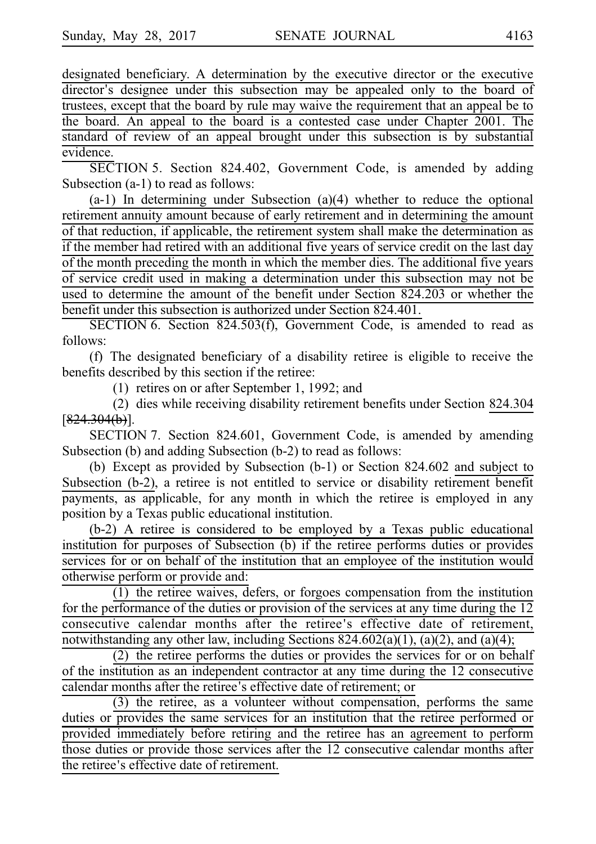designated beneficiary. A determination by the executive director or the executive director's designee under this subsection may be appealed only to the board of trustees, except that the board by rule may waive the requirement that an appeal be to the board. An appeal to the board is a contested case under Chapter 2001. The standard of review of an appeal brought under this subsection is by substantial evidence.

SECTION 5. Section 824.402, Government Code, is amended by adding Subsection (a-1) to read as follows:

 $(a-1)$  In determining under Subsection  $(a)(4)$  whether to reduce the optional retirement annuity amount because of early retirement and in determining the amount of that reduction, if applicable, the retirement system shall make the determination as if the member had retired with an additional five years of service credit on the last day of the month preceding the month in which the member dies. The additional five years of service credit used in making a determination under this subsection may not be used to determine the amount of the benefit under Section 824.203 or whether the benefit under this subsection is authorized under Section 824.401.

SECTION 6. Section 824.503(f), Government Code, is amended to read as follows:

(f) The designated beneficiary of a disability retiree is eligible to receive the benefits described by this section if the retiree:

 $(1)$  retires on or after September 1, 1992; and

(2) dies while receiving disability retirement benefits under Section 824.304  $[824.304(b)].$ 

SECTION 7. Section 824.601, Government Code, is amended by amending Subsection (b) and adding Subsection (b-2) to read as follows:

(b) Except as provided by Subsection  $(b-1)$  or Section 824.602 and subject to Subsection (b-2), a retiree is not entitled to service or disability retirement benefit payments, as applicable, for any month in which the retiree is employed in any position by a Texas public educational institution.

 $(b-2)$  A retiree is considered to be employed by a Texas public educational institution for purposes of Subsection (b) if the retiree performs duties or provides services for or on behalf of the institution that an employee of the institution would otherwise perform or provide and:

 $(1)$  the retiree waives, defers, or forgoes compensation from the institution for the performance of the duties or provision of the services at any time during the 12 consecutive calendar months after the retiree ' s effective date of retirement, notwithstanding any other law, including Sections  $824.602(a)(1)$ ,  $(a)(2)$ , and  $(a)(4)$ ;

 $(2)$  the retiree performs the duties or provides the services for or on behalf of the institution as an independent contractor at any time during the 12 consecutive calendar months after the retiree's effective date of retirement; or

 $(3)$  the retiree, as a volunteer without compensation, performs the same duties or provides the same services for an institution that the retiree performed or provided immediately before retiring and the retiree has an agreement to perform those duties or provide those services after the 12 consecutive calendar months after the retiree's effective date of retirement.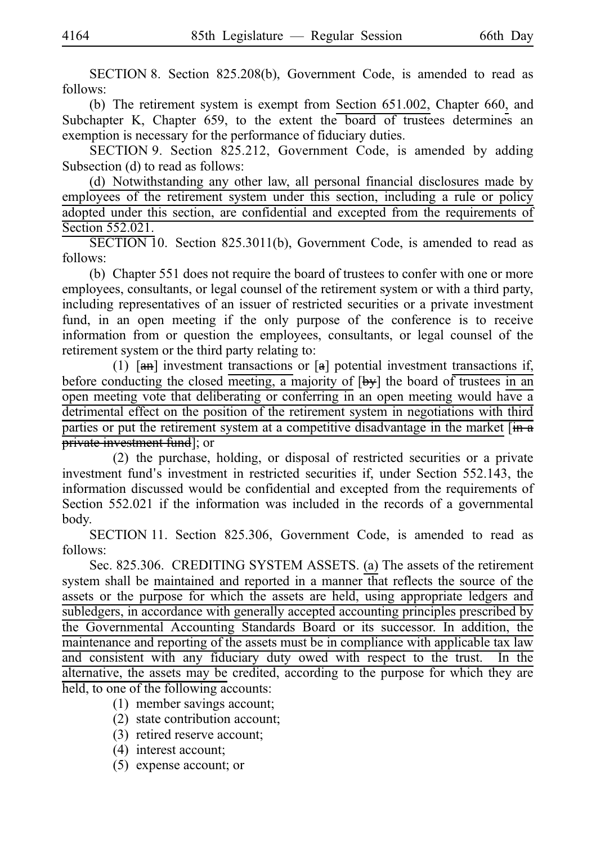SECTION 8. Section  $825.208(b)$ , Government Code, is amended to read as follows:

(b) The retirement system is exempt from Section 651.002, Chapter 660, and Subchapter K, Chapter 659, to the extent the board of trustees determines an exemption is necessary for the performance of fiduciary duties.

SECTION 9. Section 825.212, Government Code, is amended by adding Subsection (d) to read as follows:

(d) Notwithstanding any other law, all personal financial disclosures made by employees of the retirement system under this section, including a rule or policy adopted under this section, are confidential and excepted from the requirements of Section 552.021.

 $SECTION 10. Section 825.3011(b), Government Code, is amended to read as$ follows:

(b) Chapter 551 does not require the board of trustees to confer with one or more employees, consultants, or legal counsel of the retirement system or with a third party, including representatives of an issuer of restricted securities or a private investment fund, in an open meeting if the only purpose of the conference is to receive information from or question the employees, consultants, or legal counsel of the retirement system or the third party relating to:

(1)  $\left[\frac{an}{b}\right]$  investment transactions or  $\left[\frac{an}{b}\right]$  potential investment transactions if, before conducting the closed meeting, a majority of [by] the board of trustees in an open meeting vote that deliberating or conferring in an open meeting would have a detrimental effect on the position of the retirement system in negotiations with third parties or put the retirement system at a competitive disadvantage in the market  $[\frac{in}{n}$ **private investment fund**]; or

 $(2)$  the purchase, holding, or disposal of restricted securities or a private investment fund's investment in restricted securities if, under Section 552.143, the information discussed would be confidential and excepted from the requirements of Section 552.021 if the information was included in the records of a governmental body.

SECTION 11. Section 825.306, Government Code, is amended to read as follows:

Sec. 825.306. CREDITING SYSTEM ASSETS. (a) The assets of the retirement system shall be maintained and reported in a manner that reflects the source of the assets or the purpose for which the assets are held, using appropriate ledgers and subledgers, in accordance with generally accepted accounting principles prescribed by the Governmental Accounting Standards Board or its successor. In addition, the maintenance and reporting of the assets must be in compliance with applicable tax law and consistent with any fiduciary duty owed with respect to the trust. In the alternative, the assets may be credited, according to the purpose for which they are held, to one of the following accounts:

- $(1)$  member savings account;
- $(2)$  state contribution account;
- (3) retired reserve account;
- $(4)$  interest account;
- $(5)$  expense account; or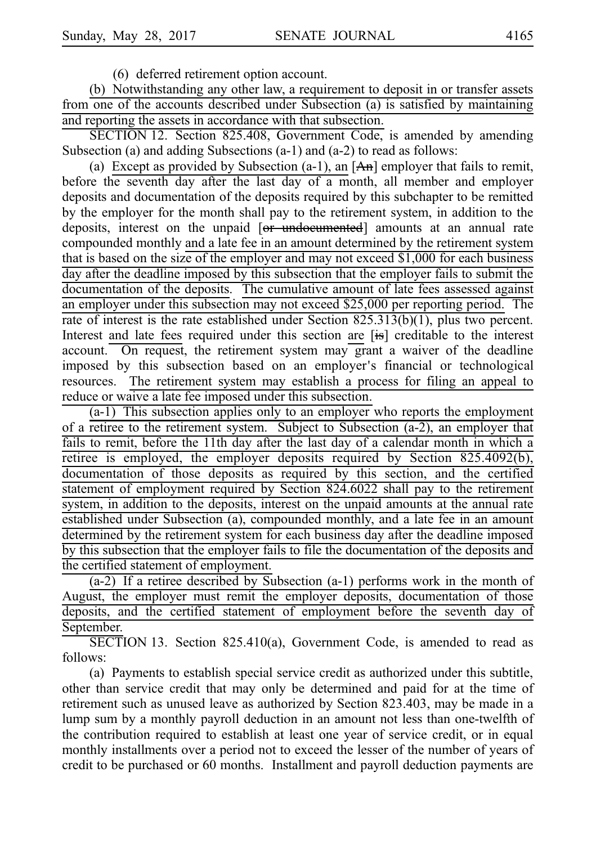(6) deferred retirement option account.

(b) Notwithstanding any other law, a requirement to deposit in or transfer assets from one of the accounts described under Subsection (a) is satisfied by maintaining and reporting the assets in accordance with that subsection.

SECTION 12. Section 825.408, Government Code, is amended by amending Subsection (a) and adding Subsections (a-1) and (a-2) to read as follows:

(a) Except as provided by Subsection (a-1), an  $[A<sub>n</sub>]$  employer that fails to remit, before the seventh day after the last day of a month, all member and employer deposits and documentation of the deposits required by this subchapter to be remitted by the employer for the month shall pay to the retirement system, in addition to the deposits, interest on the unpaid [or undocumented] amounts at an annual rate compounded monthly and a late fee in an amount determined by the retirement system that is based on the size of the employer and may not exceed \$1,000 for each business day after the deadline imposed by this subsection that the employer fails to submit the documentation of the deposits. The cumulative amount of late fees assessed against an employer under this subsection may not exceed \$25,000 per reporting period. The rate of interest is the rate established under Section 825.313(b)(1), plus two percent. Interest and late fees required under this section are [is] creditable to the interest account. On request, the retirement system may grant a waiver of the deadline imposed by this subsection based on an employer's financial or technological resources. The retirement system may establish a process for filing an appeal to reduce or waive a late fee imposed under this subsection.

 $(a-1)$  This subsection applies only to an employer who reports the employment of a retiree to the retirement system. Subject to Subsection (a-2), an employer that fails to remit, before the 11th day after the last day of a calendar month in which a retiree is employed, the employer deposits required by Section 825.4092(b), documentation of those deposits as required by this section, and the certified statement of employment required by Section 824.6022 shall pay to the retirement system, in addition to the deposits, interest on the unpaid amounts at the annual rate established under Subsection (a), compounded monthly, and a late fee in an amount determined by the retirement system for each business day after the deadline imposed by this subsection that the employer fails to file the documentation of the deposits and the certified statement of employment.

 $(a-2)$  If a retiree described by Subsection  $(a-1)$  performs work in the month of August, the employer must remit the employer deposits, documentation of those deposits, and the certified statement of employment before the seventh day of September.

 $SECTION 13. Section 825.410(a), Government Code, is amended to read as$ follows:

(a) Payments to establish special service credit as authorized under this subtitle, other than service credit that may only be determined and paid for at the time of retirement such as unused leave as authorized by Section 823.403, may be made in a lump sum by a monthly payroll deduction in an amount not less than one-twelfth of the contribution required to establish at least one year of service credit, or in equal monthly installments over a period not to exceed the lesser of the number of years of credit to be purchased or 60 months. Installment and payroll deduction payments are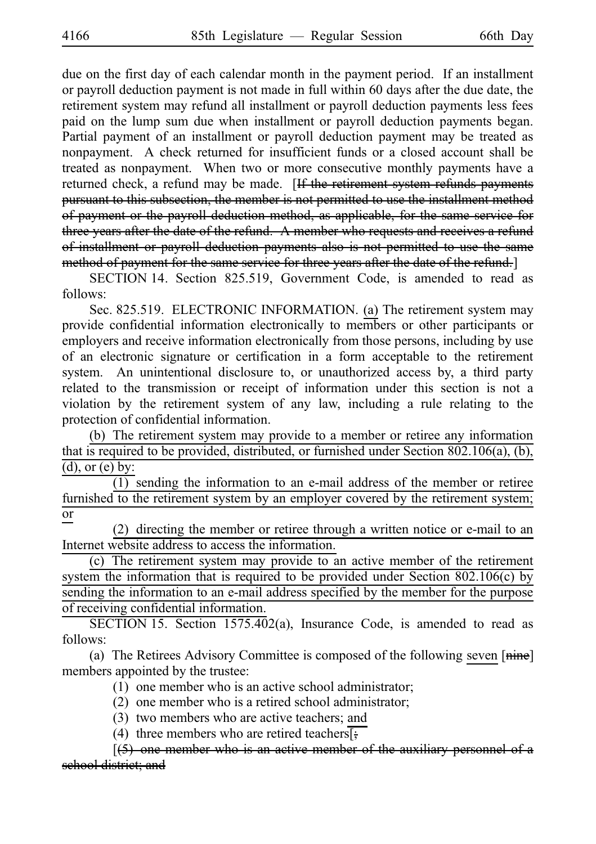due on the first day of each calendar month in the payment period. If an installment or payroll deduction payment is not made in full within 60 days after the due date, the retirement system may refund all installment or payroll deduction payments less fees paid on the lump sum due when installment or payroll deduction payments began. Partial payment of an installment or payroll deduction payment may be treated as nonpayment. A check returned for insufficient funds or a closed account shall be treated as nonpayment. When two or more consecutive monthly payments have a returned check, a refund may be made. [If the retirement system refunds payments pursuant to this subsection, the member is not permitted to use the installment method of payment or the payroll deduction method, as applicable, for the same service for three years after the date of the refund. A member who requests and receives a refund of installment or payroll deduction payments also is not permitted to use the same method of payment for the same service for three years after the date of the refund.]

SECTION 14. Section 825.519, Government Code, is amended to read as follows:

Sec. 825.519. ELECTRONIC INFORMATION. (a) The retirement system may provide confidential information electronically to members or other participants or employers and receive information electronically from those persons, including by use of an electronic signature or certification in a form acceptable to the retirement system. An unintentional disclosure to, or unauthorized access by, a third party related to the transmission or receipt of information under this section is not a violation by the retirement system of any law, including a rule relating to the protection of confidential information.

(b) The retirement system may provide to a member or retiree any information that is required to be provided, distributed, or furnished under Section 802.106(a), (b),  $(d)$ , or  $(e)$  by:

 $\overline{(1)}$  sending the information to an e-mail address of the member or retiree furnished to the retirement system by an employer covered by the retirement system; or

 $(2)$  directing the member or retiree through a written notice or e-mail to an Internet website address to access the information.

(c) The retirement system may provide to an active member of the retirement system the information that is required to be provided under Section 802.106(c) by sending the information to an e-mail address specified by the member for the purpose of receiving confidential information.

SECTION 15. Section  $1575.402(a)$ , Insurance Code, is amended to read as follows:

(a) The Retirees Advisory Committee is composed of the following seven  $[\overline{\text{min}}]$ members appointed by the trustee:

 $(1)$  one member who is an active school administrator;

- $(2)$  one member who is a retired school administrator;
- (3) two members who are active teachers; and
- (4) three members who are retired teachers[ $\frac{1}{2}$ ]

 $[5]$  one member who is an active member of the auxiliary personnel of a school district; and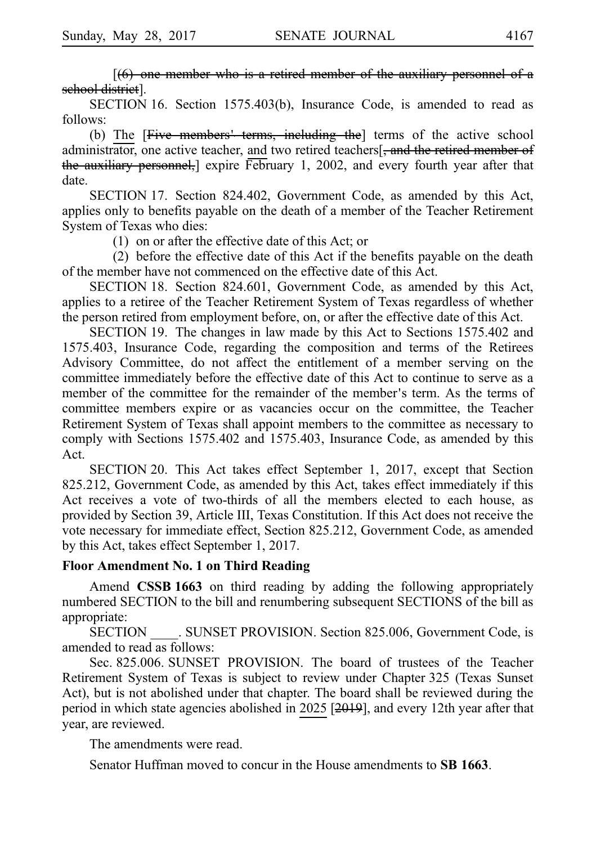$[66]$  one member who is a retired member of the auxiliary personnel of a school district].

SECTION 16. Section 1575.403(b), Insurance Code, is amended to read as follows:

(b) The  $[Five\, members'$  terms, including the] terms of the active school administrator, one active teacher, and two retired teachers[, and the retired member of the auxiliary personnel, expire February 1, 2002, and every fourth year after that date.

SECTION 17. Section 824.402, Government Code, as amended by this Act, applies only to benefits payable on the death of a member of the Teacher Retirement System of Texas who dies:

 $(1)$  on or after the effective date of this Act; or

 $(2)$  before the effective date of this Act if the benefits payable on the death of the member have not commenced on the effective date of this Act.

SECTION 18. Section 824.601, Government Code, as amended by this Act, applies to a retiree of the Teacher Retirement System of Texas regardless of whether the person retired from employment before, on, or after the effective date of this Act.

SECTION 19. The changes in law made by this Act to Sections 1575.402 and 1575.403, Insurance Code, regarding the composition and terms of the Retirees Advisory Committee, do not affect the entitlement of a member serving on the committee immediately before the effective date of this Act to continue to serve as a member of the committee for the remainder of the member's term. As the terms of committee members expire or as vacancies occur on the committee, the Teacher Retirement System of Texas shall appoint members to the committee as necessary to comply with Sections 1575.402 and 1575.403, Insurance Code, as amended by this Act.

SECTION 20. This Act takes effect September 1, 2017, except that Section 825.212, Government Code, as amended by this Act, takes effect immediately if this Act receives a vote of two-thirds of all the members elected to each house, as provided by Section 39, Article III, Texas Constitution. If this Act does not receive the vote necessary for immediate effect, Section 825.212, Government Code, as amended by this Act, takes effect September 1, 2017.

## **Floor Amendment No. 1 on Third Reading**

Amend **CSSB 1663** on third reading by adding the following appropriately numbered SECTION to the bill and renumbering subsequent SECTIONS of the bill as appropriate:

SECTION SUNSET PROVISION. Section 825.006, Government Code, is amended to read as follows:

Sec. 825.006. SUNSET PROVISION. The board of trustees of the Teacher Retirement System of Texas is subject to review under Chapter 325 (Texas Sunset Act), but is not abolished under that chapter. The board shall be reviewed during the period in which state agencies abolished in 2025 [2019], and every 12th year after that year, are reviewed.

The amendments were read.

Senator Huffman moved to concur in the House amendments to **SB 1663**.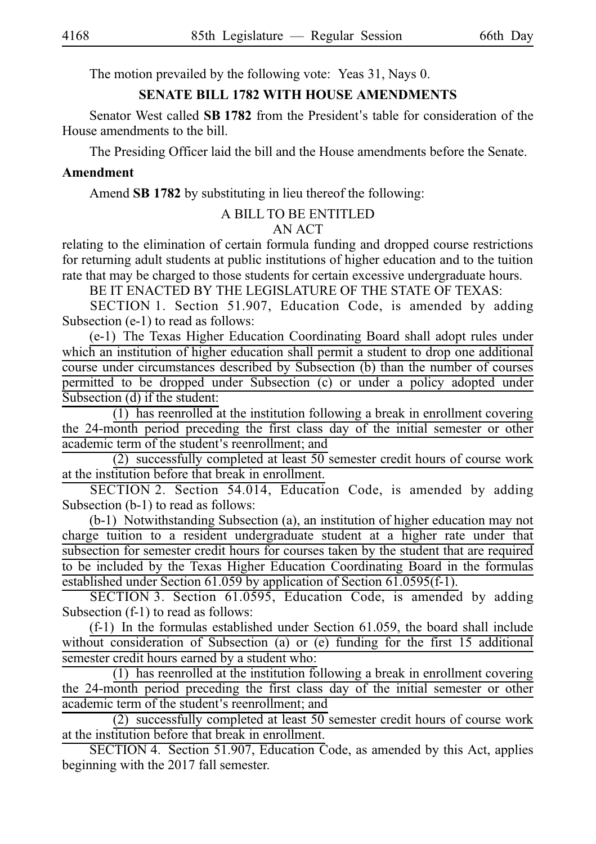The motion prevailed by the following vote: Yeas 31, Nays 0.

## **SENATE BILL 1782 WITH HOUSE AMENDMENTS**

Senator West called **SB 1782** from the President's table for consideration of the House amendments to the bill.

The Presiding Officer laid the bill and the House amendments before the Senate.

## **Amendment**

Amend **SB 1782** by substituting in lieu thereof the following:

# A BILL TO BE ENTITLED

# AN ACT

relating to the elimination of certain formula funding and dropped course restrictions for returning adult students at public institutions of higher education and to the tuition rate that may be charged to those students for certain excessive undergraduate hours.

BE IT ENACTED BY THE LEGISLATURE OF THE STATE OF TEXAS:

SECTION 1. Section 51.907, Education Code, is amended by adding Subsection (e-1) to read as follows:

(e-1) The Texas Higher Education Coordinating Board shall adopt rules under which an institution of higher education shall permit a student to drop one additional course under circumstances described by Subsection (b) than the number of courses permitted to be dropped under Subsection (c) or under a policy adopted under Subsection (d) if the student:

 $(1)$  has reenrolled at the institution following a break in enrollment covering the 24-month period preceding the first class day of the initial semester or other academic term of the student's reenrollment; and

(2) successfully completed at least  $50$  semester credit hours of course work at the institution before that break in enrollment.

SECTION 2. Section 54.014, Education Code, is amended by adding Subsection (b-1) to read as follows:

 $(b-1)$  Notwithstanding Subsection (a), an institution of higher education may not charge tuition to a resident undergraduate student at a higher rate under that subsection for semester credit hours for courses taken by the student that are required to be included by the Texas Higher Education Coordinating Board in the formulas established under Section  $61.059$  by application of Section  $61.0595(f-1)$ .

SECTION 3. Section 61.0595, Education Code, is amended by adding Subsection (f-1) to read as follows:

 $(f-1)$  In the formulas established under Section 61.059, the board shall include without consideration of Subsection (a) or (e) funding for the first 15 additional semester credit hours earned by a student who:

 $(1)$  has reenrolled at the institution following a break in enrollment covering the 24-month period preceding the first class day of the initial semester or other academic term of the student's reenrollment; and

(2) successfully completed at least  $50$  semester credit hours of course work at the institution before that break in enrollment.

SECTION 4. Section 51.907, Education Code, as amended by this Act, applies beginning with the 2017 fall semester.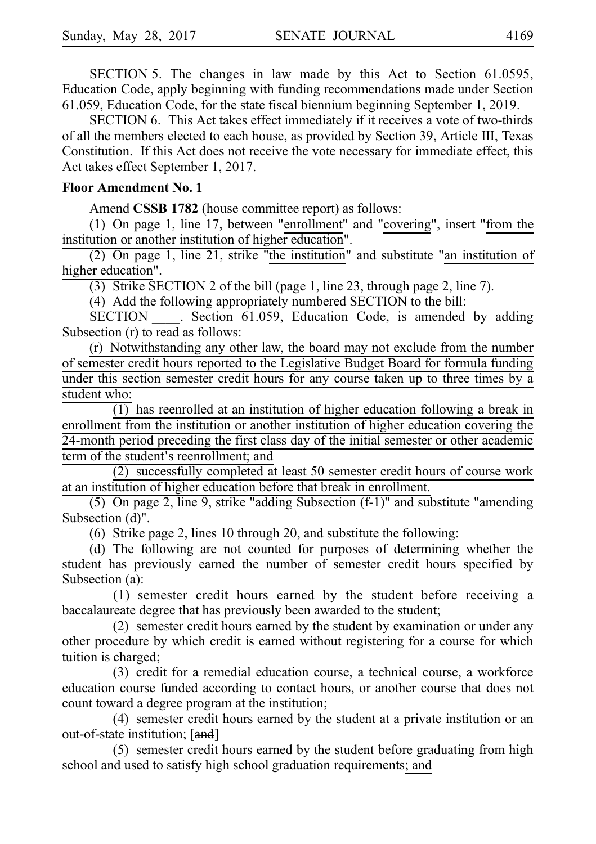SECTION 5. The changes in law made by this Act to Section 61.0595, Education Code, apply beginning with funding recommendations made under Section 61.059, Education Code, for the state fiscal biennium beginning September 1, 2019.

SECTION 6. This Act takes effect immediately if it receives a vote of two-thirds of all the members elected to each house, as provided by Section 39, Article III, Texas Constitution. If this Act does not receive the vote necessary for immediate effect, this Act takes effect September 1, 2017.

### **Floor Amendment No. 1**

Amend **CSSB 1782** (house committee report) as follows:

(1) On page 1, line 17, between "enrollment" and "covering", insert "from the institution or another institution of higher education".

(2) On page 1, line 21, strike "the institution" and substitute "an institution of higher education".

(3) Strike SECTION 2 of the bill (page 1, line 23, through page 2, line 7).

(4) Add the following appropriately numbered SECTION to the bill:

SECTION Section 61.059, Education Code, is amended by adding Subsection (r) to read as follows:

 $(r)$  Notwithstanding any other law, the board may not exclude from the number of semester credit hours reported to the Legislative Budget Board for formula funding under this section semester credit hours for any course taken up to three times by a student who:

 $(1)$  has reenrolled at an institution of higher education following a break in enrollment from the institution or another institution of higher education covering the 24-month period preceding the first class day of the initial semester or other academic term of the student's reenrollment; and

 $(2)$  successfully completed at least 50 semester credit hours of course work at an institution of higher education before that break in enrollment.

(5) On page 2, line 9, strike "adding Subsection  $(f-1)$ " and substitute "amending Subsection (d)".

(6) Strike page 2, lines 10 through 20, and substitute the following:

(d) The following are not counted for purposes of determining whether the student has previously earned the number of semester credit hours specified by Subsection (a):

(1) semester credit hours earned by the student before receiving a baccalaureate degree that has previously been awarded to the student;

(2) semester credit hours earned by the student by examination or under any other procedure by which credit is earned without registering for a course for which tuition is charged;

(3) credit for a remedial education course, a technical course, a workforce education course funded according to contact hours, or another course that does not count toward a degree program at the institution;

 $(4)$  semester credit hours earned by the student at a private institution or an out-of-state institution; [and]

(5) semester credit hours earned by the student before graduating from high school and used to satisfy high school graduation requirements; and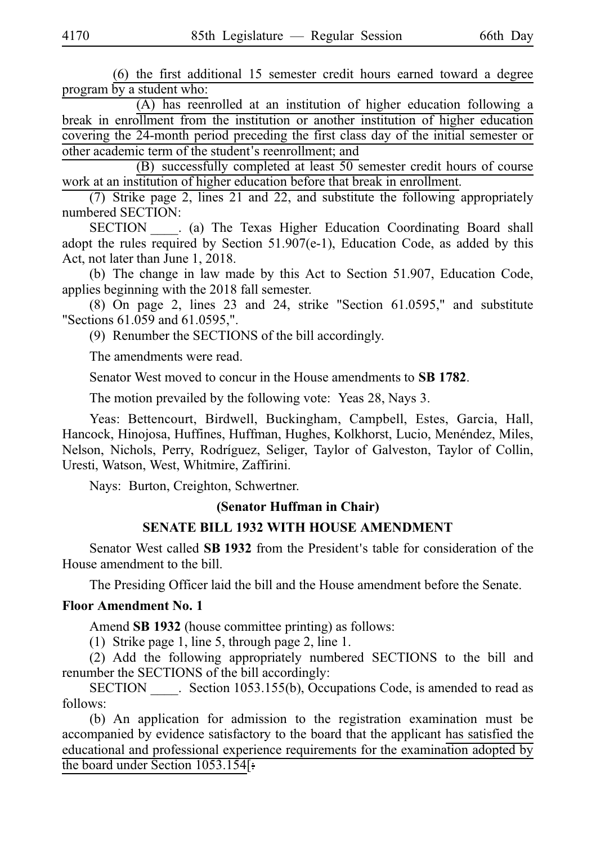$(6)$  the first additional 15 semester credit hours earned toward a degree program by a student who:

(A) has reenrolled at an institution of higher education following a break in enrollment from the institution or another institution of higher education covering the 24-month period preceding the first class day of the initial semester or other academic term of the student's reenrollment; and

 $(B)$  successfully completed at least 50 semester credit hours of course work at an institution of higher education before that break in enrollment.

(7) Strike page 2, lines 21 and 22, and substitute the following appropriately numbered SECTION:

SECTION \_\_\_\_. (a) The Texas Higher Education Coordinating Board shall adopt the rules required by Section 51.907(e-1), Education Code, as added by this Act, not later than June 1, 2018.

(b) The change in law made by this Act to Section 51.907, Education Code, applies beginning with the 2018 fall semester.

 $(8)$  On page 2, lines 23 and 24, strike "Section 61.0595," and substitute "Sections 61.059 and 61.0595,".

(9) Renumber the SECTIONS of the bill accordingly.

The amendments were read.

Senator West moved to concur in the House amendments to **SB 1782**.

The motion prevailed by the following vote: Yeas 28, Nays 3.

Yeas: Bettencourt, Birdwell, Buckingham, Campbell, Estes, Garcia, Hall, Hancock, Hinojosa, Huffines, Huffman, Hughes, Kolkhorst, Lucio, Menéndez, Miles, Nelson, Nichols, Perry, Rodríguez, Seliger, Taylor of Galveston, Taylor of Collin, Uresti, Watson, West, Whitmire, Zaffirini.

Nays: Burton, Creighton, Schwertner.

### **(Senator Huffman in Chair)**

## **SENATE BILL 1932 WITH HOUSE AMENDMENT**

Senator West called **SB 1932** from the President's table for consideration of the House amendment to the bill.

The Presiding Officer laid the bill and the House amendment before the Senate.

#### **Floor Amendment No.i1**

Amend **SB 1932** (house committee printing) as follows:

(1) Strike page 1, line 5, through page 2, line 1.

(2) Add the following appropriately numbered SECTIONS to the bill and renumber the SECTIONS of the bill accordingly:

SECTION Section 1053.155(b), Occupations Code, is amended to read as follows:

(b) An application for admission to the registration examination must be accompanied by evidence satisfactory to the board that the applicant has satisfied the educational and professional experience requirements for the examination adopted by the board under Section 1053.154[: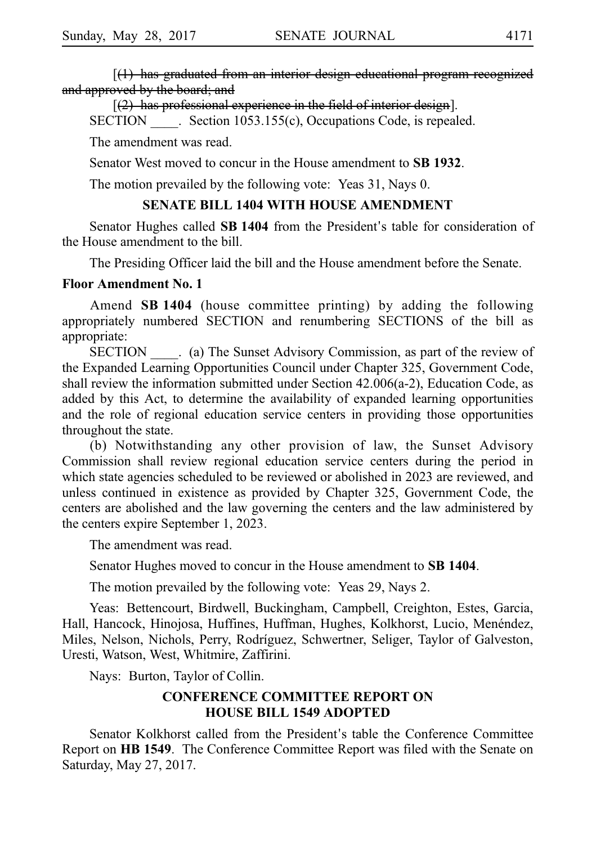$[(1)$  has graduated from an interior design educational program recognized and approved by the board; and

 $(2)$  has professional experience in the field of interior design].

SECTION Section 1053.155(c), Occupations Code, is repealed.

The amendment was read.

Senator West moved to concur in the House amendment to **SBi1932**.

The motion prevailed by the following vote: Yeas 31, Nays 0.

### **SENATE BILL 1404 WITH HOUSE AMENDMENT**

Senator Hughes called **SB 1404** from the President's table for consideration of the House amendment to the bill.

The Presiding Officer laid the bill and the House amendment before the Senate.

#### **Floor Amendment No. 1**

Amend **SBi1404** (house committee printing) by adding the following appropriately numbered SECTION and renumbering SECTIONS of the bill as appropriate:

SECTION \_\_\_\_. (a) The Sunset Advisory Commission, as part of the review of the Expanded Learning Opportunities Council under Chapter 325, Government Code, shall review the information submitted under Section 42.006(a-2), Education Code, as added by this Act, to determine the availability of expanded learning opportunities and the role of regional education service centers in providing those opportunities throughout the state.

(b) Notwithstanding any other provision of law, the Sunset Advisory Commission shall review regional education service centers during the period in which state agencies scheduled to be reviewed or abolished in 2023 are reviewed, and unless continued in existence as provided by Chapter 325, Government Code, the centers are abolished and the law governing the centers and the law administered by the centers expire September 1, 2023.

The amendment was read.

Senator Hughes moved to concur in the House amendment to **SB 1404**.

The motion prevailed by the following vote: Yeas 29, Nays 2.

Yeas: Bettencourt, Birdwell, Buckingham, Campbell, Creighton, Estes, Garcia, Hall, Hancock, Hinojosa, Huffines, Huffman, Hughes, Kolkhorst, Lucio, Menéndez, Miles, Nelson, Nichols, Perry, Rodríguez, Schwertner, Seliger, Taylor of Galveston, Uresti, Watson, West, Whitmire, Zaffirini.

Nays: Burton, Taylor of Collin.

# **CONFERENCE COMMITTEE REPORT ON HOUSE BILL 1549 ADOPTED**

Senator Kolkhorst called from the President's table the Conference Committee Report on **HB 1549**. The Conference Committee Report was filed with the Senate on Saturday, May 27, 2017.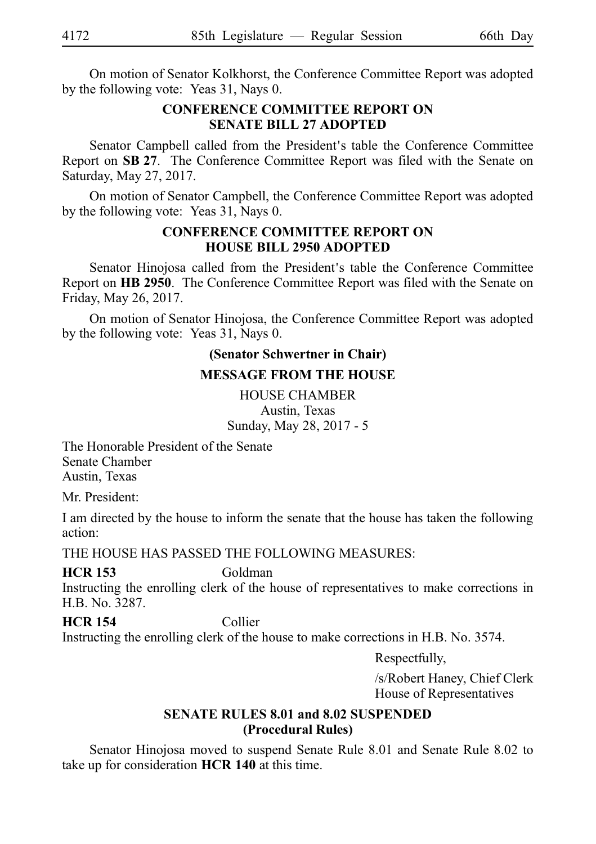On motion of Senator Kolkhorst, the Conference Committee Report was adopted by the following vote: Yeas 31, Nays 0.

# **CONFERENCE COMMITTEE REPORT ON SENATE BILL 27 ADOPTED**

Senator Campbell called from the President's table the Conference Committee Report on SB 27. The Conference Committee Report was filed with the Senate on Saturday, May 27, 2017.

On motion of Senator Campbell, the Conference Committee Report was adopted by the following vote: Yeas 31, Nays 0.

### **CONFERENCE COMMITTEE REPORT ON HOUSE BILL 2950 ADOPTED**

Senator Hinojosa called from the President's table the Conference Committee Report on **HB 2950**. The Conference Committee Report was filed with the Senate on Friday, May 26, 2017.

On motion of Senator Hinojosa, the Conference Committee Report was adopted by the following vote: Yeas 31, Nays 0.

# **(Senator Schwertner in Chair)**

## **MESSAGE FROM THE HOUSE**

HOUSE CHAMBER Austin, Texas Sunday, May 28, 2017 - 5

The Honorable President of the Senate Senate Chamber Austin, Texas

Mr. President:

I am directed by the house to inform the senate that the house has taken the following action:

THE HOUSE HAS PASSED THE FOLLOWING MEASURES:

## **HCR 153** Goldman

Instructing the enrolling clerk of the house of representatives to make corrections in H.B. No. 3287.

**HCR 154** Collier Instructing the enrolling clerk of the house to make corrections in H.B. No. 3574.

Respectfully,

/s/Robert Haney, Chief Clerk House of Representatives

## **SENATE RULES 8.01 and 8.02 SUSPENDED (Procedural Rules)**

Senator Hinojosa moved to suspend Senate Rule 8.01 and Senate Rule 8.02 to take up for consideration **HCR 140** at this time.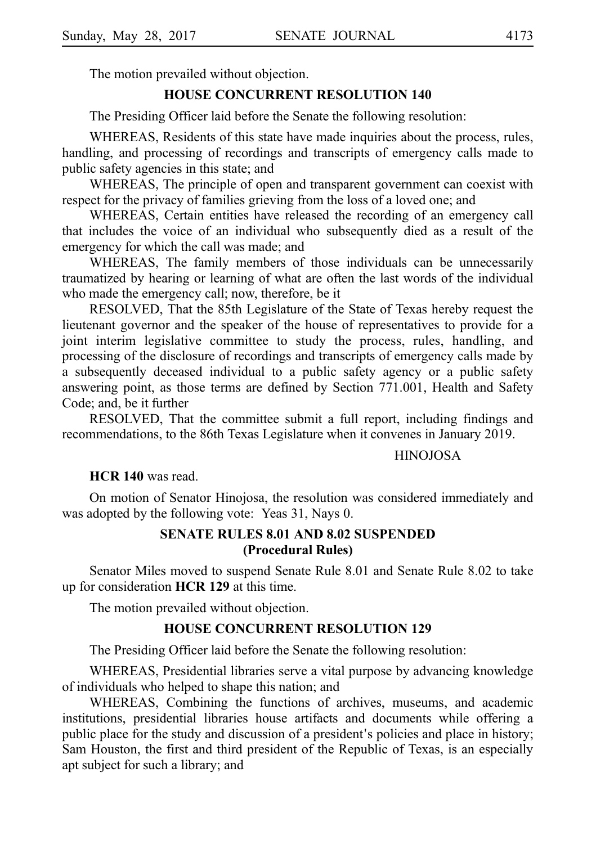The motion prevailed without objection.

#### **HOUSE CONCURRENT RESOLUTION 140**

The Presiding Officer laid before the Senate the following resolution:

WHEREAS, Residents of this state have made inquiries about the process, rules, handling, and processing of recordings and transcripts of emergency calls made to public safety agencies in this state; and

WHEREAS, The principle of open and transparent government can coexist with respect for the privacy of families grieving from the loss of a loved one; and

WHEREAS, Certain entities have released the recording of an emergency call that includes the voice of an individual who subsequently died as a result of the emergency for which the call was made; and

WHEREAS, The family members of those individuals can be unnecessarily traumatized by hearing or learning of what are often the last words of the individual who made the emergency call; now, therefore, be it

RESOLVED, That the 85th Legislature of the State of Texas hereby request the lieutenant governor and the speaker of the house of representatives to provide for a joint interim legislative committee to study the process, rules, handling, and processing of the disclosure of recordings and transcripts of emergency calls made by a subsequently deceased individual to a public safety agency or a public safety answering point, as those terms are defined by Section 771.001, Health and Safety Code; and, be it further

RESOLVED, That the committee submit a full report, including findings and recommendations, to the 86th Texas Legislature when it convenes in January 2019.

#### HINOJOSA

#### **HCR 140** was read.

On motion of Senator Hinojosa, the resolution was considered immediately and was adopted by the following vote: Yeas 31, Nays 0.

## **SENATE RULES 8.01 AND 8.02 SUSPENDED (Procedural Rules)**

Senator Miles moved to suspend Senate Rule 8.01 and Senate Rule 8.02 to take up for consideration **HCRi129** at this time.

The motion prevailed without objection.

## **HOUSE CONCURRENT RESOLUTION 129**

The Presiding Officer laid before the Senate the following resolution:

WHEREAS, Presidential libraries serve a vital purpose by advancing knowledge of individuals who helped to shape this nation; and

WHEREAS, Combining the functions of archives, museums, and academic institutions, presidential libraries house artifacts and documents while offering a public place for the study and discussion of a president's policies and place in history; Sam Houston, the first and third president of the Republic of Texas, is an especially apt subject for such a library; and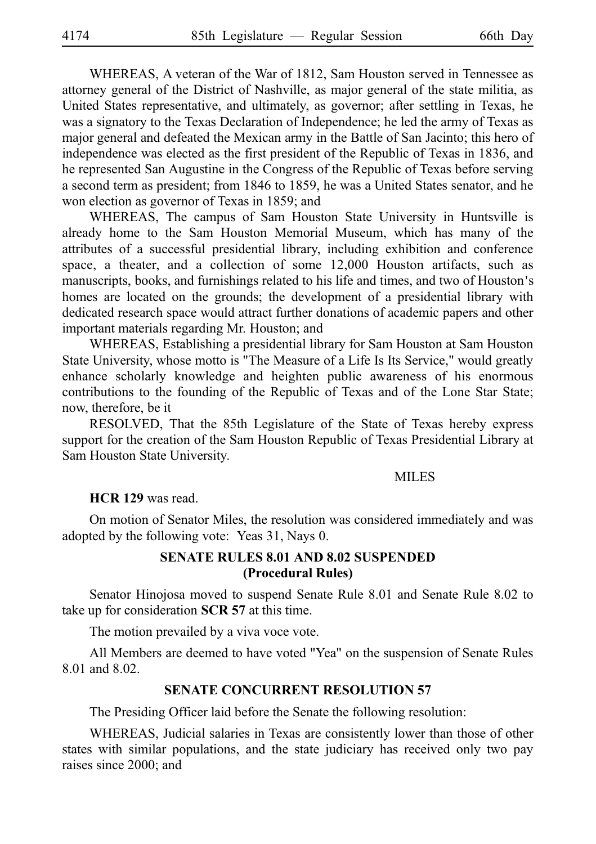WHEREAS, A veteran of the War of 1812, Sam Houston served in Tennessee as attorney general of the District of Nashville, as major general of the state militia, as United States representative, and ultimately, as governor; after settling in Texas, he was a signatory to the Texas Declaration of Independence; he led the army of Texas as major general and defeated the Mexican army in the Battle of San Jacinto; this hero of independence was elected as the first president of the Republic of Texas in 1836, and he represented San Augustine in the Congress of the Republic of Texas before serving a second term as president; from 1846 to 1859, he was a United States senator, and he won election as governor of Texas in 1859; and

WHEREAS, The campus of Sam Houston State University in Huntsville is already home to the Sam Houston Memorial Museum, which has many of the attributes of a successful presidential library, including exhibition and conference space, a theater, and a collection of some 12,000 Houston artifacts, such as manuscripts, books, and furnishings related to his life and times, and two of Houston's homes are located on the grounds; the development of a presidential library with dedicated research space would attract further donations of academic papers and other important materials regarding Mr. Houston; and

WHEREAS, Establishing a presidential library for Sam Houston at Sam Houston State University, whose motto is "The Measure of a Life Is Its Service," would greatly enhance scholarly knowledge and heighten public awareness of his enormous contributions to the founding of the Republic of Texas and of the Lone Star State; now, therefore, be it

RESOLVED, That the 85th Legislature of the State of Texas hereby express support for the creation of the Sam Houston Republic of Texas Presidential Library at Sam Houston State University.

### MILES

#### **HCR 129** was read.

On motion of Senator Miles, the resolution was considered immediately and was adopted by the following vote: Yeas 31, Nays 0.

# **SENATE RULES 8.01 AND 8.02 SUSPENDED (Procedural Rules)**

Senator Hinojosa moved to suspend Senate Rule 8.01 and Senate Rule 8.02 to take up for consideration **SCR 57** at this time.

The motion prevailed by a viva voce vote.

All Members are deemed to have voted "Yea" on the suspension of Senate Rules 8.01 and 8.02.

#### **SENATE CONCURRENT RESOLUTION 57**

The Presiding Officer laid before the Senate the following resolution:

WHEREAS, Judicial salaries in Texas are consistently lower than those of other states with similar populations, and the state judiciary has received only two pay raises since 2000; and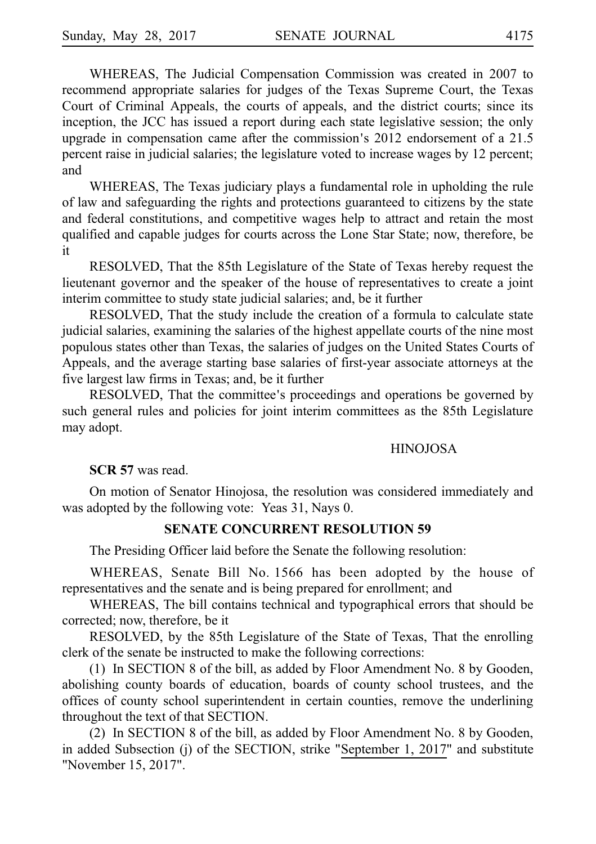WHEREAS, The Judicial Compensation Commission was created in 2007 to recommend appropriate salaries for judges of the Texas Supreme Court, the Texas Court of Criminal Appeals, the courts of appeals, and the district courts; since its inception, the JCC has issued a report during each state legislative session; the only upgrade in compensation came after the commission's  $2012$  endorsement of a  $21.5$ percent raise in judicial salaries; the legislature voted to increase wages by 12 percent; and

WHEREAS, The Texas judiciary plays a fundamental role in upholding the rule of law and safeguarding the rights and protections guaranteed to citizens by the state and federal constitutions, and competitive wages help to attract and retain the most qualified and capable judges for courts across the Lone Star State; now, therefore, be it

RESOLVED, That the 85th Legislature of the State of Texas hereby request the lieutenant governor and the speaker of the house of representatives to create a joint interim committee to study state judicial salaries; and, be it further

RESOLVED, That the study include the creation of a formula to calculate state judicial salaries, examining the salaries of the highest appellate courts of the nine most populous states other than Texas, the salaries of judges on the United States Courts of Appeals, and the average starting base salaries of first-year associate attorneys at the five largest law firms in Texas; and, be it further

RESOLVED, That the committee's proceedings and operations be governed by such general rules and policies for joint interim committees as the 85th Legislature may adopt.

#### HINOJOSA

**SCR 57** was read.

On motion of Senator Hinojosa, the resolution was considered immediately and was adopted by the following vote: Yeas 31, Nays 0.

#### **SENATE CONCURRENT RESOLUTION 59**

The Presiding Officer laid before the Senate the following resolution:

WHEREAS, Senate Bill No. 1566 has been adopted by the house of representatives and the senate and is being prepared for enrollment; and

WHEREAS, The bill contains technical and typographical errors that should be corrected; now, therefore, be it

RESOLVED, by the 85th Legislature of the State of Texas, That the enrolling clerk of the senate be instructed to make the following corrections:

(1) In SECTION 8 of the bill, as added by Floor Amendment No. 8 by Gooden, abolishing county boards of education, boards of county school trustees, and the offices of county school superintendent in certain counties, remove the underlining throughout the text of that SECTION.

(2) In SECTION 8 of the bill, as added by Floor Amendment No. 8 by Gooden, in added Subsection (j) of the SECTION, strike "September 1, 2017" and substitute "November 15, 2017".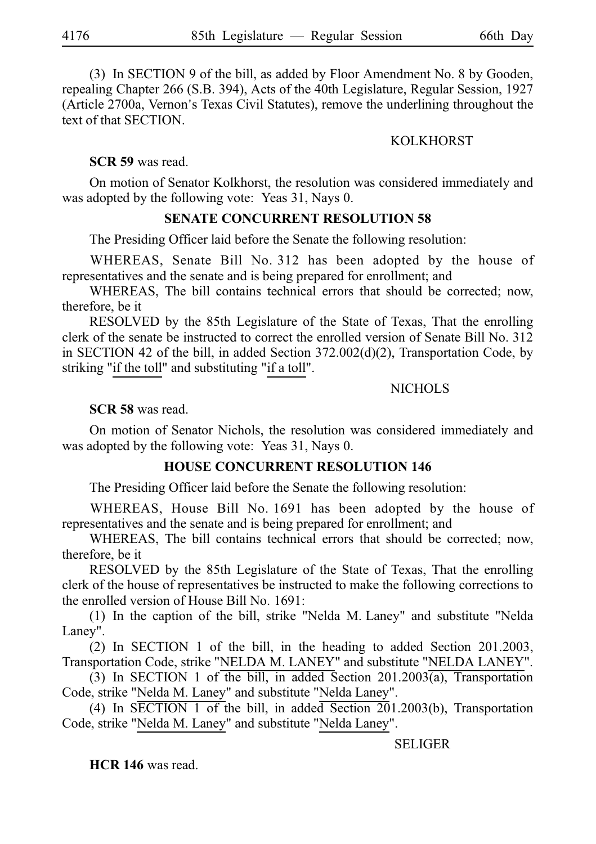(3) In SECTION 9 of the bill, as added by Floor Amendment No. 8 by Gooden, repealing Chapter 266 (S.B. 394), Acts of the 40th Legislature, Regular Session, 1927 (Article 2700a, Vernon's Texas Civil Statutes), remove the underlining throughout the text of that SECTION.

### KOLKHORST

**SCR 59** was read.

On motion of Senator Kolkhorst, the resolution was considered immediately and was adopted by the following vote: Yeas 31, Nays 0.

### **SENATE CONCURRENT RESOLUTION 58**

The Presiding Officer laid before the Senate the following resolution:

WHEREAS, Senate Bill No. 312 has been adopted by the house of representatives and the senate and is being prepared for enrollment; and

WHEREAS, The bill contains technical errors that should be corrected; now, therefore, be it

RESOLVED by the 85th Legislature of the State of Texas, That the enrolling clerk of the senate be instructed to correct the enrolled version of Senate Bill No. 312 in SECTION 42 of the bill, in added Section 372.002(d)(2), Transportation Code, by striking "if the toll" and substituting "if a toll".

#### NICHOLS

**SCR 58** was read.

On motion of Senator Nichols, the resolution was considered immediately and was adopted by the following vote: Yeas 31, Nays 0.

# **HOUSE CONCURRENT RESOLUTION 146**

The Presiding Officer laid before the Senate the following resolution:

WHEREAS, House Bill No. 1691 has been adopted by the house of representatives and the senate and is being prepared for enrollment; and

WHEREAS, The bill contains technical errors that should be corrected; now, therefore, be it

RESOLVED by the 85th Legislature of the State of Texas, That the enrolling clerk of the house of representatives be instructed to make the following corrections to the enrolled version of House Bill No. 1691:

(1) In the caption of the bill, strike "Nelda M. Laney" and substitute "Nelda Laney".

(2) In SECTION 1 of the bill, in the heading to added Section 201.2003, Transportation Code, strike "NELDA M. LANEY" and substitute "NELDA LANEY".

(3) In SECTION 1 of the bill, in added Section 201.2003(a), Transportation Code, strike "Nelda M. Laney" and substitute "Nelda Laney".

(4) In SECTION 1 of the bill, in added Section  $201.2003(b)$ , Transportation Code, strike "Nelda M. Laney" and substitute "Nelda Laney".

#### **SELIGER**

**HCR 146** was read.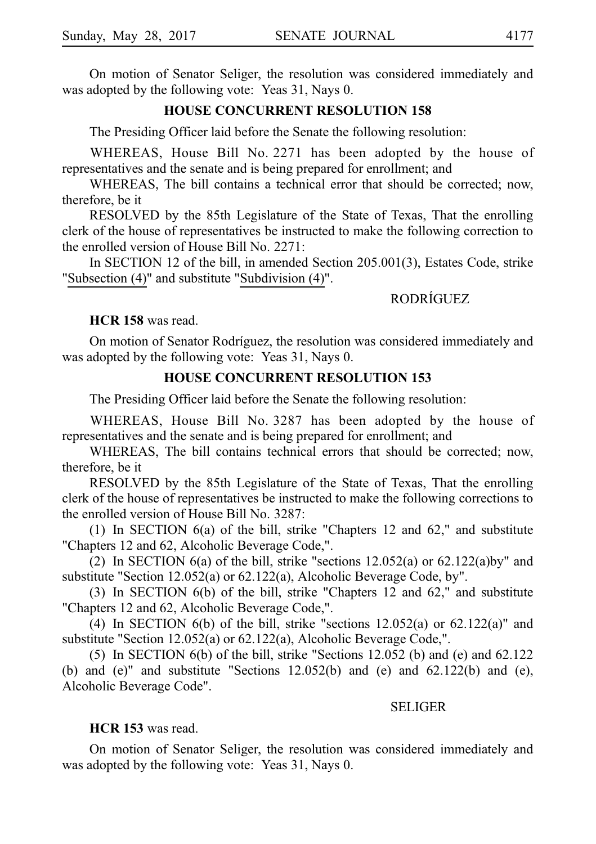On motion of Senator Seliger, the resolution was considered immediately and was adopted by the following vote: Yeas 31, Nays 0.

### **HOUSE CONCURRENT RESOLUTION 158**

The Presiding Officer laid before the Senate the following resolution:

WHEREAS, House Bill No. 2271 has been adopted by the house of representatives and the senate and is being prepared for enrollment; and

WHEREAS, The bill contains a technical error that should be corrected; now, therefore, be it

RESOLVED by the 85th Legislature of the State of Texas, That the enrolling clerk of the house of representatives be instructed to make the following correction to the enrolled version of House Bill No.  $2271$ :

In SECTION 12 of the bill, in amended Section 205.001(3), Estates Code, strike "Subsection (4)" and substitute "Subdivision (4)".

# **RODRÍGUEZ**

**HCR 158** was read.

On motion of Senator Rodríguez, the resolution was considered immediately and was adopted by the following vote: Yeas 31, Nays 0.

### **HOUSE CONCURRENT RESOLUTION 153**

The Presiding Officer laid before the Senate the following resolution:

WHEREAS, House Bill No. 3287 has been adopted by the house of representatives and the senate and is being prepared for enrollment; and

WHEREAS, The bill contains technical errors that should be corrected; now, therefore, be it

RESOLVED by the 85th Legislature of the State of Texas, That the enrolling clerk of the house of representatives be instructed to make the following corrections to the enrolled version of House Bill No.  $3287$ :

(1) In SECTION  $6(a)$  of the bill, strike "Chapters 12 and 62," and substitute "Chapters 12 and 62, Alcoholic Beverage Code,".

(2) In SECTION 6(a) of the bill, strike "sections  $12.052(a)$  or  $62.122(a)$ by" and substitute "Section 12.052(a) or 62.122(a), Alcoholic Beverage Code, by".

(3) In SECTION  $6(b)$  of the bill, strike "Chapters 12 and 62," and substitute "Chapters 12 and 62, Alcoholic Beverage Code,".

(4) In SECTION 6(b) of the bill, strike "sections  $12.052(a)$  or  $62.122(a)$ " and substitute "Section 12.052(a) or 62.122(a), Alcoholic Beverage Code,".

(5) In SECTION  $6(b)$  of the bill, strike "Sections 12.052 (b) and (e) and 62.122 (b) and  $(e)$ " and substitute "Sections 12.052(b) and  $(e)$  and 62.122(b) and  $(e)$ , Alcoholic Beverage Code".

#### SELIGER

#### **HCR 153** was read.

On motion of Senator Seliger, the resolution was considered immediately and was adopted by the following vote: Yeas 31, Nays 0.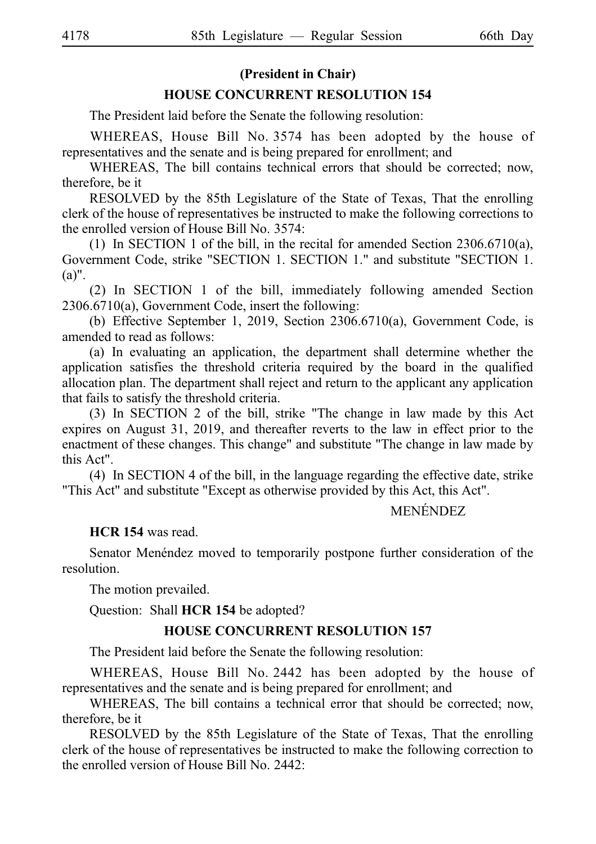## **(President in Chair)**

### **HOUSE CONCURRENT RESOLUTION 154**

The President laid before the Senate the following resolution:

WHEREAS, House Bill No. 3574 has been adopted by the house of representatives and the senate and is being prepared for enrollment; and

WHEREAS, The bill contains technical errors that should be corrected; now, therefore, be it

RESOLVED by the 85th Legislature of the State of Texas, That the enrolling clerk of the house of representatives be instructed to make the following corrections to the enrolled version of House Bill No. 3574:

(1) In SECTION 1 of the bill, in the recital for amended Section 2306.6710(a), Government Code, strike "SECTION 1. SECTION 1." and substitute "SECTION 1. (a)".

 $(2)$  In SECTION 1 of the bill, immediately following amended Section 2306.6710(a), Government Code, insert the following:

(b) Effective September 1, 2019, Section 2306.6710(a), Government Code, is amended to read as follows:

(a) In evaluating an application, the department shall determine whether the application satisfies the threshold criteria required by the board in the qualified allocation plan. The department shall reject and return to the applicant any application that fails to satisfy the threshold criteria.

 $(3)$  In SECTION 2 of the bill, strike "The change in law made by this Act expires on August 31, 2019, and thereafter reverts to the law in effect prior to the enactment of these changes. This change" and substitute "The change in law made by this Act".

 $(4)$  In SECTION 4 of the bill, in the language regarding the effective date, strike "This Act" and substitute "Except as otherwise provided by this Act, this Act".

# **MENÉNDEZ**

**HCR 154** was read.

Senator Menéndez moved to temporarily postpone further consideration of the resolution.

The motion prevailed.

Question: Shall **HCR 154** be adopted?

## **HOUSE CONCURRENT RESOLUTION 157**

The President laid before the Senate the following resolution:

WHEREAS, House Bill No. 2442 has been adopted by the house of representatives and the senate and is being prepared for enrollment; and

WHEREAS, The bill contains a technical error that should be corrected; now, therefore, be it

RESOLVED by the 85th Legislature of the State of Texas, That the enrolling clerk of the house of representatives be instructed to make the following correction to the enrolled version of House Bill No.  $2442$ :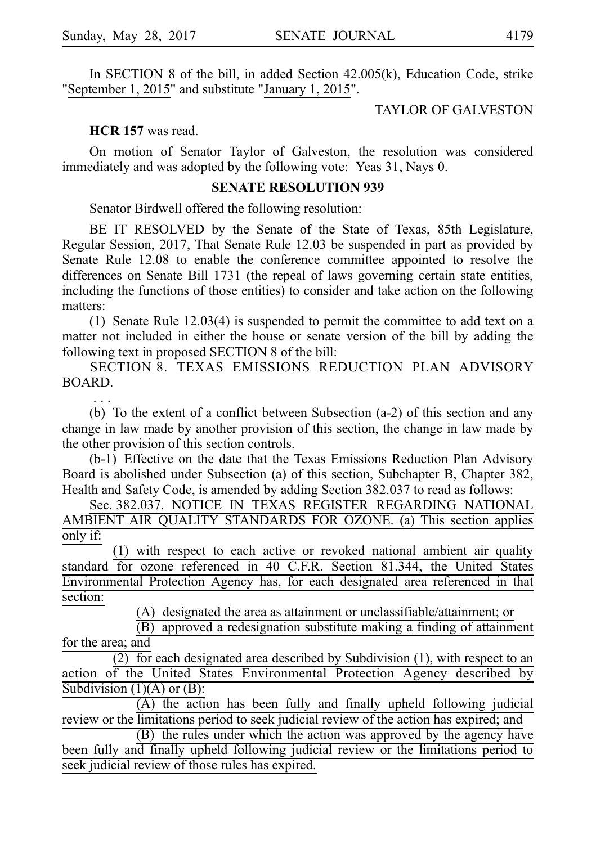In SECTION 8 of the bill, in added Section 42.005(k), Education Code, strike "September 1, 2015" and substitute "January 1, 2015".

TAYLOR OF GALVESTON

**HCR 157** was read.

On motion of Senator Taylor of Galveston, the resolution was considered immediately and was adopted by the following vote: Yeas 31, Nays 0.

#### **SENATE RESOLUTION 939**

Senator Birdwell offered the following resolution:

BE IT RESOLVED by the Senate of the State of Texas, 85th Legislature, Regular Session, 2017, That Senate Rule 12.03 be suspended in part as provided by Senate Rule 12.08 to enable the conference committee appointed to resolve the differences on Senate Bill 1731 (the repeal of laws governing certain state entities, including the functions of those entities) to consider and take action on the following matters:

(1) Senate Rule 12.03(4) is suspended to permit the committee to add text on a matter not included in either the house or senate version of the bill by adding the following text in proposed SECTION 8 of the bill:

SECTION 8. TEXAS EMISSIONS REDUCTION PLAN ADVISORY BOARD.

i.i.i. (b) To the extent of a conflict between Subsection  $(a-2)$  of this section and any change in law made by another provision of this section, the change in law made by the other provision of this section controls.

(b-1) Effective on the date that the Texas Emissions Reduction Plan Advisory Board is abolished under Subsection (a) of this section, Subchapter B, Chapter 382, Health and Safety Code, is amended by adding Section 382.037 to read as follows:

Sec. 382.037. NOTICE IN TEXAS REGISTER REGARDING NATIONAL AMBIENT AIR QUALITY STANDARDS FOR OZONE. (a) This section applies only if:

 $(1)$  with respect to each active or revoked national ambient air quality standard for ozone referenced in 40 C.F.R. Section 81.344, the United States Environmental Protection Agency has, for each designated area referenced in that section:

 $(A)$  designated the area as attainment or unclassifiable/attainment; or

 $\overline{B}$  approved a redesignation substitute making a finding of attainment for the area; and

 $(2)$  for each designated area described by Subdivision (1), with respect to an action of the United States Environmental Protection Agency described by Subdivision  $(1)(A)$  or  $(B)$ :

 $(A)$  the action has been fully and finally upheld following judicial review or the limitations period to seek judicial review of the action has expired; and

(B) the rules under which the action was approved by the agency have been fully and finally upheld following judicial review or the limitations period to seek judicial review of those rules has expired.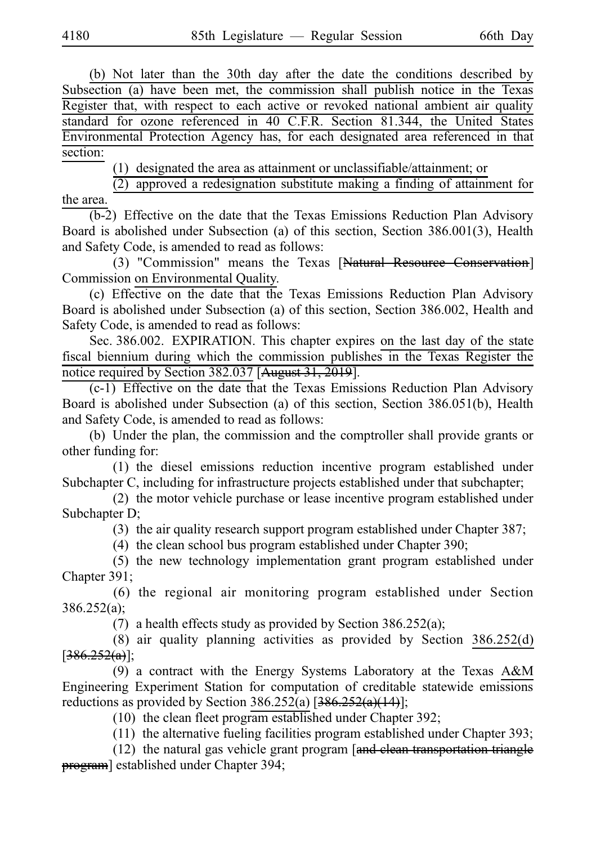(b) Not later than the 30th day after the date the conditions described by Subsection (a) have been met, the commission shall publish notice in the Texas Register that, with respect to each active or revoked national ambient air quality standard for ozone referenced in 40 C.F.R. Section 81.344, the United States Environmental Protection Agency has, for each designated area referenced in that section:

 $(1)$  designated the area as attainment or unclassifiable/attainment; or

 $(2)$  approved a redesignation substitute making a finding of attainment for the area.

 $(b-2)$  Effective on the date that the Texas Emissions Reduction Plan Advisory Board is abolished under Subsection (a) of this section, Section 386.001(3), Health and Safety Code, is amended to read as follows:

(3) "Commission" means the Texas [Natural Resource Conservation] Commission on Environmental Quality.

(c) Effective on the date that the Texas Emissions Reduction Plan Advisory Board is abolished under Subsection (a) of this section, Section 386.002, Health and Safety Code, is amended to read as follows:

Sec. 386.002. EXPIRATION. This chapter expires on the last day of the state fiscal biennium during which the commission publishes in the Texas Register the notice required by Section 382.037 [August 31, 2019].

 $(c-1)$  Effective on the date that the Texas Emissions Reduction Plan Advisory Board is abolished under Subsection (a) of this section, Section 386.051(b), Health and Safety Code, is amended to read as follows:

(b) Under the plan, the commission and the comptroller shall provide grants or other funding for:

(1) the diesel emissions reduction incentive program established under Subchapter C, including for infrastructure projects established under that subchapter;

(2) the motor vehicle purchase or lease incentive program established under Subchapter D;

(3) the air quality research support program established under Chapter 387;

(4) the clean school bus program established under Chapter 390;

(5) the new technology implementation grant program established under Chapter 391;

(6) the regional air monitoring program established under Section 386.252(a);

(7) a health effects study as provided by Section  $386.252(a)$ ;

(8) air quality planning activities as provided by Section  $386.252(d)$  $[386.252(a)]$ ;

(9) a contract with the Energy Systems Laboratory at the Texas A&M Engineering Experiment Station for computation of creditable statewide emissions reductions as provided by Section 386.252(a)  $[386.252(a)(14)]$ ;

 $(10)$  the clean fleet program established under Chapter 392;

 $(11)$  the alternative fueling facilities program established under Chapter 393;

(12) the natural gas vehicle grant program  $\left[\frac{and}{equation}$  transportation triangle program] established under Chapter 394;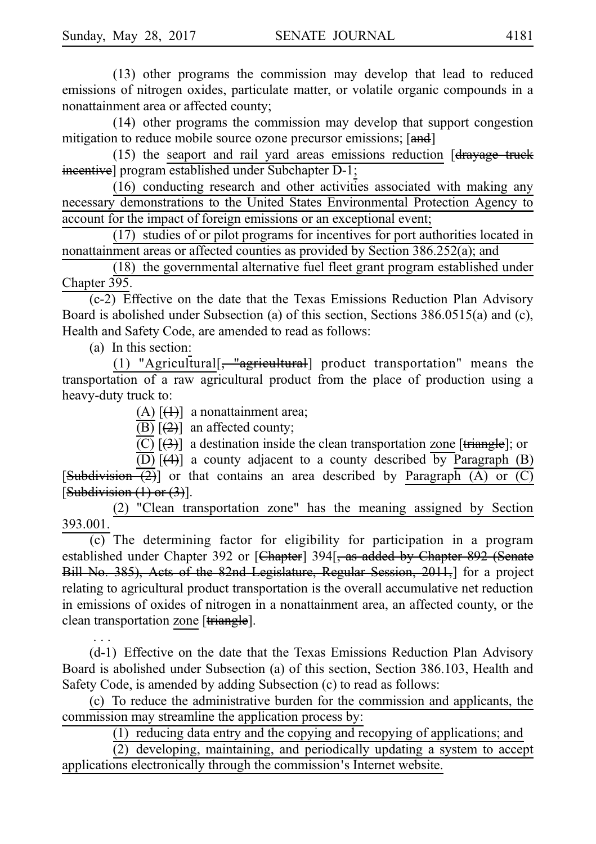$(13)$  other programs the commission may develop that lead to reduced emissions of nitrogen oxides, particulate matter, or volatile organic compounds in a nonattainment area or affected county;

 $(14)$  other programs the commission may develop that support congestion mitigation to reduce mobile source ozone precursor emissions; [and]

(15) the seaport and rail yard areas emissions reduction  $\left[$ drayage truck incentive] program established under Subchapter D-1;

 $(16)$  conducting research and other activities associated with making any necessary demonstrations to the United States Environmental Protection Agency to account for the impact of foreign emissions or an exceptional event;

 $(17)$  studies of or pilot programs for incentives for port authorities located in nonattainment areas or affected counties as provided by Section 386.252(a); and

 $(18)$  the governmental alternative fuel fleet grant program established under Chapter 395.

 $(c-2)$  Effective on the date that the Texas Emissions Reduction Plan Advisory Board is abolished under Subsection (a) of this section, Sections 386.0515(a) and (c), Health and Safety Code, are amended to read as follows:

(a) In this section:

 $\ldots$ 

(1) "Agricultural[ $\frac{m}{\sqrt{m}}$  =  $\frac{m}{m}$  agricultural] product transportation" means the transportation of a raw agricultural product from the place of production using a heavy-duty truck to:

(A)  $[\frac{(1)}{i}]$  a nonattainment area;

(B)  $[2]$  an affected county;

 $\overline{(\text{C})}$   $[\overline{(3)}]$  a destination inside the clean transportation zone [triangle]; or

(D)  $[\frac{4}{4}]$  a county adjacent to a county described by Paragraph (B) [Subdivision  $\overline{2}$ ] or that contains an area described by Paragraph (A) or (C) [Subdivision  $(1)$  or  $(3)$ ].

(2) "Clean transportation zone" has the meaning assigned by Section 393.001.

(c) The determining factor for eligibility for participation in a program established under Chapter 392 or [Chapter] 394<sup>[</sup>, as added by Chapter 892 (Senate Bill No. 385), Acts of the 82nd Legislature, Regular Session, 2011,] for a project relating to agricultural product transportation is the overall accumulative net reduction in emissions of oxides of nitrogen in a nonattainment area, an affected county, or the clean transportation zone [triangle].

 $(d-1)$  Effective on the date that the Texas Emissions Reduction Plan Advisory Board is abolished under Subsection (a) of this section, Section 386.103, Health and Safety Code, is amended by adding Subsection (c) to read as follows:

(c) To reduce the administrative burden for the commission and applicants, the commission may streamline the application process by:

 $(1)$  reducing data entry and the copying and recopying of applications; and

 $(2)$  developing, maintaining, and periodically updating a system to accept applications electronically through the commission's Internet website.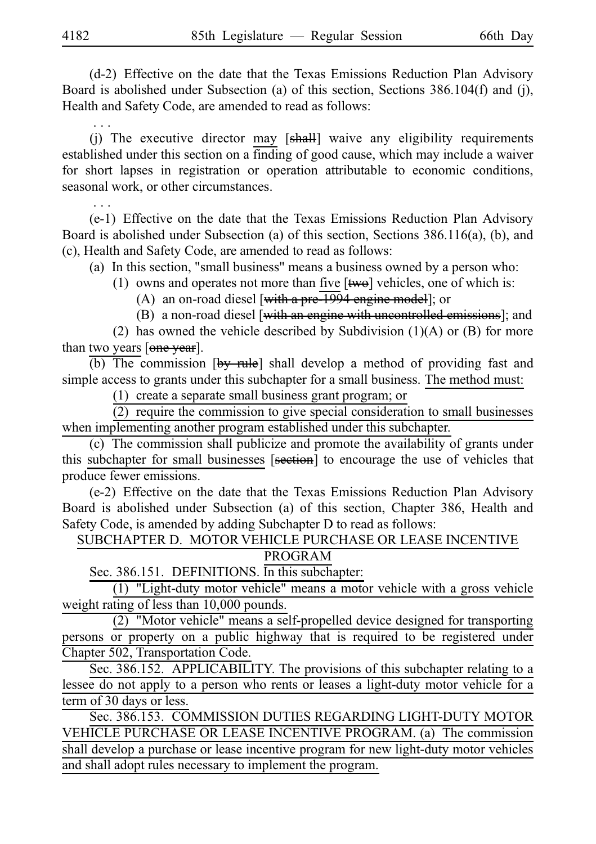(d-2) Effective on the date that the Texas Emissions Reduction Plan Advisory Board is abolished under Subsection (a) of this section, Sections 386.104(f) and (j), Health and Safety Code, are amended to read as follows:

i.i.i. (j) The executive director may  $[sh]$  waive any eligibility requirements established under this section on a finding of good cause, which may include a waiver for short lapses in registration or operation attributable to economic conditions, seasonal work, or other circumstances.

(e-1) Effective on the date that the Texas Emissions Reduction Plan Advisory Board is abolished under Subsection (a) of this section, Sections 386.116(a), (b), and (c), Health and Safety Code, are amended to read as follows:

(a) In this section, "small business" means a business owned by a person who:

(1) owns and operates not more than five  $[\overline{twe}]$  vehicles, one of which is:

(A) an on-road diesel [with a pre $\overline{1994}$  engine model]; or

(B) a non-road diesel [with an engine with uncontrolled emissions]; and

(2) has owned the vehicle described by Subdivision (1)(A) or (B) for more than two years [one year].

 $\overline{(b)}$  The commission  $[by$  rule] shall develop a method of providing fast and simple access to grants under this subchapter for a small business. The method must:

 $(1)$  create a separate small business grant program; or

 $(2)$  require the commission to give special consideration to small businesses when implementing another program established under this subchapter.

 $(c)$  The commission shall publicize and promote the availability of grants under this subchapter for small businesses [section] to encourage the use of vehicles that produce fewer emissions.

 $(e-2)$  Effective on the date that the Texas Emissions Reduction Plan Advisory Board is abolished under Subsection (a) of this section, Chapter 386, Health and Safety Code, is amended by adding Subchapter D to read as follows:

SUBCHAPTER D. MOTOR VEHICLE PURCHASE OR LEASE INCENTIVE

## PROGRAM

Sec. 386.151. DEFINITIONS. In this subchapter:

 $(1)$  "Light-duty motor vehicle" means a motor vehicle with a gross vehicle weight rating of less than 10,000 pounds.

 $\overline{(2)}$  "Motor vehicle" means a self-propelled device designed for transporting persons or property on a public highway that is required to be registered under Chapter 502, Transportation Code.

Sec. 386.152. APPLICABILITY. The provisions of this subchapter relating to a lessee do not apply to a person who rents or leases a light-duty motor vehicle for a term of 30 days or less.

Sec. 386.153. COMMISSION DUTIES REGARDING LIGHT-DUTY MOTOR VEHICLE PURCHASE OR LEASE INCENTIVE PROGRAM. (a) The commission shall develop a purchase or lease incentive program for new light-duty motor vehicles and shall adopt rules necessary to implement the program.

i.i.i.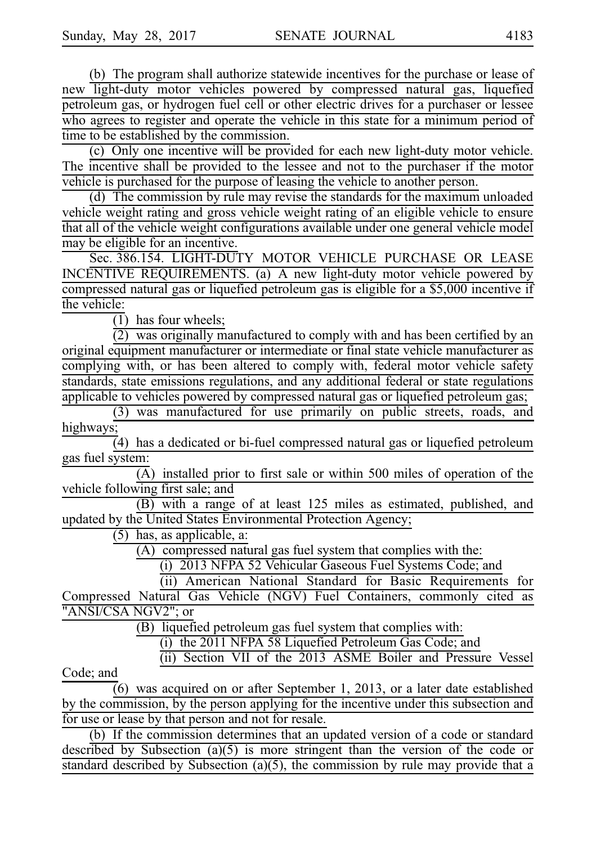(b) The program shall authorize statewide incentives for the purchase or lease of new light-duty motor vehicles powered by compressed natural gas, liquefied petroleum gas, or hydrogen fuel cell or other electric drives for a purchaser or lessee who agrees to register and operate the vehicle in this state for a minimum period of time to be established by the commission.

(c) Only one incentive will be provided for each new light-duty motor vehicle. The incentive shall be provided to the lessee and not to the purchaser if the motor vehicle is purchased for the purpose of leasing the vehicle to another person.

(d) The commission by rule may revise the standards for the maximum unloaded vehicle weight rating and gross vehicle weight rating of an eligible vehicle to ensure that all of the vehicle weight configurations available under one general vehicle model may be eligible for an incentive.

Sec. 386.154. LIGHT-DUTY MOTOR VEHICLE PURCHASE OR LEASE INCENTIVE REQUIREMENTS. (a) A new light-duty motor vehicle powered by compressed natural gas or liquefied petroleum gas is eligible for a \$5,000 incentive if the vehicle:

 $\overline{(1)}$  has four wheels;

 $(2)$  was originally manufactured to comply with and has been certified by an original equipment manufacturer or intermediate or final state vehicle manufacturer as complying with, or has been altered to comply with, federal motor vehicle safety standards, state emissions regulations, and any additional federal or state regulations applicable to vehicles powered by compressed natural gas or liquefied petroleum gas;

 $(3)$  was manufactured for use primarily on public streets, roads, and highways;

 $\overline{4}$ ) has a dedicated or bi-fuel compressed natural gas or liquefied petroleum gas fuel system:

 $\overline{(A)}$  installed prior to first sale or within 500 miles of operation of the vehicle following first sale; and

(B) with a range of at least 125 miles as estimated, published, and updated by the United States Environmental Protection Agency;

 $(5)$  has, as applicable, a:

 $(A)$  compressed natural gas fuel system that complies with the:

(i) 2013 NFPA 52 Vehicular Gaseous Fuel Systems Code; and

(ii) American National Standard for Basic Requirements for Compressed Natural Gas Vehicle (NGV) Fuel Containers, commonly cited as "ANSI/CSA NGV2"; or

 $(B)$  liquefied petroleum gas fuel system that complies with:

 $(i)$  the 2011 NFPA 58 Liquefied Petroleum Gas Code; and

(ii) Section VII of the 2013 ASME Boiler and Pressure Vessel

Code; and

 $(6)$  was acquired on or after September 1, 2013, or a later date established by the commission, by the person applying for the incentive under this subsection and for use or lease by that person and not for resale.

(b) If the commission determines that an updated version of a code or standard described by Subsection  $(a)(5)$  is more stringent than the version of the code or standard described by Subsection  $(a)(5)$ , the commission by rule may provide that a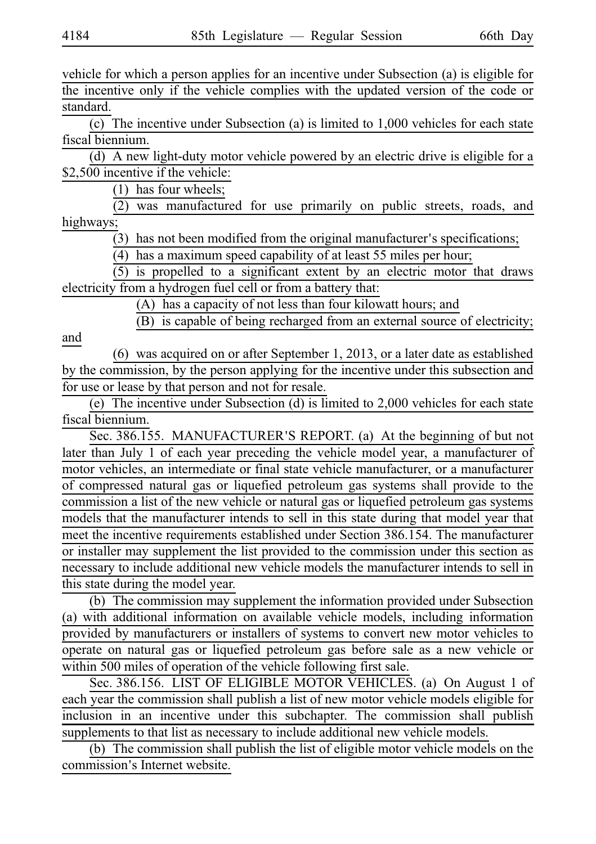vehicle for which a person applies for an incentive under Subsection (a) is eligible for the incentive only if the vehicle complies with the updated version of the code or standard.

(c) The incentive under Subsection (a) is limited to  $1,000$  vehicles for each state fiscal biennium.

(d) A new light-duty motor vehicle powered by an electric drive is eligible for a \$2,500 incentive if the vehicle:

(1) has four wheels;

(2) was manufactured for use primarily on public streets, roads, and highways;

 $(3)$  has not been modified from the original manufacturer's specifications;

 $(4)$  has a maximum speed capability of at least 55 miles per hour;

 $(5)$  is propelled to a significant extent by an electric motor that draws electricity from a hydrogen fuel cell or from a battery that:

(A) has a capacity of not less than four kilowatt hours; and

 $(B)$  is capable of being recharged from an external source of electricity;

and

(6) was acquired on or after September 1, 2013, or a later date as established by the commission, by the person applying for the incentive under this subsection and for use or lease by that person and not for resale.

(e) The incentive under Subsection (d) is limited to  $2,000$  vehicles for each state fiscal biennium.

Sec. 386.155. MANUFACTURER'S REPORT. (a) At the beginning of but not later than July 1 of each year preceding the vehicle model year, a manufacturer of motor vehicles, an intermediate or final state vehicle manufacturer, or a manufacturer of compressed natural gas or liquefied petroleum gas systems shall provide to the commission a list of the new vehicle or natural gas or liquefied petroleum gas systems models that the manufacturer intends to sell in this state during that model year that meet the incentive requirements established under Section 386.154. The manufacturer or installer may supplement the list provided to the commission under this section as necessary to include additional new vehicle models the manufacturer intends to sell in this state during the model year.

(b) The commission may supplement the information provided under Subsection (a) with additional information on available vehicle models, including information provided by manufacturers or installers of systems to convert new motor vehicles to operate on natural gas or liquefied petroleum gas before sale as a new vehicle or within 500 miles of operation of the vehicle following first sale.

Sec. 386.156. LIST OF ELIGIBLE MOTOR VEHICLES. (a) On August 1 of each year the commission shall publish a list of new motor vehicle models eligible for inclusion in an incentive under this subchapter. The commission shall publish supplements to that list as necessary to include additional new vehicle models.

(b) The commission shall publish the list of eligible motor vehicle models on the commission's Internet website.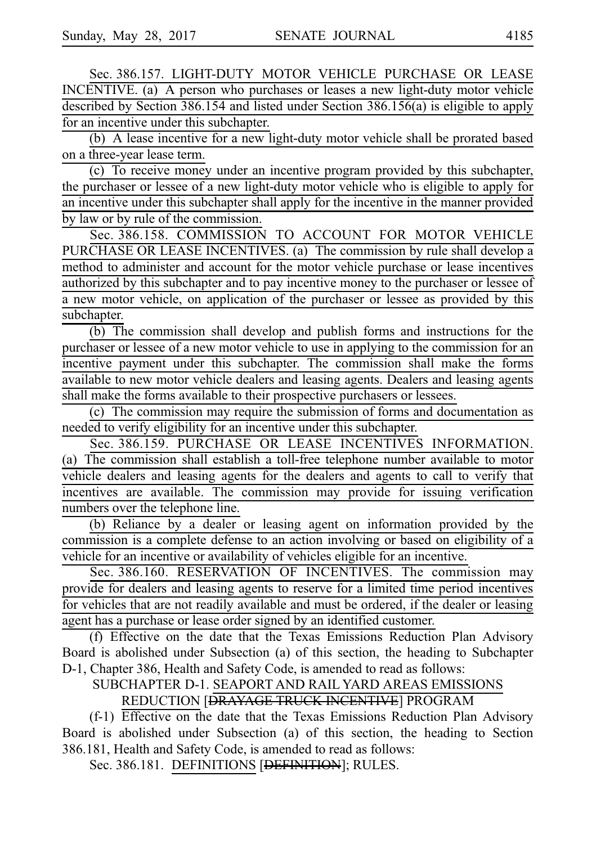Sec. 386.157. LIGHT-DUTY MOTOR VEHICLE PURCHASE OR LEASE INCENTIVE. (a) A person who purchases or leases a new light-duty motor vehicle described by Section 386.154 and listed under Section 386.156(a) is eligible to apply for an incentive under this subchapter.

(b) A lease incentive for a new light-duty motor vehicle shall be prorated based on a three-year lease term.

(c) To receive money under an incentive program provided by this subchapter, the purchaser or lessee of a new light-duty motor vehicle who is eligible to apply for an incentive under this subchapter shall apply for the incentive in the manner provided by law or by rule of the commission.

Sec. 386.158. COMMISSION TO ACCOUNT FOR MOTOR VEHICLE PURCHASE OR LEASE INCENTIVES. (a) The commission by rule shall develop a method to administer and account for the motor vehicle purchase or lease incentives authorized by this subchapter and to pay incentive money to the purchaser or lessee of a new motor vehicle, on application of the purchaser or lessee as provided by this subchapter.

 $(b)$  The commission shall develop and publish forms and instructions for the purchaser or lessee of a new motor vehicle to use in applying to the commission for an incentive payment under this subchapter. The commission shall make the forms available to new motor vehicle dealers and leasing agents. Dealers and leasing agents shall make the forms available to their prospective purchasers or lessees.

 $(c)$  The commission may require the submission of forms and documentation as needed to verify eligibility for an incentive under this subchapter.

Sec. 386.159. PURCHASE OR LEASE INCENTIVES INFORMATION. (a) The commission shall establish a toll-free telephone number available to motor vehicle dealers and leasing agents for the dealers and agents to call to verify that incentives are available. The commission may provide for issuing verification numbers over the telephone line.

(b) Reliance by a dealer or leasing agent on information provided by the commission is a complete defense to an action involving or based on eligibility of a vehicle for an incentive or availability of vehicles eligible for an incentive.

Sec. 386.160. RESERVATION OF INCENTIVES. The commission may provide for dealers and leasing agents to reserve for a limited time period incentives for vehicles that are not readily available and must be ordered, if the dealer or leasing agent has a purchase or lease order signed by an identified customer.

(f) Effective on the date that the Texas Emissions Reduction Plan Advisory Board is abolished under Subsection (a) of this section, the heading to Subchapter D-1, Chapter 386, Health and Safety Code, is amended to read as follows:

SUBCHAPTER D-1. SEAPORT AND RAIL YARD AREAS EMISSIONS

REDUCTION [DRAYAGE TRUCK INCENTIVE] PROGRAM

 $(f-1)$  Effective on the date that the Texas Emissions Reduction Plan Advisory Board is abolished under Subsection (a) of this section, the heading to Section 386.181, Health and Safety Code, is amended to read as follows:

Sec. 386.181. DEFINITIONS [DEFINITION]; RULES.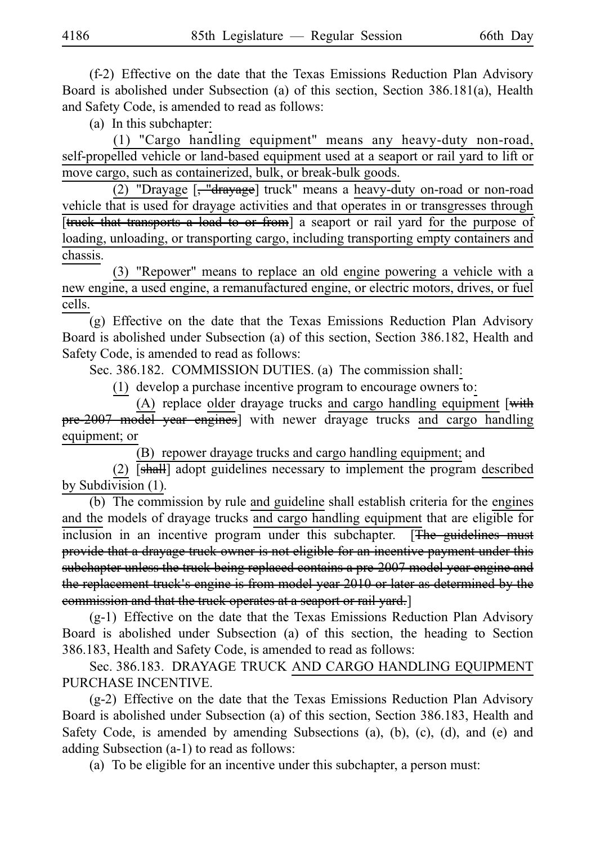$(f-2)$  Effective on the date that the Texas Emissions Reduction Plan Advisory Board is abolished under Subsection (a) of this section, Section 386.181(a), Health and Safety Code, is amended to read as follows:

 $(a)$  In this subchapter:

(1) "Cargo handling equipment" means any heavy-duty non-road, self-propelled vehicle or land-based equipment used at a seaport or rail yard to lift or move cargo, such as containerized, bulk, or break-bulk goods.

(2) "Drayage [, "drayage] truck" means a heavy-duty on-road or non-road vehicle that is used for drayage activities and that operates in or transgresses through [truck that transports a load to or from] a seaport or rail yard for the purpose of loading, unloading, or transporting cargo, including transporting empty containers and chassis.

(3) "Repower" means to replace an old engine powering a vehicle with a new engine, a used engine, a remanufactured engine, or electric motors, drives, or fuel cells.

 $(g)$  Effective on the date that the Texas Emissions Reduction Plan Advisory Board is abolished under Subsection (a) of this section, Section 386.182, Health and Safety Code, is amended to read as follows:

Sec. 386.182. COMMISSION DUTIES. (a) The commission shall:

 $(1)$  develop a purchase incentive program to encourage owners to:

(A) replace older drayage trucks and cargo handling equipment [with pre-2007 model year engines] with newer drayage trucks and cargo handling equipment; or

(B) repower drayage trucks and cargo handling equipment; and

(2)  $[shall]$  adopt guidelines necessary to implement the program described by Subdivision (1).

(b) The commission by rule and guideline shall establish criteria for the engines and the models of drayage trucks and cargo handling equipment that are eligible for inclusion in an incentive program under this subchapter. [The guidelines must provide that a drayage truck owner is not eligible for an incentive payment under this subchapter unless the truck being replaced contains a pre-2007 model year engine and the replacement truck's engine is from model year 2010 or later as determined by the commission and that the truck operates at a seaport or rail yard.]

 $(g-1)$  Effective on the date that the Texas Emissions Reduction Plan Advisory Board is abolished under Subsection (a) of this section, the heading to Section 386.183, Health and Safety Code, is amended to read as follows:

Sec. 386.183. DRAYAGE TRUCK AND CARGO HANDLING EQUIPMENT PURCHASE INCENTIVE.

 $(g-2)$  Effective on the date that the Texas Emissions Reduction Plan Advisory Board is abolished under Subsection (a) of this section, Section 386.183, Health and Safety Code, is amended by amending Subsections (a), (b), (c), (d), and (e) and adding Subsection (a-1) to read as follows:

(a) To be eligible for an incentive under this subchapter, a person must: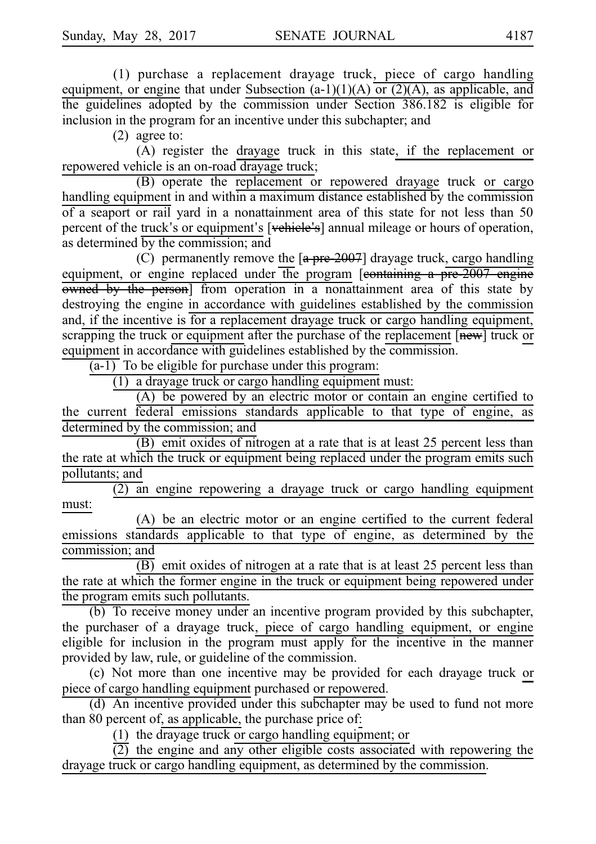(1) purchase a replacement drayage truck, piece of cargo handling equipment, or engine that under Subsection  $(a-1)(1)(A)$  or  $(2)(A)$ , as applicable, and the guidelines adopted by the commission under Section 386.182 is eligible for inclusion in the program for an incentive under this subchapter; and

 $(2)$  agree to:

(A) register the drayage truck in this state, if the replacement or repowered vehicle is an on-road drayage truck;

(B) operate the replacement or repowered drayage truck or cargo handling equipment in and within a maximum distance established by the commission of a seaport or rail yard in a nonattainment area of this state for not less than 50 percent of the truck's or equipment's [vehicle's] annual mileage or hours of operation, as determined by the commission; and

(C) permanently remove the  $[a \text{ pre } 2007]$  drayage truck, cargo handling equipment, or engine replaced under the program  $[*contains* a pre-2007 engine]$ owned by the person] from operation in a nonattainment area of this state by destroying the engine in accordance with guidelines established by the commission and, if the incentive is for a replacement drayage truck or cargo handling equipment, scrapping the truck or equipment after the purchase of the replacement [new] truck or equipment in accordance with guidelines established by the commission.

 $\overline{(a-1)}$  To be eligible for purchase under this program:

 $(1)$  a drayage truck or cargo handling equipment must:

(A) be powered by an electric motor or contain an engine certified to the current federal emissions standards applicable to that type of engine, as determined by the commission; and

 $(B)$  emit oxides of nitrogen at a rate that is at least 25 percent less than the rate at which the truck or equipment being replaced under the program emits such pollutants; and

 $\overline{(2)}$  an engine repowering a drayage truck or cargo handling equipment must:

(A) be an electric motor or an engine certified to the current federal emissions standards applicable to that type of engine, as determined by the commission; and

 $\overline{(B)}$  emit oxides of nitrogen at a rate that is at least 25 percent less than the rate at which the former engine in the truck or equipment being repowered under the program emits such pollutants.

(b) To receive money under an incentive program provided by this subchapter, the purchaser of a drayage truck, piece of cargo handling equipment, or engine eligible for inclusion in the program must apply for the incentive in the manner provided by law, rule, or guideline of the commission.

(c) Not more than one incentive may be provided for each drayage truck or piece of cargo handling equipment purchased or repowered.

 $(d)$  An incentive provided under this subchapter may be used to fund not more than 80 percent of, as applicable, the purchase price of:

(1) the drayage truck or cargo handling equipment; or

 $\overline{(2)}$  the engine and any other eligible costs associated with repowering the drayage truck or cargo handling equipment, as determined by the commission.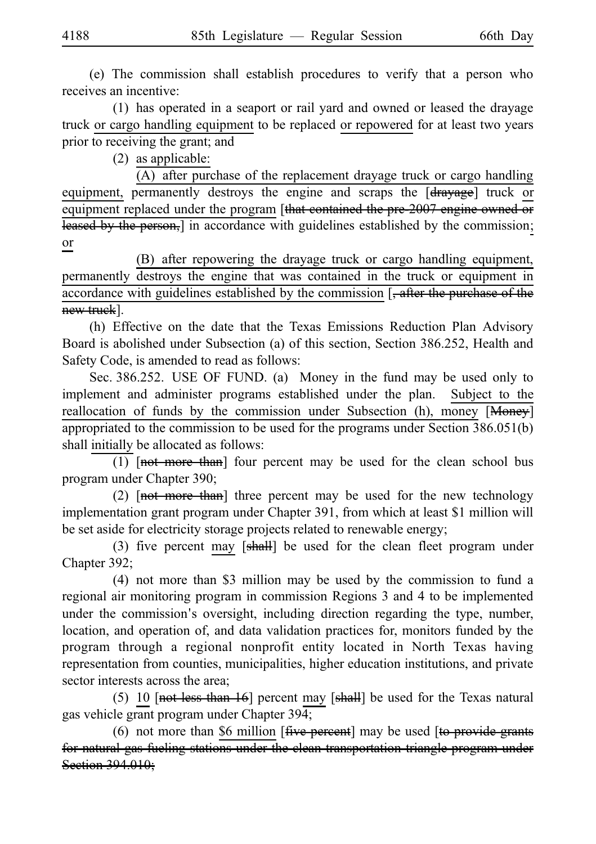(e) The commission shall establish procedures to verify that a person who receives an incentive:

(1) has operated in a seaport or rail yard and owned or leased the drayage truck or cargo handling equipment to be replaced or repowered for at least two years prior to receiving the grant; and

 $(2)$  as applicable:

(A) after purchase of the replacement drayage truck or cargo handling equipment, permanently destroys the engine and scraps the [drayage] truck or equipment replaced under the program [that contained the pre-2007 engine owned or leased by the person,] in accordance with guidelines established by the commission; or

(B) after repowering the drayage truck or cargo handling equipment, permanently destroys the engine that was contained in the truck or equipment in accordance with guidelines established by the commission [, after the purchase of the new truck].

(h) Effective on the date that the Texas Emissions Reduction Plan Advisory Board is abolished under Subsection (a) of this section, Section 386.252, Health and Safety Code, is amended to read as follows:

Sec. 386.252. USE OF FUND. (a) Money in the fund may be used only to implement and administer programs established under the plan. Subject to the reallocation of funds by the commission under Subsection (h), money  $\sqrt{|\text{Money}|}$ appropriated to the commission to be used for the programs under Section 386.051(b) shall initially be allocated as follows:

 $\overline{(1)}$  [not more than] four percent may be used for the clean school bus program under Chapter 390;

(2)  $[net$  more than] three percent may be used for the new technology implementation grant program under Chapter 391, from which at least \$1 million will be set aside for electricity storage projects related to renewable energy;

(3) five percent may  $[sh\ddot{a}]]$  be used for the clean fleet program under Chapter 392;

 $(4)$  not more than \$3 million may be used by the commission to fund a regional air monitoring program in commission Regions 3 and 4 to be implemented under the commission's oversight, including direction regarding the type, number, location, and operation of, and data validation practices for, monitors funded by the program through a regional nonprofit entity located in North Texas having representation from counties, municipalities, higher education institutions, and private sector interests across the area;

(5) 10  $[$ not less than 16] percent may  $[$ shall] be used for the Texas natural gas vehicle grant program under Chapter 394;

(6) not more than \$6 million  $[$  five percent] may be used  $[$  to provide grants for natural gas fueling stations under the clean transportation triangle program under Section 394.010;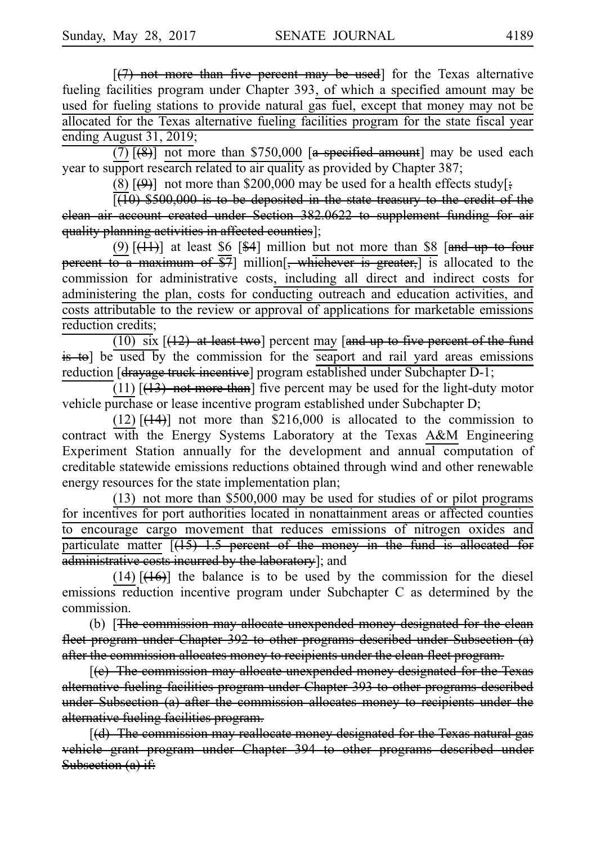$[(7)$  not more than five percent may be used] for the Texas alternative fueling facilities program under Chapter 393, of which a specified amount may be used for fueling stations to provide natural gas fuel, except that money may not be allocated for the Texas alternative fueling facilities program for the state fiscal year ending August 31, 2019;

 $(7)$   $[$ (8)] not more than \$750,000 [a specified amount] may be used each year to support research related to air quality as provided by Chapter 387;

(8)  $[\frac{(\cdot)}{(\cdot)}]$  not more than \$200,000 may be used for a health effects study[;

 $\sqrt{10}$  \$500,000 is to be deposited in the state treasury to the credit of the clean air account created under Section 382.0622 to supplement funding for air quality planning activities in affected counties];

(9)  $[\frac{(11)}{1}]$  at least \$6 [\$4] million but not more than \$8 [and up to four percent to a maximum of  $\overline{$7}$ ] million[, whichever is greater,] is allocated to the commission for administrative costs, including all direct and indirect costs for administering the plan, costs for conducting outreach and education activities, and costs attributable to the review or approval of applications for marketable emissions reduction credits;

(10) six  $\left[\frac{12}{12}\right]$  at least two] percent may [and up to five percent of the fund is to] be used by the commission for the seaport and rail yard areas emissions reduction [<del>drayage truck incentive</del>] program established under Subchapter D-1;

(11)  $[(13)$  not more than] five percent may be used for the light-duty motor vehicle purchase or lease incentive program established under Subchapter D;

(12)  $[\frac{(14)}{12}]$  not more than \$216,000 is allocated to the commission to contract with the Energy Systems Laboratory at the Texas A&M Engineering Experiment Station annually for the development and annual computation of creditable statewide emissions reductions obtained through wind and other renewable energy resources for the state implementation plan;

 $(13)$  not more than \$500,000 may be used for studies of or pilot programs for incentives for port authorities located in nonattainment areas or affected counties to encourage cargo movement that reduces emissions of nitrogen oxides and particulate matter  $[(15) 1.5$  percent of the money in the fund is allocated for administrative costs incurred by the laboratory]; and

(14)  $[$ (16)] the balance is to be used by the commission for the diesel emissions reduction incentive program under Subchapter C as determined by the commission.

(b) [The commission may allocate unexpended money designated for the clean fleet program under Chapter 392 to other programs described under Subsection (a) after the commission allocates money to recipients under the clean fleet program.

[(e) The commission may allocate unexpended money designated for the Texas alternative fueling facilities program under Chapter 393 to other programs described under Subsection (a) after the commission allocates money to recipients under the alternative fueling facilities program.

[(d) The commission may reallocate money designated for the Texas natural gas vehicle grant program under Chapter 394 to other programs described under Subsection (a) if: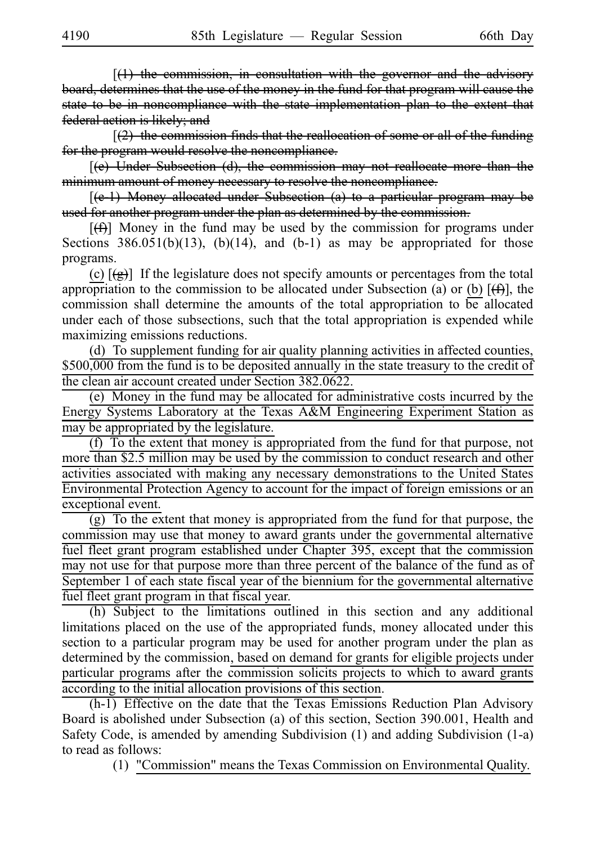$[(1)$  the commission, in consultation with the governor and the advisory board, determines that the use of the money in the fund for that program will cause the state to be in noncompliance with the state implementation plan to the extent that federal action is likely; and

 $[2]$  the commission finds that the reallocation of some or all of the funding for the program would resolve the noncompliance.

 $[$ (e) Under Subsection (d), the commission may not reallocate more than the minimum amount of money necessary to resolve the noncompliance.

 $[$ (e-1) Money allocated under Subsection (a) to a particular program may be used for another program under the plan as determined by the commission.

 $[\frac{f(f)}{f}]\$  Money in the fund may be used by the commission for programs under Sections  $386.051(b)(13)$ ,  $(b)(14)$ , and  $(b-1)$  as may be appropriated for those programs.

(c)  $[\textcircled{g}]$  If the legislature does not specify amounts or percentages from the total appropriation to the commission to be allocated under Subsection (a) or (b)  $[\frac{4}{5}]$ , the commission shall determine the amounts of the total appropriation to be allocated under each of those subsections, such that the total appropriation is expended while maximizing emissions reductions.

(d) To supplement funding for air quality planning activities in affected counties, \$500,000 from the fund is to be deposited annually in the state treasury to the credit of the clean air account created under Section 382.0622.

(e) Money in the fund may be allocated for administrative costs incurred by the Energy Systems Laboratory at the Texas A&M Engineering Experiment Station as may be appropriated by the legislature.

(f) To the extent that money is appropriated from the fund for that purpose, not more than \$2.5 million may be used by the commission to conduct research and other activities associated with making any necessary demonstrations to the United States Environmental Protection Agency to account for the impact of foreign emissions or an exceptional event.

 $(g)$  To the extent that money is appropriated from the fund for that purpose, the commission may use that money to award grants under the governmental alternative fuel fleet grant program established under Chapter 395, except that the commission may not use for that purpose more than three percent of the balance of the fund as of September 1 of each state fiscal year of the biennium for the governmental alternative fuel fleet grant program in that fiscal year.

(h) Subject to the limitations outlined in this section and any additional limitations placed on the use of the appropriated funds, money allocated under this section to a particular program may be used for another program under the plan as determined by the commission, based on demand for grants for eligible projects under particular programs after the commission solicits projects to which to award grants according to the initial allocation provisions of this section.

 $(h-1)$  Effective on the date that the Texas Emissions Reduction Plan Advisory Board is abolished under Subsection (a) of this section, Section 390.001, Health and Safety Code, is amended by amending Subdivision (1) and adding Subdivision (1-a) to read as follows:

(1) "Commission" means the Texas Commission on Environmental Quality.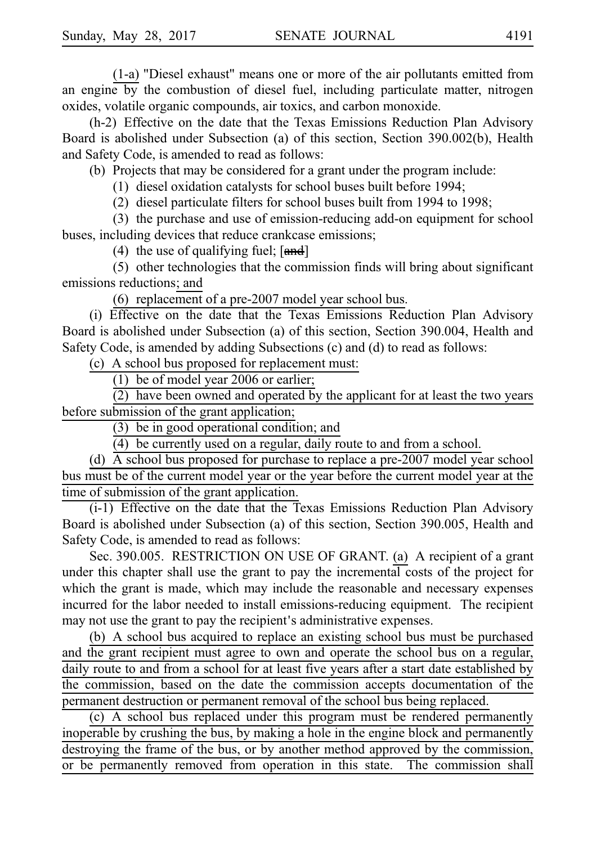(1-a) "Diesel exhaust" means one or more of the air pollutants emitted from an engine by the combustion of diesel fuel, including particulate matter, nitrogen oxides, volatile organic compounds, air toxics, and carbon monoxide.

(h-2) Effective on the date that the Texas Emissions Reduction Plan Advisory Board is abolished under Subsection (a) of this section, Section 390.002(b), Health and Safety Code, is amended to read as follows:

(b) Projects that may be considered for a grant under the program include:

(1) diesel oxidation catalysts for school buses built before 1994;

(2) diesel particulate filters for school buses built from 1994 to 1998;

(3) the purchase and use of emission-reducing add-on equipment for school buses, including devices that reduce crankcase emissions;

(4) the use of qualifying fuel;  $[\text{and}]$ 

 $(5)$  other technologies that the commission finds will bring about significant emissions reductions; and

(6) replacement of a pre-2007 model year school bus.

(i) Effective on the date that the Texas Emissions Reduction Plan Advisory Board is abolished under Subsection (a) of this section, Section 390.004, Health and Safety Code, is amended by adding Subsections (c) and (d) to read as follows:

(c) A school bus proposed for replacement must:

(1) be of model year 2006 or earlier;

 $(2)$  have been owned and operated by the applicant for at least the two years before submission of the grant application;

 $(3)$  be in good operational condition; and

 $(4)$  be currently used on a regular, daily route to and from a school.

(d)  $\overline{A}$  school bus proposed for purchase to replace a pre-2007 model year school bus must be of the current model year or the year before the current model year at the time of submission of the grant application.

 $(i-1)$  Effective on the date that the Texas Emissions Reduction Plan Advisory Board is abolished under Subsection (a) of this section, Section 390.005, Health and Safety Code, is amended to read as follows:

Sec. 390.005. RESTRICTION ON USE OF GRANT. (a) A recipient of a grant under this chapter shall use the grant to pay the incremental costs of the project for which the grant is made, which may include the reasonable and necessary expenses incurred for the labor needed to install emissions-reducing equipment. The recipient may not use the grant to pay the recipient's administrative expenses.

(b) A school bus acquired to replace an existing school bus must be purchased and the grant recipient must agree to own and operate the school bus on a regular, daily route to and from a school for at least five years after a start date established by the commission, based on the date the commission accepts documentation of the permanent destruction or permanent removal of the school bus being replaced.

 $(c)$  A school bus replaced under this program must be rendered permanently inoperable by crushing the bus, by making a hole in the engine block and permanently destroying the frame of the bus, or by another method approved by the commission, or be permanently removed from operation in this state. The commission shall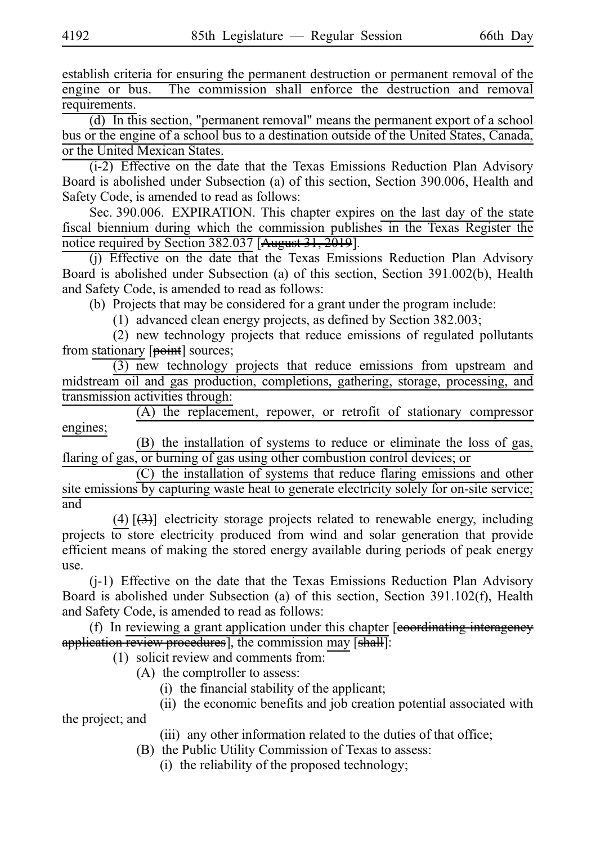establish criteria for ensuring the permanent destruction or permanent removal of the engine or bus. The commission shall enforce the destruction and removal requirements.

 $(d)$  In this section, "permanent removal" means the permanent export of a school bus or the engine of a school bus to a destination outside of the United States, Canada, or the United Mexican States.

 $(i-2)$  Effective on the date that the Texas Emissions Reduction Plan Advisory Board is abolished under Subsection (a) of this section, Section 390.006, Health and Safety Code, is amended to read as follows:

Sec. 390.006. EXPIRATION. This chapter expires on the last day of the state fiscal biennium during which the commission publishes in the Texas Register the notice required by Section 382.037 [August 31, 2019].

(j) Effective on the date that the Texas Emissions Reduction Plan Advisory Board is abolished under Subsection (a) of this section, Section 391.002(b), Health and Safety Code, is amended to read as follows:

(b) Projects that may be considered for a grant under the program include:

 $(1)$  advanced clean energy projects, as defined by Section 382.003;

 $(2)$  new technology projects that reduce emissions of regulated pollutants from stationary [point] sources;

 $(3)$  new technology projects that reduce emissions from upstream and midstream oil and gas production, completions, gathering, storage, processing, and transmission activities through:

 $(A)$  the replacement, repower, or retrofit of stationary compressor engines;

(B) the installation of systems to reduce or eliminate the loss of gas, flaring of gas, or burning of gas using other combustion control devices; or

 $(C)$  the installation of systems that reduce flaring emissions and other site emissions by capturing waste heat to generate electricity solely for on-site service; and

(4)  $\left[\frac{1}{2}\right]$  electricity storage projects related to renewable energy, including projects to store electricity produced from wind and solar generation that provide efficient means of making the stored energy available during periods of peak energy use.

(j-1) Effective on the date that the Texas Emissions Reduction Plan Advisory Board is abolished under Subsection (a) of this section, Section 391.102(f), Health and Safety Code, is amended to read as follows:

(f) In reviewing a grant application under this chapter  $[eeo-$ eordinating interagency application review procedures], the commission may [shall]:

 $(1)$  solicit review and comments from:

- $(A)$  the comptroller to assess:
	- $(i)$  the financial stability of the applicant;
	- (ii) the economic benefits and job creation potential associated with

the project; and

(iii) any other information related to the duties of that office;

- (B) the Public Utility Commission of Texas to assess:
	- $(i)$  the reliability of the proposed technology;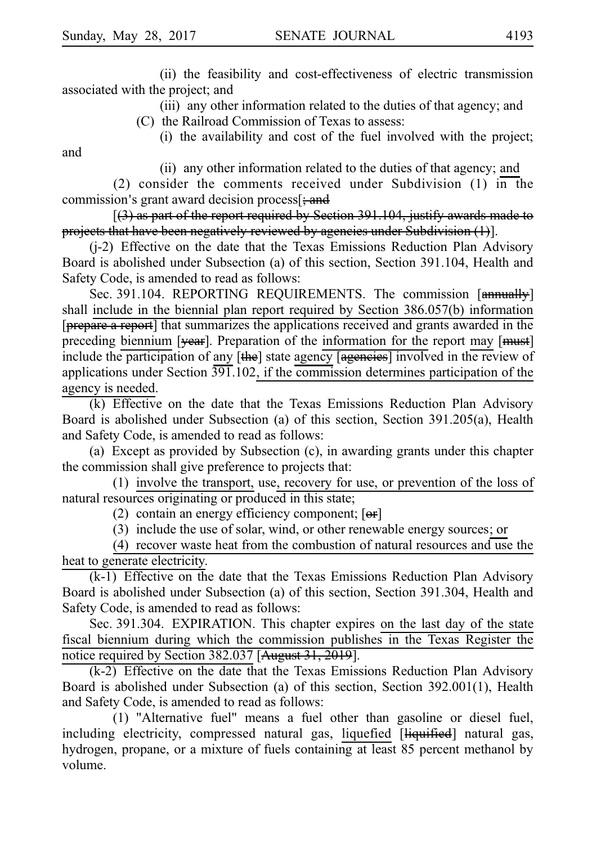and

(ii) the feasibility and cost-effectiveness of electric transmission associated with the project; and

> (iii) any other information related to the duties of that agency; and (C) the Railroad Commission of Texas to assess:

(i) the availability and cost of the fuel involved with the project;

(ii) any other information related to the duties of that agency; and

(2) consider the comments received under Subdivision (1) in the commission's grant award decision process[; and

[(3) as part of the report required by Section 391.104, justify awards made to projects that have been negatively reviewed by agencies under Subdivision (1)].

(j-2) Effective on the date that the Texas Emissions Reduction Plan Advisory Board is abolished under Subsection (a) of this section, Section 391.104, Health and Safety Code, is amended to read as follows:

Sec. 391.104. REPORTING REQUIREMENTS. The commission [annually] shall include in the biennial plan report required by Section 386.057(b) information [prepare a report] that summarizes the applications received and grants awarded in the preceding biennium [year]. Preparation of the information for the report may [must] include the participation of any [the] state agency [agencies] involved in the review of applications under Section 391.102, if the commission determines participation of the agency is needed.

(k) Effective on the date that the Texas Emissions Reduction Plan Advisory Board is abolished under Subsection (a) of this section, Section 391.205(a), Health and Safety Code, is amended to read as follows:

(a) Except as provided by Subsection  $(c)$ , in awarding grants under this chapter the commission shall give preference to projects that:

(1) involve the transport, use, recovery for use, or prevention of the loss of natural resources originating or produced in this state;

(2) contain an energy efficiency component;  $[**or**]$ 

(3) include the use of solar, wind, or other renewable energy sources; or

(4) recover waste heat from the combustion of natural resources and use the heat to generate electricity.

 $(k-1)$  Effective on the date that the Texas Emissions Reduction Plan Advisory Board is abolished under Subsection (a) of this section, Section 391.304, Health and Safety Code, is amended to read as follows:

Sec. 391.304. EXPIRATION. This chapter expires on the last day of the state fiscal biennium during which the commission publishes in the Texas Register the notice required by Section 382.037 [August 31, 2019].

 $(k-2)$  Effective on the date that the Texas Emissions Reduction Plan Advisory Board is abolished under Subsection (a) of this section, Section 392.001(1), Health and Safety Code, is amended to read as follows:

(1) "Alternative fuel" means a fuel other than gasoline or diesel fuel, including electricity, compressed natural gas, liquefied [liquified] natural gas, hydrogen, propane, or a mixture of fuels containing at least 85 percent methanol by volume.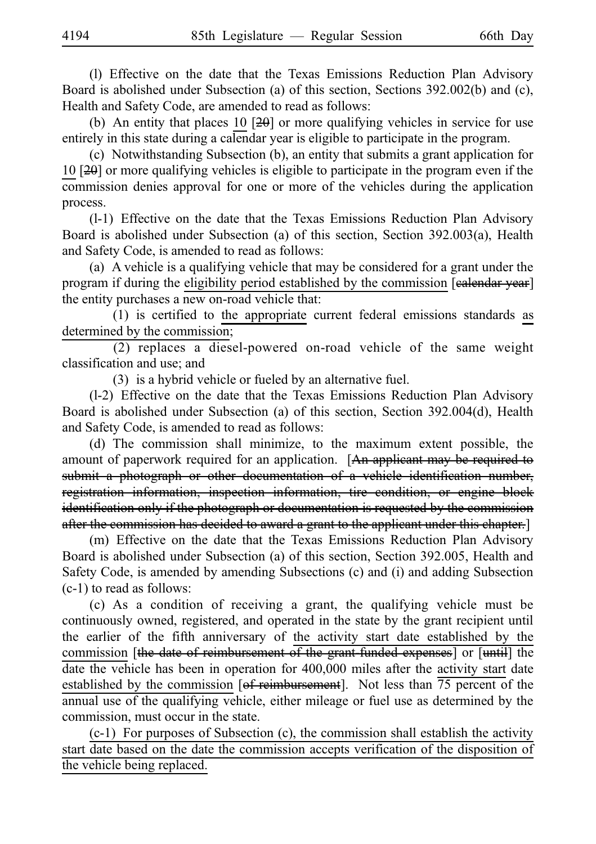(1) Effective on the date that the Texas Emissions Reduction Plan Advisory Board is abolished under Subsection (a) of this section, Sections 392.002(b) and (c), Health and Safety Code, are amended to read as follows:

(b) An entity that places 10  $[20]$  or more qualifying vehicles in service for use entirely in this state during a calendar year is eligible to participate in the program.

(c) Notwithstanding Subsection (b), an entity that submits a grant application for 10 [20] or more qualifying vehicles is eligible to participate in the program even if the commission denies approval for one or more of the vehicles during the application process.

 $(l-1)$  Effective on the date that the Texas Emissions Reduction Plan Advisory Board is abolished under Subsection (a) of this section, Section 392.003(a), Health and Safety Code, is amended to read as follows:

(a) A vehicle is a qualifying vehicle that may be considered for a grant under the program if during the eligibility period established by the commission [ealendar year] the entity purchases a new on-road vehicle that:

 $(1)$  is certified to the appropriate current federal emissions standards as determined by the commission;

 $(2)$  replaces a diesel-powered on-road vehicle of the same weight classification and use; and

 $(3)$  is a hybrid vehicle or fueled by an alternative fuel.

 $(1-2)$  Effective on the date that the Texas Emissions Reduction Plan Advisory Board is abolished under Subsection (a) of this section, Section 392.004(d), Health and Safety Code, is amended to read as follows:

(d) The commission shall minimize, to the maximum extent possible, the amount of paperwork required for an application. [An applicant may be required to submit a photograph or other documentation of a vehicle identification number, registration information, inspection information, tire condition, or engine block identification only if the photograph or documentation is requested by the commission after the commission has decided to award a grant to the applicant under this chapter.]

(m) Effective on the date that the Texas Emissions Reduction Plan Advisory Board is abolished under Subsection (a) of this section, Section 392.005, Health and Safety Code, is amended by amending Subsections (c) and (i) and adding Subsection (c-1) to read as follows:

 $(c)$  As a condition of receiving a grant, the qualifying vehicle must be continuously owned, registered, and operated in the state by the grant recipient until the earlier of the fifth anniversary of the activity start date established by the commission [the date of reimbursement of the grant-funded expenses] or [until] the date the vehicle has been in operation for 400,000 miles after the activity start date established by the commission [of reimbursement]. Not less than  $\overline{75}$  percent of the annual use of the qualifying vehicle, either mileage or fuel use as determined by the commission, must occur in the state.

 $(c-1)$  For purposes of Subsection  $(c)$ , the commission shall establish the activity start date based on the date the commission accepts verification of the disposition of the vehicle being replaced.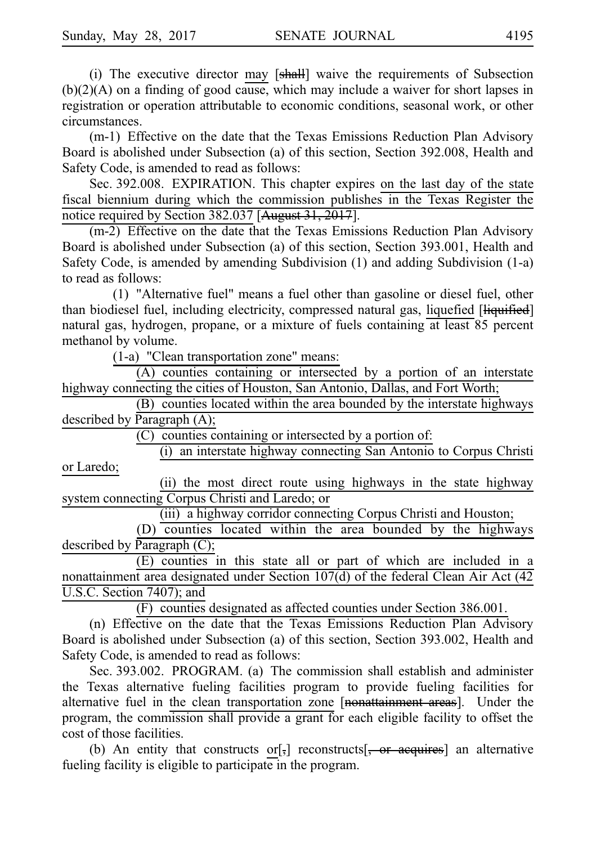(i) The executive director may  $[sh]$  waive the requirements of Subsection (b)(2)(A) on a finding of good cause, which may include a waiver for short lapses in registration or operation attributable to economic conditions, seasonal work, or other circumstances.

(m-1) Effective on the date that the Texas Emissions Reduction Plan Advisory Board is abolished under Subsection (a) of this section, Section 392.008, Health and Safety Code, is amended to read as follows:

Sec. 392.008. EXPIRATION. This chapter expires on the last day of the state fiscal biennium during which the commission publishes in the Texas Register the notice required by Section 382.037 [August 31, 2017].

 $(m-2)$  Effective on the date that the Texas Emissions Reduction Plan Advisory Board is abolished under Subsection (a) of this section, Section 393.001, Health and Safety Code, is amended by amending Subdivision (1) and adding Subdivision (1-a) to read as follows:

(1) "Alternative fuel" means a fuel other than gasoline or diesel fuel, other than biodiesel fuel, including electricity, compressed natural gas, liquefied [liquified] natural gas, hydrogen, propane, or a mixture of fuels containing at least 85 percent methanol by volume.

 $(1-a)$  "Clean transportation zone" means:

 $(A)$  counties containing or intersected by a portion of an interstate highway connecting the cities of Houston, San Antonio, Dallas, and Fort Worth;

(B) counties located within the area bounded by the interstate highways described by Paragraph (A);

 $(C)$  counties containing or intersected by a portion of:

(i) an interstate highway connecting San Antonio to Corpus Christi or Laredo;

(ii) the most direct route using highways in the state highway system connecting Corpus Christi and Laredo; or

(iii) a highway corridor connecting Corpus Christi and Houston;

(D) counties located within the area bounded by the highways described by Paragraph (C);

 $(E)$  counties in this state all or part of which are included in a nonattainment area designated under Section 107(d) of the federal Clean Air Act (42 U.S.C. Section 7407); and

 $(F)$  counties designated as affected counties under Section 386.001.

(n) Effective on the date that the Texas Emissions Reduction Plan Advisory Board is abolished under Subsection (a) of this section, Section 393.002, Health and Safety Code, is amended to read as follows:

Sec. 393.002. PROGRAM. (a) The commission shall establish and administer the Texas alternative fueling facilities program to provide fueling facilities for alternative fuel in the clean transportation zone [nonattainment areas]. Under the program, the commission shall provide a grant for each eligible facility to offset the cost of those facilities.

(b) An entity that constructs or  $\left[\frac{1}{2}\right]$  reconstructs  $\left[\frac{1}{2}, \frac{1}{2}\right]$  an alternative fueling facility is eligible to participate in the program.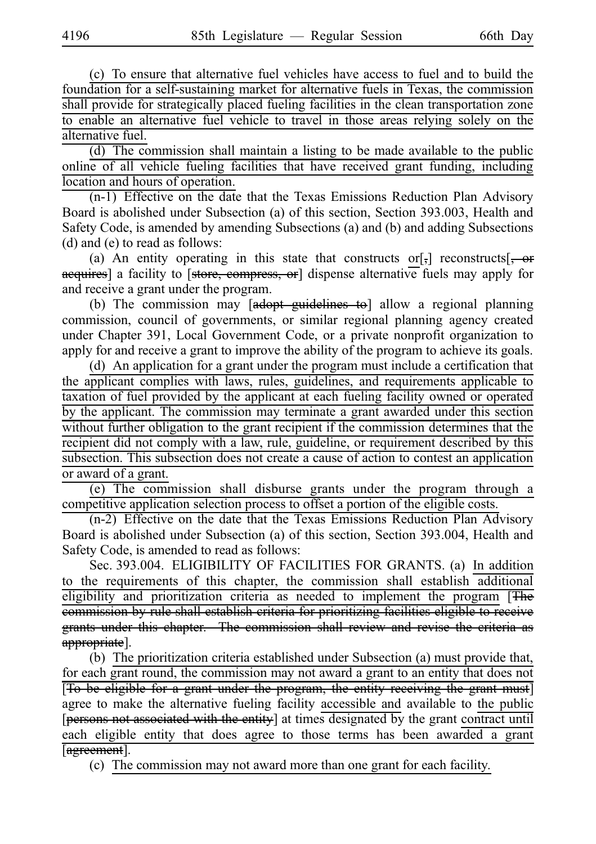(c) To ensure that alternative fuel vehicles have access to fuel and to build the foundation for a self-sustaining market for alternative fuels in Texas, the commission shall provide for strategically placed fueling facilities in the clean transportation zone to enable an alternative fuel vehicle to travel in those areas relying solely on the alternative fuel.

 $(d)$  The commission shall maintain a listing to be made available to the public online of all vehicle fueling facilities that have received grant funding, including location and hours of operation.

 $(n-1)$  Effective on the date that the Texas Emissions Reduction Plan Advisory Board is abolished under Subsection (a) of this section, Section 393.003, Health and Safety Code, is amended by amending Subsections (a) and (b) and adding Subsections (d) and (e) to read as follows:

(a) An entity operating in this state that constructs or[ $,$ ] reconstructs[ $, -$ or acquires] a facility to [store, compress, or] dispense alternative fuels may apply for and receive a grant under the program.

(b) The commission may [adopt guidelines to] allow a regional planning commission, council of governments, or similar regional planning agency created under Chapter 391, Local Government Code, or a private nonprofit organization to apply for and receive a grant to improve the ability of the program to achieve its goals.

(d) An application for a grant under the program must include a certification that the applicant complies with laws, rules, guidelines, and requirements applicable to taxation of fuel provided by the applicant at each fueling facility owned or operated by the applicant. The commission may terminate a grant awarded under this section without further obligation to the grant recipient if the commission determines that the recipient did not comply with a law, rule, guideline, or requirement described by this subsection. This subsection does not create a cause of action to contest an application or award of a grant.

(e) The commission shall disburse grants under the program through a competitive application selection process to offset a portion of the eligible costs.

(n-2) Effective on the date that the Texas Emissions Reduction Plan Advisory Board is abolished under Subsection (a) of this section, Section 393.004, Health and Safety Code, is amended to read as follows:

Sec. 393.004. ELIGIBILITY OF FACILITIES FOR GRANTS. (a) In addition to the requirements of this chapter, the commission shall establish additional eligibility and prioritization criteria as needed to implement the program [The commission by rule shall establish criteria for prioritizing facilities eligible to receive grants under this chapter. The commission shall review and revise the criteria as appropriate].

(b) The prioritization criteria established under Subsection (a) must provide that, for each grant round, the commission may not award a grant to an entity that does not [To be eligible for a grant under the program, the entity receiving the grant must] agree to make the alternative fueling facility accessible and available to the public [persons not associated with the entity] at times designated by the grant contract until each eligible entity that does agree to those terms has been awarded a grant [agreement].

(c) The commission may not award more than one grant for each facility.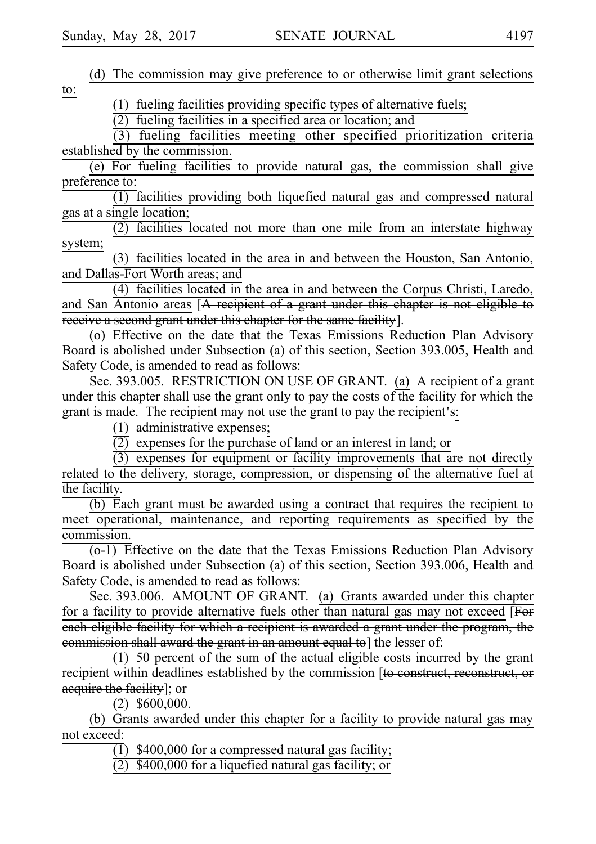|     |  |  |  |  | (d) The commission may give preference to or otherwise limit grant selections |  |  |  |  |  |
|-----|--|--|--|--|-------------------------------------------------------------------------------|--|--|--|--|--|
| to: |  |  |  |  |                                                                               |  |  |  |  |  |

 $(1)$  fueling facilities providing specific types of alternative fuels;

 $(2)$  fueling facilities in a specified area or location; and

 $(3)$  fueling facilities meeting other specified prioritization criteria established by the commission.

(e) For fueling facilities to provide natural gas, the commission shall give preference to:

(1) facilities providing both liquefied natural gas and compressed natural gas at a single location;

 $(2)$  facilities located not more than one mile from an interstate highway system;

(3) facilities located in the area in and between the Houston, San Antonio, and Dallas-Fort Worth areas; and

(4) facilities located in the area in and between the Corpus Christi, Laredo, and San Antonio areas [A recipient of a grant under this chapter is not eligible to receive a second grant under this chapter for the same facility].

(o) Effective on the date that the Texas Emissions Reduction Plan Advisory Board is abolished under Subsection (a) of this section, Section 393.005, Health and Safety Code, is amended to read as follows:

Sec. 393.005. RESTRICTION ON USE OF GRANT. (a) A recipient of a grant under this chapter shall use the grant only to pay the costs of the facility for which the grant is made. The recipient may not use the grant to pay the recipient's:

 $(1)$  administrative expenses;

 $\overline{(2)}$  expenses for the purchase of land or an interest in land; or

 $(3)$  expenses for equipment or facility improvements that are not directly related to the delivery, storage, compression, or dispensing of the alternative fuel at the facility.

 $(b)$  Each grant must be awarded using a contract that requires the recipient to meet operational, maintenance, and reporting requirements as specified by the commission.

 $(0-1)$  Effective on the date that the Texas Emissions Reduction Plan Advisory Board is abolished under Subsection (a) of this section, Section 393.006, Health and Safety Code, is amended to read as follows:

Sec. 393.006. AMOUNT OF GRANT. (a) Grants awarded under this chapter for a facility to provide alternative fuels other than natural gas may not exceed [For each eligible facility for which a recipient is awarded a grant under the program, the commission shall award the grant in an amount equal to] the lesser of:

 $(1)$  50 percent of the sum of the actual eligible costs incurred by the grant recipient within deadlines established by the commission [to construct, reconstruct, or acquire the facility]; or

 $(2)$  \$600,000.

(b) Grants awarded under this chapter for a facility to provide natural gas may not exceed:

 $(1)$  \$400,000 for a compressed natural gas facility;

 $(2)$  \$400,000 for a liquefied natural gas facility; or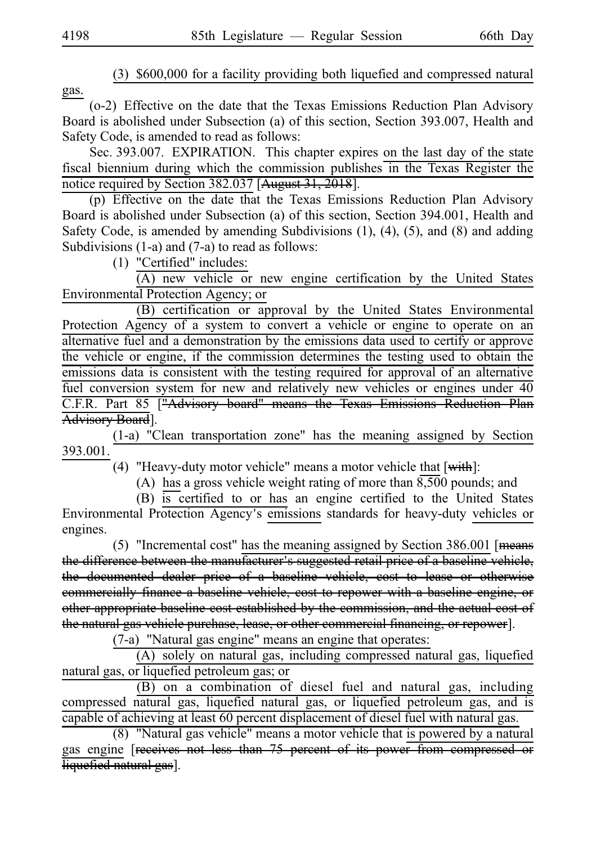$(3)$  \$600,000 for a facility providing both liquefied and compressed natural gas.

(o-2) Effective on the date that the Texas Emissions Reduction Plan Advisory Board is abolished under Subsection (a) of this section, Section 393.007, Health and Safety Code, is amended to read as follows:

Sec. 393.007. EXPIRATION. This chapter expires on the last day of the state fiscal biennium during which the commission publishes in the Texas Register the notice required by Section 382.037 [August 31, 2018].

 $(p)$  Effective on the date that the Texas Emissions Reduction Plan Advisory Board is abolished under Subsection (a) of this section, Section 394.001, Health and Safety Code, is amended by amending Subdivisions (1), (4), (5), and (8) and adding Subdivisions (1-a) and (7-a) to read as follows:

 $(1)$  "Certified" includes:

 $(A)$  new vehicle or new engine certification by the United States Environmental Protection Agency; or

(B) certification or approval by the United States Environmental Protection Agency of a system to convert a vehicle or engine to operate on an alternative fuel and a demonstration by the emissions data used to certify or approve the vehicle or engine, if the commission determines the testing used to obtain the emissions data is consistent with the testing required for approval of an alternative fuel conversion system for new and relatively new vehicles or engines under 40 C.F.R. Part 85 ["Advisory board" means the Texas Emissions Reduction Advisory Board].

(1-a) "Clean transportation zone" has the meaning assigned by Section 393.001.

(4) "Heavy-duty motor vehicle" means a motor vehicle that  $[\overline{\text{with}}]$ :

(A) has a gross vehicle weight rating of more than  $8,500$  pounds; and

(B) is certified to or has an engine certified to the United States Environmental Protection Agency's emissions standards for heavy-duty vehicles or engines.

(5) "Incremental cost" has the meaning assigned by Section  $386.001$  [means the difference between the manufacturer's suggested retail price of a baseline vehicle, the documented dealer price of a baseline vehicle, cost to lease or otherwise commercially finance a baseline vehicle, cost to repower with a baseline engine, or other appropriate baseline cost established by the commission, and the actual cost of the natural gas vehicle purchase, lease, or other commercial financing, or repower].

 $(7-a)$  "Natural gas engine" means an engine that operates:

 $(A)$  solely on natural gas, including compressed natural gas, liquefied natural gas, or liquefied petroleum gas; or

(B) on a combination of diesel fuel and natural gas, including compressed natural gas, liquefied natural gas, or liquefied petroleum gas, and is capable of achieving at least 60 percent displacement of diesel fuel with natural gas.

 $(8)$  "Natural gas vehicle" means a motor vehicle that is powered by a natural gas engine [receives not less than 75 percent of its power from compressed or liquefied natural gas].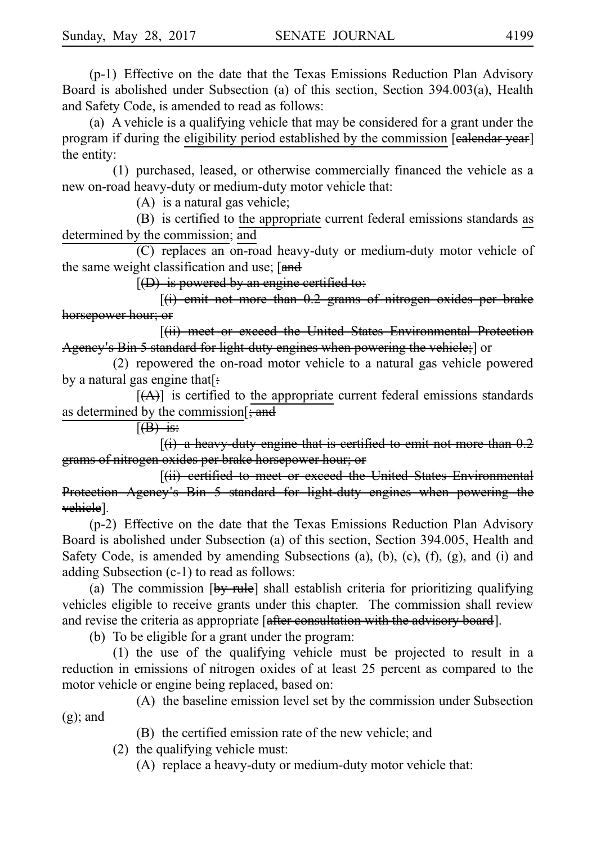$(p-1)$  Effective on the date that the Texas Emissions Reduction Plan Advisory Board is abolished under Subsection (a) of this section, Section 394.003(a), Health and Safety Code, is amended to read as follows:

(a) A vehicle is a qualifying vehicle that may be considered for a grant under the program if during the eligibility period established by the commission [ealendar year] the entity:

 $(1)$  purchased, leased, or otherwise commercially financed the vehicle as a new on-road heavy-duty or medium-duty motor vehicle that:

 $(A)$  is a natural gas vehicle;

(B) is certified to the appropriate current federal emissions standards as determined by the commission; and

(C) replaces an on-road heavy-duty or medium-duty motor vehicle of the same weight classification and use;  $[and]$ 

 $[(D)$  is powered by an engine certified to:

 $[(i)$  emit not more than 0.2 grams of nitrogen oxides per brake horsepower hour; or

[(ii) meet or exceed the United States Environmental Protection Agency's Bin 5 standard for light-duty engines when powering the vehicle; or

 $(2)$  repowered the on-road motor vehicle to a natural gas vehicle powered by a natural gas engine that[:

 $[(A)]$  is certified to the appropriate current federal emissions standards as determined by the commission  $\frac{1}{2}$  and

 $(\theta)$  is:

 $(i)$  a heavy duty engine that is certified to emit not more than  $0.2$ grams of nitrogen oxides per brake horsepower hour; or

[(ii) eertified to meet or exceed the United States Environmental Protection Agency's Bin 5 standard for light-duty engines when powering the vehicle].

 $(p-2)$  Effective on the date that the Texas Emissions Reduction Plan Advisory Board is abolished under Subsection (a) of this section, Section 394.005, Health and Safety Code, is amended by amending Subsections (a), (b), (c), (f), (g), and (i) and adding Subsection (c-1) to read as follows:

(a) The commission  $[by$  rule] shall establish criteria for prioritizing qualifying vehicles eligible to receive grants under this chapter. The commission shall review and revise the criteria as appropriate [after consultation with the advisory board].

(b) To be eligible for a grant under the program:

 $(1)$  the use of the qualifying vehicle must be projected to result in a reduction in emissions of nitrogen oxides of at least 25 percent as compared to the motor vehicle or engine being replaced, based on:

(A) the baseline emission level set by the commission under Subsection  $(g)$ ; and

(B) the certified emission rate of the new vehicle; and

 $(2)$  the qualifying vehicle must:

 $(A)$  replace a heavy-duty or medium-duty motor vehicle that: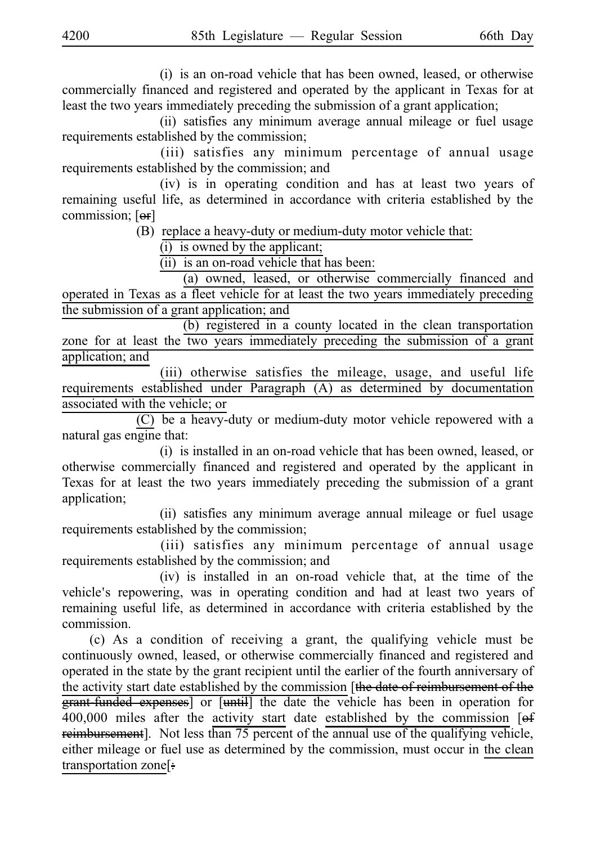(i) is an on-road vehicle that has been owned, leased, or otherwise commercially financed and registered and operated by the applicant in Texas for at least the two years immediately preceding the submission of a grant application;

(ii) satisfies any minimum average annual mileage or fuel usage requirements established by the commission;

(iii) satisfies any minimum percentage of annual usage requirements established by the commission; and

(iv) is in operating condition and has at least two years of remaining useful life, as determined in accordance with criteria established by the commission; [or]

 $(B)$  replace a heavy-duty or medium-duty motor vehicle that:

 $(i)$  is owned by the applicant;

 $(iii)$  is an on-road vehicle that has been:

(a) owned, leased, or otherwise commercially financed and operated in Texas as a fleet vehicle for at least the two years immediately preceding the submission of a grant application; and

(b) registered in a county located in the clean transportation zone for at least the two years immediately preceding the submission of a grant application; and

(iii) otherwise satisfies the mileage, usage, and useful life requirements established under Paragraph (A) as determined by documentation associated with the vehicle; or

(C) be a heavy-duty or medium-duty motor vehicle repowered with a natural gas engine that:

(i) is installed in an on-road vehicle that has been owned, leased, or otherwise commercially financed and registered and operated by the applicant in Texas for at least the two years immediately preceding the submission of a grant application;

(ii) satisfies any minimum average annual mileage or fuel usage requirements established by the commission;

(iii) satisfies any minimum percentage of annual usage requirements established by the commission; and

 $(iv)$  is installed in an on-road vehicle that, at the time of the vehicle's repowering, was in operating condition and had at least two years of remaining useful life, as determined in accordance with criteria established by the commission.

(c) As a condition of receiving a grant, the qualifying vehicle must be continuously owned, leased, or otherwise commercially financed and registered and operated in the state by the grant recipient until the earlier of the fourth anniversary of the activity start date established by the commission [the date of reimbursement of the grant-funded expenses] or [until] the date the vehicle has been in operation for  $400,000$  miles after the activity start date established by the commission [ $\theta$ f reimbursement]. Not less than 75 percent of the annual use of the qualifying vehicle, either mileage or fuel use as determined by the commission, must occur in the clean transportation zone[: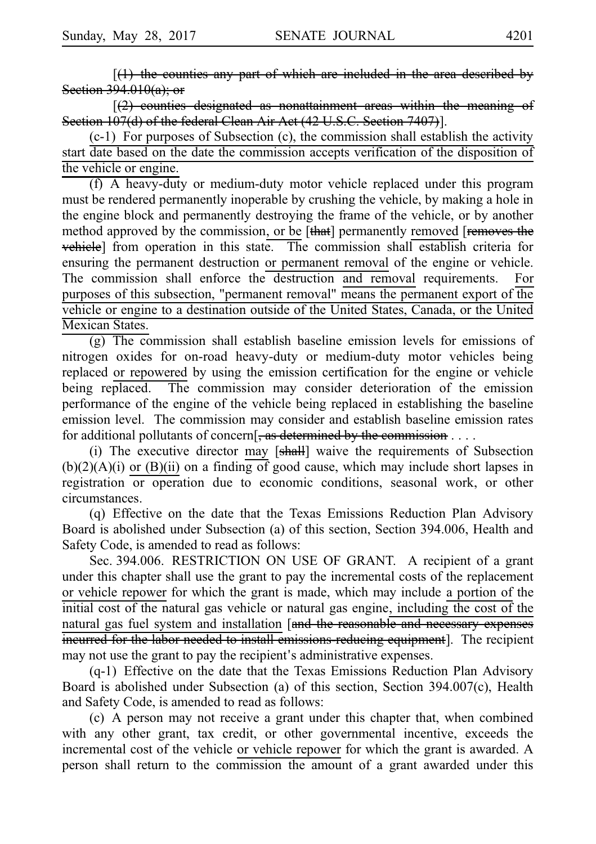$[(1)$  the counties any part of which are included in the area described by Section 394.010(a); or

 $(2)$  counties designated as nonattainment areas within the meaning Section 107(d) of the federal Clean Air Act (42 U.S.C. Section 7407)].

 $(c-1)$  For purposes of Subsection  $(c)$ , the commission shall establish the activity start date based on the date the commission accepts verification of the disposition of the vehicle or engine.

 $(f)$  A heavy-duty or medium-duty motor vehicle replaced under this program must be rendered permanently inoperable by crushing the vehicle, by making a hole in the engine block and permanently destroying the frame of the vehicle, or by another method approved by the commission, or be [that] permanently removed [removes the vehicle] from operation in this state. The commission shall establish criteria for ensuring the permanent destruction or permanent removal of the engine or vehicle. The commission shall enforce the destruction and removal requirements. For purposes of this subsection, "permanent removal" means the permanent export of the vehicle or engine to a destination outside of the United States, Canada, or the United Mexican States.

 $(g)$  The commission shall establish baseline emission levels for emissions of nitrogen oxides for on-road heavy-duty or medium-duty motor vehicles being replaced or repowered by using the emission certification for the engine or vehicle being replaced. The commission may consider deterioration of the emission performance of the engine of the vehicle being replaced in establishing the baseline emission level. The commission may consider and establish baseline emission rates for additional pollutants of concern[, as determined by the commission  $\dots$ .

(i) The executive director may [shall] waive the requirements of Subsection  $(b)(2)(A)(i)$  or  $(B)(ii)$  on a finding of good cause, which may include short lapses in registration or operation due to economic conditions, seasonal work, or other circumstances.

(q) Effective on the date that the Texas Emissions Reduction Plan Advisory Board is abolished under Subsection (a) of this section, Section 394.006, Health and Safety Code, is amended to read as follows:

Sec. 394.006. RESTRICTION ON USE OF GRANT. A recipient of a grant under this chapter shall use the grant to pay the incremental costs of the replacement or vehicle repower for which the grant is made, which may include a portion of the initial cost of the natural gas vehicle or natural gas engine, including the cost of the natural gas fuel system and installation [and the reasonable and necessary expenses incurred for the labor needed to install emissions reducing equipment]. The recipient may not use the grant to pay the recipient's administrative expenses.

 $(q-1)$  Effective on the date that the Texas Emissions Reduction Plan Advisory Board is abolished under Subsection (a) of this section, Section 394.007(c), Health and Safety Code, is amended to read as follows:

(c) A person may not receive a grant under this chapter that, when combined with any other grant, tax credit, or other governmental incentive, exceeds the incremental cost of the vehicle or vehicle repower for which the grant is awarded. A person shall return to the commission the amount of a grant awarded under this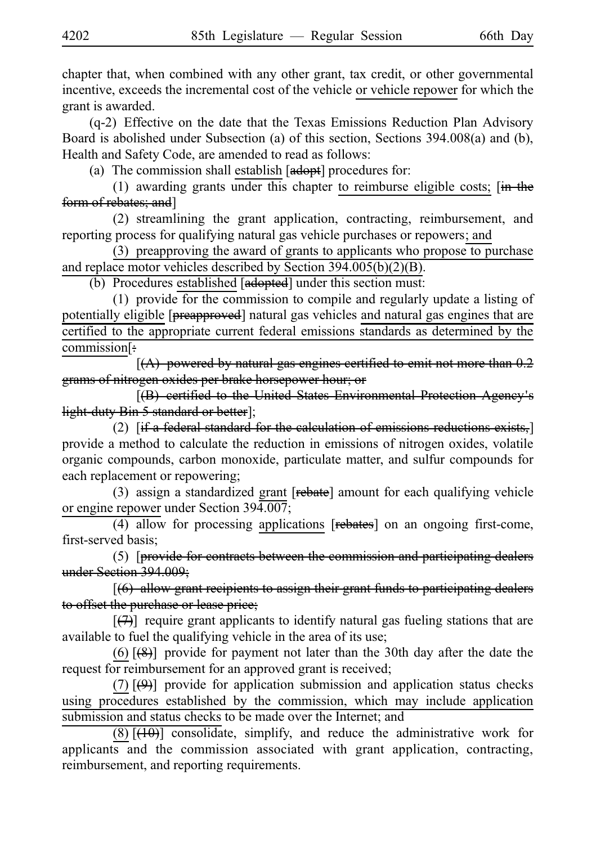chapter that, when combined with any other grant, tax credit, or other governmental incentive, exceeds the incremental cost of the vehicle or vehicle repower for which the grant is awarded.

 $(q-2)$  Effective on the date that the Texas Emissions Reduction Plan Advisory Board is abolished under Subsection (a) of this section, Sections 394.008(a) and (b), Health and Safety Code, are amended to read as follows:

(a) The commission shall establish  $[**adopt**]$  procedures for:

(1) awarding grants under this chapter to reimburse eligible costs;  $\overline{in}$  the form of rebates; and]

(2) streamlining the grant application, contracting, reimbursement, and reporting process for qualifying natural gas vehicle purchases or repowers; and

(3) preapproving the award of grants to applicants who propose to purchase and replace motor vehicles described by Section 394.005(b)(2)(B).

(b) Procedures established [adopted] under this section must:

(1) provide for the commission to compile and regularly update a listing of potentially eligible [preapproved] natural gas vehicles and natural gas engines that are certified to the appropriate current federal emissions standards as determined by the commission[:

 $[(A)$  powered by natural gas engines certified to emit not more than 0.2 grams of nitrogen oxides per brake horsepower hour; or

 $[$ (B) certified to the United States Environmental Protection Agency's light-duty Bin 5 standard or better];

(2)  $[if a federal standard for the calculation of emissions reductions exists,]\n$ provide a method to calculate the reduction in emissions of nitrogen oxides, volatile organic compounds, carbon monoxide, particulate matter, and sulfur compounds for each replacement or repowering;

(3) assign a standardized grant  $[rebate]$  amount for each qualifying vehicle or engine repower under Section 394.007;

 $(4)$  allow for processing applications [rebates] on an ongoing first-come, first-served basis;

 $(5)$  [provide for contracts between the commission and participating dealers under Section 394.009;

 $(6)$  allow grant recipients to assign their grant funds to participating dealers to offset the purchase or lease price;

 $[$ ( $\rightarrow$ ) require grant applicants to identify natural gas fueling stations that are available to fuel the qualifying vehicle in the area of its use;

(6)  $[$ (8)] provide for payment not later than the 30th day after the date the request for reimbursement for an approved grant is received;

(7)  $[\Theta]$  provide for application submission and application status checks using procedures established by the commission, which may include application submission and status checks to be made over the Internet; and

 $(8)$  [ $(10)$ ] consolidate, simplify, and reduce the administrative work for applicants and the commission associated with grant application, contracting, reimbursement, and reporting requirements.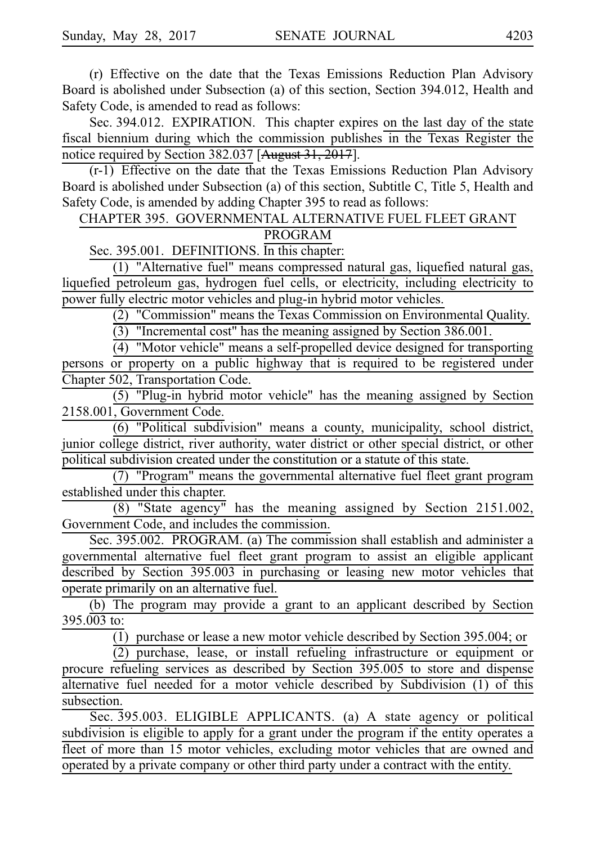(r) Effective on the date that the Texas Emissions Reduction Plan Advisory Board is abolished under Subsection (a) of this section, Section 394.012, Health and Safety Code, is amended to read as follows:

Sec. 394.012. EXPIRATION. This chapter expires on the last day of the state fiscal biennium during which the commission publishes in the Texas Register the notice required by Section 382.037 [August 31, 2017].

 $(r-1)$  Effective on the date that the Texas Emissions Reduction Plan Advisory Board is abolished under Subsection (a) of this section, Subtitle C, Title 5, Health and Safety Code, is amended by adding Chapter 395 to read as follows:

CHAPTER 395. GOVERNMENTAL ALTERNATIVE FUEL FLEET GRANT PROGRAM

Sec. 395.001. DEFINITIONS. In this chapter:

 $(1)$  "Alternative fuel" means compressed natural gas, liquefied natural gas, liquefied petroleum gas, hydrogen fuel cells, or electricity, including electricity to power fully electric motor vehicles and plug-in hybrid motor vehicles.

 $(2)$  "Commission" means the Texas Commission on Environmental Quality.

 $(3)$  "Incremental cost" has the meaning assigned by Section 386.001.

 $(4)$  "Motor vehicle" means a self-propelled device designed for transporting persons or property on a public highway that is required to be registered under Chapter 502, Transportation Code.

 $(5)$  "Plug-in hybrid motor vehicle" has the meaning assigned by Section 2158.001, Government Code.

(6)ii"Political subdivision" means a county, municipality, school district, junior college district, river authority, water district or other special district, or other political subdivision created under the constitution or a statute of this state.

(7) "Program" means the governmental alternative fuel fleet grant program established under this chapter.

 $(8)$  "State agency" has the meaning assigned by Section 2151.002, Government Code, and includes the commission.

Sec. 395.002. PROGRAM. (a) The commission shall establish and administer a governmental alternative fuel fleet grant program to assist an eligible applicant described by Section 395.003 in purchasing or leasing new motor vehicles that operate primarily on an alternative fuel.

(b) The program may provide a grant to an applicant described by Section  $395.003$  to:

(1) purchase or lease a new motor vehicle described by Section 395.004; or

 $(2)$  purchase, lease, or install refueling infrastructure or equipment or procure refueling services as described by Section 395.005 to store and dispense alternative fuel needed for a motor vehicle described by Subdivision (1) of this subsection.

Sec. 395.003. ELIGIBLE APPLICANTS. (a) A state agency or political subdivision is eligible to apply for a grant under the program if the entity operates a fleet of more than 15 motor vehicles, excluding motor vehicles that are owned and operated by a private company or other third party under a contract with the entity.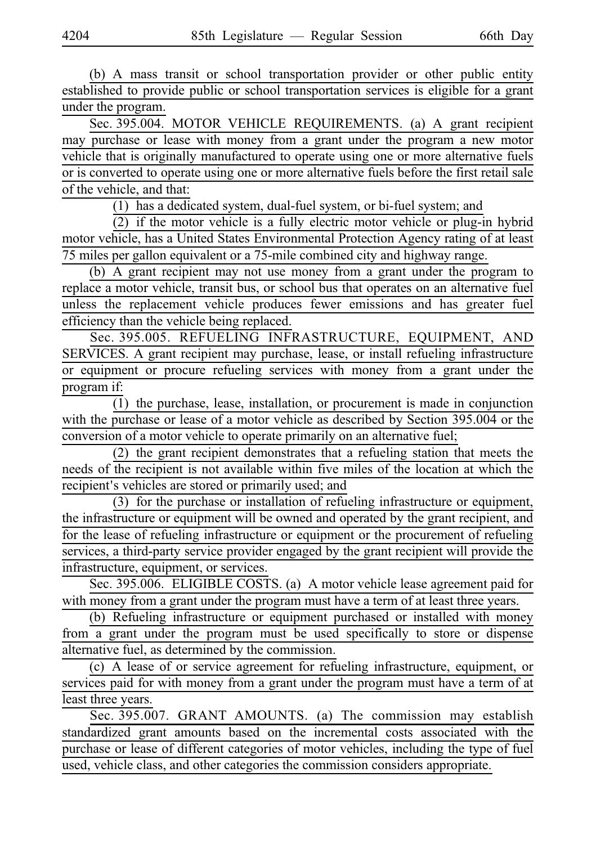(b) A mass transit or school transportation provider or other public entity established to provide public or school transportation services is eligible for a grant under the program.

Sec. 395.004. MOTOR VEHICLE REQUIREMENTS. (a) A grant recipient may purchase or lease with money from a grant under the program a new motor vehicle that is originally manufactured to operate using one or more alternative fuels or is converted to operate using one or more alternative fuels before the first retail sale of the vehicle, and that:

 $(1)$  has a dedicated system, dual-fuel system, or bi-fuel system; and

 $(2)$  if the motor vehicle is a fully electric motor vehicle or plug-in hybrid motor vehicle, has a United States Environmental Protection Agency rating of at least 75 miles per gallon equivalent or a 75-mile combined city and highway range.

(b) A grant recipient may not use money from a grant under the program to replace a motor vehicle, transit bus, or school bus that operates on an alternative fuel unless the replacement vehicle produces fewer emissions and has greater fuel efficiency than the vehicle being replaced.

Sec. 395.005. REFUELING INFRASTRUCTURE, EQUIPMENT, AND SERVICES. A grant recipient may purchase, lease, or install refueling infrastructure or equipment or procure refueling services with money from a grant under the program if:

 $(1)$  the purchase, lease, installation, or procurement is made in conjunction with the purchase or lease of a motor vehicle as described by Section 395.004 or the conversion of a motor vehicle to operate primarily on an alternative fuel;

 $(2)$  the grant recipient demonstrates that a refueling station that meets the needs of the recipient is not available within five miles of the location at which the recipient's vehicles are stored or primarily used; and

 $(3)$  for the purchase or installation of refueling infrastructure or equipment, the infrastructure or equipment will be owned and operated by the grant recipient, and for the lease of refueling infrastructure or equipment or the procurement of refueling services, a third-party service provider engaged by the grant recipient will provide the infrastructure, equipment, or services.

Sec. 395.006. ELIGIBLE COSTS. (a) A motor vehicle lease agreement paid for with money from a grant under the program must have a term of at least three years.

(b) Refueling infrastructure or equipment purchased or installed with money from a grant under the program must be used specifically to store or dispense alternative fuel, as determined by the commission.

(c) A lease of or service agreement for refueling infrastructure, equipment, or services paid for with money from a grant under the program must have a term of at least three years.

Sec. 395.007. GRANT AMOUNTS. (a) The commission may establish standardized grant amounts based on the incremental costs associated with the purchase or lease of different categories of motor vehicles, including the type of fuel used, vehicle class, and other categories the commission considers appropriate.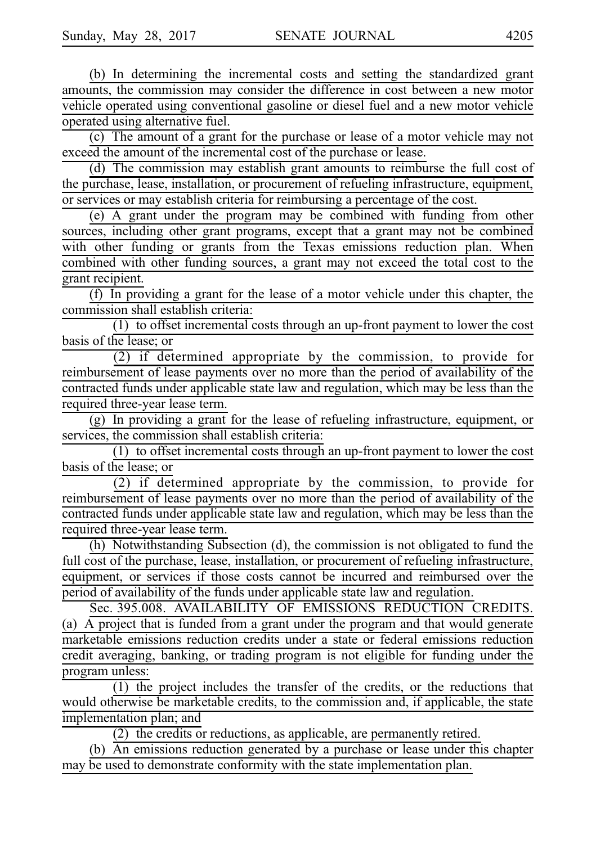(b) In determining the incremental costs and setting the standardized grant amounts, the commission may consider the difference in cost between a new motor vehicle operated using conventional gasoline or diesel fuel and a new motor vehicle operated using alternative fuel.

(c) The amount of a grant for the purchase or lease of a motor vehicle may not exceed the amount of the incremental cost of the purchase or lease.

(d) The commission may establish grant amounts to reimburse the full cost of the purchase, lease, installation, or procurement of refueling infrastructure, equipment, or services or may establish criteria for reimbursing a percentage of the cost.

 $(e)$  A grant under the program may be combined with funding from other sources, including other grant programs, except that a grant may not be combined with other funding or grants from the Texas emissions reduction plan. When combined with other funding sources, a grant may not exceed the total cost to the grant recipient.

 $(f)$  In providing a grant for the lease of a motor vehicle under this chapter, the commission shall establish criteria:

 $(1)$  to offset incremental costs through an up-front payment to lower the cost basis of the lease; or

(2) if determined appropriate by the commission, to provide for reimbursement of lease payments over no more than the period of availability of the contracted funds under applicable state law and regulation, which may be less than the required three-year lease term.

 $(g)$  In providing a grant for the lease of refueling infrastructure, equipment, or services, the commission shall establish criteria:

 $(1)$  to offset incremental costs through an up-front payment to lower the cost basis of the lease; or

 $(2)$  if determined appropriate by the commission, to provide for reimbursement of lease payments over no more than the period of availability of the contracted funds under applicable state law and regulation, which may be less than the required three-year lease term.

 $(h)$  Notwithstanding Subsection (d), the commission is not obligated to fund the full cost of the purchase, lease, installation, or procurement of refueling infrastructure, equipment, or services if those costs cannot be incurred and reimbursed over the period of availability of the funds under applicable state law and regulation.

Sec. 395.008. AVAILABILITY OF EMISSIONS REDUCTION CREDITS. (a)  $\overline{A}$  project that is funded from a grant under the program and that would generate marketable emissions reduction credits under a state or federal emissions reduction credit averaging, banking, or trading program is not eligible for funding under the program unless:

 $(1)$  the project includes the transfer of the credits, or the reductions that would otherwise be marketable credits, to the commission and, if applicable, the state implementation plan; and

 $(2)$  the credits or reductions, as applicable, are permanently retired.

(b)  $\overrightarrow{An}$  emissions reduction generated by a purchase or lease under this chapter may be used to demonstrate conformity with the state implementation plan.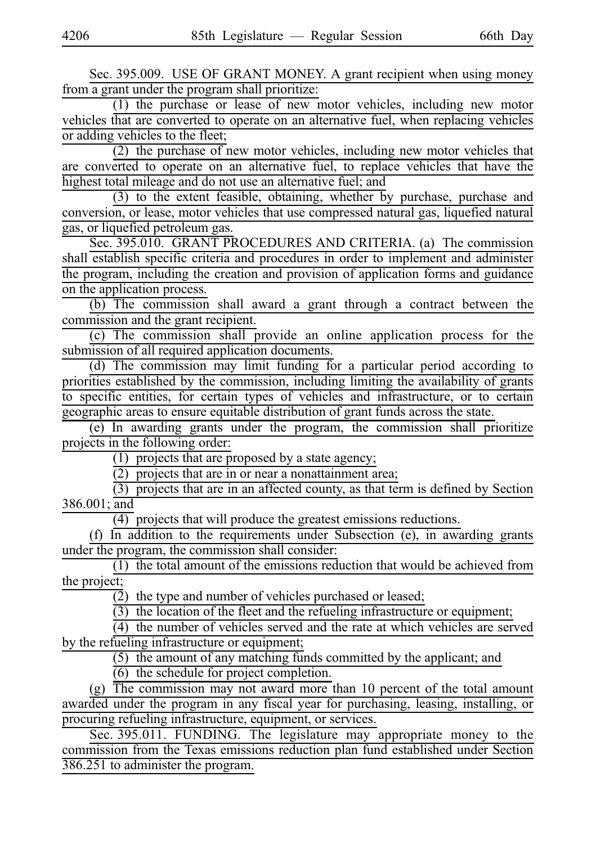Sec. 395.009. USE OF GRANT MONEY. A grant recipient when using money from a grant under the program shall prioritize:

(1) the purchase or lease of new motor vehicles, including new motor vehicles that are converted to operate on an alternative fuel, when replacing vehicles or adding vehicles to the fleet;

(2) the purchase of new motor vehicles, including new motor vehicles that are converted to operate on an alternative fuel, to replace vehicles that have the highest total mileage and do not use an alternative fuel; and

(3) to the extent feasible, obtaining, whether by purchase, purchase and conversion, or lease, motor vehicles that use compressed natural gas, liquefied natural gas, or liquefied petroleum gas.

Sec. 395.010. GRANT PROCEDURES AND CRITERIA. (a) The commission shall establish specific criteria and procedures in order to implement and administer the program, including the creation and provision of application forms and guidance on the application process.

(b) The commission shall award a grant through a contract between the commission and the grant recipient.

(c) The commission shall provide an online application process for the submission of all required application documents.

(d) The commission may limit funding for a particular period according to priorities established by the commission, including limiting the availability of grants to specific entities, for certain types of vehicles and infrastructure, or to certain geographic areas to ensure equitable distribution of grant funds across the state.

 $(e)$  In awarding grants under the program, the commission shall prioritize projects in the following order:

 $(1)$  projects that are proposed by a state agency;

 $\overline{(2)}$  projects that are in or near a nonattainment area;

 $(3)$  projects that are in an affected county, as that term is defined by Section 386.001; and

 $\overline{(4)}$  projects that will produce the greatest emissions reductions.

(f)  $\overline{In}$  addition to the requirements under Subsection (e), in awarding grants under the program, the commission shall consider:

 $(1)$  the total amount of the emissions reduction that would be achieved from the project;

(2) the type and number of vehicles purchased or leased;

 $(3)$  the location of the fleet and the refueling infrastructure or equipment;

 $(4)$  the number of vehicles served and the rate at which vehicles are served by the refueling infrastructure or equipment;

 $(5)$  the amount of any matching funds committed by the applicant; and

 $(6)$  the schedule for project completion.

(g)  $\overline{The$  commission may not award more than 10 percent of the total amount awarded under the program in any fiscal year for purchasing, leasing, installing, or procuring refueling infrastructure, equipment, or services.

Sec. 395.011. FUNDING. The legislature may appropriate money to the commission from the Texas emissions reduction plan fund established under Section 386.251 to administer the program.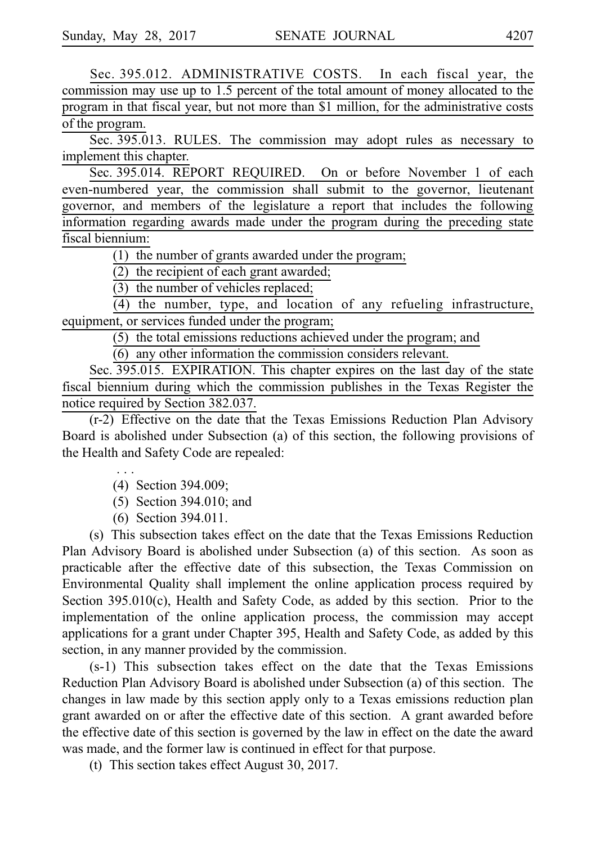Sec. 395.012. ADMINISTRATIVE COSTS. In each fiscal year, the commission may use up to 1.5 percent of the total amount of money allocated to the program in that fiscal year, but not more than \$1 million, for the administrative costs of the program.

Sec. 395.013. RULES. The commission may adopt rules as necessary to implement this chapter.

Sec. 395.014. REPORT REQUIRED. On or before November 1 of each even-numbered year, the commission shall submit to the governor, lieutenant governor, and members of the legislature a report that includes the following information regarding awards made under the program during the preceding state fiscal biennium:

 $\overline{(1)}$  the number of grants awarded under the program;

(2) the recipient of each grant awarded;

 $(3)$  the number of vehicles replaced;

 $(4)$  the number, type, and location of any refueling infrastructure, equipment, or services funded under the program;

 $(5)$  the total emissions reductions achieved under the program; and

 $(6)$  any other information the commission considers relevant.

Sec. 395.015. EXPIRATION. This chapter expires on the last day of the state fiscal biennium during which the commission publishes in the Texas Register the notice required by Section 382.037.

(r-2) Effective on the date that the Texas Emissions Reduction Plan Advisory Board is abolished under Subsection (a) of this section, the following provisions of the Health and Safety Code are repealed:

> i.i.i. (4) Section 394.009;

 $(5)$  Section 394.010; and

(6) Section 394.011.

(s) This subsection takes effect on the date that the Texas Emissions Reduction Plan Advisory Board is abolished under Subsection (a) of this section. As soon as practicable after the effective date of this subsection, the Texas Commission on Environmental Quality shall implement the online application process required by Section 395.010(c), Health and Safety Code, as added by this section. Prior to the implementation of the online application process, the commission may accept applications for a grant under Chapter 395, Health and Safety Code, as added by this section, in any manner provided by the commission.

 $(s-1)$  This subsection takes effect on the date that the Texas Emissions Reduction Plan Advisory Board is abolished under Subsection (a) of this section. The changes in law made by this section apply only to a Texas emissions reduction plan grant awarded on or after the effective date of this section. A grant awarded before the effective date of this section is governed by the law in effect on the date the award was made, and the former law is continued in effect for that purpose.

(t) This section takes effect August 30, 2017.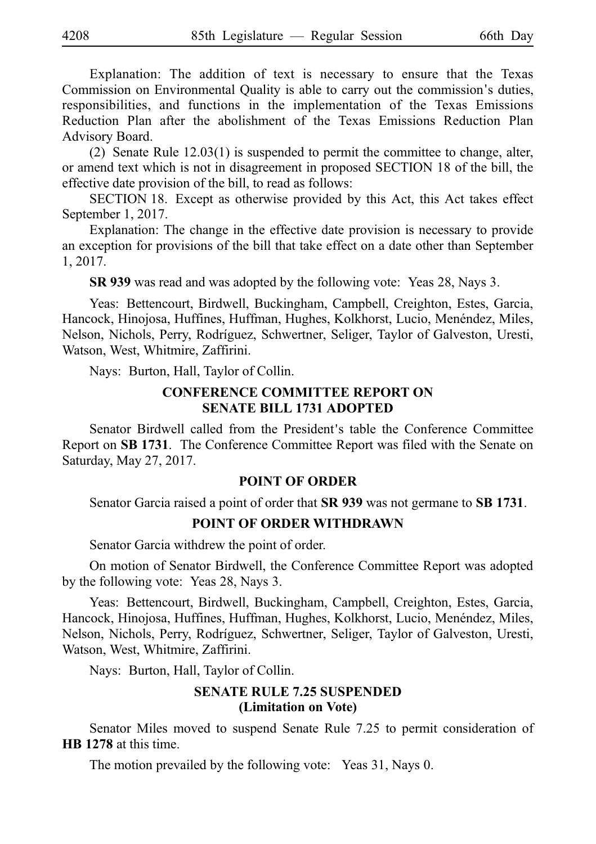Explanation: The addition of text is necessary to ensure that the Texas Commission on Environmental Quality is able to carry out the commission's duties, responsibilities, and functions in the implementation of the Texas Emissions Reduction Plan after the abolishment of the Texas Emissions Reduction Plan Advisory Board.

(2) Senate Rule  $12.03(1)$  is suspended to permit the committee to change, alter, or amend text which is not in disagreement in proposed SECTION 18 of the bill, the effective date provision of the bill, to read as follows:

SECTION 18. Except as otherwise provided by this Act, this Act takes effect September 1, 2017.

Explanation: The change in the effective date provision is necessary to provide an exception for provisions of the bill that take effect on a date other than September 1, 2017.

**SR 939** was read and was adopted by the following vote: Yeas 28, Nays 3.

Yeas: Bettencourt, Birdwell, Buckingham, Campbell, Creighton, Estes, Garcia, Hancock, Hinojosa, Huffines, Huffman, Hughes, Kolkhorst, Lucio, Menéndez, Miles, Nelson, Nichols, Perry, Rodríguez, Schwertner, Seliger, Taylor of Galveston, Uresti, Watson, West, Whitmire, Zaffirini.

Nays: Burton, Hall, Taylor of Collin.

#### **CONFERENCE COMMITTEE REPORT ON SENATE BILL 1731 ADOPTED**

Senator Birdwell called from the President's table the Conference Committee Report on **SBi1731**. The Conference Committee Report was filed with the Senate on Saturday, May 27, 2017.

#### **POINT OF ORDER**

Senator Garcia raised a point of order that **SR 939** was not germane to **SB 1731**.

#### **POINT OF ORDER WITHDRAWN**

Senator Garcia withdrew the point of order.

On motion of Senator Birdwell, the Conference Committee Report was adopted by the following vote: Yeas 28, Nays 3.

Yeas: Bettencourt, Birdwell, Buckingham, Campbell, Creighton, Estes, Garcia, Hancock, Hinojosa, Huffines, Huffman, Hughes, Kolkhorst, Lucio, Menéndez, Miles, Nelson, Nichols, Perry, Rodrı´guez, Schwertner, Seliger, Taylor of Galveston, Uresti, Watson, West, Whitmire, Zaffirini.

Nays: Burton, Hall, Taylor of Collin.

## **SENATE RULE 7.25 SUSPENDED (Limitation on Vote)**

Senator Miles moved to suspend Senate Rule 7.25 to permit consideration of **HB** 1278 at this time.

The motion prevailed by the following vote: Yeas 31, Nays 0.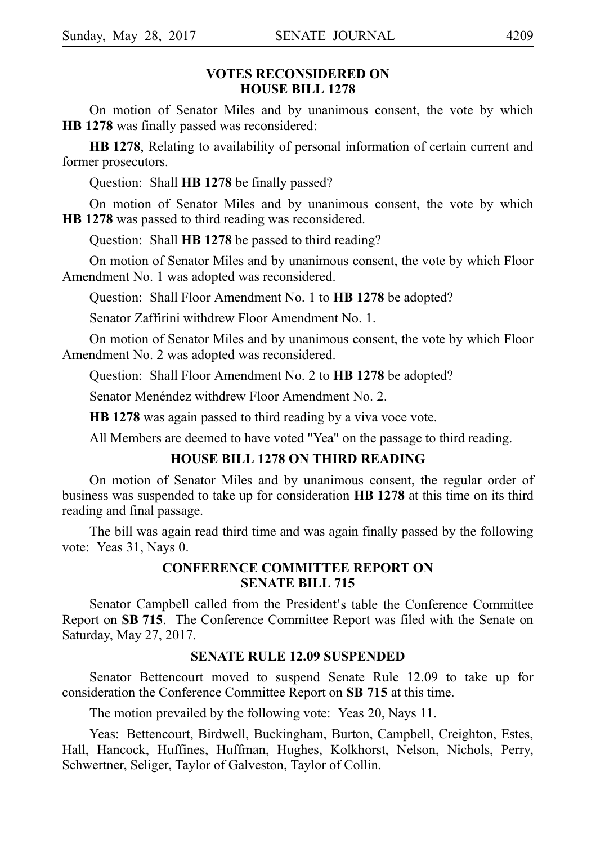#### **VOTES RECONSIDERED ON HOUSE BILL 1278**

On motion of Senator Miles and by unanimous consent, the vote by which **HB** 1278 was finally passed was reconsidered:

HB 1278, Relating to availability of personal information of certain current and former prosecutors.

Question: Shall **HB 1278** be finally passed?

On motion of Senator Miles and by unanimous consent, the vote by which **HB** 1278 was passed to third reading was reconsidered.

Question: Shall **HB 1278** be passed to third reading?

On motion of Senator Miles and by unanimous consent, the vote by which Floor Amendment No. 1 was adopted was reconsidered.

Question: Shall Floor Amendment No. 1 to **HB 1278** be adopted?

Senator Zaffirini withdrew Floor Amendment No. 1.

On motion of Senator Miles and by unanimous consent, the vote by which Floor Amendment No. 2 was adopted was reconsidered.

Question: Shall Floor Amendment No. 2 to **HB 1278** be adopted?

Senator Menéndez withdrew Floor Amendment No. 2.

**HB 1278** was again passed to third reading by a viva voce vote.

All Members are deemed to have voted "Yea" on the passage to third reading.

#### **HOUSE BILL 1278 ON THIRD READING**

On motion of Senator Miles and by unanimous consent, the regular order of business was suspended to take up for consideration **HBi1278** at this time on its third reading and final passage.

The bill was again read third time and was again finally passed by the following vote: Yeas 31, Nays 0.

#### **CONFERENCE COMMITTEE REPORT ON SENATE BILL 715**

Senator Campbell called from the President's table the Conference Committee Report on **SB 715**. The Conference Committee Report was filed with the Senate on Saturday, May 27, 2017.

#### **SENATE RULE 12.09 SUSPENDED**

Senator Bettencourt moved to suspend Senate Rule 12.09 to take up for consideration the Conference Committee Report on **SB 715** at this time.

The motion prevailed by the following vote: Yeas 20, Nays 11.

Yeas: Bettencourt, Birdwell, Buckingham, Burton, Campbell, Creighton, Estes, Hall, Hancock, Huffines, Huffman, Hughes, Kolkhorst, Nelson, Nichols, Perry, Schwertner, Seliger, Taylor of Galveston, Taylor of Collin.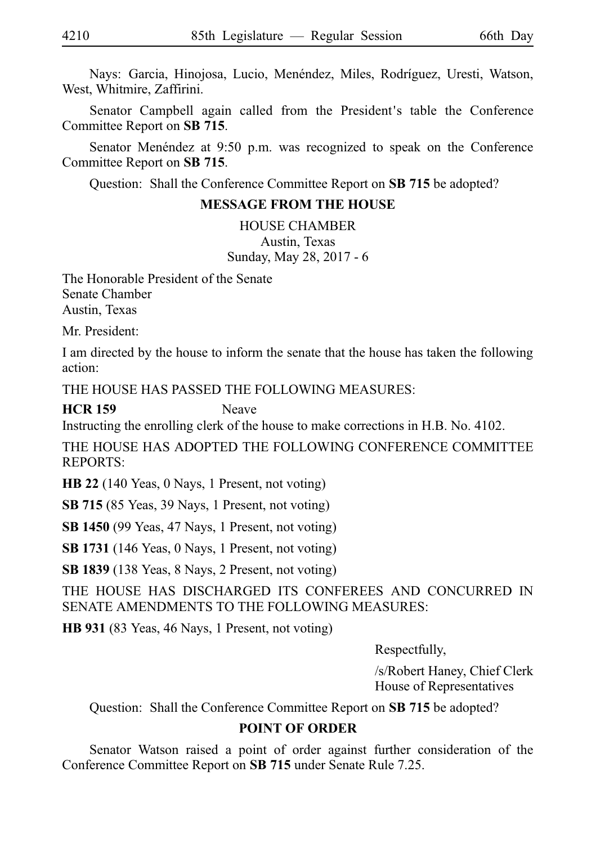Nays: Garcia, Hinojosa, Lucio, Menéndez, Miles, Rodríguez, Uresti, Watson, West, Whitmire, Zaffirini.

Senator Campbell again called from the President's table the Conference Committee Report on **SB 715**.

Senator Menéndez at 9:50 p.m. was recognized to speak on the Conference Committee Report on **SB 715**.

Question: Shall the Conference Committee Report on **SB 715** be adopted?

### **MESSAGE FROM THE HOUSE**

HOUSE CHAMBER Austin, Texas Sunday, May 28, 2017 - 6

The Honorable President of the Senate Senate Chamber Austin, Texas

Mr. President:

I am directed by the house to inform the senate that the house has taken the following action:

THE HOUSE HAS PASSED THE FOLLOWING MEASURES:

## **HCR 159** Neave

Instructing the enrolling clerk of the house to make corrections in H.B. No. 4102.

THE HOUSE HAS ADOPTED THE FOLLOWING CONFERENCE COMMITTEE REPORTS:

**HB 22** (140 Yeas, 0 Nays, 1 Present, not voting)

**SB 715** (85 Yeas, 39 Nays, 1 Present, not voting)

**SB 1450** (99 Yeas, 47 Nays, 1 Present, not voting)

**SB 1731** (146 Yeas, 0 Nays, 1 Present, not voting)

**SB 1839** (138 Yeas, 8 Nays, 2 Present, not voting)

THE HOUSE HAS DISCHARGED ITS CONFEREES AND CONCURRED IN SENATE AMENDMENTS TO THE FOLLOWING MEASURES:

**HB 931** (83 Yeas, 46 Nays, 1 Present, not voting)

Respectfully,

/s/Robert Haney, Chief Clerk House of Representatives

Question: Shall the Conference Committee Report on **SB 715** be adopted?

## **POINT OF ORDER**

Senator Watson raised a point of order against further consideration of the Conference Committee Report on **SB 715** under Senate Rule 7.25.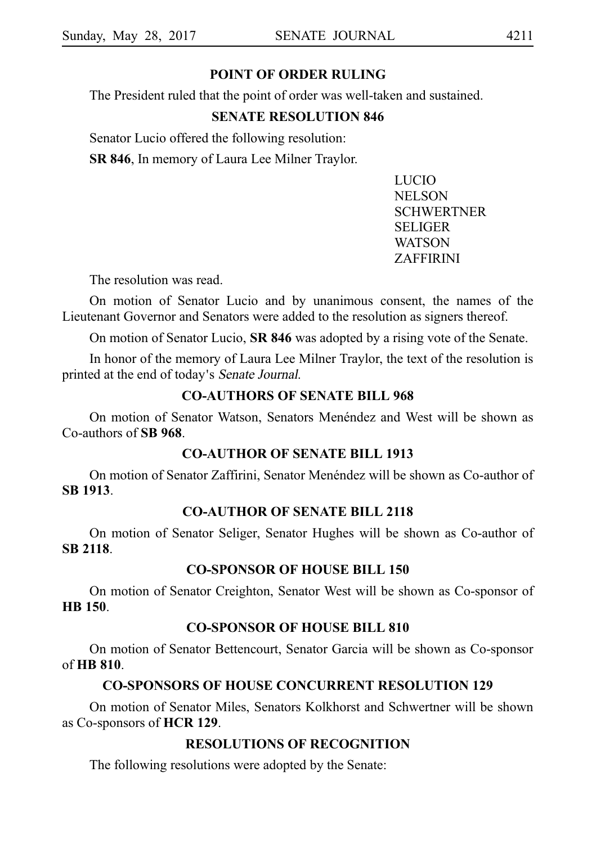#### **POINT OF ORDER RULING**

The President ruled that the point of order was well-taken and sustained.

#### **SENATE RESOLUTION 846**

Senator Lucio offered the following resolution:

**SR 846**, In memory of Laura Lee Milner Traylor.

LUCIO NELSON **SCHWERTNER** SELIGER WATSON ZAFFIRINI

The resolution was read.

On motion of Senator Lucio and by unanimous consent, the names of the Lieutenant Governor and Senators were added to the resolution as signers thereof.

On motion of Senator Lucio, **SR 846** was adopted by a rising vote of the Senate.

In honor of the memory of Laura Lee Milner Traylor, the text of the resolution is printed at the end of today's Senate Journal.

#### **CO-AUTHORS OF SENATE BILL 968**

On motion of Senator Watson, Senators Menéndez and West will be shown as Co-authors of **SB 968**.

#### **CO-AUTHOR OF SENATE BILL 1913**

On motion of Senator Zaffirini, Senator Menéndez will be shown as Co-author of **SBi1913**.

## **CO-AUTHOR OF SENATE BILL 2118**

On motion of Senator Seliger, Senator Hughes will be shown as Co-author of **SBi2118**.

#### **CO-SPONSOR OF HOUSE BILL 150**

On motion of Senator Creighton, Senator West will be shown as Co-sponsor of **HBi150**.

#### **CO-SPONSOR OF HOUSE BILL 810**

On motion of Senator Bettencourt, Senator Garcia will be shown as Co-sponsor of **HBi810**.

#### **CO-SPONSORS OF HOUSE CONCURRENT RESOLUTION 129**

On motion of Senator Miles, Senators Kolkhorst and Schwertner will be shown as Co-sponsors of **HCR 129**.

## **RESOLUTIONS OF RECOGNITION**

The following resolutions were adopted by the Senate: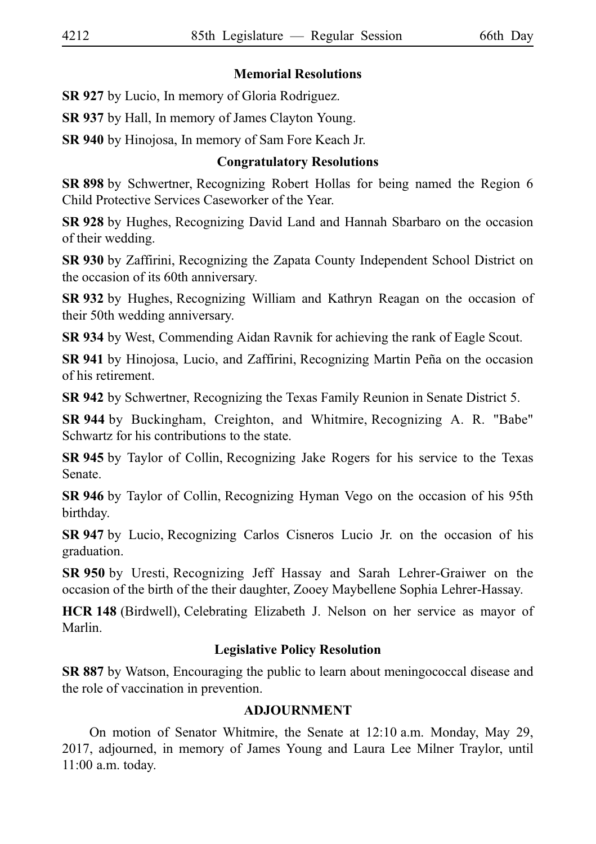#### **Memorial Resolutions**

**SR 927** by Lucio, In memory of Gloria Rodriguez.

**SR 937** by Hall, In memory of James Clayton Young.

**SR 940** by Hinojosa, In memory of Sam Fore Keach Jr.

## **Congratulatory Resolutions**

**SR 898** by Schwertner, Recognizing Robert Hollas for being named the Region 6 Child Protective Services Caseworker of the Year.

**SR 928** by Hughes, Recognizing David Land and Hannah Sbarbaro on the occasion of their wedding.

**SR 930** by Zaffirini, Recognizing the Zapata County Independent School District on the occasion of its 60th anniversary.

**SR 932** by Hughes, Recognizing William and Kathryn Reagan on the occasion of their 50th wedding anniversary.

**SR 934** by West, Commending Aidan Ravnik for achieving the rank of Eagle Scout.

**SR 941** by Hinojosa, Lucio, and Zaffirini, Recognizing Martin Peña on the occasion of his retirement.

**SR 942** by Schwertner, Recognizing the Texas Family Reunion in Senate District 5.

**SR 944** by Buckingham, Creighton, and Whitmire, Recognizing A. R. "Babe" Schwartz for his contributions to the state.

**SR 945** by Taylor of Collin, Recognizing Jake Rogers for his service to the Texas Senate.

**SR 946** by Taylor of Collin, Recognizing Hyman Vego on the occasion of his 95th birthday.

**SR 947** by Lucio, Recognizing Carlos Cisneros Lucio Jr. on the occasion of his graduation.

**SR 950** by Uresti, Recognizing Jeff Hassay and Sarah Lehrer-Graiwer on the occasion of the birth of the their daughter, Zooey Maybellene Sophia Lehrer-Hassay.

**HCR 148** (Birdwell), Celebrating Elizabeth J. Nelson on her service as mayor of Marlin.

## **Legislative Policy Resolution**

**SR 887** by Watson, Encouraging the public to learn about meningococcal disease and the role of vaccination in prevention.

#### **ADJOURNMENT**

On motion of Senator Whitmire, the Senate at 12:10 a.m. Monday, May 29, 2017, adjourned, in memory of James Young and Laura Lee Milner Traylor, until  $11:00$  a.m. today.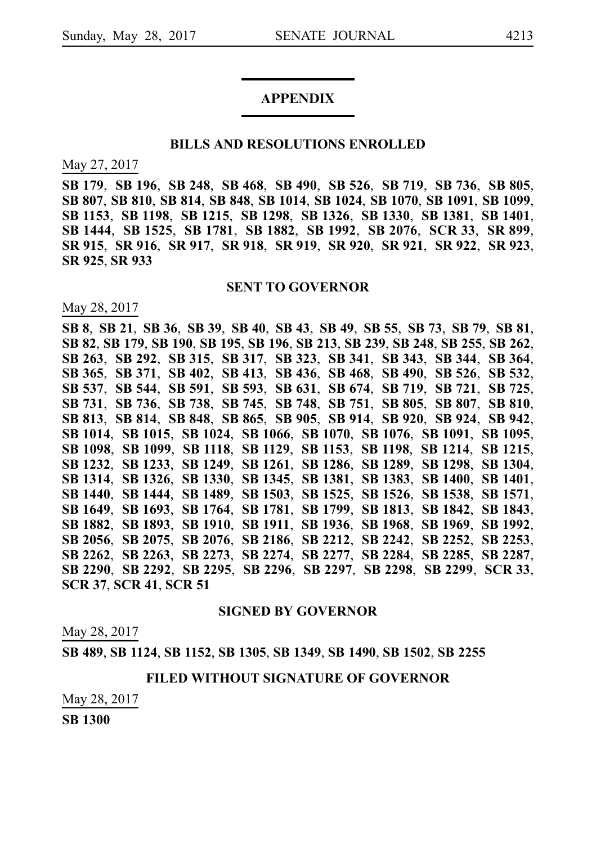# **APPENDIX**

#### **BILLS AND RESOLUTIONS ENROLLED**

May 27, 2017

**SB**i**179**, **SB**i**196**, **SB**i**248**, **SB**i**468**, **SB**i**490**, **SB**i**526**, **SB**i**719**, **SB**i**736**, **SB**i**805**, **SB**i**807**, **SB**i**810**, **SB**i**814**, **SB**i**848**, **SB**i**1014**, **SB**i**1024**, **SB**i**1070**, **SB**i**1091**, **SB**i**1099**, **SB**i**1153**, **SB**i**1198**, **SB**i**1215**, **SB**i**1298**, **SB**i**1326**, **SB**i**1330**, **SB**i**1381**, **SB**i**1401**, **SB**i**1444**, **SB**i**1525**, **SB**i**1781**, **SB**i**1882**, **SB**i**1992**, **SB**i**2076**, **SCR**i**33**, **SR**i**899**, **SR**i**915**, **SR**i**916**, **SR**i**917**, **SR**i**918**, **SR**i**919**, **SR**i**920**, **SR**i**921**, **SR**i**922**, **SR**i**923**, **SR**i**925**, **SR**i**933**

#### **SENT TO GOVERNOR**

May 28, 2017

SB 8, SB 21, SB 36, SB 39, SB 40, SB 43, SB 49, SB 55, SB 73, SB 79, SB 81, **SB**i**82**, **SB**i**179**, **SB**i**190**, **SB**i**195**, **SB**i**196**, **SB**i**213**, **SB**i**239**, **SB**i**248**, **SB**i**255**, **SB**i**262**, **SB**i**263**, **SB**i**292**, **SB**i**315**, **SB**i**317**, **SB**i**323**, **SB**i**341**, **SB**i**343**, **SB**i**344**, **SB**i**364**, **SB**i**365**, **SB**i**371**, **SB**i**402**, **SB**i**413**, **SB**i**436**, **SB**i**468**, **SB**i**490**, **SB**i**526**, **SB**i**532**, **SB**i**537**, **SB**i**544**, **SB**i**591**, **SB**i**593**, **SB**i**631**, **SB**i**674**, **SB**i**719**, **SB**i**721**, **SB**i**725**, **SB**i**731**, **SB**i**736**, **SB**i**738**, **SB**i**745**, **SB**i**748**, **SB**i**751**, **SB**i**805**, **SB**i**807**, **SB**i**810**, **SB**i**813**, **SB**i**814**, **SB**i**848**, **SB**i**865**, **SB**i**905**, **SB**i**914**, **SB**i**920**, **SB**i**924**, **SB**i**942**, **SB**i**1014**, **SB**i**1015**, **SB**i**1024**, **SB**i**1066**, **SB**i**1070**, **SB**i**1076**, **SB**i**1091**, **SB**i**1095**, **SB**i**1098**, **SB**i**1099**, **SB**i**1118**, **SB**i**1129**, **SB**i**1153**, **SB**i**1198**, **SB**i**1214**, **SB**i**1215**, **SB**i**1232**, **SB**i**1233**, **SB**i**1249**, **SB**i**1261**, **SB**i**1286**, **SB**i**1289**, **SB**i**1298**, **SB**i**1304**, **SB**i**1314**, **SB**i**1326**, **SB**i**1330**, **SB**i**1345**, **SB**i**1381**, **SB**i**1383**, **SB**i**1400**, **SB**i**1401**, **SB**i**1440**, **SB**i**1444**, **SB**i**1489**, **SB**i**1503**, **SB**i**1525**, **SB**i**1526**, **SB**i**1538**, **SB**i**1571**, **SB**i**1649**, **SB**i**1693**, **SB**i**1764**, **SB**i**1781**, **SB**i**1799**, **SB**i**1813**, **SB**i**1842**, **SB**i**1843**, **SB**i**1882**, **SB**i**1893**, **SB**i**1910**, **SB**i**1911**, **SB**i**1936**, **SB**i**1968**, **SB**i**1969**, **SB**i**1992**, **SB**i**2056**, **SB**i**2075**, **SB**i**2076**, **SB**i**2186**, **SB**i**2212**, **SB**i**2242**, **SB**i**2252**, **SB**i**2253**, **SB**i**2262**, **SB**i**2263**, **SB**i**2273**, **SB**i**2274**, **SB**i**2277**, **SB**i**2284**, **SB**i**2285**, **SB**i**2287**, **SB**i**2290**, **SB**i**2292**, **SB**i**2295**, **SB**i**2296**, **SB**i**2297**, **SB**i**2298**, **SB**i**2299**, **SCR**i**33**, **SCR**i**37**, **SCR**i**41**, **SCR**i**51**

#### **SIGNED BY GOVERNOR**

May 28, 2017

**SB**i**489**, **SB**i**1124**, **SB**i**1152**, **SB**i**1305**, **SB**i**1349**, **SB**i**1490**, **SB**i**1502**, **SB**i**2255**

#### **FILED WITHOUT SIGNATURE OF GOVERNOR**

May 28, 2017

**SB**i**1300**